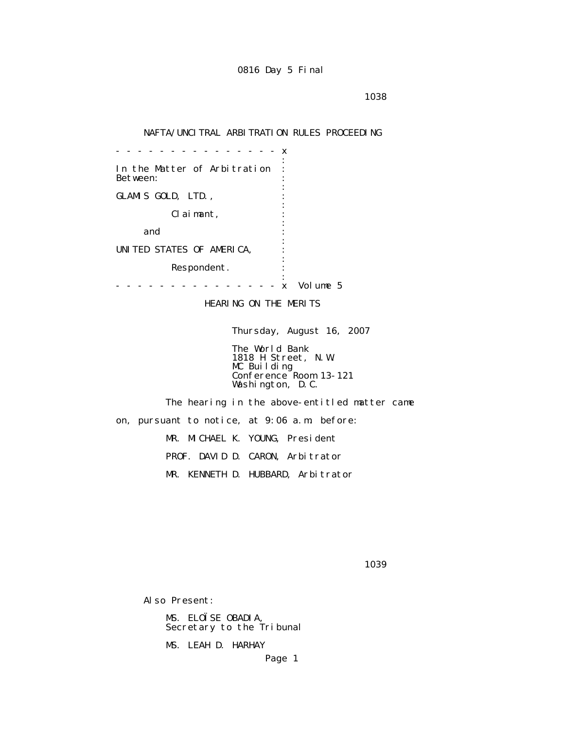1038

## NAFTA/UNCITRAL ARBITRATION RULES PROCEEDING

 - - - - - - - - - - - - - - - x the contract of the contract of the contract of the contract of the contract of the contract of the contract of In the Matter of Arbitration : Between: the contract of the contract of the contract of the contract of the contract of the contract of the contract of GLAMIS GOLD, LTD., the contract of the contract of the contract of the contract of the contract of the contract of the contract of Claimant, : the contract of the contract of the contract of the contract of the contract of the contract of the contract of and  $\cdots$  : the contract of the contract of the contract of the contract of the contract of the contract of the contract of UNITED STATES OF AMERICA, : the contract of the contract of the contract of the contract of the contract of the contract of the contract of Respondent. the contract of the contract of the contract of the contract of the contract of the contract of the contract of - - - - - - - - - - - - - - - x Volume 5

HEARING ON THE MERITS

Thursday, August 16, 2007

 The World Bank 1818 H Street, N.W. MC Building Conference Room 13-121 Washington, D.C.

 The hearing in the above-entitled matter came on, pursuant to notice, at 9:06 a.m. before: MR. MICHAEL K. YOUNG, President PROF. DAVID D. CARON, Arbitrator MR. KENNETH D. HUBBARD, Arbitrator

<u>1039</u>

Also Present:

 MS. ELOÏSE OBADIA, Secretary to the Tribunal

MS. LEAH D. HARHAY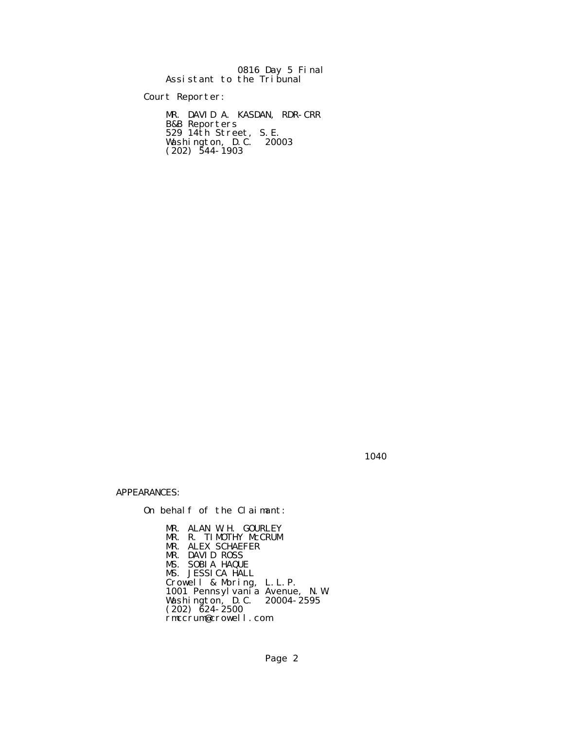|  | 0816 Day 5 Final          |
|--|---------------------------|
|  | Assistant to the Tribunal |

Court Reporter:

 MR. DAVID A. KASDAN, RDR-CRR B&B Reporters 529 14th Street, S.E. Washington, D.C. 20003  $(202)$  544-1903

1040

APPEARANCES:

On behalf of the Claimant:

 MR. ALAN W.H. GOURLEY MR. R. TIMOTHY McCRUM MR. ALEX SCHAEFER MR. DAVID ROSS MS. SOBIA HAQUE MS. JESSICA HALL Crowell & Moring, L.L.P. 1001 Pennsylvania Avenue, N.W. Washington, D.C. 20004-2595  $(202)$   $\bar{6}24 - 2500$ rmccrum@crowell.com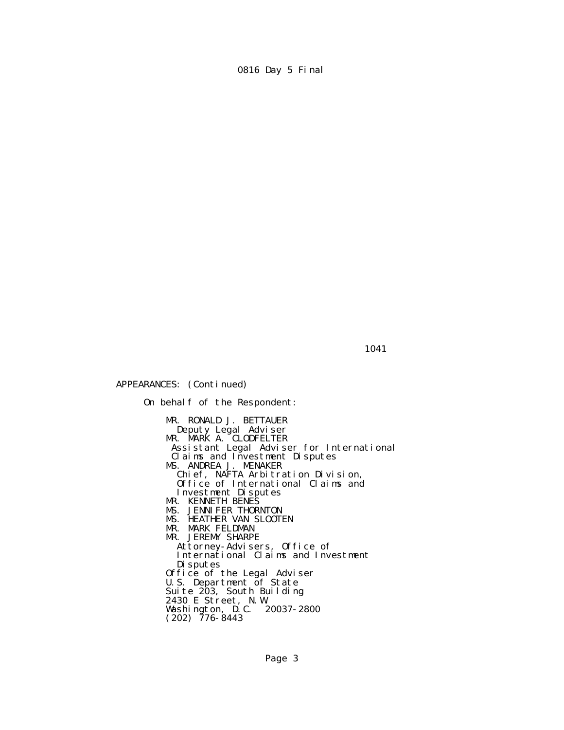1041

APPEARANCES: (Continued)

 On behalf of the Respondent: MR. RONALD J. BETTAUER Deputy Legal Adviser **MR. MARK A. CLODFELTER**  Assistant Legal Adviser for International Claims and Investment Disputes MS. ANDREA J. MENAKER Chief, NAFTA Arbitration Division, Office of International Claims and Investment Disputes MR. KENNETH BENES MS. JENNIFER THORNTON MS. HEATHER VAN SLOOTEN MR. MARK FELDMAN MR. JEREMY SHARPE Attorney-Advisers, Office of International Claims and Investment Disputes Office of the Legal Adviser U.S. Department of State Suite 203, South Building 2430 E Street, N.W. Washington, D.C. 20037-2800  $(202)$  776-8443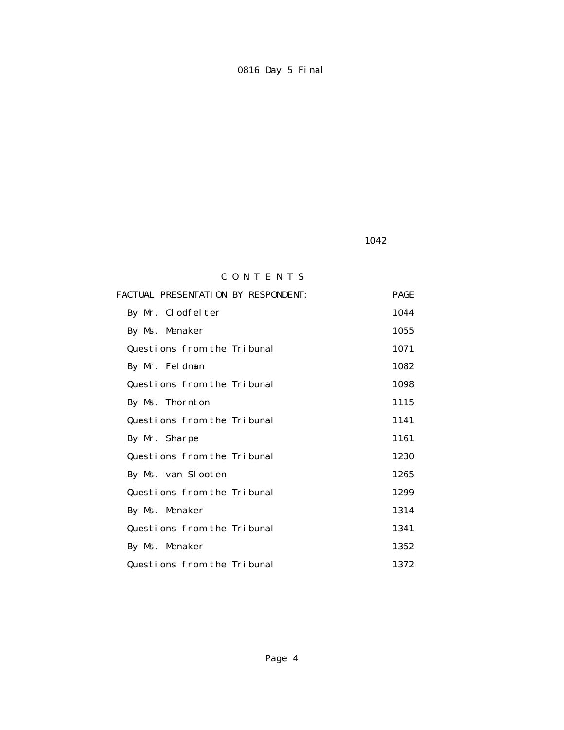1042

# C O N T E N T S

| <b>FACTUAL PRESENTATION BY RESPONDENT:</b> | <b>PAGE</b> |
|--------------------------------------------|-------------|
| By Mr. Clodfelter                          | 1044        |
| By Ms. Menaker                             | 1055        |
| Questions from the Tribunal                | 1071        |
| By Mr. Feldman                             | 1082        |
| Questions from the Tribunal                | 1098        |
| By Ms. Thornton                            | 1115        |
| Questions from the Tribunal                | 1141        |
| By Mr. Sharpe                              | 1161        |
| Questions from the Tribunal                | 1230        |
| By Ms. van Slooten                         | 1265        |
| Questions from the Tribunal                | 1299        |
| By Ms. Menaker                             | 1314        |
| Questions from the Tribunal                | 1341        |
| By Ms. Menaker                             | 1352        |
| Questions from the Tribunal                | 1372        |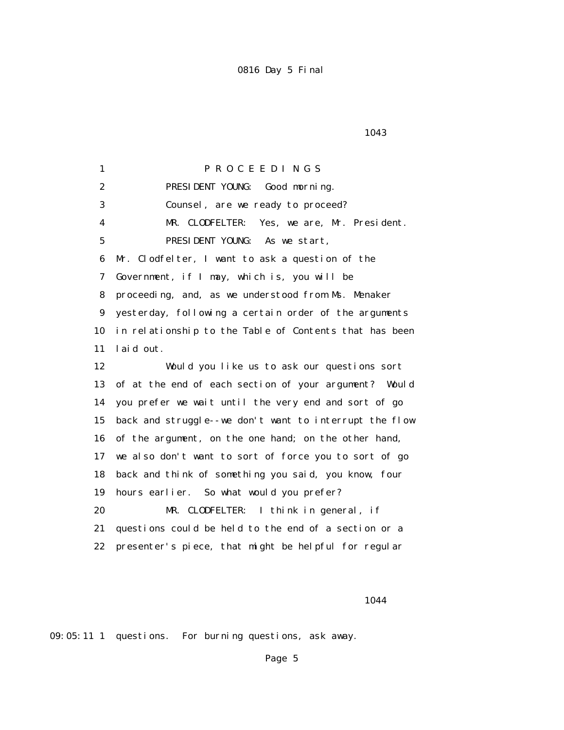1043

 1 P R O C E E D I N G S 2 PRESIDENT YOUNG: Good morning. 3 Counsel, are we ready to proceed? 4 MR. CLODFELTER: Yes, we are, Mr. President. 5 PRESIDENT YOUNG: As we start, 6 Mr. Clodfelter, I want to ask a question of the 7 Government, if I may, which is, you will be 8 proceeding, and, as we understood from Ms. Menaker 9 yesterday, following a certain order of the arguments 10 in relationship to the Table of Contents that has been 11 laid out. 12 Would you like us to ask our questions sort 13 of at the end of each section of your argument? Would 14 you prefer we wait until the very end and sort of go 15 back and struggle--we don't want to interrupt the flow 16 of the argument, on the one hand; on the other hand, 17 we also don't want to sort of force you to sort of go 18 back and think of something you said, you know, four 19 hours earlier. So what would you prefer? 20 MR. CLODFELTER: I think in general, if 21 questions could be held to the end of a section or a 22 presenter's piece, that might be helpful for regular

1044

09:05:11 1 questions. For burning questions, ask away.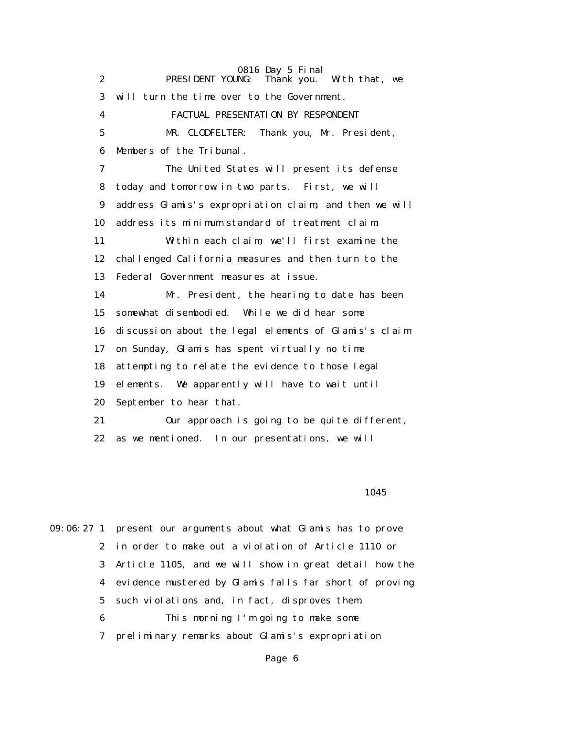0816 Day 5 Final<br>NG: Thank you. With that, we 2 **PRESIDENT YOUNG:** Thank you. 3 will turn the time over to the Government. 4 FACTUAL PRESENTATION BY RESPONDENT 5 MR. CLODFELTER: Thank you, Mr. President, 6 Members of the Tribunal. 7 The United States will present its defense 8 today and tomorrow in two parts. First, we will 9 address Glamis's expropriation claim, and then we will 10 address its minimum standard of treatment claim. 11 Within each claim, we'll first examine the 12 challenged California measures and then turn to the 13 Federal Government measures at issue. 14 Mr. President, the hearing to date has been 15 somewhat disembodied. While we did hear some 16 discussion about the legal elements of Glamis's claim 17 on Sunday, Glamis has spent virtually no time 18 attempting to relate the evidence to those legal 19 elements. We apparently will have to wait until 20 September to hear that. 21 Our approach is going to be quite different, 22 as we mentioned. In our presentations, we will

<u>1045</u>

09:06:27 1 present our arguments about what Glamis has to prove 2 in order to make out a violation of Article 1110 or 3 Article 1105, and we will show in great detail how the 4 evidence mustered by Glamis falls far short of proving 5 such violations and, in fact, disproves them. 6 This morning I'm going to make some 7 preliminary remarks about Glamis's expropriation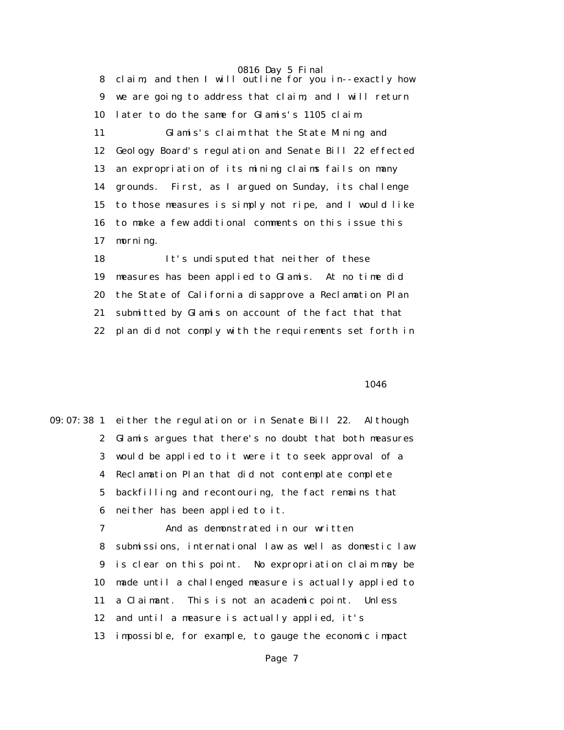8 claim, and then I will outline for you in--exactly how 9 we are going to address that claim, and I will return 10 later to do the same for Glamis's 1105 claim. 11 Glamis's claim that the State Mining and 12 Geology Board's regulation and Senate Bill 22 effected 13 an expropriation of its mining claims fails on many 14 grounds. First, as I argued on Sunday, its challenge 15 to those measures is simply not ripe, and I would like 16 to make a few additional comments on this issue this 17 morning.

 18 It's undisputed that neither of these 19 measures has been applied to Glamis. At no time did 20 the State of California disapprove a Reclamation Plan 21 submitted by Glamis on account of the fact that that 22 plan did not comply with the requirements set forth in

1046

|              | 09:07:38 1 either the regulation or in Senate Bill 22. Although |
|--------------|-----------------------------------------------------------------|
| $\mathbf{2}$ | Glamis argues that there's no doubt that both measures          |
| 3            | would be applied to it were it to seek approval of a            |
| 4            | Reclamation Plan that did not contemplate complete              |
| $5^{\circ}$  | backfilling and recontouring, the fact remains that             |
| 6            | neither has been applied to it.                                 |
| 7            | And as demonstrated in our written                              |
| 8            | submissions, international law as well as domestic law          |
| 9            | is clear on this point. No expropriation claim may be           |
| 10           | made until a challenged measure is actually applied to          |
| 11           | a Claimant. This is not an academic point. Unless               |
| 12           | and until a measure is actually applied, it's                   |
| 13           | impossible, for example, to gauge the economic impact           |
|              |                                                                 |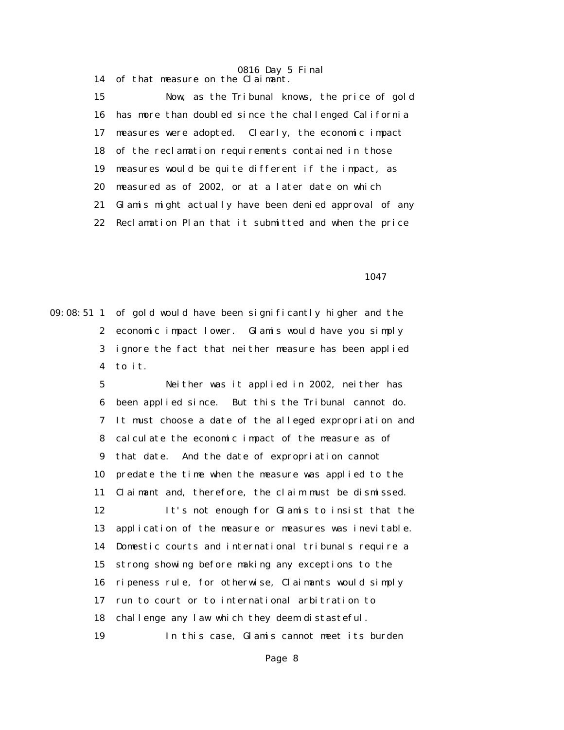0816 Day 5 Final 14 of that measure on the Claimant.

 15 Now, as the Tribunal knows, the price of gold 16 has more than doubled since the challenged California 17 measures were adopted. Clearly, the economic impact 18 of the reclamation requirements contained in those 19 measures would be quite different if the impact, as 20 measured as of 2002, or at a later date on which 21 Glamis might actually have been denied approval of any 22 Reclamation Plan that it submitted and when the price

<u>1047</u>

09:08:51 1 of gold would have been significantly higher and the 2 economic impact lower. Glamis would have you simply 3 ignore the fact that neither measure has been applied 4 to it.

> 5 Neither was it applied in 2002, neither has 6 been applied since. But this the Tribunal cannot do. 7 It must choose a date of the alleged expropriation and 8 calculate the economic impact of the measure as of 9 that date. And the date of expropriation cannot 10 predate the time when the measure was applied to the 11 Claimant and, therefore, the claim must be dismissed. 12 It's not enough for Glamis to insist that the 13 application of the measure or measures was inevitable. 14 Domestic courts and international tribunals require a 15 strong showing before making any exceptions to the 16 ripeness rule, for otherwise, Claimants would simply 17 run to court or to international arbitration to 18 challenge any law which they deem distasteful. 19 In this case, Glamis cannot meet its burden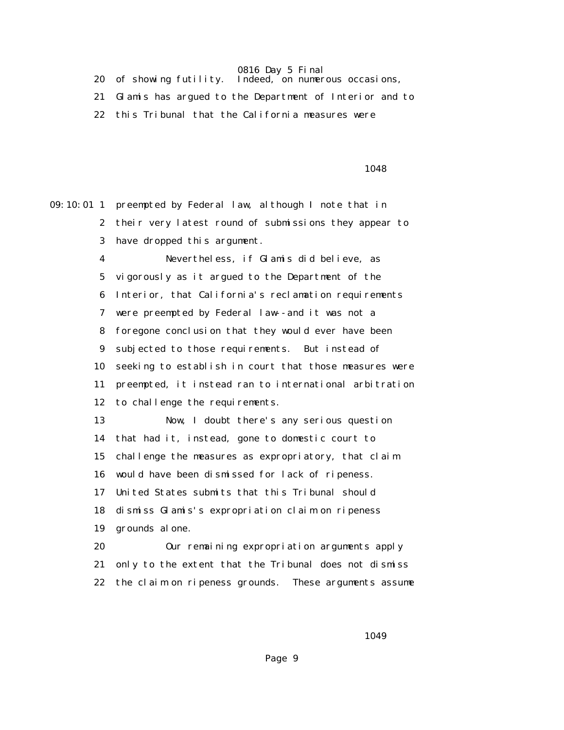20 of showing futility. Indeed, on numerous occasions,

21 Glamis has argued to the Department of Interior and to

22 this Tribunal that the California measures were

1048

09:10:01 1 preempted by Federal law, although I note that in 2 their very latest round of submissions they appear to 3 have dropped this argument. 4 Nevertheless, if Glamis did believe, as 5 vigorously as it argued to the Department of the 6 Interior, that California's reclamation requirements 7 were preempted by Federal law--and it was not a 8 foregone conclusion that they would ever have been 9 subjected to those requirements. But instead of 10 seeking to establish in court that those measures were 11 preempted, it instead ran to international arbitration 12 to challenge the requirements. 13 Now, I doubt there's any serious question 14 that had it, instead, gone to domestic court to 15 challenge the measures as expropriatory, that claim 16 would have been dismissed for lack of ripeness. 17 United States submits that this Tribunal should 18 dismiss Glamis's expropriation claim on ripeness 19 grounds alone. 20 Our remaining expropriation arguments apply 21 only to the extent that the Tribunal does not dismiss 22 the claim on ripeness grounds. These arguments assume

1049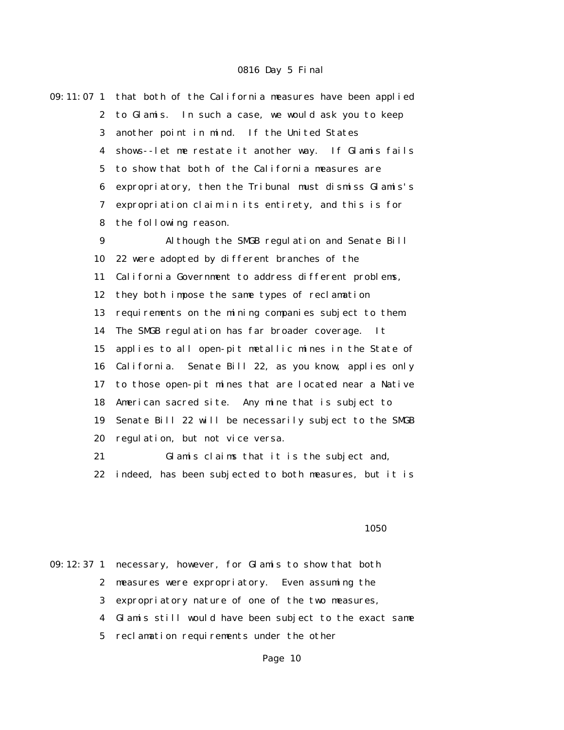| $09:11:07$ 1     | that both of the California measures have been applied |
|------------------|--------------------------------------------------------|
| $\boldsymbol{2}$ | to Glamis. In such a case, we would ask you to keep    |
| 3                | another point in mind. If the United States            |
| 4                | shows--let me restate it another way. If Glamis fails  |
| 5                | to show that both of the California measures are       |
| 6                | expropriatory, then the Tribunal must dismiss Glamis's |
| 7                | expropriation claim in its entirety, and this is for   |
| 8                | the following reason.                                  |
| 9                | Although the SMGB regulation and Senate Bill           |
| 10               | 22 were adopted by different branches of the           |
| 11               | California Government to address different problems,   |
| 12               | they both impose the same types of reclamation         |
| 13               | requirements on the mining companies subject to them.  |
| 14               | The SMGB regulation has far broader coverage. It       |
| 15               | applies to all open-pit metallic mines in the State of |
| 16               | California. Senate Bill 22, as you know, applies only  |
| 17               | to those open-pit mines that are located near a Native |
| 18               | American sacred site. Any mine that is subject to      |
| 19               | Senate Bill 22 will be necessarily subject to the SMGB |
| 20               | regulation, but not vice versa.                        |
| 21               | Glamis claims that it is the subject and,              |
|                  |                                                        |

22 indeed, has been subjected to both measures, but it is

### $1050$

09:12:37 1 necessary, however, for Glamis to show that both 2 measures were expropriatory. Even assuming the 3 expropriatory nature of one of the two measures, 4 Glamis still would have been subject to the exact same 5 reclamation requirements under the other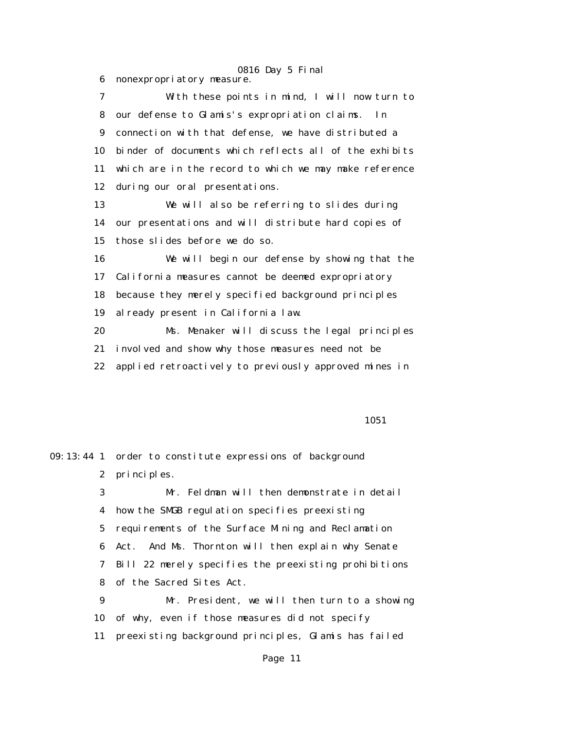6 nonexpropriatory measure.

## 0816 Day 5 Final

 7 With these points in mind, I will now turn to 8 our defense to Glamis's expropriation claims. In 9 connection with that defense, we have distributed a 10 binder of documents which reflects all of the exhibits 11 which are in the record to which we may make reference 12 during our oral presentations.

 13 We will also be referring to slides during 14 our presentations and will distribute hard copies of 15 those slides before we do so.

 16 We will begin our defense by showing that the 17 California measures cannot be deemed expropriatory 18 because they merely specified background principles 19 already present in California law. 20 Ms. Menaker will discuss the legal principles

21 involved and show why those measures need not be

22 applied retroactively to previously approved mines in

#### **1051**

|    | 09:13:44 1 order to constitute expressions of background |  |  |
|----|----------------------------------------------------------|--|--|
| 2  | principles.                                              |  |  |
| 3  | Mr. Feldman will then demonstrate in detail              |  |  |
|    | 4 how the SMGB regulation specifies preexisting          |  |  |
|    | 5 requirements of the Surface Mining and Reclamation     |  |  |
|    | 6 Act. And Ms. Thornton will then explain why Senate     |  |  |
|    | 7 Bill 22 merely specifies the preexisting prohibitions  |  |  |
|    | 8 of the Sacred Sites Act.                               |  |  |
| 9  | Mr. President, we will then turn to a showing            |  |  |
|    | 10 of why, even if those measures did not specify        |  |  |
| 11 | preexisting background principles, Glamis has failed     |  |  |
|    |                                                          |  |  |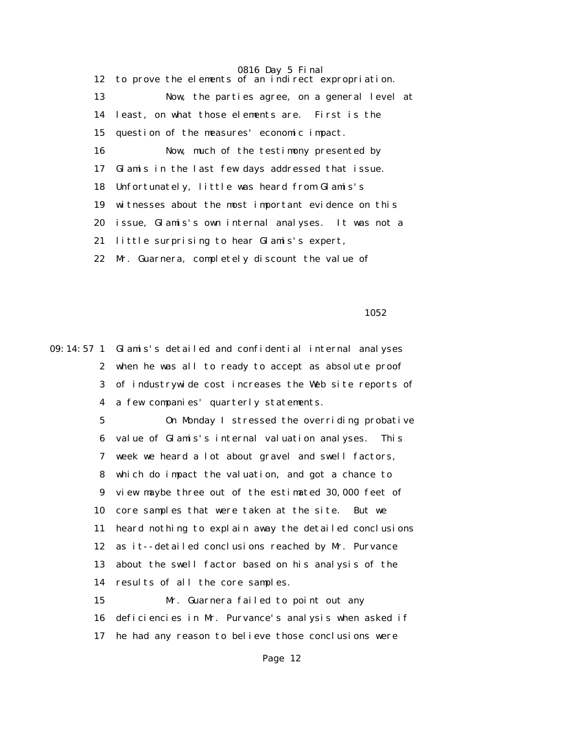0816 Day 5 Final 12 to prove the elements of an indirect expropriation. 13 Now, the parties agree, on a general level at 14 least, on what those elements are. First is the 15 question of the measures' economic impact. 16 Now, much of the testimony presented by 17 Glamis in the last few days addressed that issue. 18 Unfortunately, little was heard from Glamis's 19 witnesses about the most important evidence on this 20 issue, Glamis's own internal analyses. It was not a 21 little surprising to hear Glamis's expert, 22 Mr. Guarnera, completely discount the value of

 $1052$ 

09:14:57 1 Glamis's detailed and confidential internal analyses 2 when he was all to ready to accept as absolute proof 3 of industrywide cost increases the Web site reports of 4 a few companies' quarterly statements.

> 5 On Monday I stressed the overriding probative 6 value of Glamis's internal valuation analyses. This 7 week we heard a lot about gravel and swell factors, 8 which do impact the valuation, and got a chance to 9 view maybe three out of the estimated 30,000 feet of 10 core samples that were taken at the site. But we 11 heard nothing to explain away the detailed conclusions 12 as it--detailed conclusions reached by Mr. Purvance 13 about the swell factor based on his analysis of the 14 results of all the core samples.

 15 Mr. Guarnera failed to point out any 16 deficiencies in Mr. Purvance's analysis when asked if 17 he had any reason to believe those conclusions were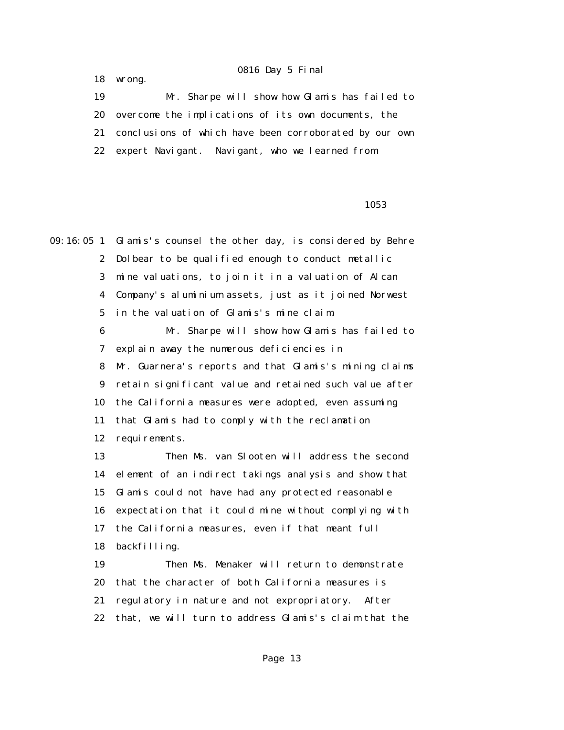18 wrong.

 19 Mr. Sharpe will show how Glamis has failed to 20 overcome the implications of its own documents, the 21 conclusions of which have been corroborated by our own 22 expert Navigant. Navigant, who we learned from

#### $1053$

09:16:05 1 Glamis's counsel the other day, is considered by Behre 2 Dolbear to be qualified enough to conduct metallic 3 mine valuations, to join it in a valuation of Alcan 4 Company's aluminium assets, just as it joined Norwest 5 in the valuation of Glamis's mine claim. 6 Mr. Sharpe will show how Glamis has failed to 7 explain away the numerous deficiencies in 8 Mr. Guarnera's reports and that Glamis's mining claims 9 retain significant value and retained such value after 10 the California measures were adopted, even assuming 11 that Glamis had to comply with the reclamation 12 requirements. 13 Then Ms. van Slooten will address the second 14 element of an indirect takings analysis and show that 15 Glamis could not have had any protected reasonable 16 expectation that it could mine without complying with 17 the California measures, even if that meant full 18 backfilling.

> 19 Then Ms. Menaker will return to demonstrate 20 that the character of both California measures is 21 regulatory in nature and not expropriatory. After 22 that, we will turn to address Glamis's claim that the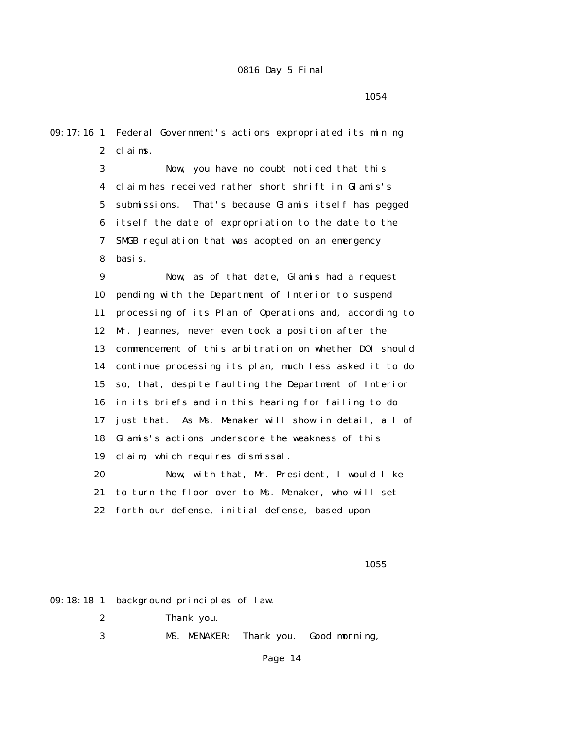1054

09:17:16 1 Federal Government's actions expropriated its mining 2 claims.

> 3 Now, you have no doubt noticed that this 4 claim has received rather short shrift in Glamis's 5 submissions. That's because Glamis itself has pegged 6 itself the date of expropriation to the date to the 7 SMGB regulation that was adopted on an emergency 8 basis.

 9 Now, as of that date, Glamis had a request 10 pending with the Department of Interior to suspend 11 processing of its Plan of Operations and, according to 12 Mr. Jeannes, never even took a position after the 13 commencement of this arbitration on whether DOI should 14 continue processing its plan, much less asked it to do 15 so, that, despite faulting the Department of Interior 16 in its briefs and in this hearing for failing to do 17 just that. As Ms. Menaker will show in detail, all of 18 Glamis's actions underscore the weakness of this 19 claim, which requires dismissal.

 20 Now, with that, Mr. President, I would like 21 to turn the floor over to Ms. Menaker, who will set 22 forth our defense, initial defense, based upon

 $1055$ 

09:18:18 1 background principles of law. 2 Thank you. 3 MS. MENAKER: Thank you. Good morning,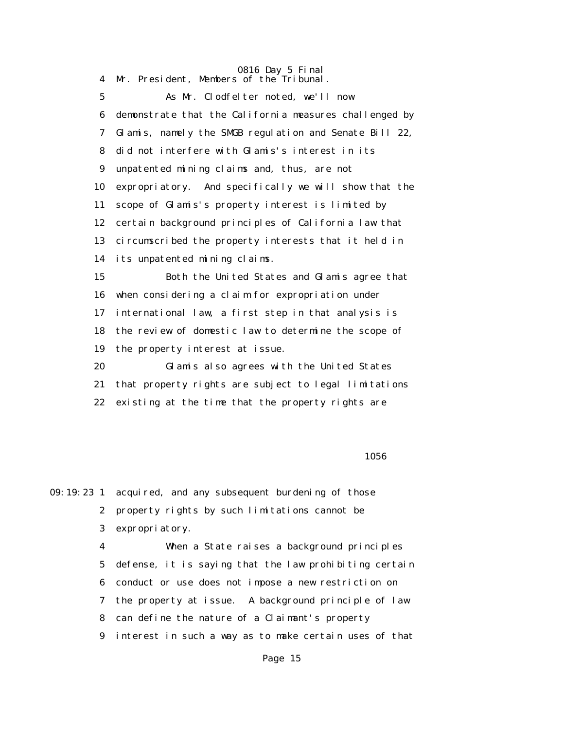0816 Day 5 Final 4 Mr. President, Members of the Tribunal.

> 5 As Mr. Clodfelter noted, we'll now 6 demonstrate that the California measures challenged by 7 Glamis, namely the SMGB regulation and Senate Bill 22, 8 did not interfere with Glamis's interest in its 9 unpatented mining claims and, thus, are not 10 expropriatory. And specifically we will show that the 11 scope of Glamis's property interest is limited by 12 certain background principles of California law that 13 circumscribed the property interests that it held in 14 its unpatented mining claims. 15 Both the United States and Glamis agree that 16 when considering a claim for expropriation under 17 international law, a first step in that analysis is 18 the review of domestic law to determine the scope of 19 the property interest at issue.

 20 Glamis also agrees with the United States 21 that property rights are subject to legal limitations 22 existing at the time that the property rights are

#### $1056$

09:19:23 1 acquired, and any subsequent burdening of those 2 property rights by such limitations cannot be 3 expropriatory.

> 4 When a State raises a background principles 5 defense, it is saying that the law prohibiting certain 6 conduct or use does not impose a new restriction on 7 the property at issue. A background principle of law 8 can define the nature of a Claimant's property 9 interest in such a way as to make certain uses of that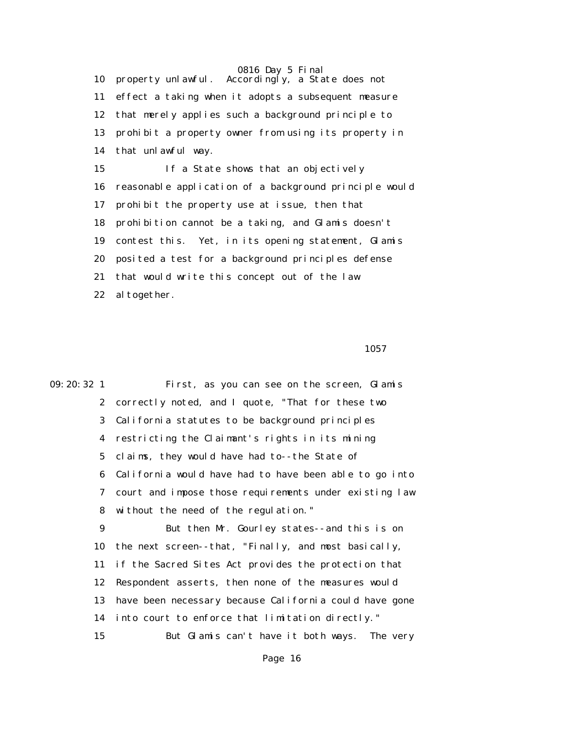10 property unlawful. Accordingly, a State does not 11 effect a taking when it adopts a subsequent measure 12 that merely applies such a background principle to 13 prohibit a property owner from using its property in 14 that unlawful way.

 15 If a State shows that an objectively 16 reasonable application of a background principle would 17 prohibit the property use at issue, then that 18 prohibition cannot be a taking, and Glamis doesn't 19 contest this. Yet, in its opening statement, Glamis 20 posited a test for a background principles defense 21 that would write this concept out of the law 22 altogether.

 $1057$ 

| $09:20:32$ 1 | First, as you can see on the screen, Glamis            |
|--------------|--------------------------------------------------------|
| $\mathbf{2}$ | correctly noted, and I quote, "That for these two      |
| 3            | California statutes to be background principles        |
| 4            | restricting the Claimant's rights in its mining        |
| $5^{\circ}$  | claims, they would have had to--the State of           |
| 6            | California would have had to have been able to go into |
| 7            | court and impose those requirements under existing law |
| 8            | without the need of the regulation."                   |
| 9            | But then Mr. Gourley states--and this is on            |
| 10           | the next screen-that, "Finally, and most basically,    |
| 11           | if the Sacred Sites Act provides the protection that   |
| 12           | Respondent asserts, then none of the measures would    |
| 13           | have been necessary because California could have gone |
| 14           | into court to enforce that limitation directly."       |
| 15           | But Glamis can't have it both ways. The very           |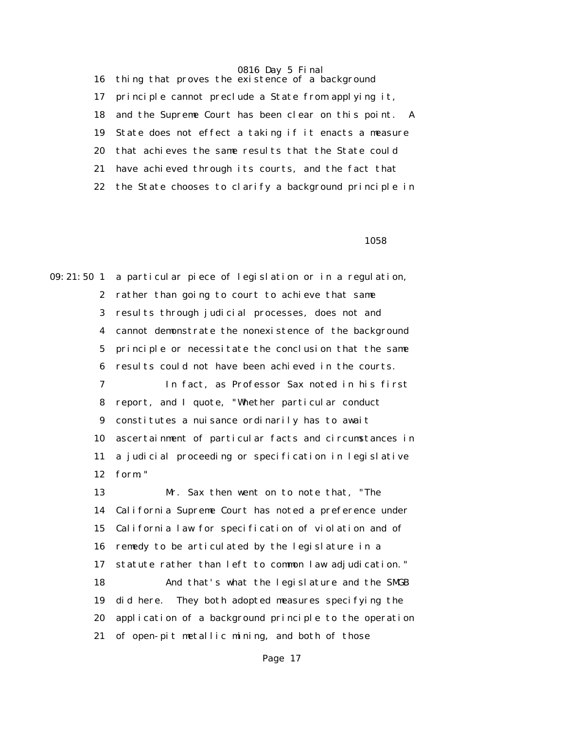16 thing that proves the existence of a background 17 principle cannot preclude a State from applying it, 18 and the Supreme Court has been clear on this point. A 19 State does not effect a taking if it enacts a measure 20 that achieves the same results that the State could 21 have achieved through its courts, and the fact that 22 the State chooses to clarify a background principle in

 $1058$ 

09:21:50 1 a particular piece of legislation or in a regulation, 2 rather than going to court to achieve that same 3 results through judicial processes, does not and 4 cannot demonstrate the nonexistence of the background 5 principle or necessitate the conclusion that the same 6 results could not have been achieved in the courts. 7 In fact, as Professor Sax noted in his first 8 report, and I quote, "Whether particular conduct 9 constitutes a nuisance ordinarily has to await 10 ascertainment of particular facts and circumstances in 11 a judicial proceeding or specification in legislative 12 form."

 13 Mr. Sax then went on to note that, "The 14 California Supreme Court has noted a preference under 15 California law for specification of violation and of 16 remedy to be articulated by the legislature in a 17 statute rather than left to common law adjudication." 18 And that's what the legislature and the SMGB 19 did here. They both adopted measures specifying the 20 application of a background principle to the operation 21 of open-pit metallic mining, and both of those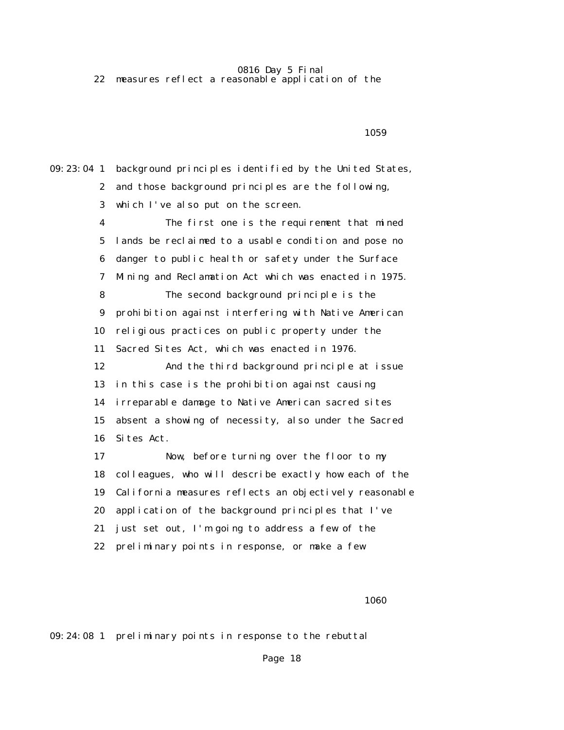0816 Day 5 Final 22 measures reflect a reasonable application of the

 $1059$ 09:23:04 1 background principles identified by the United States, 2 and those background principles are the following, 3 which I've also put on the screen. 4 The first one is the requirement that mined 5 lands be reclaimed to a usable condition and pose no 6 danger to public health or safety under the Surface 7 Mining and Reclamation Act which was enacted in 1975. 8 The second background principle is the 9 prohibition against interfering with Native American 10 religious practices on public property under the 11 Sacred Sites Act, which was enacted in 1976. 12 And the third background principle at issue 13 in this case is the prohibition against causing 14 irreparable damage to Native American sacred sites 15 absent a showing of necessity, also under the Sacred 16 Sites Act. 17 Now, before turning over the floor to my 18 colleagues, who will describe exactly how each of the 19 California measures reflects an objectively reasonable 20 application of the background principles that I've 21 just set out, I'm going to address a few of the 22 preliminary points in response, or make a few

1060 and 1060 and 1060 and 1060 and 1060 and 1060 and 1060 and 1060 and 1060 and 1060 and 1060 and 1060 and 1

09:24:08 1 preliminary points in response to the rebuttal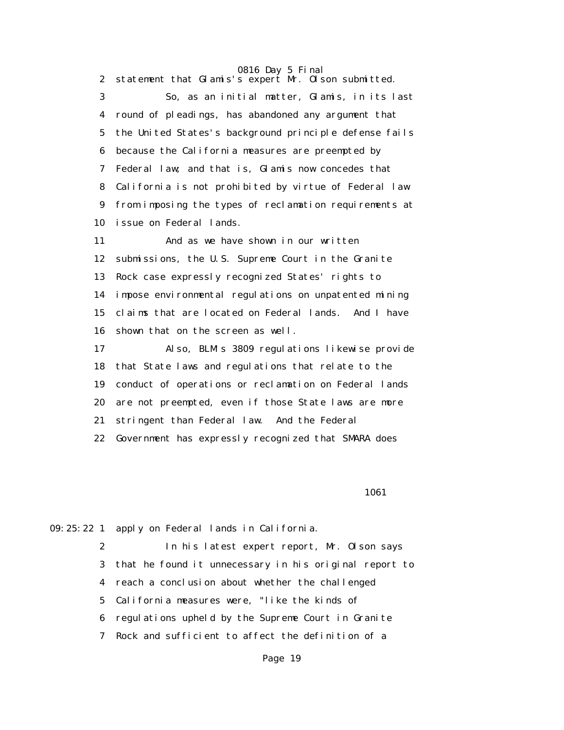2 statement that Glamis's expert Mr. Olson submitted. 3 So, as an initial matter, Glamis, in its last 4 round of pleadings, has abandoned any argument that 5 the United States's background principle defense fails 6 because the California measures are preempted by 7 Federal law; and that is, Glamis now concedes that 8 California is not prohibited by virtue of Federal law 9 from imposing the types of reclamation requirements at 10 issue on Federal lands. 11 And as we have shown in our written 12 submissions, the U.S. Supreme Court in the Granite

 13 Rock case expressly recognized States' rights to 14 impose environmental regulations on unpatented mining 15 claims that are located on Federal lands. And I have 16 shown that on the screen as well.

 17 Also, BLM's 3809 regulations likewise provide 18 that State laws and regulations that relate to the 19 conduct of operations or reclamation on Federal lands 20 are not preempted, even if those State laws are more 21 stringent than Federal law. And the Federal 22 Government has expressly recognized that SMARA does

**1061** 

09:25:22 1 apply on Federal lands in California.

 2 In his latest expert report, Mr. Olson says 3 that he found it unnecessary in his original report to 4 reach a conclusion about whether the challenged 5 California measures were, "like the kinds of 6 regulations upheld by the Supreme Court in Granite 7 Rock and sufficient to affect the definition of a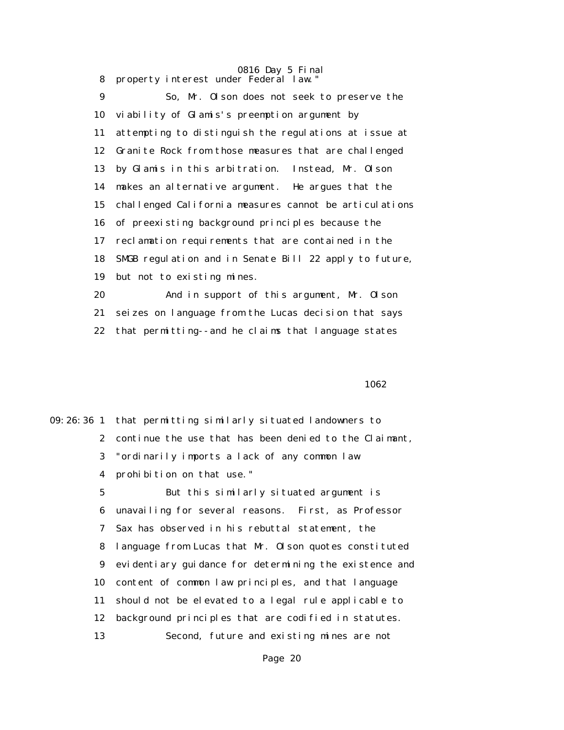0816 Day 5 Final 8 property interest under Federal law."

 9 So, Mr. Olson does not seek to preserve the 10 viability of Glamis's preemption argument by 11 attempting to distinguish the regulations at issue at 12 Granite Rock from those measures that are challenged 13 by Glamis in this arbitration. Instead, Mr. Olson 14 makes an alternative argument. He argues that the 15 challenged California measures cannot be articulations 16 of preexisting background principles because the 17 reclamation requirements that are contained in the 18 SMGB regulation and in Senate Bill 22 apply to future, 19 but not to existing mines. 20 And in support of this argument, Mr. Olson

 21 seizes on language from the Lucas decision that says 22 that permitting--and he claims that language states

 $1062$ 

|                 | 09:26:36 1 that permitting similarly situated landowners to |
|-----------------|-------------------------------------------------------------|
|                 | 2 continue the use that has been denied to the Claimant,    |
|                 | 3 "ordinarily imports a lack of any common law              |
| 4               | prohibition on that use."                                   |
| $5\overline{ }$ | But this similarly situated argument is                     |
| 6               | unavailing for several reasons. First, as Professor         |
| 7               | Sax has observed in his rebuttal statement, the             |
| 8               | language from Lucas that Mr. Olson quotes constituted       |
| 9               | evidentiary guidance for determining the existence and      |
| 10              | content of common law principles, and that language         |
| 11              | should not be elevated to a legal rule applicable to        |
| 12              | background principles that are codified in statutes.        |
| 13              | Second, future and existing mines are not                   |
|                 |                                                             |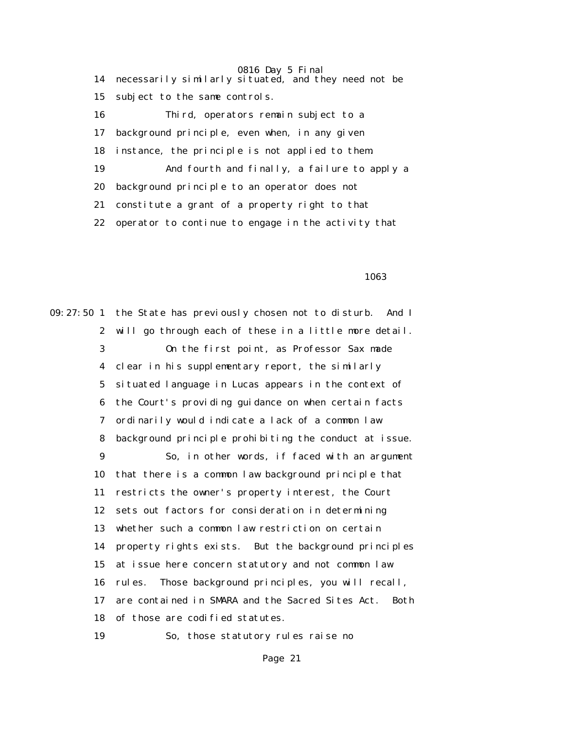0816 Day 5 Final 14 necessarily similarly situated, and they need not be 15 subject to the same controls. 16 Third, operators remain subject to a 17 background principle, even when, in any given 18 instance, the principle is not applied to them. 19 And fourth and finally, a failure to apply a 20 background principle to an operator does not 21 constitute a grant of a property right to that 22 operator to continue to engage in the activity that

 $1063$ 

09:27:50 1 the State has previously chosen not to disturb. And I 2 will go through each of these in a little more detail. 3 On the first point, as Professor Sax made 4 clear in his supplementary report, the similarly 5 situated language in Lucas appears in the context of 6 the Court's providing guidance on when certain facts 7 ordinarily would indicate a lack of a common law 8 background principle prohibiting the conduct at issue. 9 So, in other words, if faced with an argument 10 that there is a common law background principle that 11 restricts the owner's property interest, the Court 12 sets out factors for consideration in determining 13 whether such a common law restriction on certain 14 property rights exists. But the background principles 15 at issue here concern statutory and not common law 16 rules. Those background principles, you will recall, 17 are contained in SMARA and the Sacred Sites Act. Both 18 of those are codified statutes. 19 So, those statutory rules raise no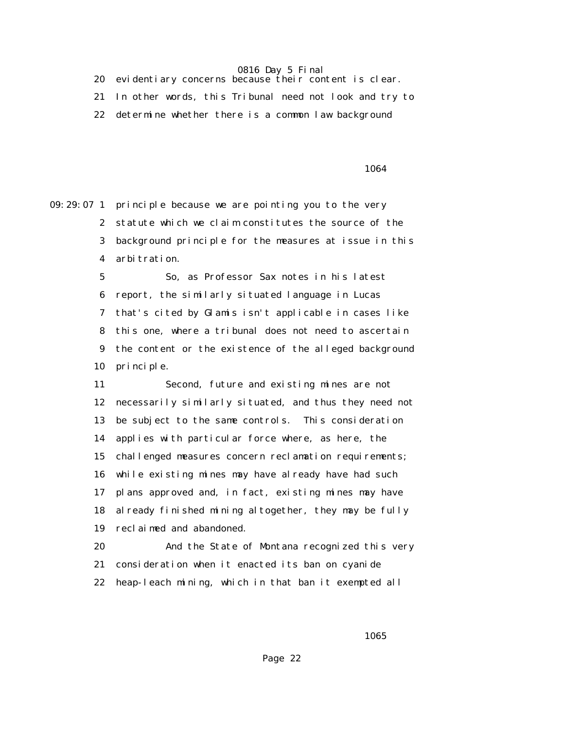20 evidentiary concerns because their content is clear.

21 In other words, this Tribunal need not look and try to

22 determine whether there is a common law background

**1064** 

09:29:07 1 principle because we are pointing you to the very 2 statute which we claim constitutes the source of the 3 background principle for the measures at issue in this 4 arbitration.

> 5 So, as Professor Sax notes in his latest 6 report, the similarly situated language in Lucas 7 that's cited by Glamis isn't applicable in cases like 8 this one, where a tribunal does not need to ascertain 9 the content or the existence of the alleged background 10 principle.

> 11 Second, future and existing mines are not 12 necessarily similarly situated, and thus they need not 13 be subject to the same controls. This consideration 14 applies with particular force where, as here, the 15 challenged measures concern reclamation requirements; 16 while existing mines may have already have had such 17 plans approved and, in fact, existing mines may have 18 already finished mining altogether, they may be fully 19 reclaimed and abandoned.

> 20 And the State of Montana recognized this very 21 consideration when it enacted its ban on cyanide 22 heap-leach mining, which in that ban it exempted all

 $1065$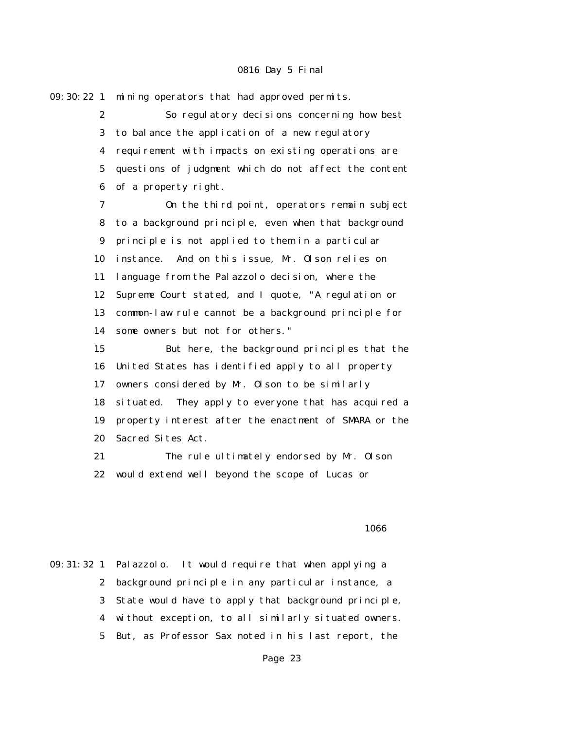09:30:22 1 mining operators that had approved permits.

 2 So regulatory decisions concerning how best 3 to balance the application of a new regulatory 4 requirement with impacts on existing operations are 5 questions of judgment which do not affect the content 6 of a property right.

 7 On the third point, operators remain subject 8 to a background principle, even when that background 9 principle is not applied to them in a particular 10 instance. And on this issue, Mr. Olson relies on 11 language from the Palazzolo decision, where the 12 Supreme Court stated, and I quote, "A regulation or 13 common-law rule cannot be a background principle for 14 some owners but not for others."

 15 But here, the background principles that the 16 United States has identified apply to all property 17 owners considered by Mr. Olson to be similarly 18 situated. They apply to everyone that has acquired a 19 property interest after the enactment of SMARA or the 20 Sacred Sites Act.

 21 The rule ultimately endorsed by Mr. Olson 22 would extend well beyond the scope of Lucas or

### $1066$

09:31:32 1 Palazzolo. It would require that when applying a 2 background principle in any particular instance, a 3 State would have to apply that background principle, 4 without exception, to all similarly situated owners. 5 But, as Professor Sax noted in his last report, the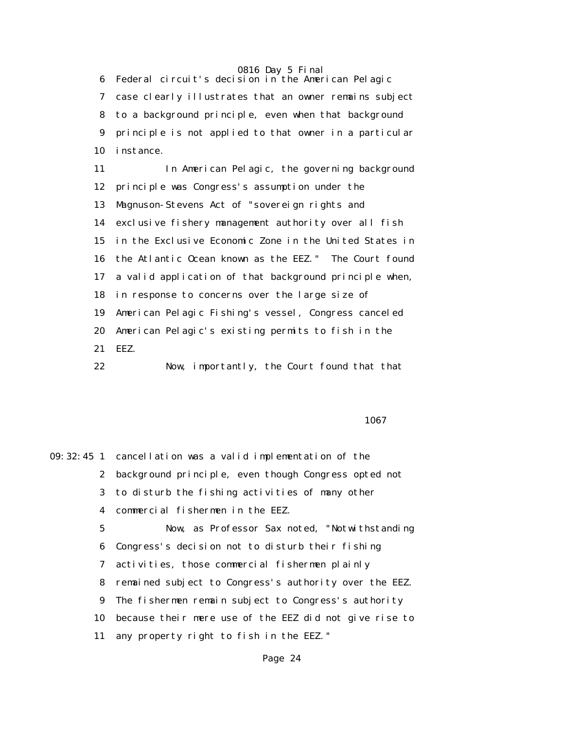6 Federal circuit's decision in the American Pelagic 7 case clearly illustrates that an owner remains subject 8 to a background principle, even when that background 9 principle is not applied to that owner in a particular 10 instance.

 11 In American Pelagic, the governing background 12 principle was Congress's assumption under the 13 Magnuson-Stevens Act of "sovereign rights and 14 exclusive fishery management authority over all fish 15 in the Exclusive Economic Zone in the United States in 16 the Atlantic Ocean known as the EEZ." The Court found 17 a valid application of that background principle when, 18 in response to concerns over the large size of 19 American Pelagic Fishing's vessel, Congress canceled 20 American Pelagic's existing permits to fish in the 21 EEZ.

22 Now, importantly, the Court found that that

#### $1067$

09:32:45 1 cancellation was a valid implementation of the 2 background principle, even though Congress opted not 3 to disturb the fishing activities of many other 4 commercial fishermen in the EEZ. 5 Now, as Professor Sax noted, "Notwithstanding 6 Congress's decision not to disturb their fishing 7 activities, those commercial fishermen plainly 8 remained subject to Congress's authority over the EEZ. 9 The fishermen remain subject to Congress's authority 10 because their mere use of the EEZ did not give rise to 11 any property right to fish in the EEZ."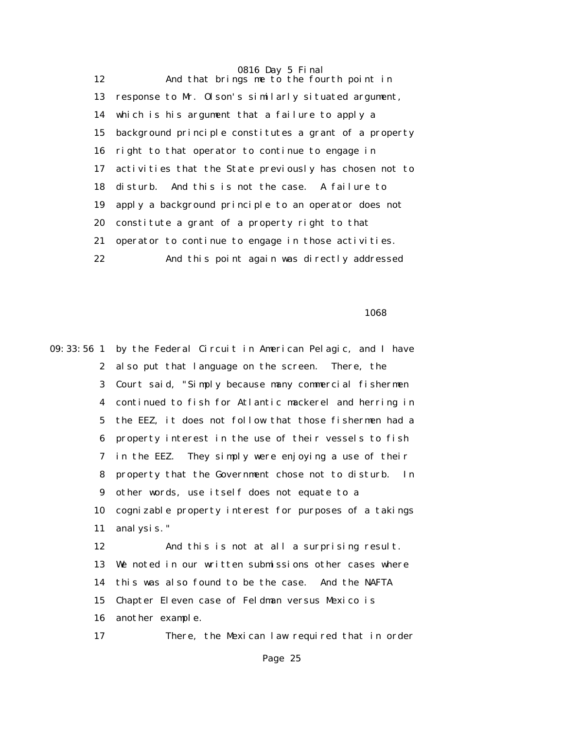0816 Day 5 Final 12 And that brings me to the fourth point in 13 response to Mr. Olson's similarly situated argument, 14 which is his argument that a failure to apply a 15 background principle constitutes a grant of a property 16 right to that operator to continue to engage in 17 activities that the State previously has chosen not to 18 disturb. And this is not the case. A failure to 19 apply a background principle to an operator does not 20 constitute a grant of a property right to that 21 operator to continue to engage in those activities. 22 And this point again was directly addressed

 $1068$ 

09:33:56 1 by the Federal Circuit in American Pelagic, and I have 2 also put that language on the screen. There, the 3 Court said, "Simply because many commercial fishermen 4 continued to fish for Atlantic mackerel and herring in 5 the EEZ, it does not follow that those fishermen had a 6 property interest in the use of their vessels to fish 7 in the EEZ. They simply were enjoying a use of their 8 property that the Government chose not to disturb. In 9 other words, use itself does not equate to a 10 cognizable property interest for purposes of a takings 11 analysis." 12 And this is not at all a surprising result. 13 We noted in our written submissions other cases where 14 this was also found to be the case. And the NAFTA 15 Chapter Eleven case of Feldman versus Mexico is 16 another example. 17 There, the Mexican law required that in order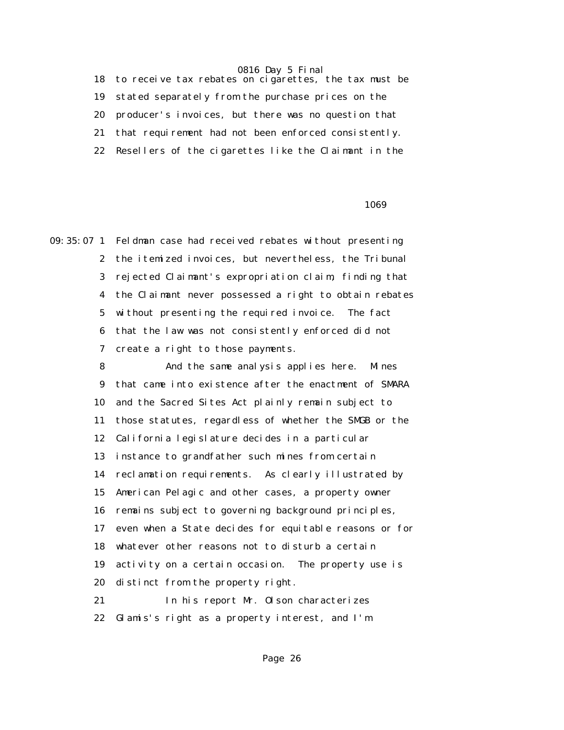18 to receive tax rebates on cigarettes, the tax must be 19 stated separately from the purchase prices on the 20 producer's invoices, but there was no question that 21 that requirement had not been enforced consistently. 22 Resellers of the cigarettes like the Claimant in the

#### $1069$

09:35:07 1 Feldman case had received rebates without presenting 2 the itemized invoices, but nevertheless, the Tribunal 3 rejected Claimant's expropriation claim, finding that 4 the Claimant never possessed a right to obtain rebates 5 without presenting the required invoice. The fact 6 that the law was not consistently enforced did not 7 create a right to those payments.

> 8 And the same analysis applies here. Mines 9 that came into existence after the enactment of SMARA 10 and the Sacred Sites Act plainly remain subject to 11 those statutes, regardless of whether the SMGB or the 12 California legislature decides in a particular 13 instance to grandfather such mines from certain 14 reclamation requirements. As clearly illustrated by 15 American Pelagic and other cases, a property owner 16 remains subject to governing background principles, 17 even when a State decides for equitable reasons or for 18 whatever other reasons not to disturb a certain 19 activity on a certain occasion. The property use is 20 distinct from the property right. 21 In his report Mr. Olson characterizes

22 Glamis's right as a property interest, and I'm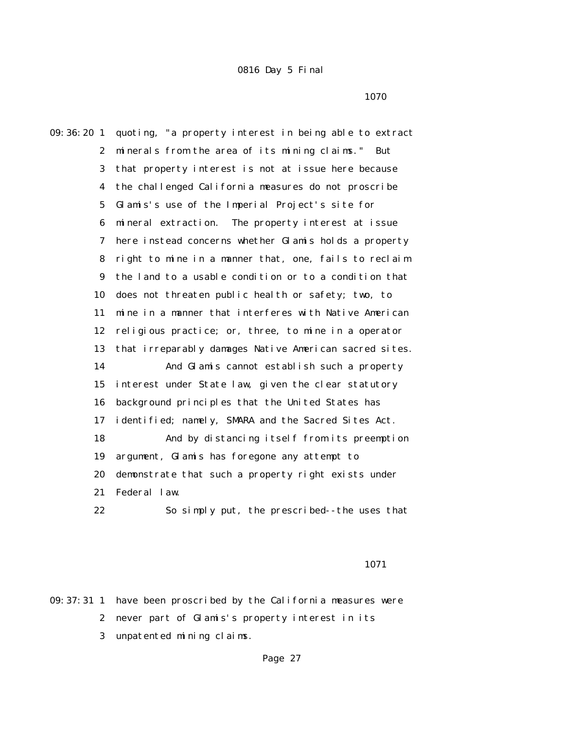1070

09:36:20 1 quoting, "a property interest in being able to extract 2 minerals from the area of its mining claims." But 3 that property interest is not at issue here because 4 the challenged California measures do not proscribe 5 Glamis's use of the Imperial Project's site for 6 mineral extraction. The property interest at issue 7 here instead concerns whether Glamis holds a property 8 right to mine in a manner that, one, fails to reclaim 9 the land to a usable condition or to a condition that 10 does not threaten public health or safety; two, to 11 mine in a manner that interferes with Native American 12 religious practice; or, three, to mine in a operator 13 that irreparably damages Native American sacred sites. 14 And Glamis cannot establish such a property 15 interest under State law, given the clear statutory 16 background principles that the United States has 17 identified; namely, SMARA and the Sacred Sites Act. 18 And by distancing itself from its preemption 19 argument, Glamis has foregone any attempt to 20 demonstrate that such a property right exists under 21 Federal law. 22 So simply put, the prescribed--the uses that

1071

09:37:31 1 have been proscribed by the California measures were 2 never part of Glamis's property interest in its 3 unpatented mining claims.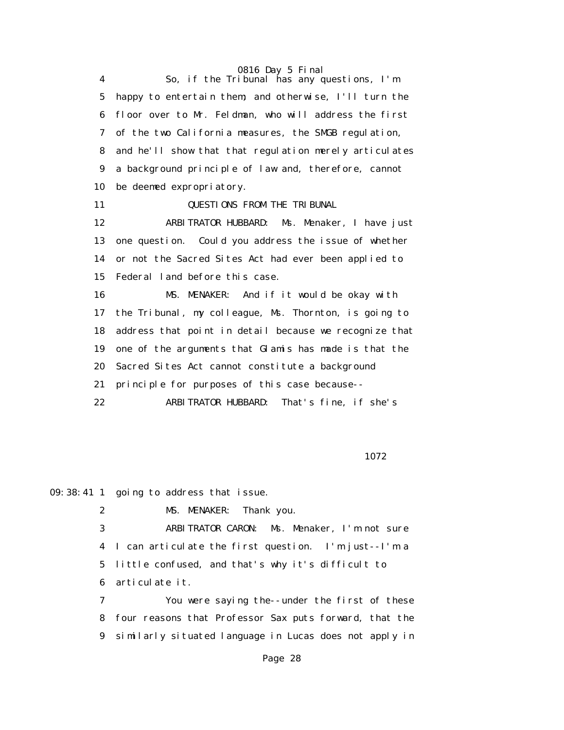4 So, if the Tribunal has any questions, I'm 5 happy to entertain them; and otherwise, I'll turn the 6 floor over to Mr. Feldman, who will address the first 7 of the two California measures, the SMGB regulation, 8 and he'll show that that regulation merely articulates 9 a background principle of law and, therefore, cannot 10 be deemed expropriatory.

## 11 QUESTIONS FROM THE TRIBUNAL

 12 ARBITRATOR HUBBARD: Ms. Menaker, I have just 13 one question. Could you address the issue of whether 14 or not the Sacred Sites Act had ever been applied to 15 Federal land before this case.

 16 MS. MENAKER: And if it would be okay with 17 the Tribunal, my colleague, Ms. Thornton, is going to 18 address that point in detail because we recognize that 19 one of the arguments that Glamis has made is that the 20 Sacred Sites Act cannot constitute a background 21 principle for purposes of this case because--

22 ARBITRATOR HUBBARD: That's fine, if she's

1072

09:38:41 1 going to address that issue.

2 MS. MENAKER: Thank you.

 3 ARBITRATOR CARON: Ms. Menaker, I'm not sure 4 I can articulate the first question. I'm just--I'm a 5 little confused, and that's why it's difficult to 6 articulate it.

 7 You were saying the--under the first of these 8 four reasons that Professor Sax puts forward, that the 9 similarly situated language in Lucas does not apply in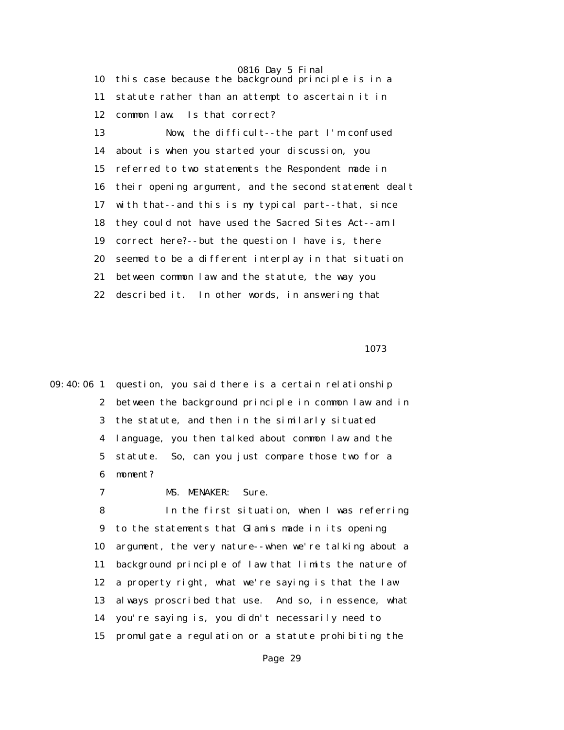0816 Day 5 Final 10 this case because the background principle is in a 11 statute rather than an attempt to ascertain it in 12 common law. Is that correct? 13 Now, the difficult--the part I'm confused 14 about is when you started your discussion, you 15 referred to two statements the Respondent made in 16 their opening argument, and the second statement dealt 17 with that--and this is my typical part--that, since 18 they could not have used the Sacred Sites Act--am I 19 correct here?--but the question I have is, there 20 seemed to be a different interplay in that situation 21 between common law and the statute, the way you 22 described it. In other words, in answering that

1073

09:40:06 1 question, you said there is a certain relationship 2 between the background principle in common law and in 3 the statute, and then in the similarly situated 4 language, you then talked about common law and the 5 statute. So, can you just compare those two for a 6 moment?

7 MS. MENAKER: Sure.

 8 In the first situation, when I was referring 9 to the statements that Glamis made in its opening 10 argument, the very nature--when we're talking about a 11 background principle of law that limits the nature of 12 a property right, what we're saying is that the law 13 always proscribed that use. And so, in essence, what 14 you're saying is, you didn't necessarily need to 15 promulgate a regulation or a statute prohibiting the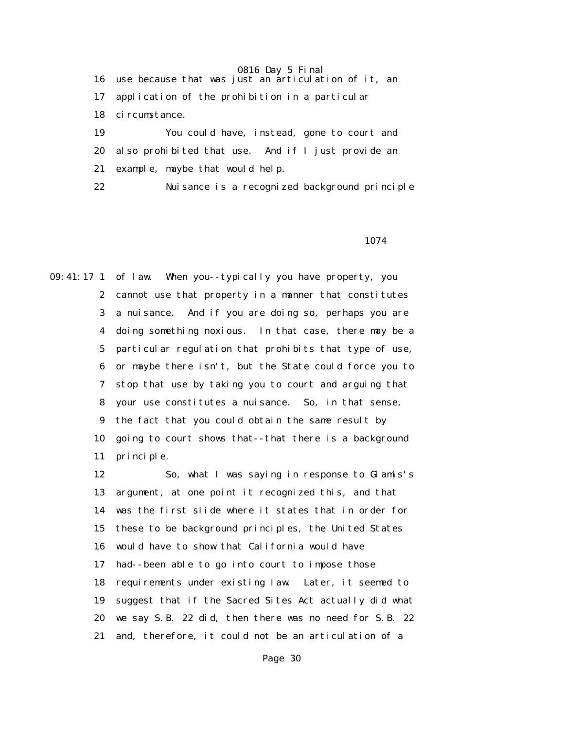16 use because that was just an articulation of it, an 17 application of the prohibition in a particular 18 circumstance. 19 You could have, instead, gone to court and 20 also prohibited that use. And if I just provide an 21 example, maybe that would help.

22 Nuisance is a recognized background principle

1074

09:41:17 1 of law. When you--typically you have property, you 2 cannot use that property in a manner that constitutes 3 a nuisance. And if you are doing so, perhaps you are 4 doing something noxious. In that case, there may be a 5 particular regulation that prohibits that type of use, 6 or maybe there isn't, but the State could force you to 7 stop that use by taking you to court and arguing that 8 your use constitutes a nuisance. So, in that sense, 9 the fact that you could obtain the same result by 10 going to court shows that--that there is a background 11 principle.

> 12 So, what I was saying in response to Glamis's 13 argument, at one point it recognized this, and that 14 was the first slide where it states that in order for 15 these to be background principles, the United States 16 would have to show that California would have 17 had--been able to go into court to impose those 18 requirements under existing law. Later, it seemed to 19 suggest that if the Sacred Sites Act actually did what 20 we say S.B. 22 did, then there was no need for S.B. 22 21 and, therefore, it could not be an articulation of a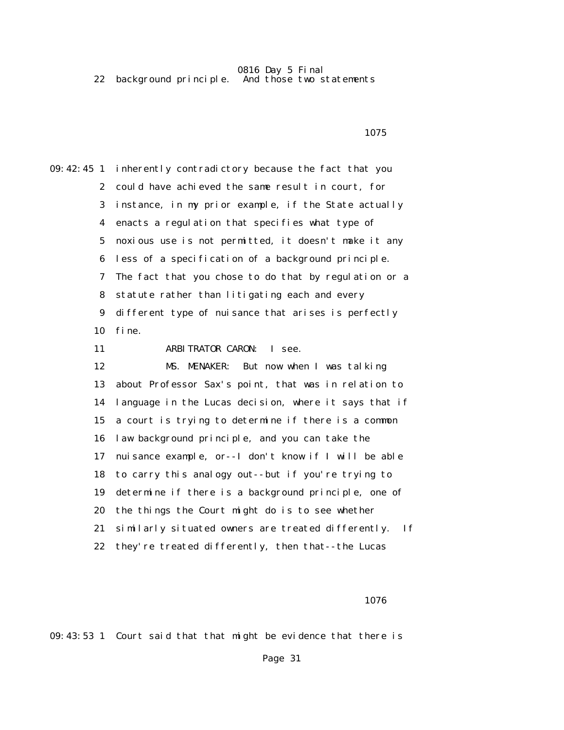22 background principle. And those two statements

1075

09:42:45 1 inherently contradictory because the fact that you 2 could have achieved the same result in court, for 3 instance, in my prior example, if the State actually 4 enacts a regulation that specifies what type of 5 noxious use is not permitted, it doesn't make it any 6 less of a specification of a background principle. 7 The fact that you chose to do that by regulation or a 8 statute rather than litigating each and every 9 different type of nuisance that arises is perfectly 10 fine. 11 ARBITRATOR CARON: I see. 12 MS. MENAKER: But now when I was talking 13 about Professor Sax's point, that was in relation to 14 language in the Lucas decision, where it says that if 15 a court is trying to determine if there is a common 16 law background principle, and you can take the 17 nuisance example, or--I don't know if I will be able 18 to carry this analogy out--but if you're trying to 19 determine if there is a background principle, one of 20 the things the Court might do is to see whether 21 similarly situated owners are treated differently. If 22 they're treated differently, then that--the Lucas

1076

09:43:53 1 Court said that that might be evidence that there is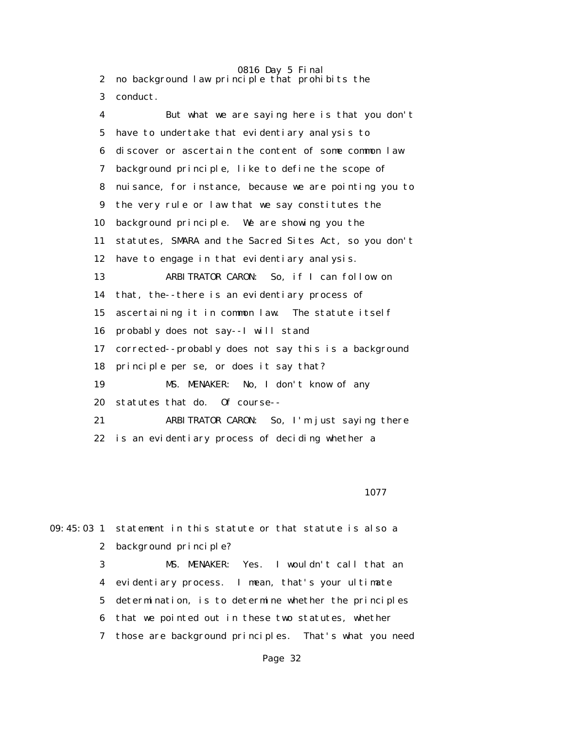2 no background law principle that prohibits the 3 conduct.

 4 But what we are saying here is that you don't 5 have to undertake that evidentiary analysis to 6 discover or ascertain the content of some common law 7 background principle, like to define the scope of 8 nuisance, for instance, because we are pointing you to 9 the very rule or law that we say constitutes the 10 background principle. We are showing you the 11 statutes, SMARA and the Sacred Sites Act, so you don't 12 have to engage in that evidentiary analysis. 13 ARBITRATOR CARON: So, if I can follow on 14 that, the--there is an evidentiary process of 15 ascertaining it in common law. The statute itself 16 probably does not say--I will stand 17 corrected--probably does not say this is a background 18 principle per se, or does it say that? 19 MS. MENAKER: No, I don't know of any 20 statutes that do. Of course-- 21 ARBITRATOR CARON: So, I'm just saying there 22 is an evidentiary process of deciding whether a

1077

09:45:03 1 statement in this statute or that statute is also a 2 background principle?

> 3 MS. MENAKER: Yes. I wouldn't call that an 4 evidentiary process. I mean, that's your ultimate 5 determination, is to determine whether the principles 6 that we pointed out in these two statutes, whether 7 those are background principles. That's what you need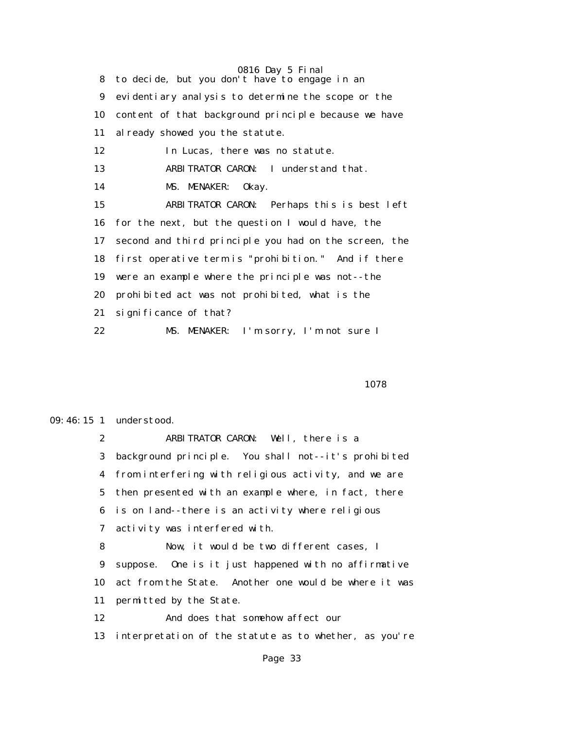0816 Day 5 Final 8 to decide, but you don't have to engage in an 9 evidentiary analysis to determine the scope or the 10 content of that background principle because we have 11 already showed you the statute. 12 In Lucas, there was no statute. 13 ARBITRATOR CARON: I understand that. 14 MS. MENAKER: Okay. 15 ARBITRATOR CARON: Perhaps this is best left 16 for the next, but the question I would have, the 17 second and third principle you had on the screen, the 18 first operative term is "prohibition." And if there 19 were an example where the principle was not--the 20 prohibited act was not prohibited, what is the 21 significance of that? 22 MS. MENAKER: I'm sorry, I'm not sure I

1078

### 09:46:15 1 understood.

 2 ARBITRATOR CARON: Well, there is a 3 background principle. You shall not--it's prohibited 4 from interfering with religious activity, and we are 5 then presented with an example where, in fact, there 6 is on land--there is an activity where religious 7 activity was interfered with. 8 Now, it would be two different cases, I 9 suppose. One is it just happened with no affirmative 10 act from the State. Another one would be where it was 11 permitted by the State. 12 And does that somehow affect our 13 interpretation of the statute as to whether, as you're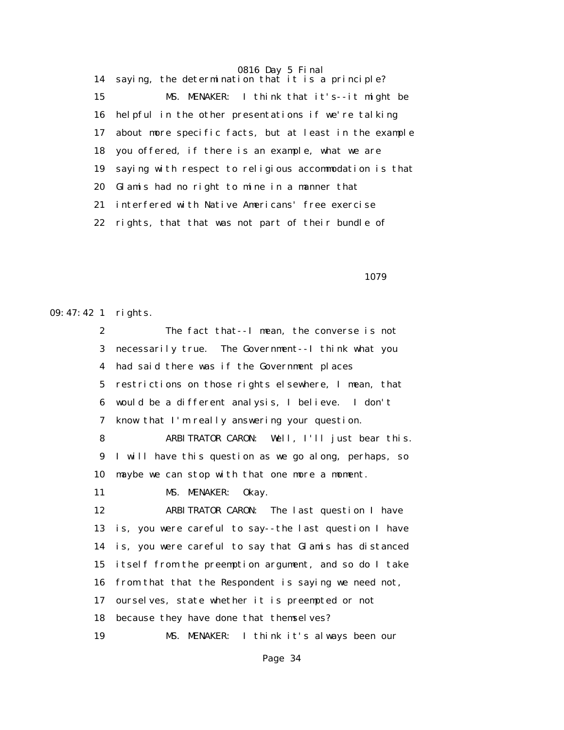14 saying, the determination that it is a principle? 15 MS. MENAKER: I think that it's--it might be 16 helpful in the other presentations if we're talking 17 about more specific facts, but at least in the example 18 you offered, if there is an example, what we are 19 saying with respect to religious accommodation is that 20 Glamis had no right to mine in a manner that 21 interfered with Native Americans' free exercise 22 rights, that that was not part of their bundle of

1079

09:47:42 1 rights.

 2 The fact that--I mean, the converse is not 3 necessarily true. The Government--I think what you 4 had said there was if the Government places 5 restrictions on those rights elsewhere, I mean, that 6 would be a different analysis, I believe. I don't 7 know that I'm really answering your question. 8 ARBITRATOR CARON: Well, I'll just bear this.

 9 I will have this question as we go along, perhaps, so 10 maybe we can stop with that one more a moment.

11 MS. MENAKER: Okay.

 12 ARBITRATOR CARON: The last question I have 13 is, you were careful to say--the last question I have 14 is, you were careful to say that Glamis has distanced 15 itself from the preemption argument, and so do I take 16 from that that the Respondent is saying we need not, 17 ourselves, state whether it is preempted or not 18 because they have done that themselves? 19 MS. MENAKER: I think it's always been our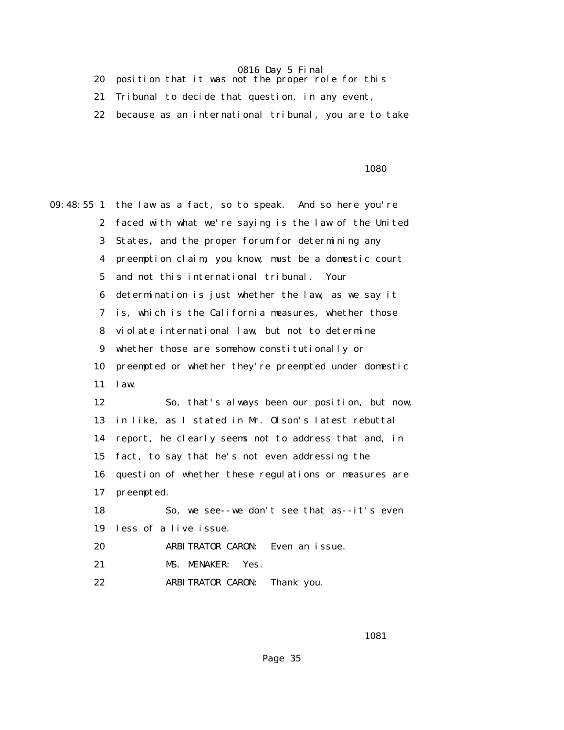|  | $0010$ $\mu$ u, $0$ $11$ $\mu$ ul<br>20 position that it was not the proper role for this |
|--|-------------------------------------------------------------------------------------------|
|  | 21 Tribunal to decide that question, in any event,                                        |

22 because as an international tribunal, you are to take

1080 **1080** 

09:48:55 1 the law as a fact, so to speak. And so here you're 2 faced with what we're saying is the law of the United 3 States, and the proper forum for determining any 4 preemption claim, you know, must be a domestic court 5 and not this international tribunal. Your 6 determination is just whether the law, as we say it 7 is, which is the California measures, whether those 8 violate international law, but not to determine 9 whether those are somehow constitutionally or 10 preempted or whether they're preempted under domestic 11 law. 12 So, that's always been our position, but now, 13 in like, as I stated in Mr. Olson's latest rebuttal 14 report, he clearly seems not to address that and, in 15 fact, to say that he's not even addressing the 16 question of whether these regulations or measures are 17 preempted. 18 So, we see--we don't see that as--it's even 19 less of a live issue. 20 ARBITRATOR CARON: Even an issue. 21 MS. MENAKER: Yes. 22 ARBITRATOR CARON: Thank you.

<u>1081</u>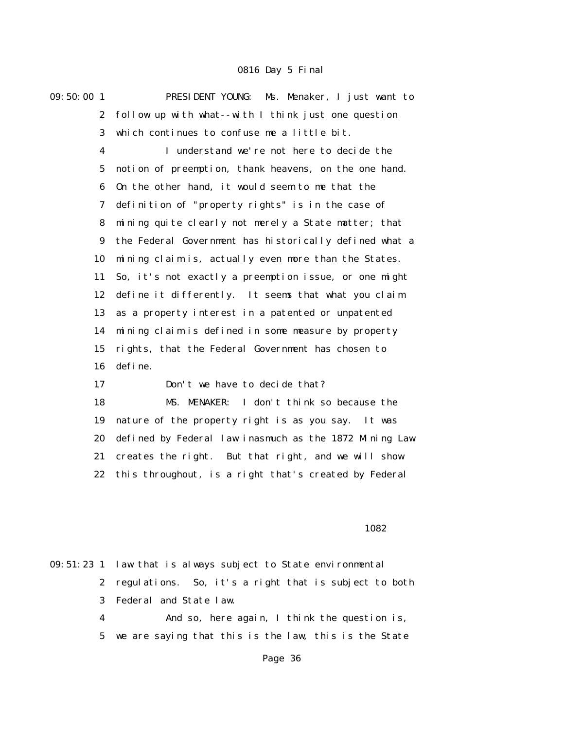09:50:00 1 PRESIDENT YOUNG: Ms. Menaker, I just want to 2 follow up with what--with I think just one question 3 which continues to confuse me a little bit.

> 4 I understand we're not here to decide the 5 notion of preemption, thank heavens, on the one hand. 6 On the other hand, it would seem to me that the 7 definition of "property rights" is in the case of 8 mining quite clearly not merely a State matter; that 9 the Federal Government has historically defined what a 10 mining claim is, actually even more than the States. 11 So, it's not exactly a preemption issue, or one might 12 define it differently. It seems that what you claim 13 as a property interest in a patented or unpatented 14 mining claim is defined in some measure by property 15 rights, that the Federal Government has chosen to 16 define.

17 Don't we have to decide that?

 18 MS. MENAKER: I don't think so because the 19 nature of the property right is as you say. It was 20 defined by Federal law inasmuch as the 1872 Mining Law 21 creates the right. But that right, and we will show 22 this throughout, is a right that's created by Federal

### 1082 and 1082

09:51:23 1 law that is always subject to State environmental 2 regulations. So, it's a right that is subject to both 3 Federal and State law. 4 And so, here again, I think the question is,

5 we are saying that this is the law, this is the State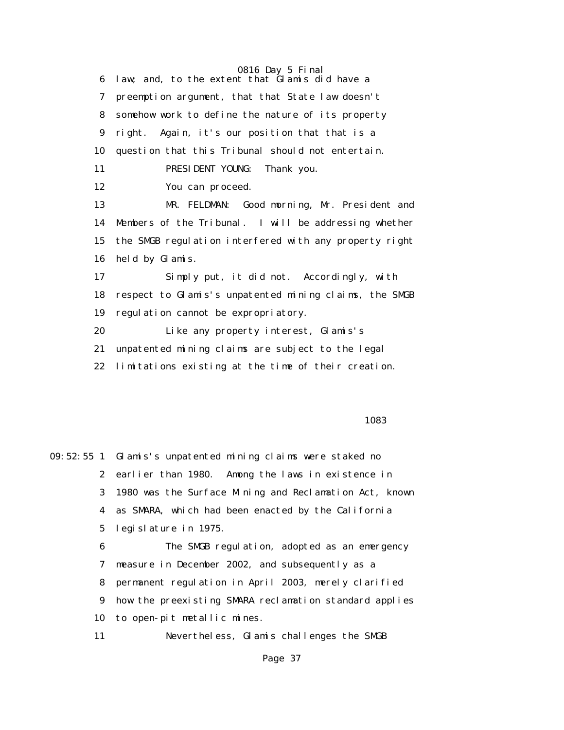0816 Day 5 Final 6 law; and, to the extent that Glamis did have a 7 preemption argument, that that State law doesn't 8 somehow work to define the nature of its property 9 right. Again, it's our position that that is a 10 question that this Tribunal should not entertain. 11 PRESIDENT YOUNG: Thank you. 12 You can proceed. 13 MR. FELDMAN: Good morning, Mr. President and 14 Members of the Tribunal. I will be addressing whether 15 the SMGB regulation interfered with any property right 16 held by Glamis. 17 Simply put, it did not. Accordingly, with 18 respect to Glamis's unpatented mining claims, the SMGB 19 regulation cannot be expropriatory. 20 Like any property interest, Glamis's 21 unpatented mining claims are subject to the legal 22 limitations existing at the time of their creation.

1083

09:52:55 1 Glamis's unpatented mining claims were staked no 2 earlier than 1980. Among the laws in existence in 3 1980 was the Surface Mining and Reclamation Act, known 4 as SMARA, which had been enacted by the California 5 legislature in 1975. 6 The SMGB regulation, adopted as an emergency 7 measure in December 2002, and subsequently as a 8 permanent regulation in April 2003, merely clarified 9 how the preexisting SMARA reclamation standard applies 10 to open-pit metallic mines. 11 Nevertheless, Glamis challenges the SMGB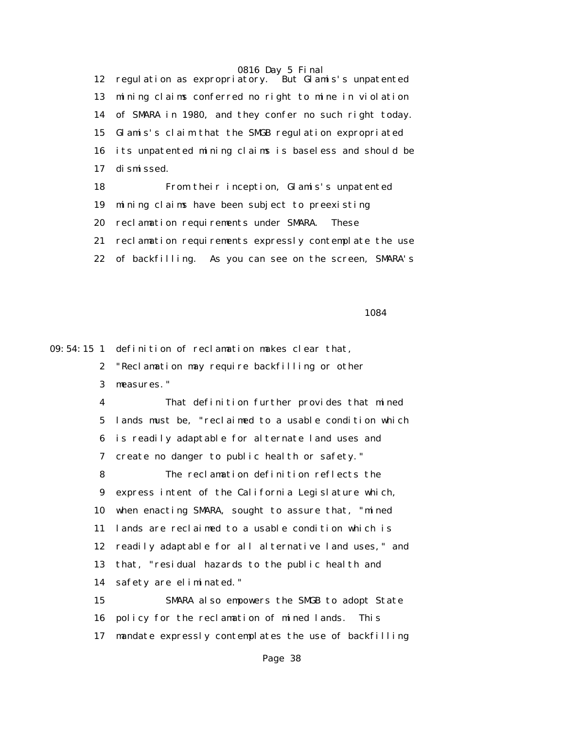12 regulation as expropriatory. But Glamis's unpatented 13 mining claims conferred no right to mine in violation 14 of SMARA in 1980, and they confer no such right today. 15 Glamis's claim that the SMGB regulation expropriated 16 its unpatented mining claims is baseless and should be 17 dismissed. 18 From their inception, Glamis's unpatented 19 mining claims have been subject to preexisting

20 reclamation requirements under SMARA. These

21 reclamation requirements expressly contemplate the use

22 of backfilling. As you can see on the screen, SMARA's

<u>1084</u>

09:54:15 1 definition of reclamation makes clear that,

 2 "Reclamation may require backfilling or other 3 measures."

 4 That definition further provides that mined 5 lands must be, "reclaimed to a usable condition which 6 is readily adaptable for alternate land uses and 7 create no danger to public health or safety." 8 The reclamation definition reflects the 9 express intent of the California Legislature which, 10 when enacting SMARA, sought to assure that, "mined 11 lands are reclaimed to a usable condition which is 12 readily adaptable for all alternative land uses," and 13 that, "residual hazards to the public health and

14 safety are eliminated."

 15 SMARA also empowers the SMGB to adopt State 16 policy for the reclamation of mined lands. This 17 mandate expressly contemplates the use of backfilling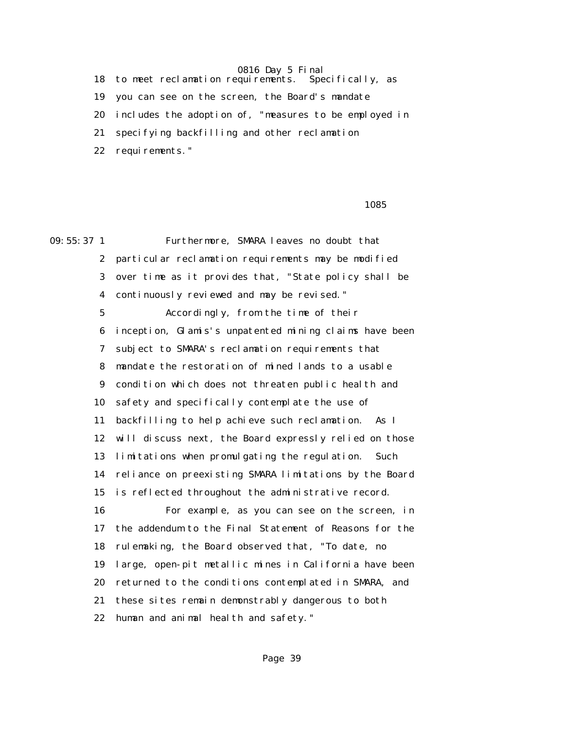0816 Day 5 Final<br>quirements. Specifically, as 18 to meet reclamation requirements. 19 you can see on the screen, the Board's mandate 20 includes the adoption of, "measures to be employed in 21 specifying backfilling and other reclamation 22 requirements."

 $1085$ 

09:55:37 1 Furthermore, SMARA leaves no doubt that 2 particular reclamation requirements may be modified 3 over time as it provides that, "State policy shall be 4 continuously reviewed and may be revised." 5 Accordingly, from the time of their 6 inception, Glamis's unpatented mining claims have been 7 subject to SMARA's reclamation requirements that 8 mandate the restoration of mined lands to a usable 9 condition which does not threaten public health and 10 safety and specifically contemplate the use of 11 backfilling to help achieve such reclamation. As I 12 will discuss next, the Board expressly relied on those 13 limitations when promulgating the regulation. Such 14 reliance on preexisting SMARA limitations by the Board 15 is reflected throughout the administrative record. 16 For example, as you can see on the screen, in 17 the addendum to the Final Statement of Reasons for the 18 rulemaking, the Board observed that, "To date, no 19 large, open-pit metallic mines in California have been 20 returned to the conditions contemplated in SMARA, and 21 these sites remain demonstrably dangerous to both 22 human and animal health and safety."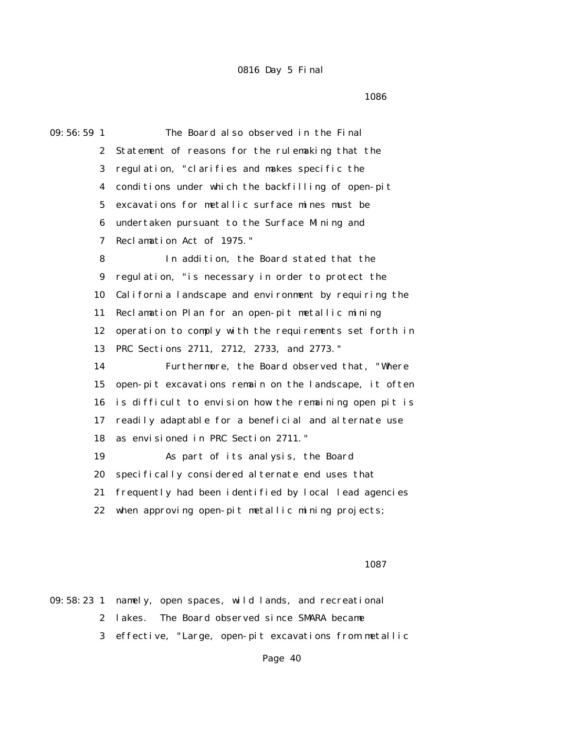$1086$ 

09:56:59 1 The Board also observed in the Final 2 Statement of reasons for the rulemaking that the 3 regulation, "clarifies and makes specific the 4 conditions under which the backfilling of open-pit 5 excavations for metallic surface mines must be 6 undertaken pursuant to the Surface Mining and 7 Reclamation Act of 1975." 8 In addition, the Board stated that the 9 regulation, "is necessary in order to protect the 10 California landscape and environment by requiring the 11 Reclamation Plan for an open-pit metallic mining 12 operation to comply with the requirements set forth in 13 PRC Sections 2711, 2712, 2733, and 2773." 14 Furthermore, the Board observed that, "Where 15 open-pit excavations remain on the landscape, it often 16 is difficult to envision how the remaining open pit is 17 readily adaptable for a beneficial and alternate use 18 as envisioned in PRC Section 2711." 19 As part of its analysis, the Board 20 specifically considered alternate end uses that 21 frequently had been identified by local lead agencies 22 when approving open-pit metallic mining projects;

последница в последница в 1087 година в 1087 године в 1087 године в 1087 године в 1087 године в 1087 године в

09:58:23 1 namely, open spaces, wild lands, and recreational 2 lakes. The Board observed since SMARA became 3 effective, "Large, open-pit excavations from metallic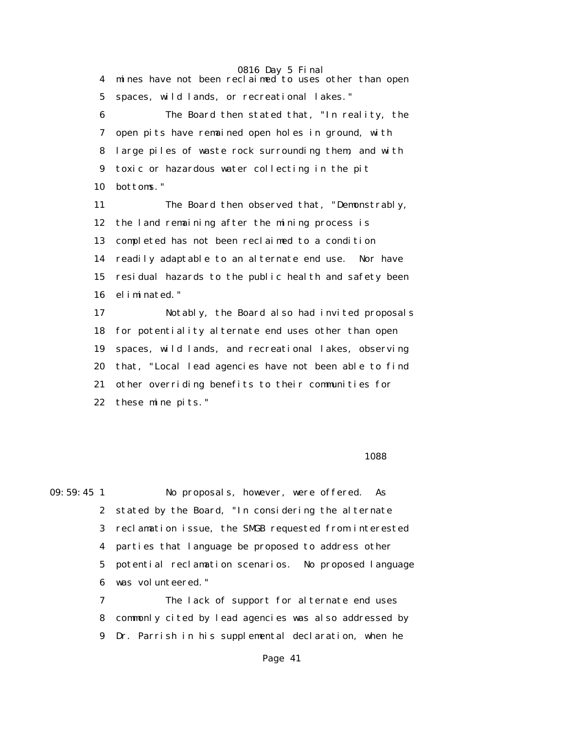0816 Day 5 Final 4 mines have not been reclaimed to uses other than open 5 spaces, wild lands, or recreational lakes." 6 The Board then stated that, "In reality, the 7 open pits have remained open holes in ground, with 8 large piles of waste rock surrounding them, and with 9 toxic or hazardous water collecting in the pit 10 bottoms."

 11 The Board then observed that, "Demonstrably, 12 the land remaining after the mining process is 13 completed has not been reclaimed to a condition 14 readily adaptable to an alternate end use. Nor have 15 residual hazards to the public health and safety been 16 eliminated."

 17 Notably, the Board also had invited proposals 18 for potentiality alternate end uses other than open 19 spaces, wild lands, and recreational lakes, observing 20 that, "Local lead agencies have not been able to find 21 other overriding benefits to their communities for 22 these mine pits."

#### <u>1088</u> to the state of the state of the state of the state of the state of the state of the state of the state of the state of the state of the state of the state of the state of the state of the state of the state of the

09:59:45 1 No proposals, however, were offered. As 2 stated by the Board, "In considering the alternate 3 reclamation issue, the SMGB requested from interested 4 parties that language be proposed to address other 5 potential reclamation scenarios. No proposed language 6 was volunteered."

> 7 The lack of support for alternate end uses 8 commonly cited by lead agencies was also addressed by 9 Dr. Parrish in his supplemental declaration, when he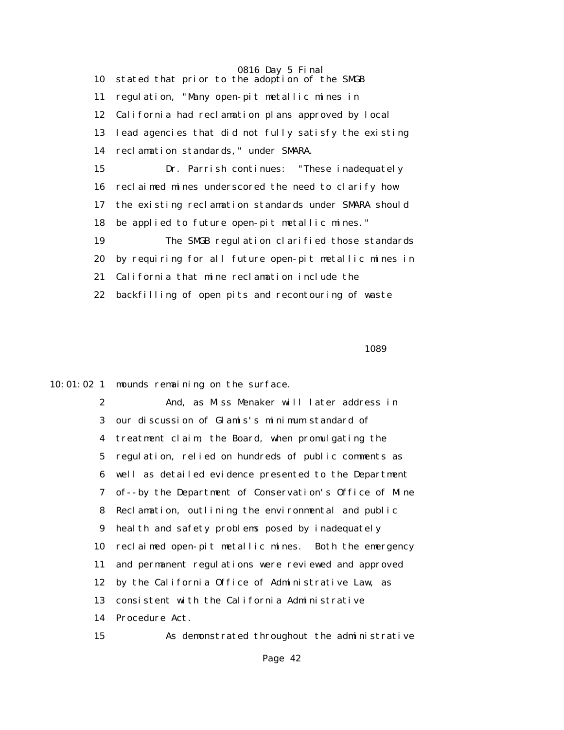0816 Day 5 Final 10 stated that prior to the adoption of the SMGB 11 regulation, "Many open-pit metallic mines in 12 California had reclamation plans approved by local 13 lead agencies that did not fully satisfy the existing 14 reclamation standards," under SMARA. 15 Dr. Parrish continues: "These inadequately 16 reclaimed mines underscored the need to clarify how 17 the existing reclamation standards under SMARA should 18 be applied to future open-pit metallic mines." 19 The SMGB regulation clarified those standards 20 by requiring for all future open-pit metallic mines in 21 California that mine reclamation include the 22 backfilling of open pits and recontouring of waste

<u>1089</u>

10:01:02 1 mounds remaining on the surface.

 2 And, as Miss Menaker will later address in 3 our discussion of Glamis's minimum standard of 4 treatment claim, the Board, when promulgating the 5 regulation, relied on hundreds of public comments as 6 well as detailed evidence presented to the Department 7 of--by the Department of Conservation's Office of Mine 8 Reclamation, outlining the environmental and public 9 health and safety problems posed by inadequately 10 reclaimed open-pit metallic mines. Both the emergency 11 and permanent regulations were reviewed and approved 12 by the California Office of Administrative Law, as 13 consistent with the California Administrative 14 Procedure Act. 15 As demonstrated throughout the administrative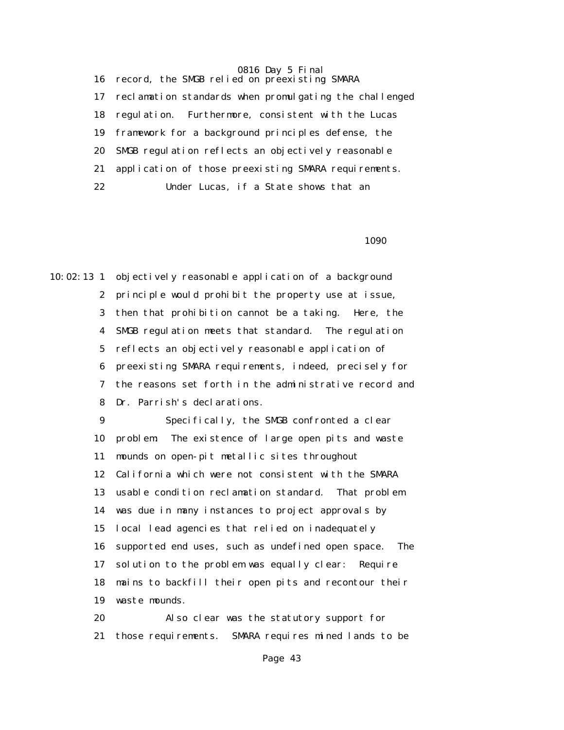16 record, the SMGB relied on preexisting SMARA 17 reclamation standards when promulgating the challenged 18 regulation. Furthermore, consistent with the Lucas 19 framework for a background principles defense, the 20 SMGB regulation reflects an objectively reasonable 21 application of those preexisting SMARA requirements. 22 Under Lucas, if a State shows that an

последници представители в 1090 године в 1090 године в 1090 године в 1090 године в 1090 године в 1090 године в<br>В 1090 године в 1000 године в 1000 године в 1000 године в 1000 године в 1000 године в 1000 године в 1000 годин

10:02:13 1 objectively reasonable application of a background 2 principle would prohibit the property use at issue, 3 then that prohibition cannot be a taking. Here, the 4 SMGB regulation meets that standard. The regulation 5 reflects an objectively reasonable application of 6 preexisting SMARA requirements, indeed, precisely for 7 the reasons set forth in the administrative record and 8 Dr. Parrish's declarations.

> 9 Specifically, the SMGB confronted a clear 10 problem: The existence of large open pits and waste 11 mounds on open-pit metallic sites throughout 12 California which were not consistent with the SMARA 13 usable condition reclamation standard. That problem 14 was due in many instances to project approvals by 15 local lead agencies that relied on inadequately 16 supported end uses, such as undefined open space. The 17 solution to the problem was equally clear: Require 18 mains to backfill their open pits and recontour their 19 waste mounds.

 20 Also clear was the statutory support for 21 those requirements. SMARA requires mined lands to be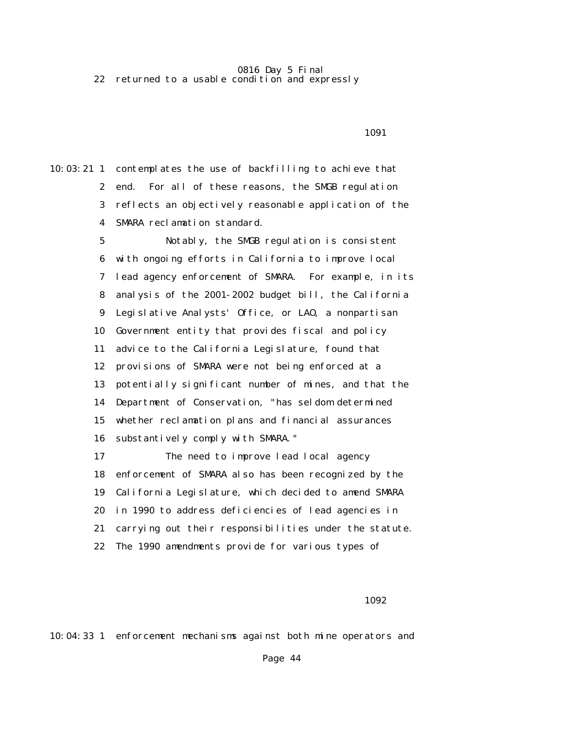0816 Day 5 Final 22 returned to a usable condition and expressly

<u>1091</u>

10:03:21 1 contemplates the use of backfilling to achieve that 2 end. For all of these reasons, the SMGB regulation 3 reflects an objectively reasonable application of the 4 SMARA reclamation standard.

> 5 Notably, the SMGB regulation is consistent 6 with ongoing efforts in California to improve local 7 lead agency enforcement of SMARA. For example, in its 8 analysis of the 2001-2002 budget bill, the California 9 Legislative Analysts' Office, or LAO, a nonpartisan 10 Government entity that provides fiscal and policy 11 advice to the California Legislature, found that 12 provisions of SMARA were not being enforced at a 13 potentially significant number of mines, and that the 14 Department of Conservation, "has seldom determined 15 whether reclamation plans and financial assurances 16 substantively comply with SMARA."

> 17 The need to improve lead local agency 18 enforcement of SMARA also has been recognized by the 19 California Legislature, which decided to amend SMARA 20 in 1990 to address deficiencies of lead agencies in 21 carrying out their responsibilities under the statute. 22 The 1990 amendments provide for various types of

1092 and 1092

10:04:33 1 enforcement mechanisms against both mine operators and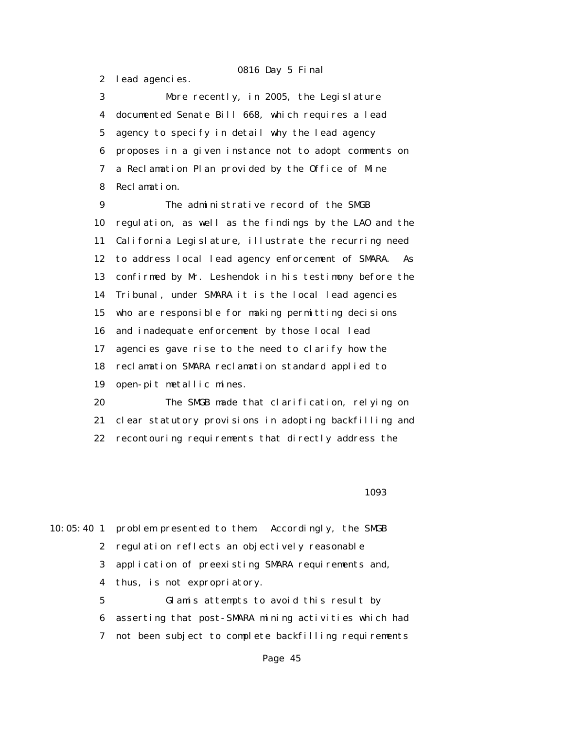2 lead agencies.

 3 More recently, in 2005, the Legislature 4 documented Senate Bill 668, which requires a lead 5 agency to specify in detail why the lead agency 6 proposes in a given instance not to adopt comments on 7 a Reclamation Plan provided by the Office of Mine 8 Reclamation.

 9 The administrative record of the SMGB 10 regulation, as well as the findings by the LAO and the 11 California Legislature, illustrate the recurring need 12 to address local lead agency enforcement of SMARA. As 13 confirmed by Mr. Leshendok in his testimony before the 14 Tribunal, under SMARA it is the local lead agencies 15 who are responsible for making permitting decisions 16 and inadequate enforcement by those local lead 17 agencies gave rise to the need to clarify how the 18 reclamation SMARA reclamation standard applied to 19 open-pit metallic mines.

 20 The SMGB made that clarification, relying on 21 clear statutory provisions in adopting backfilling and 22 recontouring requirements that directly address the

1093

10:05:40 1 problem presented to them. Accordingly, the SMGB 2 regulation reflects an objectively reasonable 3 application of preexisting SMARA requirements and, 4 thus, is not expropriatory. 5 Glamis attempts to avoid this result by 6 asserting that post-SMARA mining activities which had

7 not been subject to complete backfilling requirements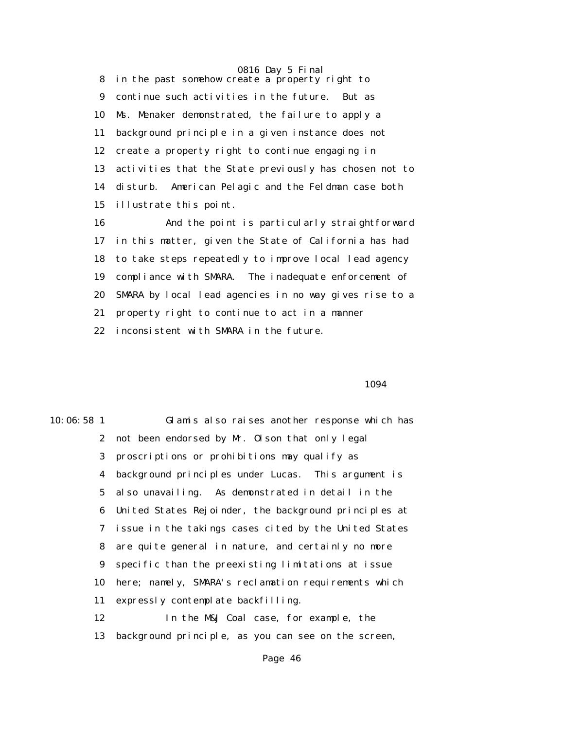0816 Day 5 Final 8 in the past somehow create a property right to 9 continue such activities in the future. But as 10 Ms. Menaker demonstrated, the failure to apply a 11 background principle in a given instance does not 12 create a property right to continue engaging in 13 activities that the State previously has chosen not to 14 disturb. American Pelagic and the Feldman case both 15 illustrate this point.

 16 And the point is particularly straightforward 17 in this matter, given the State of California has had 18 to take steps repeatedly to improve local lead agency 19 compliance with SMARA. The inadequate enforcement of 20 SMARA by local lead agencies in no way gives rise to a 21 property right to continue to act in a manner 22 inconsistent with SMARA in the future.

1094

10:06:58 1 Glamis also raises another response which has 2 not been endorsed by Mr. Olson that only legal 3 proscriptions or prohibitions may qualify as 4 background principles under Lucas. This argument is 5 also unavailing. As demonstrated in detail in the 6 United States Rejoinder, the background principles at 7 issue in the takings cases cited by the United States 8 are quite general in nature, and certainly no more 9 specific than the preexisting limitations at issue 10 here; namely, SMARA's reclamation requirements which 11 expressly contemplate backfilling. 12 In the M&J Coal case, for example, the 13 background principle, as you can see on the screen,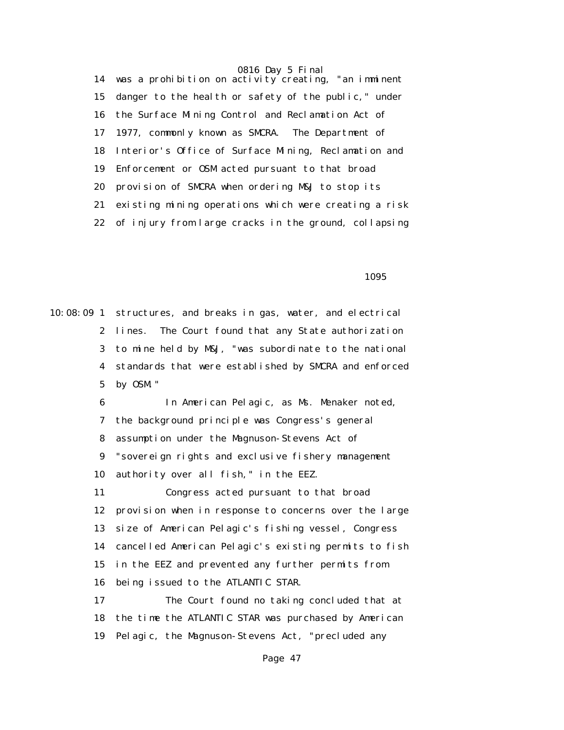14 was a prohibition on activity creating, "an imminent 15 danger to the health or safety of the public," under 16 the Surface Mining Control and Reclamation Act of 17 1977, commonly known as SMCRA. The Department of 18 Interior's Office of Surface Mining, Reclamation and 19 Enforcement or OSM acted pursuant to that broad 20 provision of SMCRA when ordering M&J to stop its 21 existing mining operations which were creating a risk 22 of injury from large cracks in the ground, collapsing

порада в последници по последници по последници по последници по последници по последници по последници по пос<br>В 1095

10:08:09 1 structures, and breaks in gas, water, and electrical 2 lines. The Court found that any State authorization 3 to mine held by M&J, "was subordinate to the national 4 standards that were established by SMCRA and enforced 5 by OSM."

> 6 In American Pelagic, as Ms. Menaker noted, 7 the background principle was Congress's general 8 assumption under the Magnuson-Stevens Act of 9 "sovereign rights and exclusive fishery management 10 authority over all fish," in the EEZ. 11 Congress acted pursuant to that broad 12 provision when in response to concerns over the large 13 size of American Pelagic's fishing vessel, Congress 14 cancelled American Pelagic's existing permits to fish 15 in the EEZ and prevented any further permits from 16 being issued to the ATLANTIC STAR. 17 The Court found no taking concluded that at 18 the time the ATLANTIC STAR was purchased by American

19 Pelagic, the Magnuson-Stevens Act, "precluded any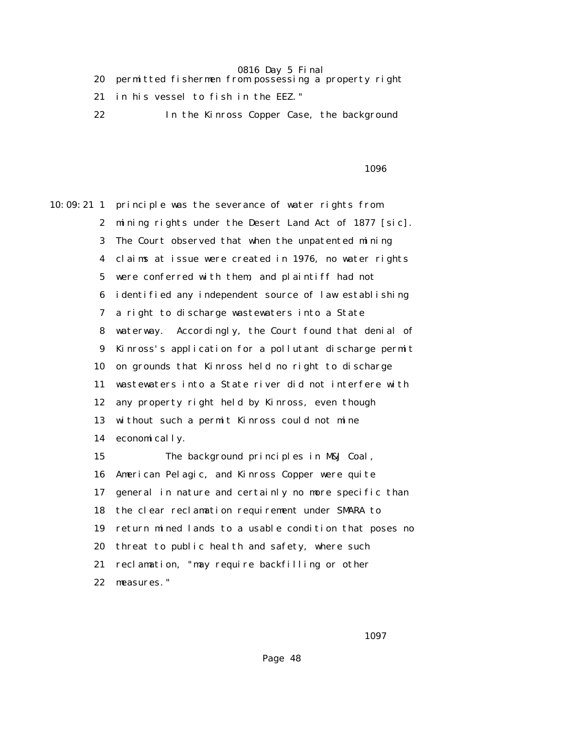|  |  | permitted fishermen from possessing a property right |  |  |
|--|--|------------------------------------------------------|--|--|
|  |  |                                                      |  |  |

- 21 in his vessel to fish in the EEZ."
- 22 In the Kinross Copper Case, the background

### $1096$

10:09:21 1 principle was the severance of water rights from 2 mining rights under the Desert Land Act of 1877 [sic]. 3 The Court observed that when the unpatented mining 4 claims at issue were created in 1976, no water rights 5 were conferred with them, and plaintiff had not 6 identified any independent source of law establishing 7 a right to discharge wastewaters into a State 8 waterway. Accordingly, the Court found that denial of 9 Kinross's application for a pollutant discharge permit 10 on grounds that Kinross held no right to discharge 11 wastewaters into a State river did not interfere with 12 any property right held by Kinross, even though 13 without such a permit Kinross could not mine 14 economically. 15 The background principles in M&J Coal, 16 American Pelagic, and Kinross Copper were quite 17 general in nature and certainly no more specific than 18 the clear reclamation requirement under SMARA to 19 return mined lands to a usable condition that poses no 20 threat to public health and safety, where such 21 reclamation, "may require backfilling or other 22 measures."

порти в последници по последници по последници по последници по последници по последници по последници по посл<br>В 1097 године по последници по последници по последници по последници по последници по последници по последниц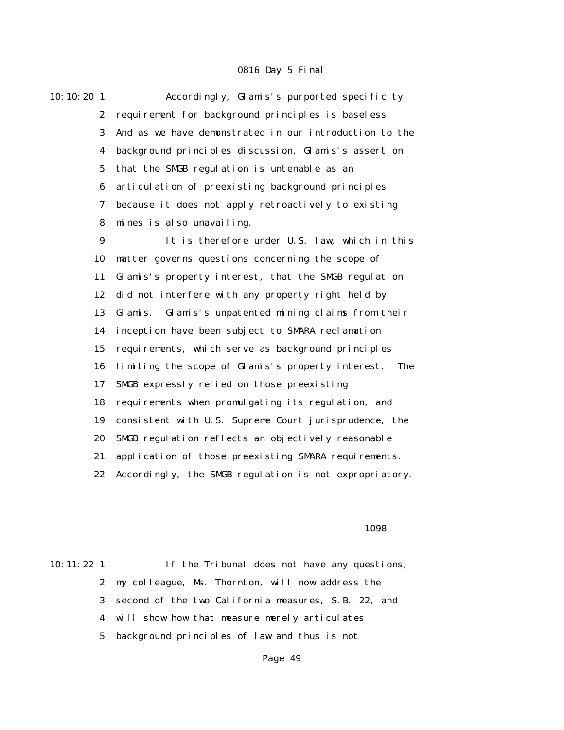10:10:20 1 Accordingly, Glamis's purported specificity 2 requirement for background principles is baseless. 3 And as we have demonstrated in our introduction to the 4 background principles discussion, Glamis's assertion 5 that the SMGB regulation is untenable as an 6 articulation of preexisting background principles 7 because it does not apply retroactively to existing 8 mines is also unavailing. 9 It is therefore under U.S. law, which in this 10 matter governs questions concerning the scope of 11 Glamis's property interest, that the SMGB regulation 12 did not interfere with any property right held by 13 Glamis. Glamis's unpatented mining claims from their 14 inception have been subject to SMARA reclamation 15 requirements, which serve as background principles 16 limiting the scope of Glamis's property interest. The 17 SMGB expressly relied on those preexisting 18 requirements when promulgating its regulation, and 19 consistent with U.S. Supreme Court jurisprudence, the 20 SMGB regulation reflects an objectively reasonable 21 application of those preexisting SMARA requirements. 22 Accordingly, the SMGB regulation is not expropriatory.

#### порада в село в 1098 година в 1098 година в 1098 година в 1098 година в 1098 година в 1098 година в 1098 годин

10:11:22 1 If the Tribunal does not have any questions, 2 my colleague, Ms. Thornton, will now address the 3 second of the two California measures, S.B. 22, and 4 will show how that measure merely articulates 5 background principles of law and thus is not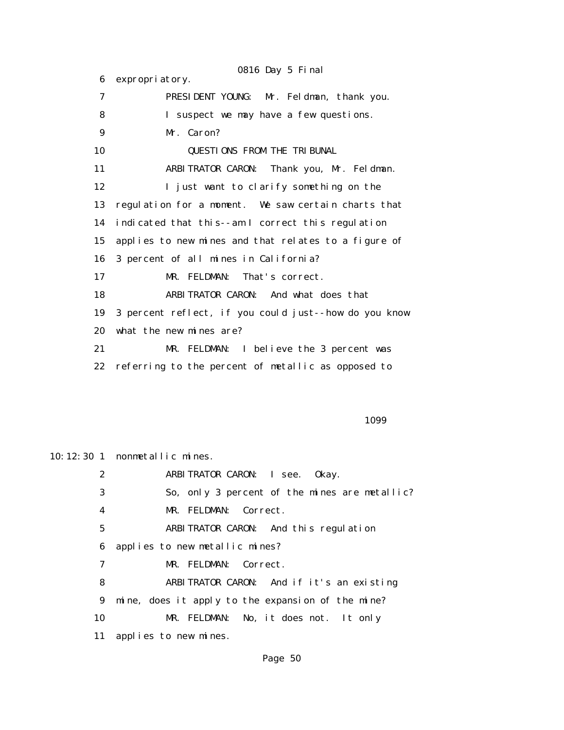0816 Day 5 Final 6 expropriatory. 7 PRESIDENT YOUNG: Mr. Feldman, thank you. 8 I suspect we may have a few questions. 9 Mr. Caron? 10 **QUESTIONS FROM THE TRIBUNAL**  11 ARBITRATOR CARON: Thank you, Mr. Feldman. 12 I just want to clarify something on the 13 regulation for a moment. We saw certain charts that 14 indicated that this--am I correct this regulation 15 applies to new mines and that relates to a figure of 16 3 percent of all mines in California? 17 MR. FELDMAN: That's correct. 18 ARBITRATOR CARON: And what does that 19 3 percent reflect, if you could just--how do you know 20 what the new mines are? 21 MR. FELDMAN: I believe the 3 percent was 22 referring to the percent of metallic as opposed to

порада в последници по последници по последници по последници по последници по последници по последници по пос<br>В 1099 године по последници по последници по последници по последници по последници по последници по последниц

10:12:30 1 nonmetallic mines.

| $\boldsymbol{2}$        | ARBITRATOR CARON: I see. Okay.                    |
|-------------------------|---------------------------------------------------|
| 3                       | So, only 3 percent of the mines are metallic?     |
| $\overline{\mathbf{4}}$ | MR. FELDMAN: Correct.                             |
| $5\overline{ }$         | ARBITRATOR CARON: And this regulation             |
| 6                       | applies to new metallic mines?                    |
| 7                       | MR. FELDMAN: Correct.                             |
| 8                       | ARBITRATOR CARON: And if it's an existing         |
| 9                       | mine, does it apply to the expansion of the mine? |
| 10                      | MR. FELDMAN: No, it does not. It only             |
| 11                      | applies to new mines.                             |
|                         |                                                   |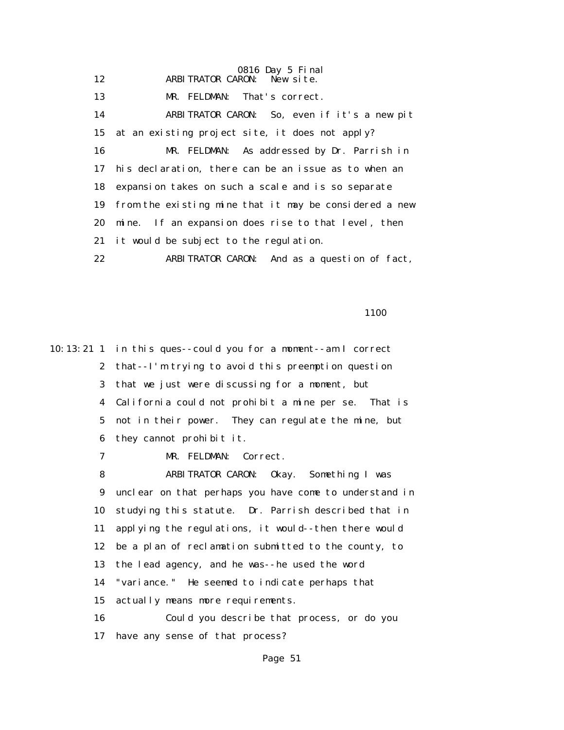0816 Day 5 Final<br>RON: New site. 12 **ARBITRATOR CARON:** 13 MR. FELDMAN: That's correct. 14 ARBITRATOR CARON: So, even if it's a new pit 15 at an existing project site, it does not apply? 16 MR. FELDMAN: As addressed by Dr. Parrish in 17 his declaration, there can be an issue as to when an 18 expansion takes on such a scale and is so separate 19 from the existing mine that it may be considered a new 20 mine. If an expansion does rise to that level, then 21 it would be subject to the regulation. 22 ARBITRATOR CARON: And as a question of fact,

**1100** 

10:13:21 1 in this ques--could you for a moment--am I correct 2 that--I'm trying to avoid this preemption question 3 that we just were discussing for a moment, but 4 California could not prohibit a mine per se. That is 5 not in their power. They can regulate the mine, but 6 they cannot prohibit it.

7 MR. FELDMAN: Correct.

 8 ARBITRATOR CARON: Okay. Something I was 9 unclear on that perhaps you have come to understand in 10 studying this statute. Dr. Parrish described that in 11 applying the regulations, it would--then there would 12 be a plan of reclamation submitted to the county, to 13 the lead agency, and he was--he used the word 14 "variance." He seemed to indicate perhaps that 15 actually means more requirements. 16 Could you describe that process, or do you 17 have any sense of that process?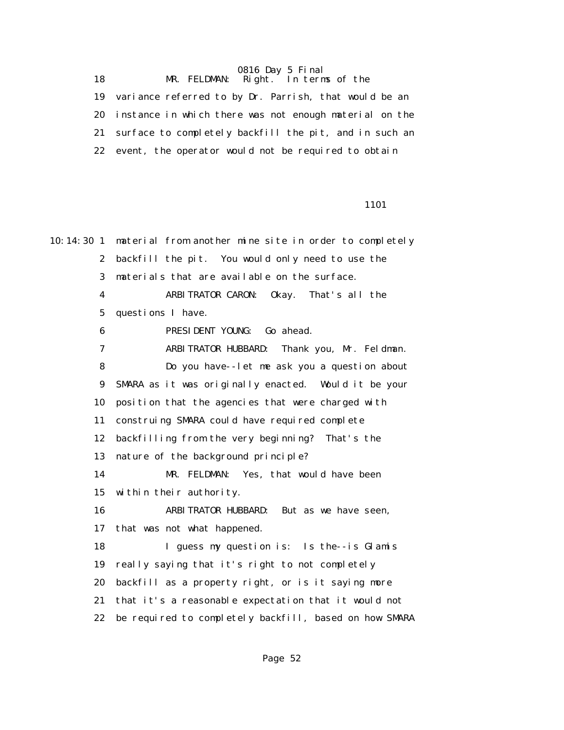0816 Day 5 Final<br>Right. In term 18 MR. FELDMAN: Right. In terms of the

 19 variance referred to by Dr. Parrish, that would be an 20 instance in which there was not enough material on the 21 surface to completely backfill the pit, and in such an 22 event, the operator would not be required to obtain

1101

10:14:30 1 material from another mine site in order to completely 2 backfill the pit. You would only need to use the 3 materials that are available on the surface. 4 ARBITRATOR CARON: Okay. That's all the 5 questions I have. 6 PRESIDENT YOUNG: Go ahead. 7 ARBITRATOR HUBBARD: Thank you, Mr. Feldman. 8 Do you have--let me ask you a question about 9 SMARA as it was originally enacted. Would it be your 10 position that the agencies that were charged with 11 construing SMARA could have required complete 12 backfilling from the very beginning? That's the 13 nature of the background principle? 14 MR. FELDMAN: Yes, that would have been 15 within their authority. 16 ARBITRATOR HUBBARD: But as we have seen, 17 that was not what happened. 18 I guess my question is: Is the--is Glamis 19 really saying that it's right to not completely 20 backfill as a property right, or is it saying more 21 that it's a reasonable expectation that it would not 22 be required to completely backfill, based on how SMARA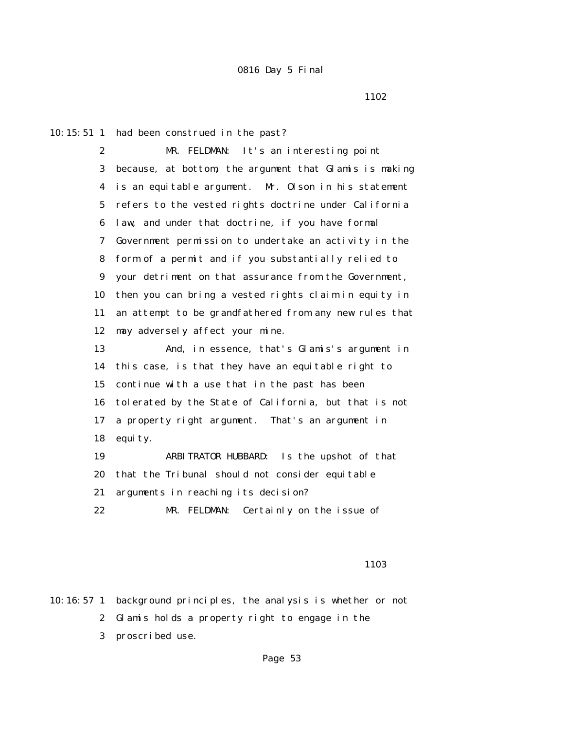10:15:51 1 had been construed in the past?

 2 MR. FELDMAN: It's an interesting point 3 because, at bottom, the argument that Glamis is making 4 is an equitable argument. Mr. Olson in his statement 5 refers to the vested rights doctrine under California 6 law, and under that doctrine, if you have formal 7 Government permission to undertake an activity in the 8 form of a permit and if you substantially relied to 9 your detriment on that assurance from the Government, 10 then you can bring a vested rights claim in equity in 11 an attempt to be grandfathered from any new rules that 12 may adversely affect your mine. 13 And, in essence, that's Glamis's argument in 14 this case, is that they have an equitable right to

 15 continue with a use that in the past has been 16 tolerated by the State of California, but that is not 17 a property right argument. That's an argument in 18 equity.

 19 ARBITRATOR HUBBARD: Is the upshot of that 20 that the Tribunal should not consider equitable 21 arguments in reaching its decision?

22 MR. FELDMAN: Certainly on the issue of

### 1103 and 1103 and 1103 and 1103

10:16:57 1 background principles, the analysis is whether or not 2 Glamis holds a property right to engage in the 3 proscribed use.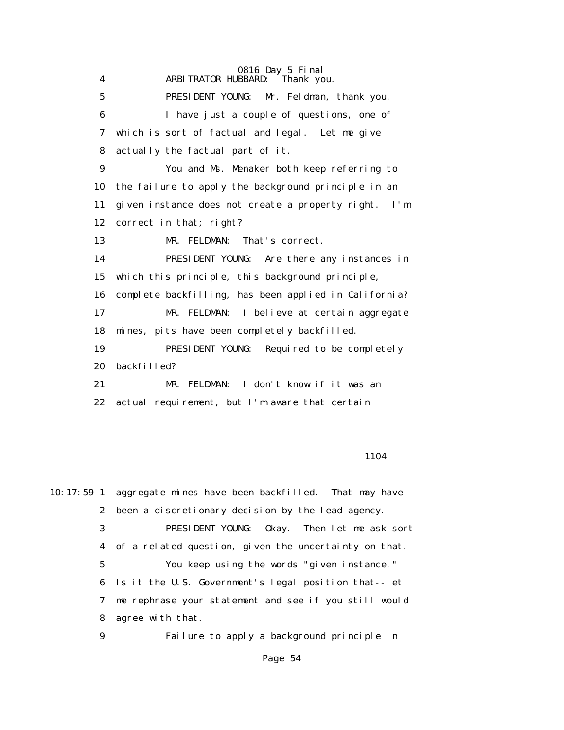0816 Day 5 Final 4 ARBITRATOR HUBBARD: Thank you. 5 PRESIDENT YOUNG: Mr. Feldman, thank you. 6 I have just a couple of questions, one of 7 which is sort of factual and legal. Let me give 8 actually the factual part of it. 9 You and Ms. Menaker both keep referring to 10 the failure to apply the background principle in an 11 given instance does not create a property right. I'm 12 correct in that; right? 13 MR. FELDMAN: That's correct. 14 PRESIDENT YOUNG: Are there any instances in 15 which this principle, this background principle, 16 complete backfilling, has been applied in California? 17 MR. FELDMAN: I believe at certain aggregate 18 mines, pits have been completely backfilled. 19 PRESIDENT YOUNG: Required to be completely 20 backfilled? 21 MR. FELDMAN: I don't know if it was an 22 actual requirement, but I'm aware that certain

### 1104

|                 | 10:17:59 1 aggregate mines have been backfilled. That may have |
|-----------------|----------------------------------------------------------------|
|                 | 2 been a discretionary decision by the lead agency.            |
| 3               | PRESIDENT YOUNG: Okay. Then let me ask sort                    |
|                 | 4 of a related question, given the uncertainty on that.        |
| $5\phantom{.0}$ | You keep using the words "given instance."                     |
|                 | 6 Is it the U.S. Government's legal position that--let         |
| 7               | me rephrase your statement and see if you still would          |
|                 | 8 agree with that.                                             |
| 9               | Failure to apply a background principle in                     |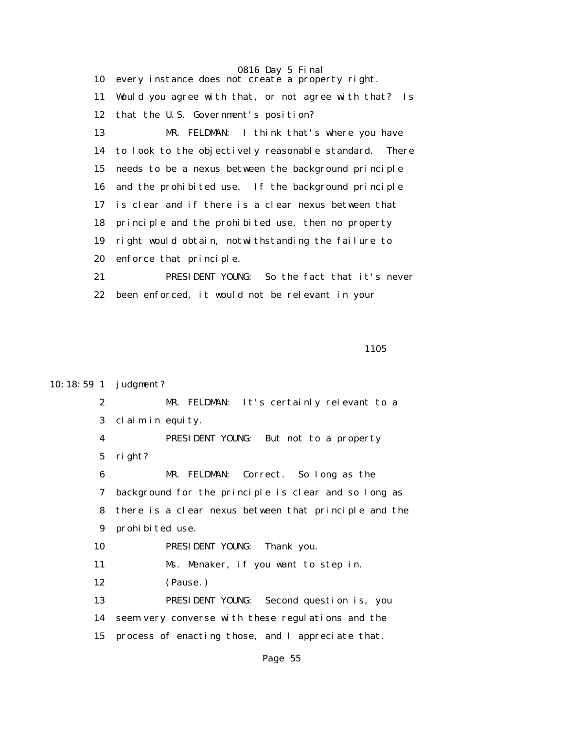0816 Day 5 Final 10 every instance does not create a property right. 11 Would you agree with that, or not agree with that? Is 12 that the U.S. Government's position? 13 MR. FELDMAN: I think that's where you have 14 to look to the objectively reasonable standard. There 15 needs to be a nexus between the background principle 16 and the prohibited use. If the background principle 17 is clear and if there is a clear nexus between that 18 principle and the prohibited use, then no property 19 right would obtain, notwithstanding the failure to 20 enforce that principle. 21 PRESIDENT YOUNG: So the fact that it's never

22 been enforced, it would not be relevant in your

### 1105

### 10:18:59 1 judgment?

 2 MR. FELDMAN: It's certainly relevant to a 3 claim in equity. 4 PRESIDENT YOUNG: But not to a property 5 right? 6 MR. FELDMAN: Correct. So long as the 7 background for the principle is clear and so long as 8 there is a clear nexus between that principle and the 9 prohibited use. 10 PRESIDENT YOUNG: Thank you. 11 Ms. Menaker, if you want to step in. 12 (Pause.) 13 PRESIDENT YOUNG: Second question is, you 14 seem very converse with these regulations and the 15 process of enacting those, and I appreciate that.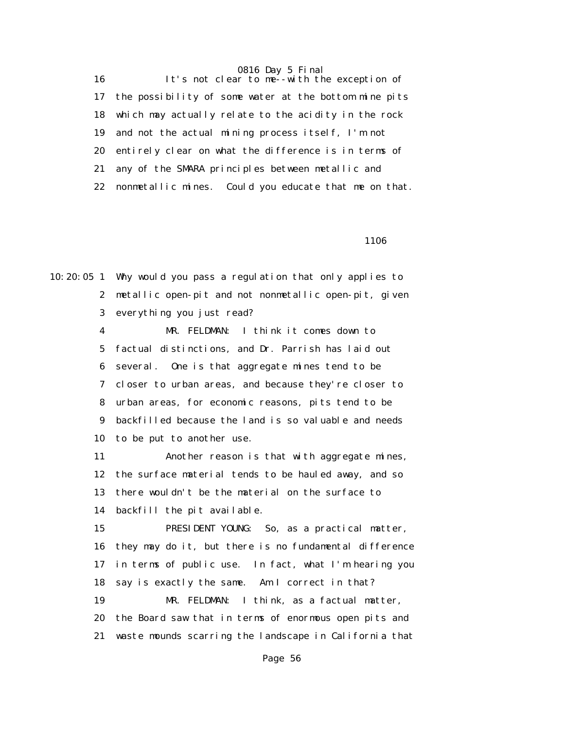16 It's not clear to me--with the exception of 17 the possibility of some water at the bottom mine pits 18 which may actually relate to the acidity in the rock 19 and not the actual mining process itself, I'm not 20 entirely clear on what the difference is in terms of 21 any of the SMARA principles between metallic and 22 nonmetallic mines. Could you educate that me on that.

<u>1106</u>

10:20:05 1 Why would you pass a regulation that only applies to 2 metallic open-pit and not nonmetallic open-pit, given 3 everything you just read?

> 4 MR. FELDMAN: I think it comes down to 5 factual distinctions, and Dr. Parrish has laid out 6 several. One is that aggregate mines tend to be 7 closer to urban areas, and because they're closer to 8 urban areas, for economic reasons, pits tend to be 9 backfilled because the land is so valuable and needs 10 to be put to another use.

> 11 Another reason is that with aggregate mines, 12 the surface material tends to be hauled away, and so 13 there wouldn't be the material on the surface to 14 backfill the pit available.

 15 PRESIDENT YOUNG: So, as a practical matter, 16 they may do it, but there is no fundamental difference 17 in terms of public use. In fact, what I'm hearing you 18 say is exactly the same. Am I correct in that? 19 MR. FELDMAN: I think, as a factual matter,

 20 the Board saw that in terms of enormous open pits and 21 waste mounds scarring the landscape in California that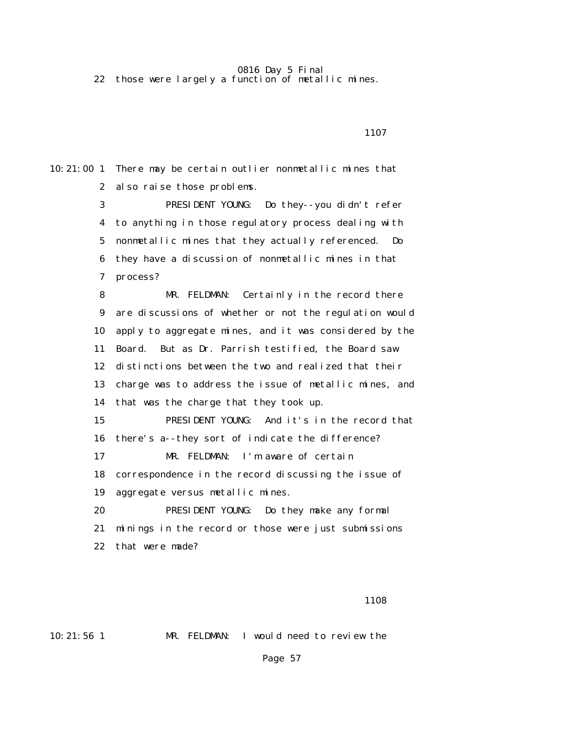22 those were largely a function of metallic mines.

1107

10:21:00 1 There may be certain outlier nonmetallic mines that 2 also raise those problems.

> 3 PRESIDENT YOUNG: Do they--you didn't refer 4 to anything in those regulatory process dealing with 5 nonmetallic mines that they actually referenced. Do 6 they have a discussion of nonmetallic mines in that 7 process?

8 MR. FELDMAN: Certainly in the record there 9 are discussions of whether or not the regulation would 10 apply to aggregate mines, and it was considered by the 11 Board. But as Dr. Parrish testified, the Board saw 12 distinctions between the two and realized that their 13 charge was to address the issue of metallic mines, and 14 that was the charge that they took up. 15 PRESIDENT YOUNG: And it's in the record that 16 there's a--they sort of indicate the difference? 17 MR. FELDMAN: I'm aware of certain 18 correspondence in the record discussing the issue of 19 aggregate versus metallic mines.

 20 PRESIDENT YOUNG: Do they make any formal 21 minings in the record or those were just submissions 22 that were made?

1108 and 1108

10:21:56 1 MR. FELDMAN: I would need to review the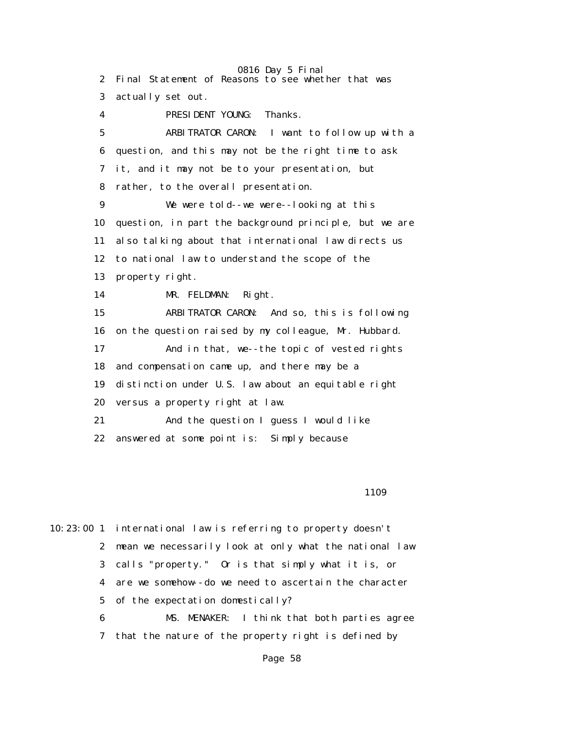0816 Day 5 Final 2 Final Statement of Reasons to see whether that was 3 actually set out. 4 PRESIDENT YOUNG: Thanks. 5 ARBITRATOR CARON: I want to follow up with a 6 question, and this may not be the right time to ask 7 it, and it may not be to your presentation, but 8 rather, to the overall presentation. 9 We were told--we were--looking at this 10 question, in part the background principle, but we are 11 also talking about that international law directs us 12 to national law to understand the scope of the 13 property right. 14 MR. FELDMAN: Right. 15 ARBITRATOR CARON: And so, this is following 16 on the question raised by my colleague, Mr. Hubbard. 17 And in that, we--the topic of vested rights 18 and compensation came up, and there may be a 19 distinction under U.S. law about an equitable right 20 versus a property right at law. 21 And the question I guess I would like 22 answered at some point is: Simply because

<u>1109</u>

10:23:00 1 international law is referring to property doesn't 2 mean we necessarily look at only what the national law 3 calls "property." Or is that simply what it is, or 4 are we somehow--do we need to ascertain the character 5 of the expectation domestically? 6 MS. MENAKER: I think that both parties agree

7 that the nature of the property right is defined by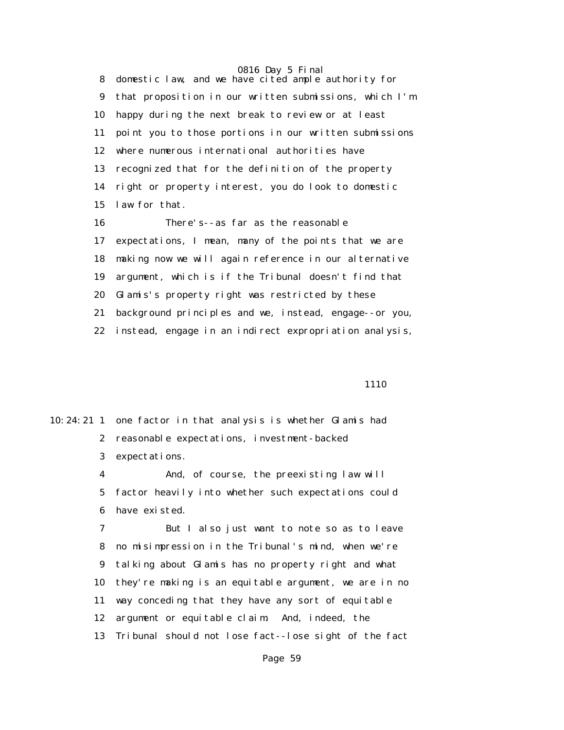0816 Day 5 Final 8 domestic law, and we have cited ample authority for 9 that proposition in our written submissions, which I'm 10 happy during the next break to review or at least 11 point you to those portions in our written submissions 12 where numerous international authorities have 13 recognized that for the definition of the property 14 right or property interest, you do look to domestic 15 law for that. 16 There's--as far as the reasonable 17 expectations, I mean, many of the points that we are 18 making now we will again reference in our alternative 19 argument, which is if the Tribunal doesn't find that 20 Glamis's property right was restricted by these 21 background principles and we, instead, engage--or you,

22 instead, engage in an indirect expropriation analysis,

1110

|    | 10:24:21 1 one factor in that analysis is whether Glamis had |
|----|--------------------------------------------------------------|
|    | 2 reasonable expectations, investment-backed                 |
| 3  | expectations.                                                |
| 4  | And, of course, the preexisting law will                     |
|    | 5 factor heavily into whether such expectations could        |
|    | 6 have existed.                                              |
| 7  | But I also just want to note so as to leave                  |
|    | 8 no misimpression in the Tribunal's mind, when we're        |
| 9  | talking about Glamis has no property right and what          |
| 10 | they're making is an equitable argument, we are in no        |
| 11 | way conceding that they have any sort of equitable           |
|    |                                                              |

- 12 argument or equitable claim. And, indeed, the
- 13 Tribunal should not lose fact--lose sight of the fact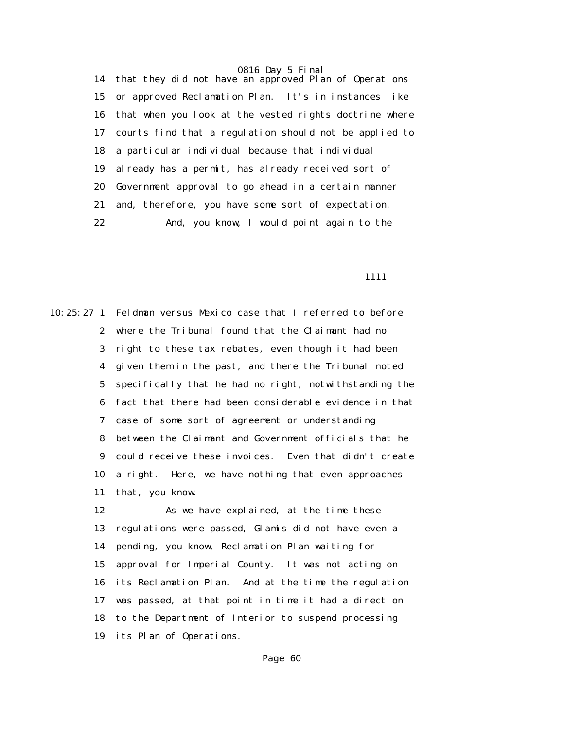14 that they did not have an approved Plan of Operations 15 or approved Reclamation Plan. It's in instances like 16 that when you look at the vested rights doctrine where 17 courts find that a regulation should not be applied to 18 a particular individual because that individual 19 already has a permit, has already received sort of 20 Government approval to go ahead in a certain manner 21 and, therefore, you have some sort of expectation. 22 And, you know, I would point again to the

1111

10:25:27 1 Feldman versus Mexico case that I referred to before 2 where the Tribunal found that the Claimant had no 3 right to these tax rebates, even though it had been 4 given them in the past, and there the Tribunal noted 5 specifically that he had no right, notwithstanding the 6 fact that there had been considerable evidence in that 7 case of some sort of agreement or understanding 8 between the Claimant and Government officials that he 9 could receive these invoices. Even that didn't create 10 a right. Here, we have nothing that even approaches 11 that, you know.

> 12 As we have explained, at the time these 13 regulations were passed, Glamis did not have even a 14 pending, you know, Reclamation Plan waiting for 15 approval for Imperial County. It was not acting on 16 its Reclamation Plan. And at the time the regulation 17 was passed, at that point in time it had a direction 18 to the Department of Interior to suspend processing 19 its Plan of Operations.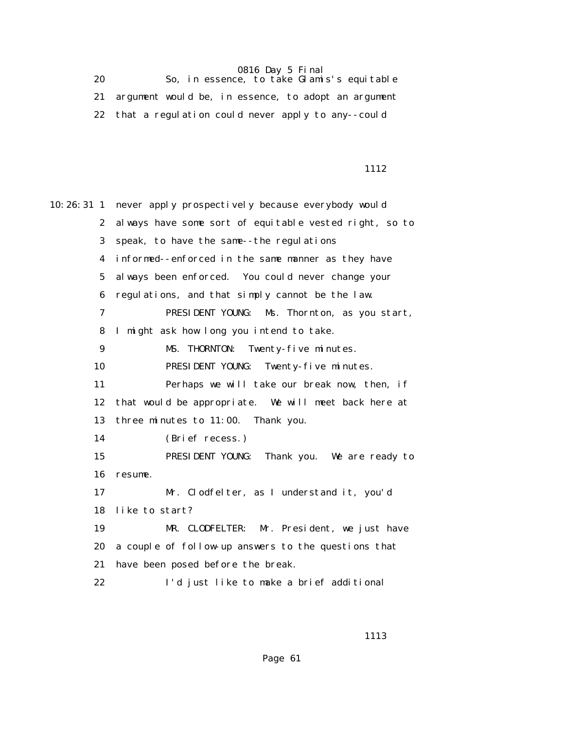20 So, in essence, to take Glamis's equitable 21 argument would be, in essence, to adopt an argument 22 that a regulation could never apply to any--could

|  | 1112 |
|--|------|
|--|------|

10:26:31 1 never apply prospectively because everybody would 2 always have some sort of equitable vested right, so to 3 speak, to have the same--the regulations 4 informed--enforced in the same manner as they have 5 always been enforced. You could never change your 6 regulations, and that simply cannot be the law. 7 PRESIDENT YOUNG: Ms. Thornton, as you start, 8 I might ask how long you intend to take. 9 MS. THORNTON: Twenty-five minutes. 10 PRESIDENT YOUNG: Twenty-five minutes. 11 Perhaps we will take our break now, then, if 12 that would be appropriate. We will meet back here at 13 three minutes to 11:00. Thank you. 14 (Brief recess.) 15 PRESIDENT YOUNG: Thank you. We are ready to 16 resume. 17 Mr. Clodfelter, as I understand it, you'd 18 like to start? 19 MR. CLODFELTER: Mr. President, we just have 20 a couple of follow-up answers to the questions that 21 have been posed before the break. 22 I'd just like to make a brief additional

1113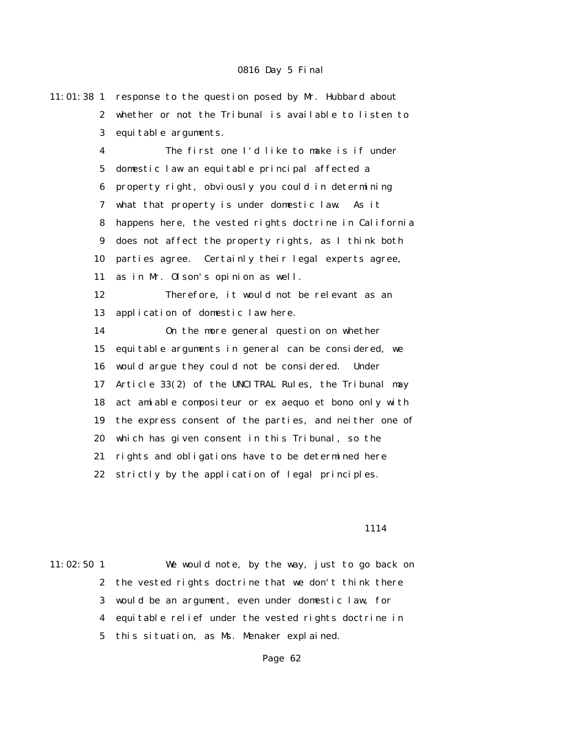11:01:38 1 response to the question posed by Mr. Hubbard about 2 whether or not the Tribunal is available to listen to 3 equitable arguments. 4 The first one I'd like to make is if under 5 domestic law an equitable principal affected a 6 property right, obviously you could in determining 7 what that property is under domestic law. As it 8 happens here, the vested rights doctrine in California 9 does not affect the property rights, as I think both 10 parties agree. Certainly their legal experts agree, 11 as in Mr. Olson's opinion as well. 12 Therefore, it would not be relevant as an 13 application of domestic law here. 14 On the more general question on whether 15 equitable arguments in general can be considered, we 16 would argue they could not be considered. Under 17 Article 33(2) of the UNCITRAL Rules, the Tribunal may 18 act amiable compositeur or ex aequo et bono only with 19 the express consent of the parties, and neither one of 20 which has given consent in this Tribunal, so the 21 rights and obligations have to be determined here 22 strictly by the application of legal principles.

#### 1114

11:02:50 1 We would note, by the way, just to go back on 2 the vested rights doctrine that we don't think there 3 would be an argument, even under domestic law, for 4 equitable relief under the vested rights doctrine in 5 this situation, as Ms. Menaker explained.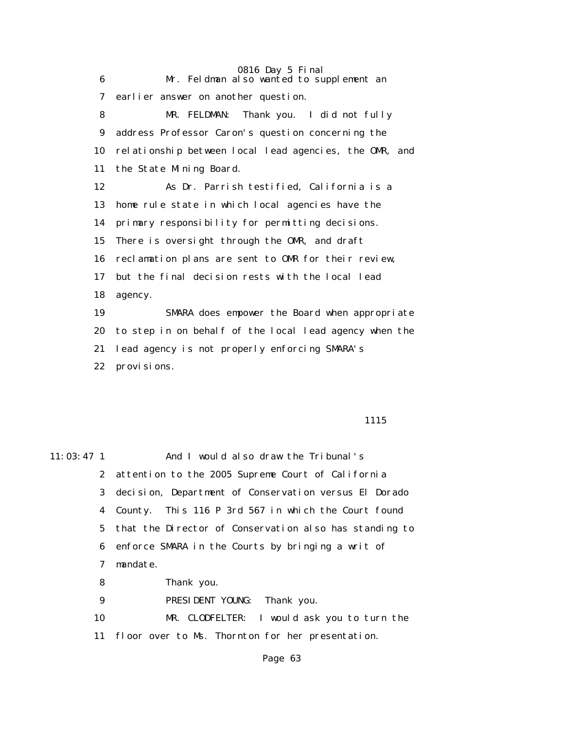0816 Day 5 Final 6 Mr. Feldman also wanted to supplement an 7 earlier answer on another question. 8 MR. FELDMAN: Thank you. I did not fully 9 address Professor Caron's question concerning the 10 relationship between local lead agencies, the OMR, and 11 the State Mining Board. 12 As Dr. Parrish testified, California is a 13 home rule state in which local agencies have the 14 primary responsibility for permitting decisions. 15 There is oversight through the OMR, and draft 16 reclamation plans are sent to OMR for their review, 17 but the final decision rests with the local lead 18 agency. 19 SMARA does empower the Board when appropriate 20 to step in on behalf of the local lead agency when the 21 lead agency is not properly enforcing SMARA's 22 provisions.

#### 1115

11:03:47 1 And I would also draw the Tribunal's 2 attention to the 2005 Supreme Court of California 3 decision, Department of Conservation versus El Dorado 4 County. This 116 P 3rd 567 in which the Court found 5 that the Director of Conservation also has standing to 6 enforce SMARA in the Courts by bringing a writ of 7 mandate. 8 Thank you. 9 PRESIDENT YOUNG: Thank you. 10 MR. CLODFELTER: I would ask you to turn the 11 floor over to Ms. Thornton for her presentation.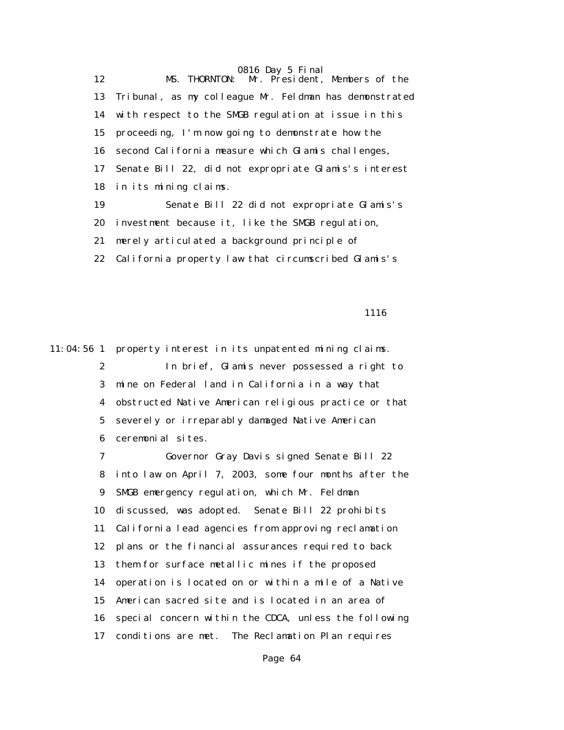0816 Day 5 Final 12 MS. THORNTON: Mr. President, Members of the 13 Tribunal, as my colleague Mr. Feldman has demonstrated 14 with respect to the SMGB regulation at issue in this 15 proceeding, I'm now going to demonstrate how the 16 second California measure which Glamis challenges, 17 Senate Bill 22, did not expropriate Glamis's interest 18 in its mining claims. 19 Senate Bill 22 did not expropriate Glamis's 20 investment because it, like the SMGB regulation, 21 merely articulated a background principle of 22 California property law that circumscribed Glamis's

1116

11:04:56 1 property interest in its unpatented mining claims.

 2 In brief, Glamis never possessed a right to 3 mine on Federal land in California in a way that 4 obstructed Native American religious practice or that 5 severely or irreparably damaged Native American 6 ceremonial sites.

 7 Governor Gray Davis signed Senate Bill 22 8 into law on April 7, 2003, some four months after the 9 SMGB emergency regulation, which Mr. Feldman 10 discussed, was adopted. Senate Bill 22 prohibits 11 California lead agencies from approving reclamation 12 plans or the financial assurances required to back 13 them for surface metallic mines if the proposed 14 operation is located on or within a mile of a Native 15 American sacred site and is located in an area of 16 special concern within the CDCA, unless the following 17 conditions are met. The Reclamation Plan requires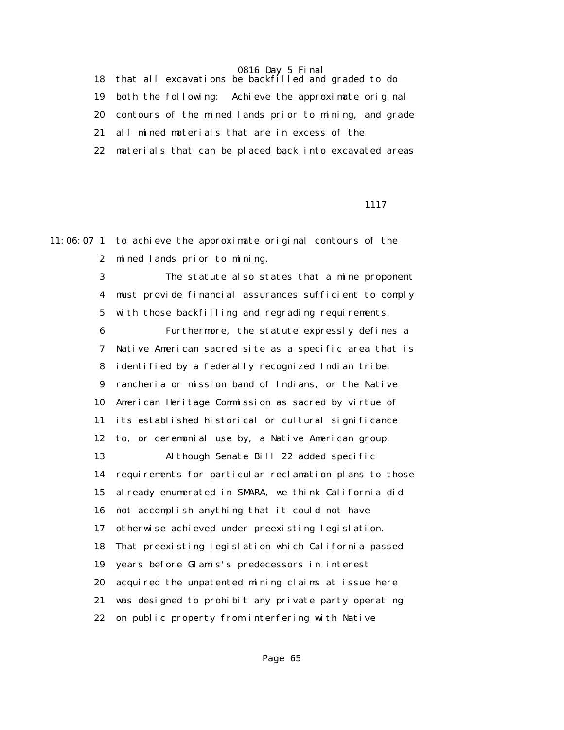18 that all excavations be backfilled and graded to do 19 both the following: Achieve the approximate original 20 contours of the mined lands prior to mining, and grade 21 all mined materials that are in excess of the 22 materials that can be placed back into excavated areas

1117

11:06:07 1 to achieve the approximate original contours of the 2 mined lands prior to mining. 3 The statute also states that a mine proponent 4 must provide financial assurances sufficient to comply 5 with those backfilling and regrading requirements. 6 Furthermore, the statute expressly defines a 7 Native American sacred site as a specific area that is 8 identified by a federally recognized Indian tribe, 9 rancheria or mission band of Indians, or the Native 10 American Heritage Commission as sacred by virtue of 11 its established historical or cultural significance 12 to, or ceremonial use by, a Native American group. 13 Although Senate Bill 22 added specific 14 requirements for particular reclamation plans to those 15 already enumerated in SMARA, we think California did 16 not accomplish anything that it could not have 17 otherwise achieved under preexisting legislation. 18 That preexisting legislation which California passed 19 years before Glamis's predecessors in interest 20 acquired the unpatented mining claims at issue here 21 was designed to prohibit any private party operating 22 on public property from interfering with Native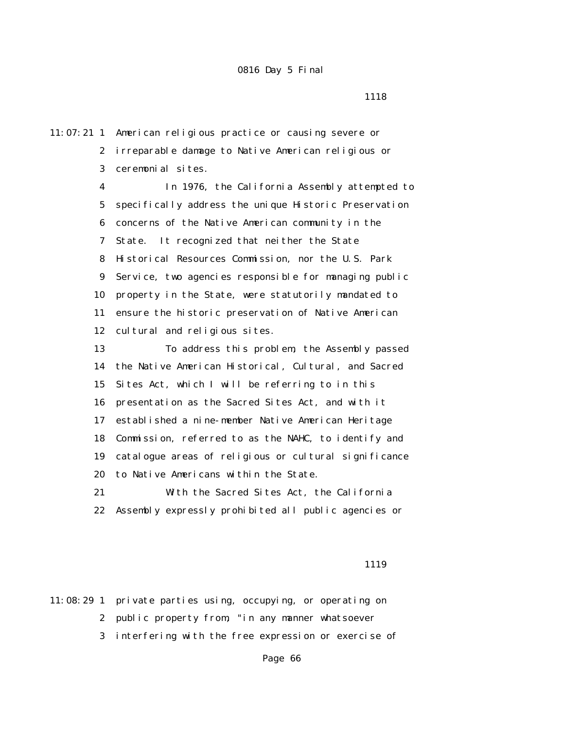11:07:21 1 American religious practice or causing severe or 2 irreparable damage to Native American religious or 3 ceremonial sites. 4 In 1976, the California Assembly attempted to 5 specifically address the unique Historic Preservation 6 concerns of the Native American community in the 7 State. It recognized that neither the State 8 Historical Resources Commission, nor the U.S. Park 9 Service, two agencies responsible for managing public 10 property in the State, were statutorily mandated to 11 ensure the historic preservation of Native American 12 cultural and religious sites. 13 To address this problem, the Assembly passed 14 the Native American Historical, Cultural, and Sacred 15 Sites Act, which I will be referring to in this 16 presentation as the Sacred Sites Act, and with it 17 established a nine-member Native American Heritage 18 Commission, referred to as the NAHC, to identify and 19 catalogue areas of religious or cultural significance 20 to Native Americans within the State. 21 With the Sacred Sites Act, the California 22 Assembly expressly prohibited all public agencies or

1119

11:08:29 1 private parties using, occupying, or operating on 2 public property from, "in any manner whatsoever 3 interfering with the free expression or exercise of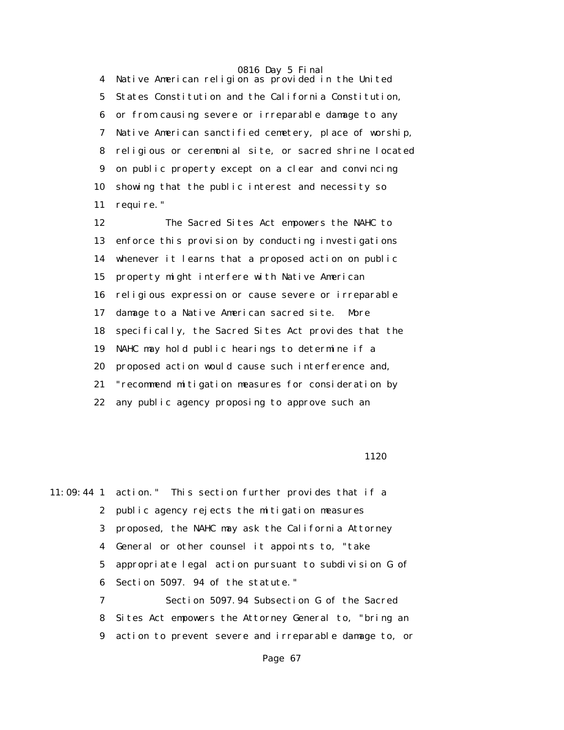4 Native American religion as provided in the United 5 States Constitution and the California Constitution, 6 or from causing severe or irreparable damage to any 7 Native American sanctified cemetery, place of worship, 8 religious or ceremonial site, or sacred shrine located 9 on public property except on a clear and convincing 10 showing that the public interest and necessity so 11 require."

 12 The Sacred Sites Act empowers the NAHC to 13 enforce this provision by conducting investigations 14 whenever it learns that a proposed action on public 15 property might interfere with Native American 16 religious expression or cause severe or irreparable 17 damage to a Native American sacred site. More 18 specifically, the Sacred Sites Act provides that the 19 NAHC may hold public hearings to determine if a 20 proposed action would cause such interference and, 21 "recommend mitigation measures for consideration by 22 any public agency proposing to approve such an

#### 1120

|   | 11:09:44 1 action." This section further provides that if a |
|---|-------------------------------------------------------------|
|   | 2 public agency rejects the mitigation measures             |
|   | 3 proposed, the NAHC may ask the California Attorney        |
|   | 4 General or other counsel it appoints to, "take            |
|   | 5 appropriate legal action pursuant to subdivision G of     |
|   | 6 Section 5097. 94 of the statute."                         |
| 7 | Section 5097.94 Subsection G of the Sacred                  |
|   | 8 Sites Act empowers the Attorney General to, "bring an     |
| 9 | action to prevent severe and irreparable damage to, or      |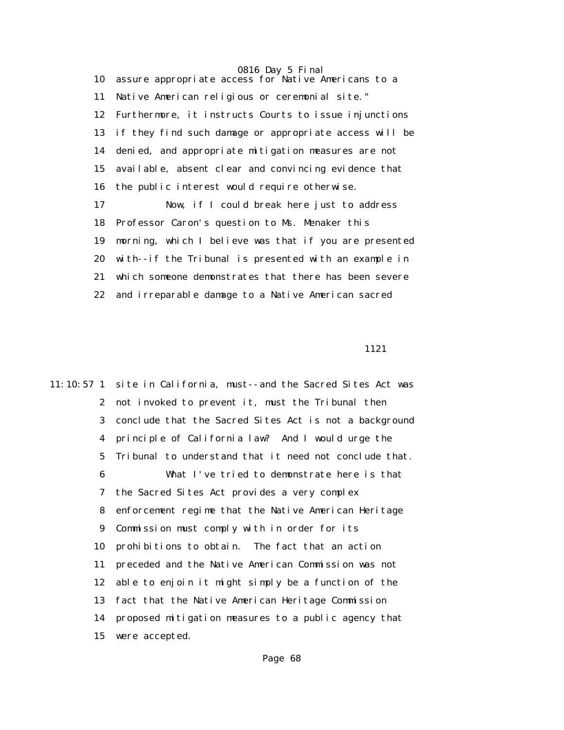0816 Day 5 Final 10 assure appropriate access for Native Americans to a 11 Native American religious or ceremonial site." 12 Furthermore, it instructs Courts to issue injunctions 13 if they find such damage or appropriate access will be 14 denied, and appropriate mitigation measures are not 15 available, absent clear and convincing evidence that 16 the public interest would require otherwise. 17 Now, if I could break here just to address 18 Professor Caron's question to Ms. Menaker this 19 morning, which I believe was that if you are presented 20 with--if the Tribunal is presented with an example in 21 which someone demonstrates that there has been severe

22 and irreparable damage to a Native American sacred

1121

11:10:57 1 site in California, must--and the Sacred Sites Act was 2 not invoked to prevent it, must the Tribunal then 3 conclude that the Sacred Sites Act is not a background 4 principle of California law? And I would urge the 5 Tribunal to understand that it need not conclude that. 6 What I've tried to demonstrate here is that 7 the Sacred Sites Act provides a very complex 8 enforcement regime that the Native American Heritage 9 Commission must comply with in order for its 10 prohibitions to obtain. The fact that an action 11 preceded and the Native American Commission was not 12 able to enjoin it might simply be a function of the 13 fact that the Native American Heritage Commission 14 proposed mitigation measures to a public agency that 15 were accepted.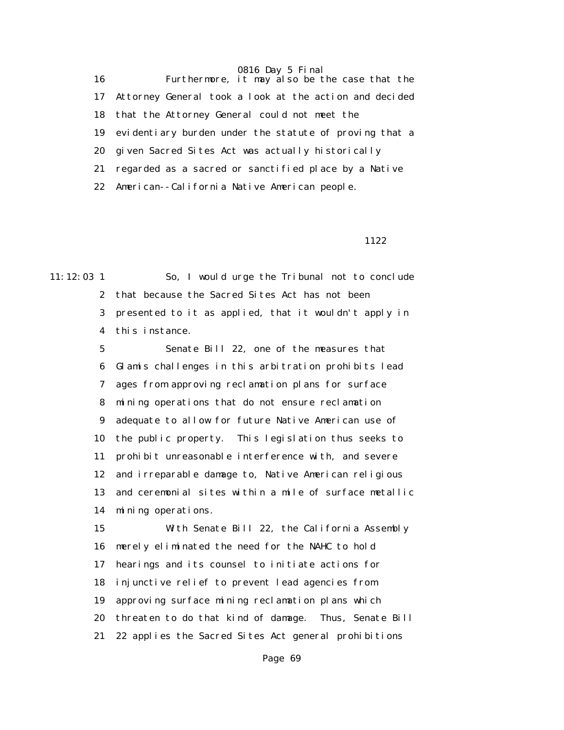16 Furthermore, it may also be the case that the 17 Attorney General took a look at the action and decided 18 that the Attorney General could not meet the 19 evidentiary burden under the statute of proving that a 20 given Sacred Sites Act was actually historically 21 regarded as a sacred or sanctified place by a Native 22 American--California Native American people.

### 1122

11:12:03 1 So, I would urge the Tribunal not to conclude 2 that because the Sacred Sites Act has not been 3 presented to it as applied, that it wouldn't apply in 4 this instance.

> 5 Senate Bill 22, one of the measures that 6 Glamis challenges in this arbitration prohibits lead 7 ages from approving reclamation plans for surface 8 mining operations that do not ensure reclamation 9 adequate to allow for future Native American use of 10 the public property. This legislation thus seeks to 11 prohibit unreasonable interference with, and severe 12 and irreparable damage to, Native American religious 13 and ceremonial sites within a mile of surface metallic 14 mining operations.

> 15 With Senate Bill 22, the California Assembly 16 merely eliminated the need for the NAHC to hold 17 hearings and its counsel to initiate actions for 18 injunctive relief to prevent lead agencies from 19 approving surface mining reclamation plans which 20 threaten to do that kind of damage. Thus, Senate Bill 21 22 applies the Sacred Sites Act general prohibitions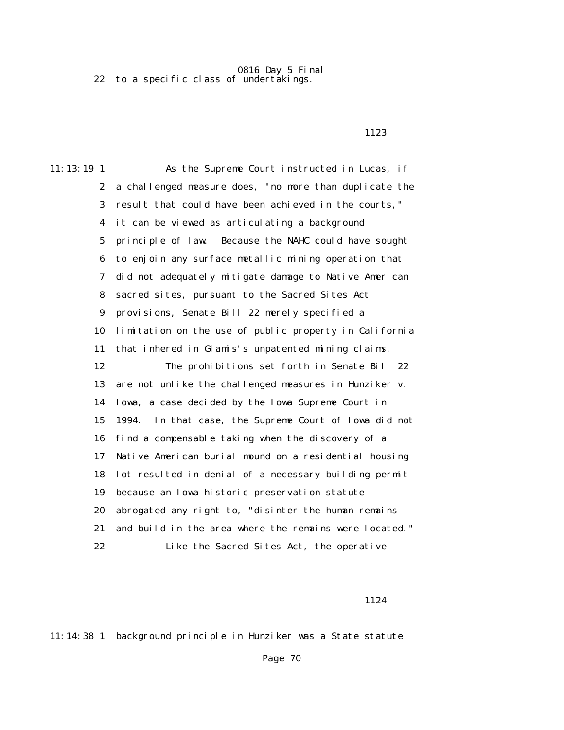0816 Day 5 Final 22 to a specific class of undertakings.

11:13:19 1 As the Supreme Court instructed in Lucas, if 2 a challenged measure does, "no more than duplicate the 3 result that could have been achieved in the courts," 4 it can be viewed as articulating a background 5 principle of law. Because the NAHC could have sought 6 to enjoin any surface metallic mining operation that 7 did not adequately mitigate damage to Native American 8 sacred sites, pursuant to the Sacred Sites Act 9 provisions, Senate Bill 22 merely specified a 10 limitation on the use of public property in California 11 that inhered in Glamis's unpatented mining claims. 12 The prohibitions set forth in Senate Bill 22 13 are not unlike the challenged measures in Hunziker v. 14 Iowa, a case decided by the Iowa Supreme Court in 15 1994. In that case, the Supreme Court of Iowa did not 16 find a compensable taking when the discovery of a 17 Native American burial mound on a residential housing 18 lot resulted in denial of a necessary building permit 19 because an Iowa historic preservation statute 20 abrogated any right to, "disinter the human remains 21 and build in the area where the remains were located." 22 Like the Sacred Sites Act, the operative

1123

1124

11:14:38 1 background principle in Hunziker was a State statute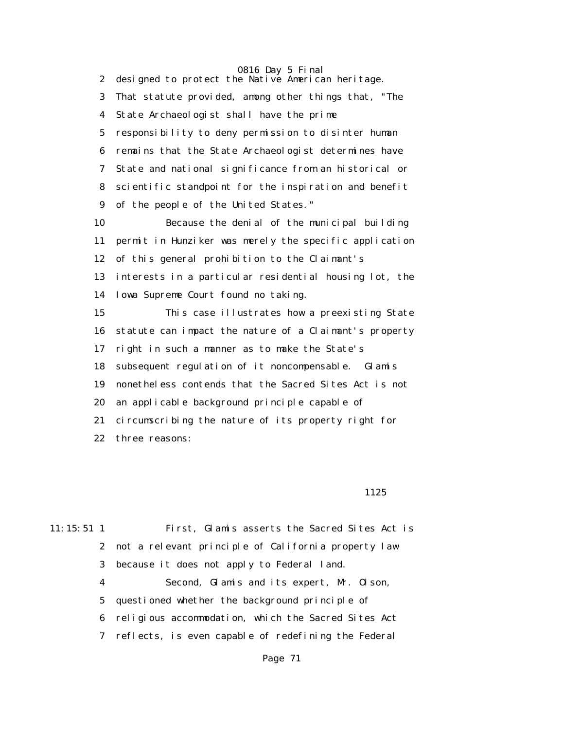0816 Day 5 Final 2 designed to protect the Native American heritage. 3 That statute provided, among other things that, "The 4 State Archaeologist shall have the prime 5 responsibility to deny permission to disinter human 6 remains that the State Archaeologist determines have 7 State and national significance from an historical or 8 scientific standpoint for the inspiration and benefit 9 of the people of the United States." 10 Because the denial of the municipal building 11 permit in Hunziker was merely the specific application 12 of this general prohibition to the Claimant's 13 interests in a particular residential housing lot, the 14 Iowa Supreme Court found no taking. 15 This case illustrates how a preexisting State 16 statute can impact the nature of a Claimant's property 17 right in such a manner as to make the State's 18 subsequent regulation of it noncompensable. Glamis 19 nonetheless contends that the Sacred Sites Act is not 20 an applicable background principle capable of 21 circumscribing the nature of its property right for 22 three reasons:

#### 1125

| $11:15:51$ 1 |   | First, Glamis asserts the Sacred Sites Act is         |
|--------------|---|-------------------------------------------------------|
|              |   | 2 not a relevant principle of California property law |
|              |   | 3 because it does not apply to Federal land.          |
|              | 4 | Second, Glamis and its expert, Mr. Olson,             |
|              |   | 5 questioned whether the background principle of      |
|              | 6 | religious accommodation, which the Sacred Sites Act   |
|              | 7 | reflects, is even capable of redefining the Federal   |
|              |   |                                                       |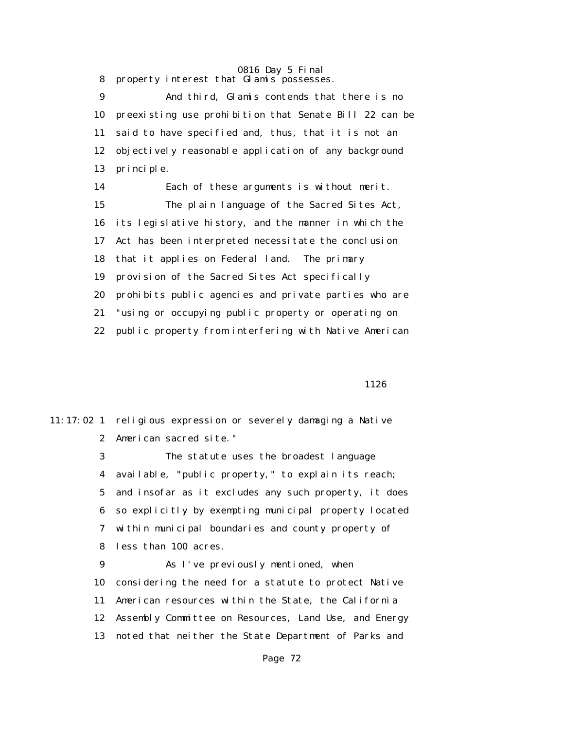8 property interest that Glamis possesses.

 9 And third, Glamis contends that there is no 10 preexisting use prohibition that Senate Bill 22 can be 11 said to have specified and, thus, that it is not an 12 objectively reasonable application of any background 13 principle.

 14 Each of these arguments is without merit. 15 The plain language of the Sacred Sites Act, 16 its legislative history, and the manner in which the 17 Act has been interpreted necessitate the conclusion 18 that it applies on Federal land. The primary 19 provision of the Sacred Sites Act specifically 20 prohibits public agencies and private parties who are 21 "using or occupying public property or operating on 22 public property from interfering with Native American

1126

11:17:02 1 religious expression or severely damaging a Native 2 American sacred site."

> 3 The statute uses the broadest language 4 available, "public property," to explain its reach; 5 and insofar as it excludes any such property, it does 6 so explicitly by exempting municipal property located 7 within municipal boundaries and county property of 8 less than 100 acres.

 9 As I've previously mentioned, when 10 considering the need for a statute to protect Native 11 American resources within the State, the California 12 Assembly Committee on Resources, Land Use, and Energy 13 noted that neither the State Department of Parks and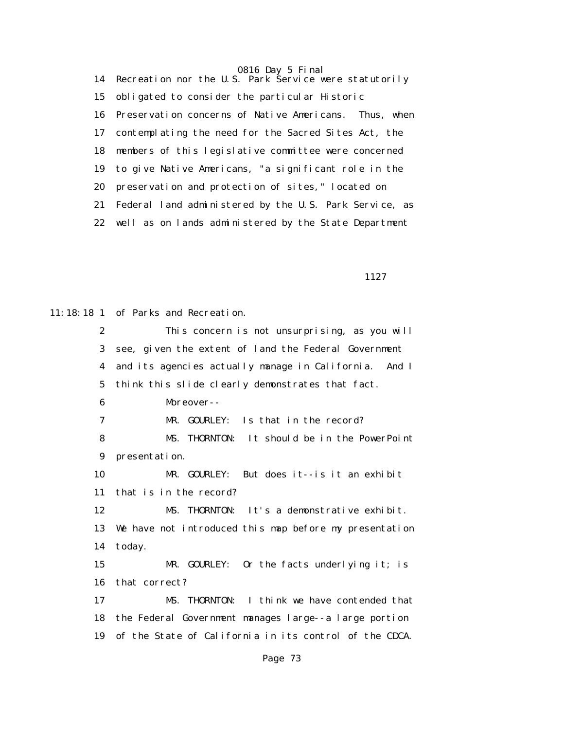0816 Day 5 Final 14 Recreation nor the U.S. Park Service were statutorily 15 obligated to consider the particular Historic 16 Preservation concerns of Native Americans. Thus, when 17 contemplating the need for the Sacred Sites Act, the 18 members of this legislative committee were concerned 19 to give Native Americans, "a significant role in the 20 preservation and protection of sites," located on 21 Federal land administered by the U.S. Park Service, as 22 well as on lands administered by the State Department

1127

11:18:18 1 of Parks and Recreation.

 2 This concern is not unsurprising, as you will 3 see, given the extent of land the Federal Government 4 and its agencies actually manage in California. And I 5 think this slide clearly demonstrates that fact. 6 Moreover-- 7 MR. GOURLEY: Is that in the record? 8 MS. THORNTON: It should be in the PowerPoint 9 presentation. 10 MR. GOURLEY: But does it--is it an exhibit 11 that is in the record? 12 MS. THORNTON: It's a demonstrative exhibit. 13 We have not introduced this map before my presentation 14 today. 15 MR. GOURLEY: Or the facts underlying it; is 16 that correct? 17 MS. THORNTON: I think we have contended that 18 the Federal Government manages large--a large portion 19 of the State of California in its control of the CDCA.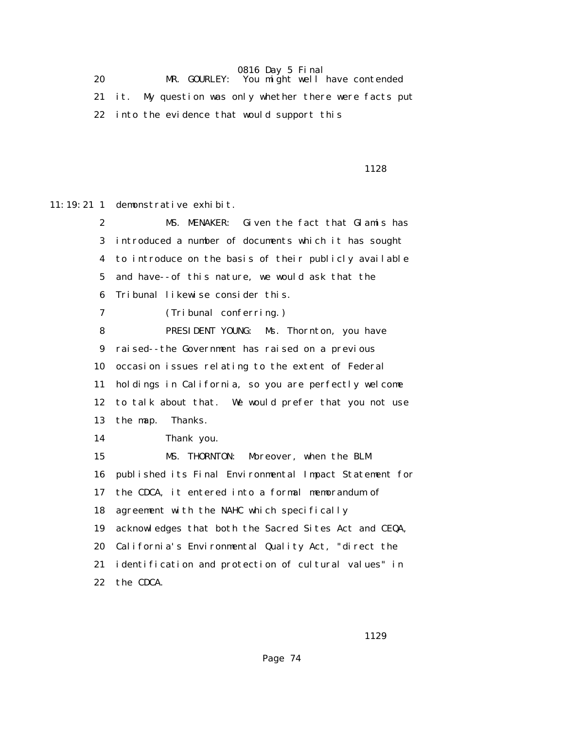20 MR. GOURLEY: You might well have contended 21 it. My question was only whether there were facts put 22 into the evidence that would support this

1128

11:19:21 1 demonstrative exhibit.

 2 MS. MENAKER: Given the fact that Glamis has 3 introduced a number of documents which it has sought 4 to introduce on the basis of their publicly available 5 and have--of this nature, we would ask that the 6 Tribunal likewise consider this. 7 (Tribunal conferring.) 8 PRESIDENT YOUNG: Ms. Thornton, you have 9 raised--the Government has raised on a previous 10 occasion issues relating to the extent of Federal 11 holdings in California, so you are perfectly welcome 12 to talk about that. We would prefer that you not use 13 the map. Thanks. 14 Thank you. 15 MS. THORNTON: Moreover, when the BLM 16 published its Final Environmental Impact Statement for 17 the CDCA, it entered into a formal memorandum of 18 agreement with the NAHC which specifically 19 acknowledges that both the Sacred Sites Act and CEQA, 20 California's Environmental Quality Act, "direct the 21 identification and protection of cultural values" in 22 the CDCA.

1129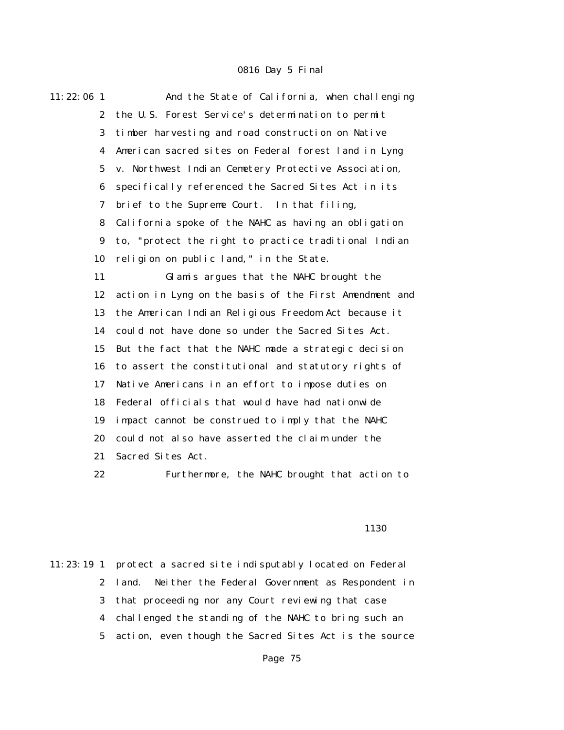11:22:06 1 And the State of California, when challenging 2 the U.S. Forest Service's determination to permit 3 timber harvesting and road construction on Native 4 American sacred sites on Federal forest land in Lyng 5 v. Northwest Indian Cemetery Protective Association, 6 specifically referenced the Sacred Sites Act in its 7 brief to the Supreme Court. In that filing, 8 California spoke of the NAHC as having an obligation 9 to, "protect the right to practice traditional Indian 10 religion on public land," in the State. 11 Glamis argues that the NAHC brought the 12 action in Lyng on the basis of the First Amendment and 13 the American Indian Religious Freedom Act because it 14 could not have done so under the Sacred Sites Act. 15 But the fact that the NAHC made a strategic decision 16 to assert the constitutional and statutory rights of 17 Native Americans in an effort to impose duties on 18 Federal officials that would have had nationwide 19 impact cannot be construed to imply that the NAHC 20 could not also have asserted the claim under the 21 Sacred Sites Act. 22 Furthermore, the NAHC brought that action to

#### 1130 and 1130 and 1130 and 1130 and 1130 and 1130 and 1130 and 1130 and 1130 and 1130 and 1130 and 1130 and 1

11:23:19 1 protect a sacred site indisputably located on Federal 2 land. Neither the Federal Government as Respondent in 3 that proceeding nor any Court reviewing that case 4 challenged the standing of the NAHC to bring such an 5 action, even though the Sacred Sites Act is the source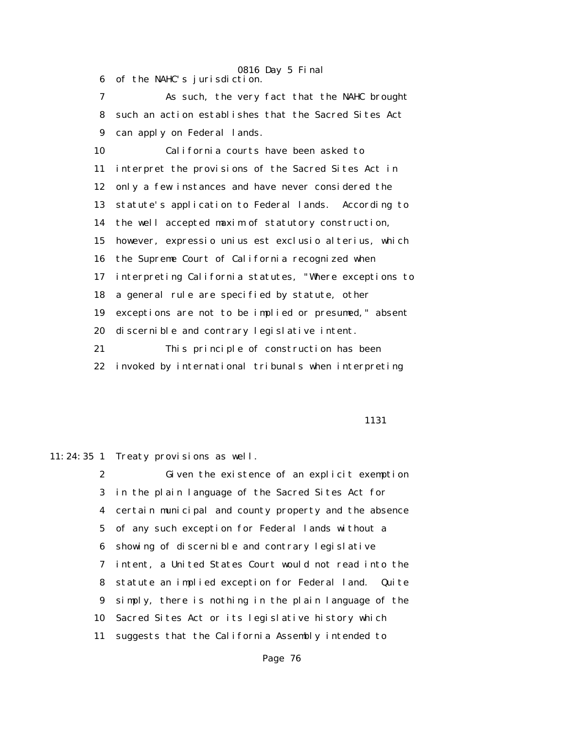6 of the NAHC's jurisdiction.

 7 As such, the very fact that the NAHC brought 8 such an action establishes that the Sacred Sites Act 9 can apply on Federal lands.

 10 California courts have been asked to 11 interpret the provisions of the Sacred Sites Act in 12 only a few instances and have never considered the 13 statute's application to Federal lands. According to 14 the well accepted maxim of statutory construction, 15 however, expressio unius est exclusio alterius, which 16 the Supreme Court of California recognized when 17 interpreting California statutes, "Where exceptions to 18 a general rule are specified by statute, other 19 exceptions are not to be implied or presumed," absent 20 discernible and contrary legislative intent. 21 This principle of construction has been 22 invoked by international tribunals when interpreting

1131

11:24:35 1 Treaty provisions as well.

 2 Given the existence of an explicit exemption 3 in the plain language of the Sacred Sites Act for 4 certain municipal and county property and the absence 5 of any such exception for Federal lands without a 6 showing of discernible and contrary legislative 7 intent, a United States Court would not read into the 8 statute an implied exception for Federal land. Quite 9 simply, there is nothing in the plain language of the 10 Sacred Sites Act or its legislative history which 11 suggests that the California Assembly intended to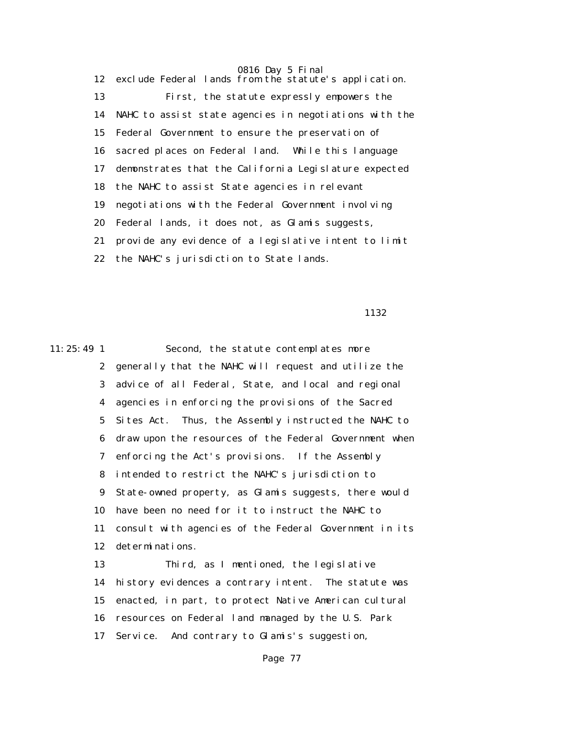12 exclude Federal lands from the statute's application. 13 First, the statute expressly empowers the 14 NAHC to assist state agencies in negotiations with the 15 Federal Government to ensure the preservation of 16 sacred places on Federal land. While this language 17 demonstrates that the California Legislature expected 18 the NAHC to assist State agencies in relevant 19 negotiations with the Federal Government involving 20 Federal lands, it does not, as Glamis suggests, 21 provide any evidence of a legislative intent to limit 22 the NAHC's jurisdiction to State lands.

1132 and 1132

11:25:49 1 Second, the statute contemplates more 2 generally that the NAHC will request and utilize the 3 advice of all Federal, State, and local and regional 4 agencies in enforcing the provisions of the Sacred 5 Sites Act. Thus, the Assembly instructed the NAHC to 6 draw upon the resources of the Federal Government when 7 enforcing the Act's provisions. If the Assembly 8 intended to restrict the NAHC's jurisdiction to 9 State-owned property, as Glamis suggests, there would 10 have been no need for it to instruct the NAHC to 11 consult with agencies of the Federal Government in its 12 determinations. 13 Third, as I mentioned, the legislative

 14 history evidences a contrary intent. The statute was 15 enacted, in part, to protect Native American cultural 16 resources on Federal land managed by the U.S. Park 17 Service. And contrary to Glamis's suggestion,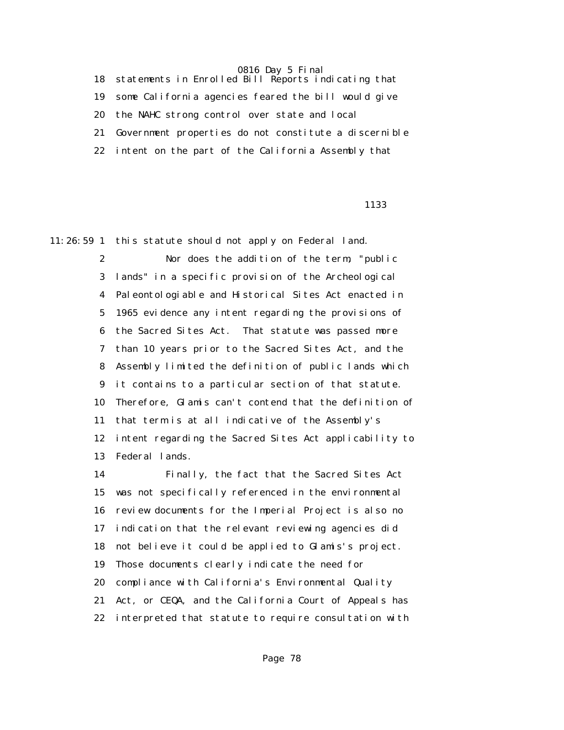18 statements in Enrolled Bill Reports indicating that 19 some California agencies feared the bill would give 20 the NAHC strong control over state and local 21 Government properties do not constitute a discernible 22 intent on the part of the California Assembly that

1133 **1133** 

11:26:59 1 this statute should not apply on Federal land.

 2 Nor does the addition of the term, "public 3 lands" in a specific provision of the Archeological 4 Paleontologiable and Historical Sites Act enacted in 5 1965 evidence any intent regarding the provisions of 6 the Sacred Sites Act. That statute was passed more 7 than 10 years prior to the Sacred Sites Act, and the 8 Assembly limited the definition of public lands which 9 it contains to a particular section of that statute. 10 Therefore, Glamis can't contend that the definition of 11 that term is at all indicative of the Assembly's 12 intent regarding the Sacred Sites Act applicability to 13 Federal lands.

 14 Finally, the fact that the Sacred Sites Act 15 was not specifically referenced in the environmental 16 review documents for the Imperial Project is also no 17 indication that the relevant reviewing agencies did 18 not believe it could be applied to Glamis's project. 19 Those documents clearly indicate the need for 20 compliance with California's Environmental Quality 21 Act, or CEQA, and the California Court of Appeals has 22 interpreted that statute to require consultation with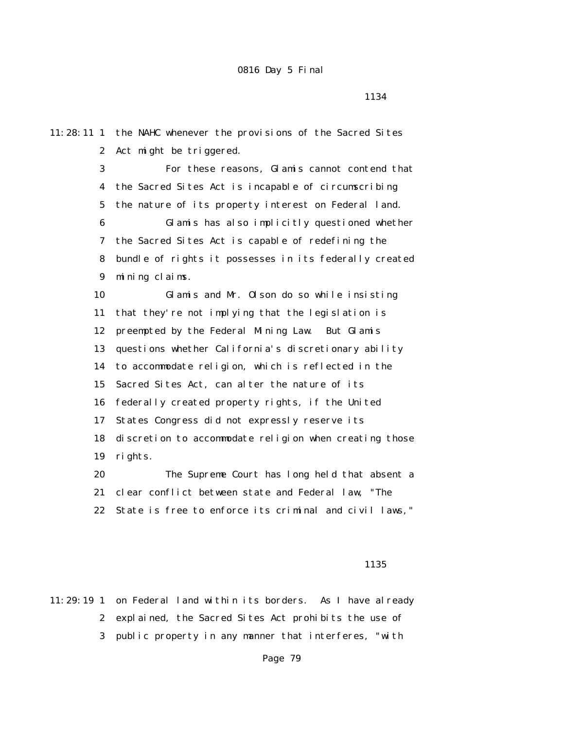11:28:11 1 the NAHC whenever the provisions of the Sacred Sites 2 Act might be triggered. 3 For these reasons, Glamis cannot contend that 4 the Sacred Sites Act is incapable of circumscribing 5 the nature of its property interest on Federal land. 6 Glamis has also implicitly questioned whether 7 the Sacred Sites Act is capable of redefining the 8 bundle of rights it possesses in its federally created 9 mining claims. 10 Glamis and Mr. Olson do so while insisting 11 that they're not implying that the legislation is 12 preempted by the Federal Mining Law. But Glamis 13 questions whether California's discretionary ability 14 to accommodate religion, which is reflected in the 15 Sacred Sites Act, can alter the nature of its 16 federally created property rights, if the United 17 States Congress did not expressly reserve its 18 discretion to accommodate religion when creating those 19 rights. 20 The Supreme Court has long held that absent a 21 clear conflict between state and Federal law, "The

22 State is free to enforce its criminal and civil laws,"

#### <u>1135</u>

11:29:19 1 on Federal land within its borders. As I have already 2 explained, the Sacred Sites Act prohibits the use of 3 public property in any manner that interferes, "with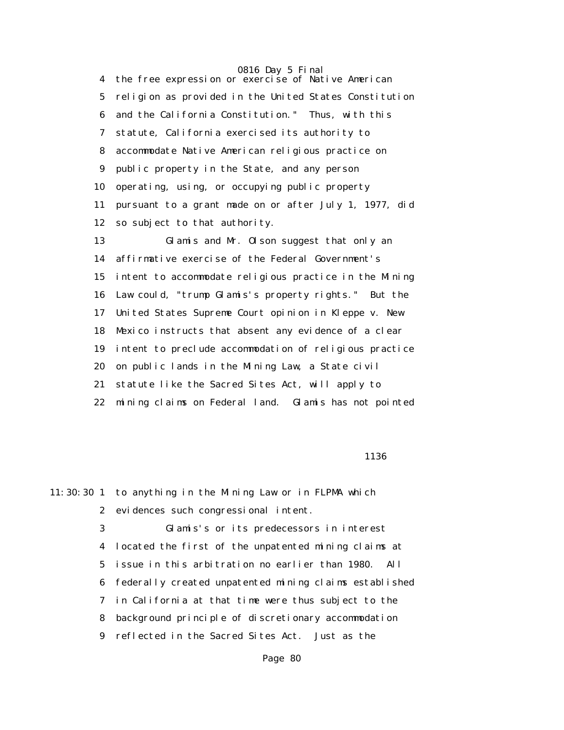4 the free expression or exercise of Native American 5 religion as provided in the United States Constitution 6 and the California Constitution." Thus, with this 7 statute, California exercised its authority to 8 accommodate Native American religious practice on 9 public property in the State, and any person 10 operating, using, or occupying public property 11 pursuant to a grant made on or after July 1, 1977, did 12 so subject to that authority.

 13 Glamis and Mr. Olson suggest that only an 14 affirmative exercise of the Federal Government's 15 intent to accommodate religious practice in the Mining 16 Law could, "trump Glamis's property rights." But the 17 United States Supreme Court opinion in Kleppe v. New 18 Mexico instructs that absent any evidence of a clear 19 intent to preclude accommodation of religious practice 20 on public lands in the Mining Law, a State civil 21 statute like the Sacred Sites Act, will apply to 22 mining claims on Federal land. Glamis has not pointed

<u>1136 and the set of the set of the set of the set of the set of the set of the set of the set of the set of the set of the set of the set of the set of the set of the set of the set of the set of the set of the set of the</u>

11:30:30 1 to anything in the Mining Law or in FLPMA which 2 evidences such congressional intent. 3 Glamis's or its predecessors in interest 4 located the first of the unpatented mining claims at 5 issue in this arbitration no earlier than 1980. All 6 federally created unpatented mining claims established 7 in California at that time were thus subject to the 8 background principle of discretionary accommodation 9 reflected in the Sacred Sites Act. Just as the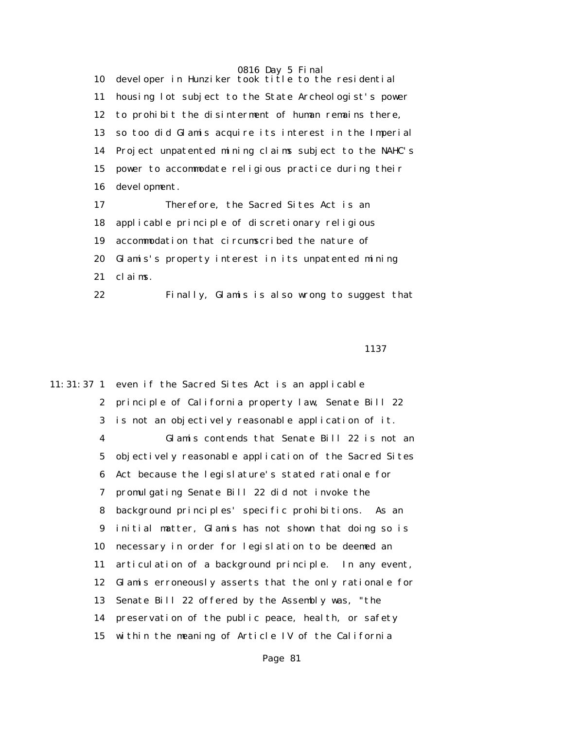10 developer in Hunziker took title to the residential 11 housing lot subject to the State Archeologist's power 12 to prohibit the disinterment of human remains there, 13 so too did Glamis acquire its interest in the Imperial 14 Project unpatented mining claims subject to the NAHC's 15 power to accommodate religious practice during their 16 development.

 17 Therefore, the Sacred Sites Act is an 18 applicable principle of discretionary religious 19 accommodation that circumscribed the nature of 20 Glamis's property interest in its unpatented mining 21 claims.

22 Finally, Glamis is also wrong to suggest that

1137

11:31:37 1 even if the Sacred Sites Act is an applicable 2 principle of California property law, Senate Bill 22 3 is not an objectively reasonable application of it. 4 Glamis contends that Senate Bill 22 is not an 5 objectively reasonable application of the Sacred Sites 6 Act because the legislature's stated rationale for 7 promulgating Senate Bill 22 did not invoke the 8 background principles' specific prohibitions. As an 9 initial matter, Glamis has not shown that doing so is 10 necessary in order for legislation to be deemed an 11 articulation of a background principle. In any event, 12 Glamis erroneously asserts that the only rationale for 13 Senate Bill 22 offered by the Assembly was, "the 14 preservation of the public peace, health, or safety 15 within the meaning of Article IV of the California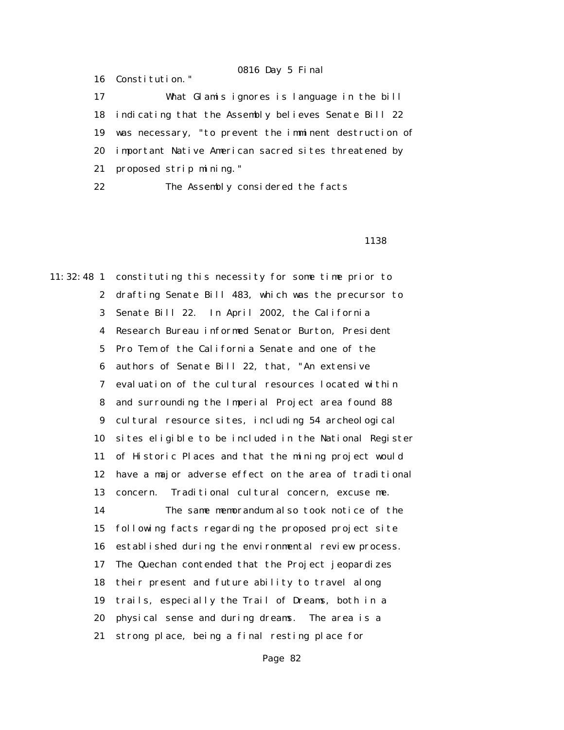17 What Glamis ignores is language in the bill 18 indicating that the Assembly believes Senate Bill 22 19 was necessary, "to prevent the imminent destruction of 20 important Native American sacred sites threatened by 21 proposed strip mining." 22 The Assembly considered the facts

16 Constitution."

#### <u>1138 and the second control of the second control of the second control of the second control of the second con</u>

11:32:48 1 constituting this necessity for some time prior to 2 drafting Senate Bill 483, which was the precursor to 3 Senate Bill 22. In April 2002, the California 4 Research Bureau informed Senator Burton, President 5 Pro Tem of the California Senate and one of the 6 authors of Senate Bill 22, that, "An extensive 7 evaluation of the cultural resources located within 8 and surrounding the Imperial Project area found 88 9 cultural resource sites, including 54 archeological 10 sites eligible to be included in the National Register 11 of Historic Places and that the mining project would 12 have a major adverse effect on the area of traditional 13 concern. Traditional cultural concern, excuse me. 14 The same memorandum also took notice of the 15 following facts regarding the proposed project site 16 established during the environmental review process. 17 The Quechan contended that the Project jeopardizes 18 their present and future ability to travel along 19 trails, especially the Trail of Dreams, both in a 20 physical sense and during dreams. The area is a 21 strong place, being a final resting place for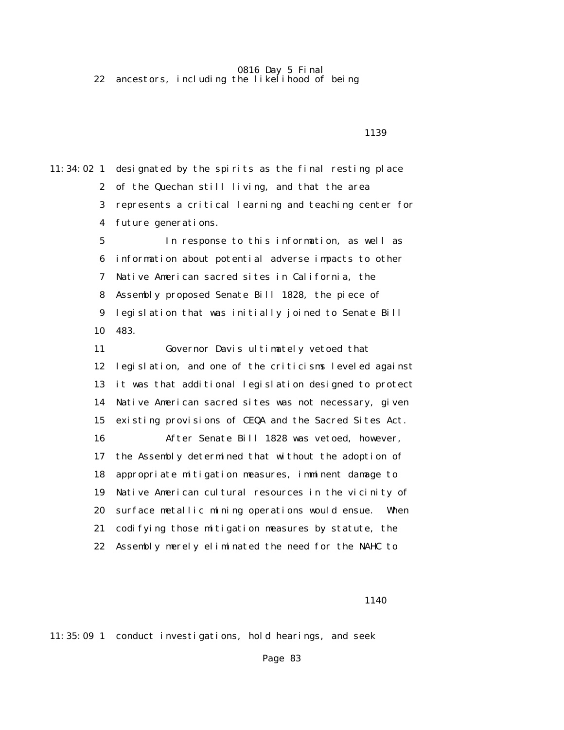22 ancestors, including the likelihood of being

1139

11:34:02 1 designated by the spirits as the final resting place 2 of the Quechan still living, and that the area 3 represents a critical learning and teaching center for 4 future generations.

> 5 In response to this information, as well as 6 information about potential adverse impacts to other 7 Native American sacred sites in California, the 8 Assembly proposed Senate Bill 1828, the piece of 9 legislation that was initially joined to Senate Bill 10 483.

 11 Governor Davis ultimately vetoed that 12 legislation, and one of the criticisms leveled against 13 it was that additional legislation designed to protect 14 Native American sacred sites was not necessary, given 15 existing provisions of CEQA and the Sacred Sites Act. 16 After Senate Bill 1828 was vetoed, however, 17 the Assembly determined that without the adoption of 18 appropriate mitigation measures, imminent damage to 19 Native American cultural resources in the vicinity of 20 surface metallic mining operations would ensue. When 21 codifying those mitigation measures by statute, the 22 Assembly merely eliminated the need for the NAHC to

1140

11:35:09 1 conduct investigations, hold hearings, and seek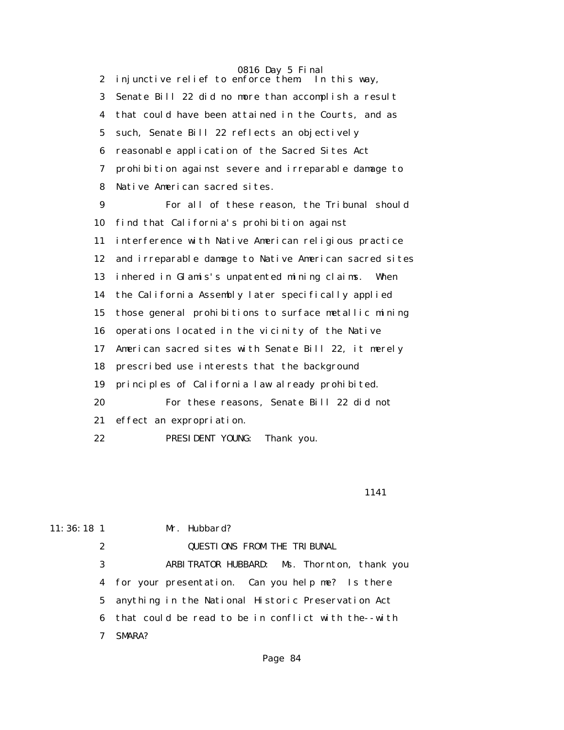0816 Day 5 Final<br>nforce them. In this way, 2 injunctive relief to enforce them. 3 Senate Bill 22 did no more than accomplish a result 4 that could have been attained in the Courts, and as 5 such, Senate Bill 22 reflects an objectively 6 reasonable application of the Sacred Sites Act 7 prohibition against severe and irreparable damage to 8 Native American sacred sites.

 9 For all of these reason, the Tribunal should 10 find that California's prohibition against 11 interference with Native American religious practice 12 and irreparable damage to Native American sacred sites 13 inhered in Glamis's unpatented mining claims. When 14 the California Assembly later specifically applied 15 those general prohibitions to surface metallic mining 16 operations located in the vicinity of the Native 17 American sacred sites with Senate Bill 22, it merely 18 prescribed use interests that the background 19 principles of California law already prohibited. 20 For these reasons, Senate Bill 22 did not 21 effect an expropriation. 22 PRESIDENT YOUNG: Thank you.

1141

#### 11:36:18 1 Mr. Hubbard?

2 QUESTIONS FROM THE TRIBUNAL

 3 ARBITRATOR HUBBARD: Ms. Thornton, thank you 4 for your presentation. Can you help me? Is there 5 anything in the National Historic Preservation Act 6 that could be read to be in conflict with the--with 7 SMARA?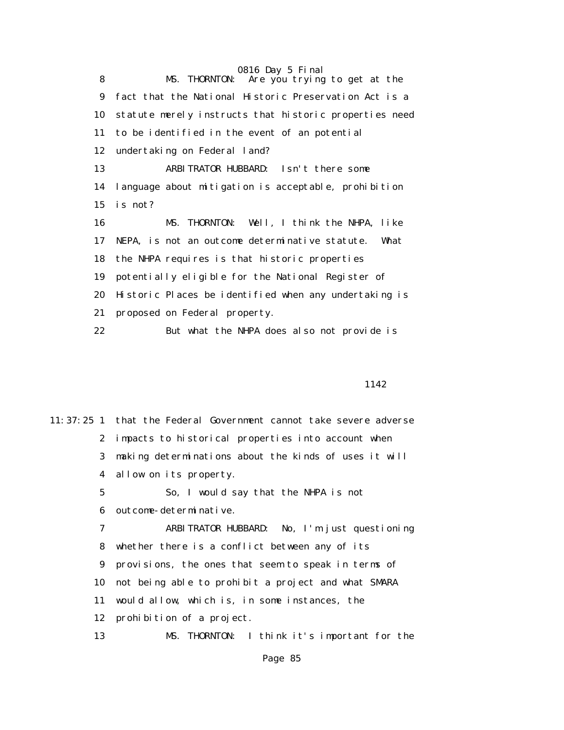0816 Day 5 Final<br>MS. THORNTON: Are you trying 8 MS. THORNTON: Are you trying to get at the 9 fact that the National Historic Preservation Act is a 10 statute merely instructs that historic properties need 11 to be identified in the event of an potential 12 undertaking on Federal land? 13 ARBITRATOR HUBBARD: Isn't there some 14 language about mitigation is acceptable, prohibition 15 is not? 16 MS. THORNTON: Well, I think the NHPA, like 17 NEPA, is not an outcome determinative statute. What 18 the NHPA requires is that historic properties 19 potentially eligible for the National Register of 20 Historic Places be identified when any undertaking is 21 proposed on Federal property. 22 But what the NHPA does also not provide is

1142

|    |              | 11:37:25 1 that the Federal Government cannot take severe adverse |
|----|--------------|-------------------------------------------------------------------|
|    | $\mathbf{2}$ | impacts to historical properties into account when                |
|    | 3            | making determinations about the kinds of uses it will             |
|    | 4            | allow on its property.                                            |
|    | $\mathbf 5$  | So, I would say that the NHPA is not                              |
|    | 6            | outcome-determinative.                                            |
|    | 7            | ARBITRATOR HUBBARD: No, I'm just questioning                      |
|    | 8            | whether there is a conflict between any of its                    |
|    | 9            | provisions, the ones that seem to speak in terms of               |
| 10 |              | not being able to prohibit a project and what SMARA               |
| 11 |              | would allow, which is, in some instances, the                     |
| 12 |              | prohibition of a project.                                         |
| 13 |              | MS. THORNTON: I think it's important for the                      |
|    |              |                                                                   |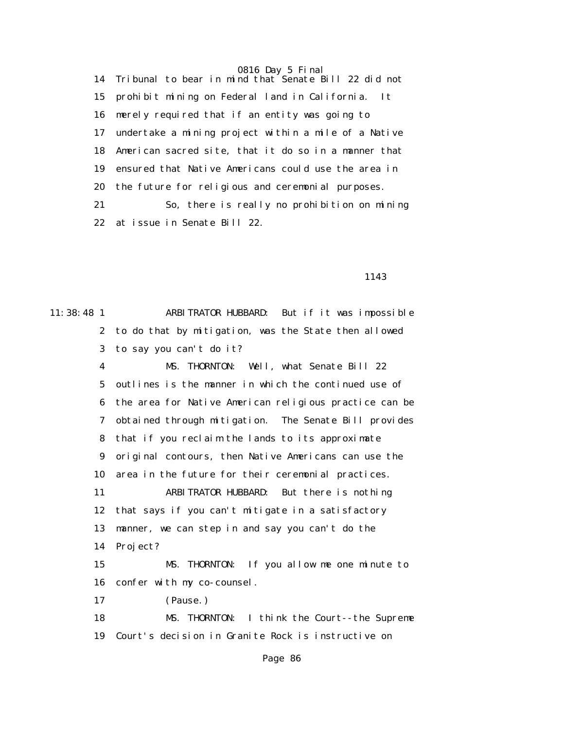14 Tribunal to bear in mind that Senate Bill 22 did not 15 prohibit mining on Federal land in California. It 16 merely required that if an entity was going to 17 undertake a mining project within a mile of a Native 18 American sacred site, that it do so in a manner that 19 ensured that Native Americans could use the area in 20 the future for religious and ceremonial purposes. 21 So, there is really no prohibition on mining 22 at issue in Senate Bill 22.

1143

11:38:48 1 ARBITRATOR HUBBARD: But if it was impossible 2 to do that by mitigation, was the State then allowed 3 to say you can't do it? 4 MS. THORNTON: Well, what Senate Bill 22 5 outlines is the manner in which the continued use of 6 the area for Native American religious practice can be 7 obtained through mitigation. The Senate Bill provides 8 that if you reclaim the lands to its approximate 9 original contours, then Native Americans can use the 10 area in the future for their ceremonial practices. 11 ARBITRATOR HUBBARD: But there is nothing 12 that says if you can't mitigate in a satisfactory 13 manner, we can step in and say you can't do the 14 Project? 15 MS. THORNTON: If you allow me one minute to 16 confer with my co-counsel. 17 (Pause.) 18 MS. THORNTON: I think the Court--the Supreme 19 Court's decision in Granite Rock is instructive on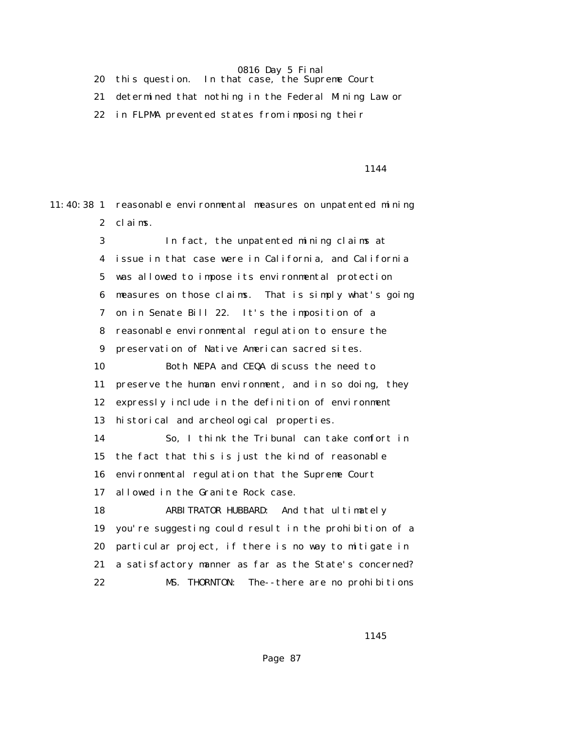20 this question. In that case, the Supreme Court

21 determined that nothing in the Federal Mining Law or

22 in FLPMA prevented states from imposing their

1144

11:40:38 1 reasonable environmental measures on unpatented mining 2 claims. 3 In fact, the unpatented mining claims at 4 issue in that case were in California, and California 5 was allowed to impose its environmental protection 6 measures on those claims. That is simply what's going 7 on in Senate Bill 22. It's the imposition of a 8 reasonable environmental regulation to ensure the 9 preservation of Native American sacred sites. 10 Both NEPA and CEQA discuss the need to 11 preserve the human environment, and in so doing, they 12 expressly include in the definition of environment 13 historical and archeological properties. 14 So, I think the Tribunal can take comfort in 15 the fact that this is just the kind of reasonable 16 environmental regulation that the Supreme Court 17 allowed in the Granite Rock case. 18 ARBITRATOR HUBBARD: And that ultimately 19 you're suggesting could result in the prohibition of a 20 particular project, if there is no way to mitigate in 21 a satisfactory manner as far as the State's concerned? 22 MS. THORNTON: The--there are no prohibitions

1145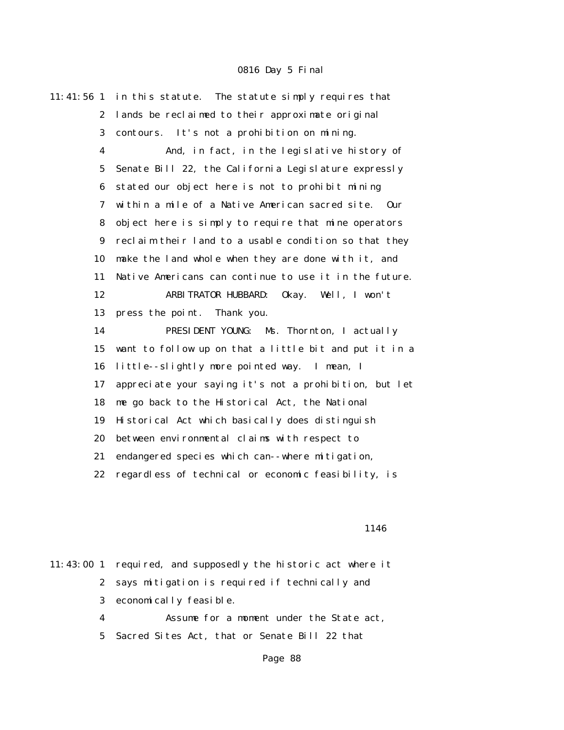| $11:41:56$ 1     | in this statute. The statute simply requires that                  |
|------------------|--------------------------------------------------------------------|
| $\boldsymbol{2}$ | lands be reclaimed to their approximate original                   |
| 3                | It's not a prohibition on mining.<br>contours.                     |
| $\boldsymbol{4}$ | And, in fact, in the legislative history of                        |
| $\mathbf{5}$     | Senate Bill 22, the California Legislature expressly               |
| 6                | stated our object here is not to prohibit mining                   |
| 7                | within a mile of a Native American sacred site.<br>0 <sub>ur</sub> |
| 8                | object here is simply to require that mine operators               |
| $\boldsymbol{9}$ | reclaim their land to a usable condition so that they              |
| 10               | make the land whole when they are done with it, and                |
| 11               | Native Americans can continue to use it in the future.             |
| 12               | ARBITRATOR HUBBARD:<br>Okay. Well, I won't                         |
| 13               | press the point. Thank you.                                        |
| 14               | PRESIDENT YOUNG: Ms. Thornton, I actually                          |
| 15               | want to follow up on that a little bit and put it in a             |
| 16               | little--slightly more pointed way. I mean, I                       |
| 17               | appreciate your saying it's not a prohibition, but let             |
| 18               | me go back to the Historical Act, the National                     |
| 19               | Historical Act which basically does distinguish                    |
| 20               | between environmental claims with respect to                       |
| 21               | endangered species which can--where mitigation,                    |
| 22               | regardless of technical or economic feasibility, is                |
|                  |                                                                    |

#### 1146

11:43:00 1 required, and supposedly the historic act where it 2 says mitigation is required if technically and 3 economically feasible. 4 Assume for a moment under the State act,

5 Sacred Sites Act, that or Senate Bill 22 that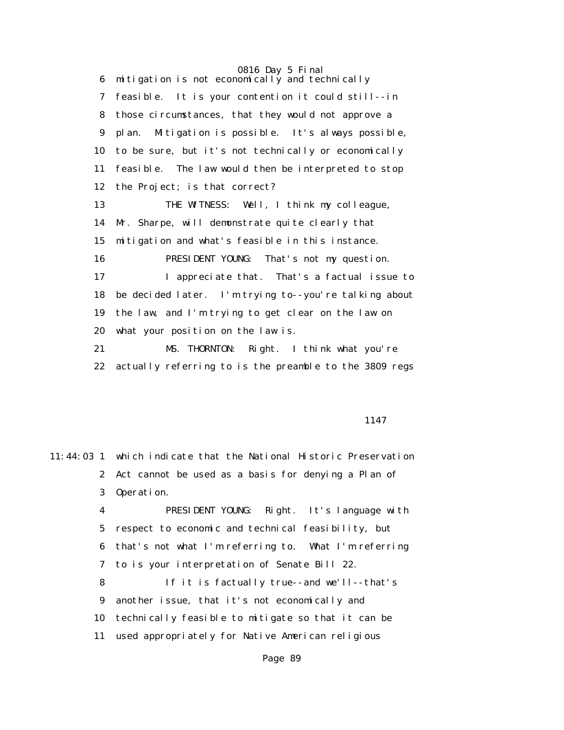0816 Day 5 Final 6 mitigation is not economically and technically 7 feasible. It is your contention it could still--in 8 those circumstances, that they would not approve a 9 plan. Mitigation is possible. It's always possible, 10 to be sure, but it's not technically or economically 11 feasible. The law would then be interpreted to stop 12 the Project; is that correct? 13 THE WITNESS: Well, I think my colleague, 14 Mr. Sharpe, will demonstrate quite clearly that 15 mitigation and what's feasible in this instance. 16 PRESIDENT YOUNG: That's not my question. 17 I appreciate that. That's a factual issue to 18 be decided later. I'm trying to--you're talking about 19 the law, and I'm trying to get clear on the law on 20 what your position on the law is. 21 MS. THORNTON: Right. I think what you're 22 actually referring to is the preamble to the 3809 regs

1147

11:44:03 1 which indicate that the National Historic Preservation 2 Act cannot be used as a basis for denying a Plan of 3 Operation. 4 PRESIDENT YOUNG: Right. It's language with 5 respect to economic and technical feasibility, but 6 that's not what I'm referring to. What I'm referring 7 to is your interpretation of Senate Bill 22. 8 If it is factually true--and we'll--that's 9 another issue, that it's not economically and 10 technically feasible to mitigate so that it can be 11 used appropriately for Native American religious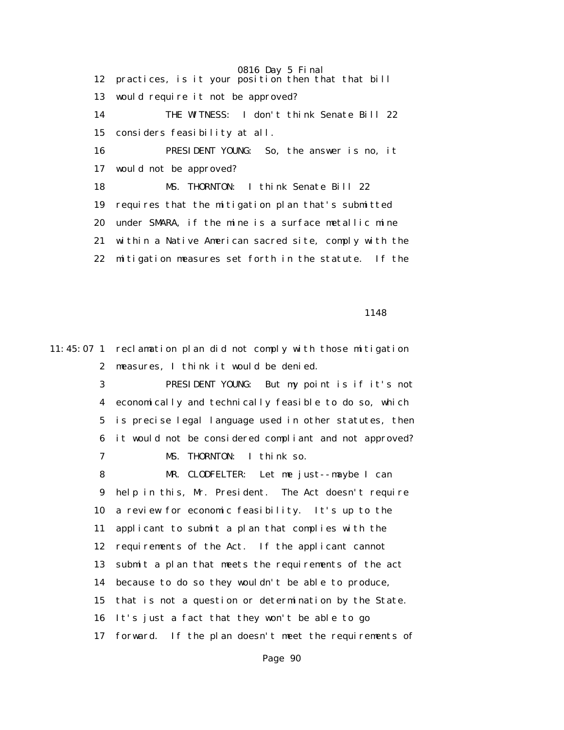0816 Day 5 Final 12 practices, is it your position then that that bill 13 would require it not be approved? 14 THE WITNESS: I don't think Senate Bill 22 15 considers feasibility at all. 16 PRESIDENT YOUNG: So, the answer is no, it 17 would not be approved? 18 MS. THORNTON: I think Senate Bill 22 19 requires that the mitigation plan that's submitted 20 under SMARA, if the mine is a surface metallic mine 21 within a Native American sacred site, comply with the 22 mitigation measures set forth in the statute. If the

1148

11:45:07 1 reclamation plan did not comply with those mitigation 2 measures, I think it would be denied. 3 PRESIDENT YOUNG: But my point is if it's not 4 economically and technically feasible to do so, which 5 is precise legal language used in other statutes, then 6 it would not be considered compliant and not approved? 7 MS. THORNTON: I think so. 8 MR. CLODFELTER: Let me just--maybe I can 9 help in this, Mr. President. The Act doesn't require 10 a review for economic feasibility. It's up to the 11 applicant to submit a plan that complies with the 12 requirements of the Act. If the applicant cannot 13 submit a plan that meets the requirements of the act 14 because to do so they wouldn't be able to produce, 15 that is not a question or determination by the State. 16 It's just a fact that they won't be able to go 17 forward. If the plan doesn't meet the requirements of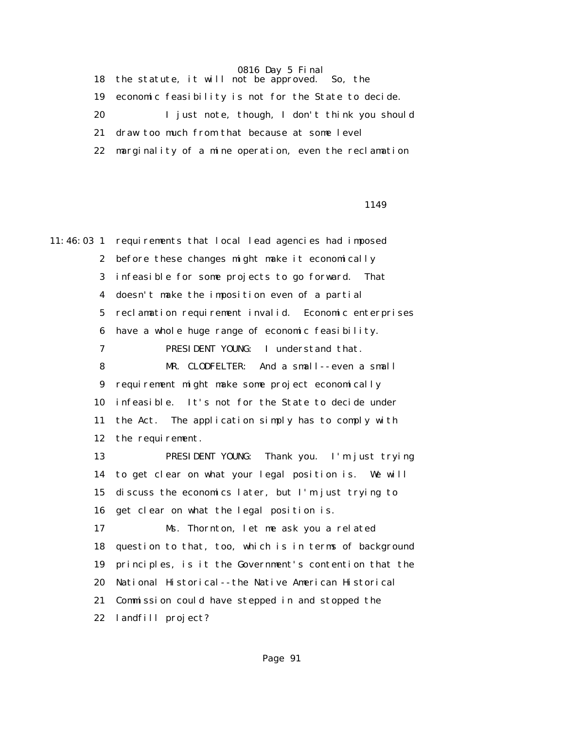18 the statute, it will not be approved. So, the 19 economic feasibility is not for the State to decide. 20 I just note, though, I don't think you should 21 draw too much from that because at some level 22 marginality of a mine operation, even the reclamation

1149

11:46:03 1 requirements that local lead agencies had imposed 2 before these changes might make it economically 3 infeasible for some projects to go forward. That 4 doesn't make the imposition even of a partial 5 reclamation requirement invalid. Economic enterprises 6 have a whole huge range of economic feasibility. 7 PRESIDENT YOUNG: I understand that. 8 MR. CLODFELTER: And a small--even a small 9 requirement might make some project economically 10 infeasible. It's not for the State to decide under 11 the Act. The application simply has to comply with 12 the requirement. 13 PRESIDENT YOUNG: Thank you. I'm just trying 14 to get clear on what your legal position is. We will 15 discuss the economics later, but I'm just trying to 16 get clear on what the legal position is. 17 Ms. Thornton, let me ask you a related 18 question to that, too, which is in terms of background 19 principles, is it the Government's contention that the 20 National Historical--the Native American Historical 21 Commission could have stepped in and stopped the 22 landfill project?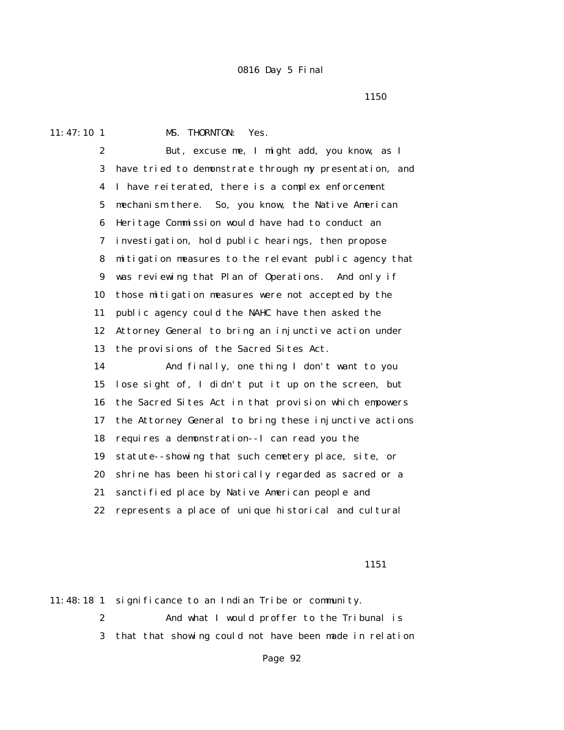11:47:10 1 MS. THORNTON: Yes.

 2 But, excuse me, I might add, you know, as I 3 have tried to demonstrate through my presentation, and 4 I have reiterated, there is a complex enforcement 5 mechanism there. So, you know, the Native American 6 Heritage Commission would have had to conduct an 7 investigation, hold public hearings, then propose 8 mitigation measures to the relevant public agency that 9 was reviewing that Plan of Operations. And only if 10 those mitigation measures were not accepted by the 11 public agency could the NAHC have then asked the 12 Attorney General to bring an injunctive action under 13 the provisions of the Sacred Sites Act.

 14 And finally, one thing I don't want to you 15 lose sight of, I didn't put it up on the screen, but 16 the Sacred Sites Act in that provision which empowers 17 the Attorney General to bring these injunctive actions 18 requires a demonstration--I can read you the 19 statute--showing that such cemetery place, site, or 20 shrine has been historically regarded as sacred or a 21 sanctified place by Native American people and 22 represents a place of unique historical and cultural

1151

11:48:18 1 significance to an Indian Tribe or community. 2 And what I would proffer to the Tribunal is 3 that that showing could not have been made in relation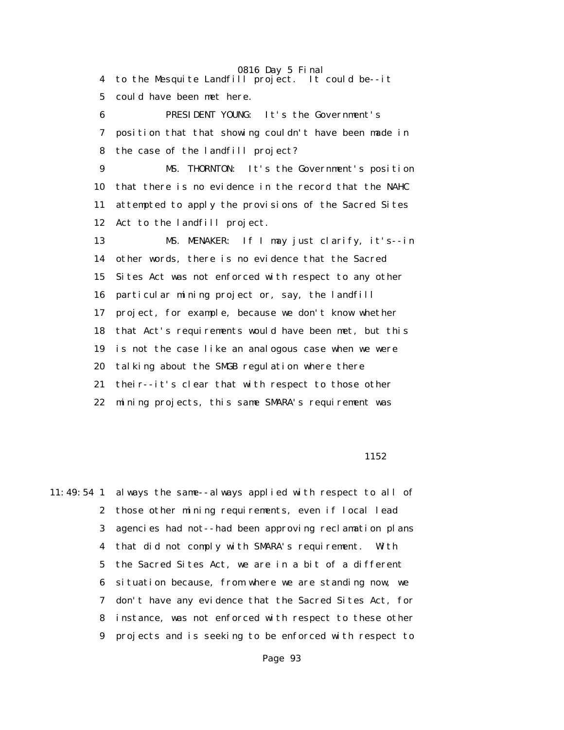0816 Day 5 Final 4 to the Mesquite Landfill project. It could be--it 5 could have been met here. 6 PRESIDENT YOUNG: It's the Government's 7 position that that showing couldn't have been made in 8 the case of the landfill project? 9 MS. THORNTON: It's the Government's position 10 that there is no evidence in the record that the NAHC 11 attempted to apply the provisions of the Sacred Sites 12 Act to the landfill project. 13 MS. MENAKER: If I may just clarify, it's--in 14 other words, there is no evidence that the Sacred 15 Sites Act was not enforced with respect to any other 16 particular mining project or, say, the landfill 17 project, for example, because we don't know whether 18 that Act's requirements would have been met, but this 19 is not the case like an analogous case when we were 20 talking about the SMGB regulation where there 21 their--it's clear that with respect to those other 22 mining projects, this same SMARA's requirement was

#### $1152$

11:49:54 1 always the same--always applied with respect to all of 2 those other mining requirements, even if local lead 3 agencies had not--had been approving reclamation plans 4 that did not comply with SMARA's requirement. With 5 the Sacred Sites Act, we are in a bit of a different 6 situation because, from where we are standing now, we 7 don't have any evidence that the Sacred Sites Act, for 8 instance, was not enforced with respect to these other 9 projects and is seeking to be enforced with respect to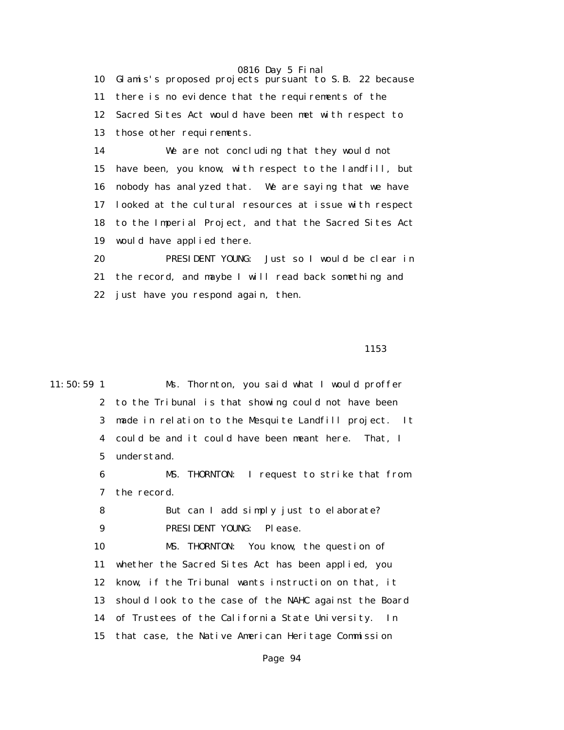10 Glamis's proposed projects pursuant to S.B. 22 because 11 there is no evidence that the requirements of the 12 Sacred Sites Act would have been met with respect to 13 those other requirements.

 14 We are not concluding that they would not 15 have been, you know, with respect to the landfill, but 16 nobody has analyzed that. We are saying that we have 17 looked at the cultural resources at issue with respect 18 to the Imperial Project, and that the Sacred Sites Act 19 would have applied there.

 20 PRESIDENT YOUNG: Just so I would be clear in 21 the record, and maybe I will read back something and 22 just have you respond again, then.

#### $1153$

11:50:59 1 Ms. Thornton, you said what I would proffer 2 to the Tribunal is that showing could not have been 3 made in relation to the Mesquite Landfill project. It 4 could be and it could have been meant here. That, I 5 understand. 6 MS. THORNTON: I request to strike that from 7 the record. 8 But can I add simply just to elaborate? 9 PRESIDENT YOUNG: Please. 10 MS. THORNTON: You know, the question of 11 whether the Sacred Sites Act has been applied, you 12 know, if the Tribunal wants instruction on that, it 13 should look to the case of the NAHC against the Board 14 of Trustees of the California State University. In 15 that case, the Native American Heritage Commission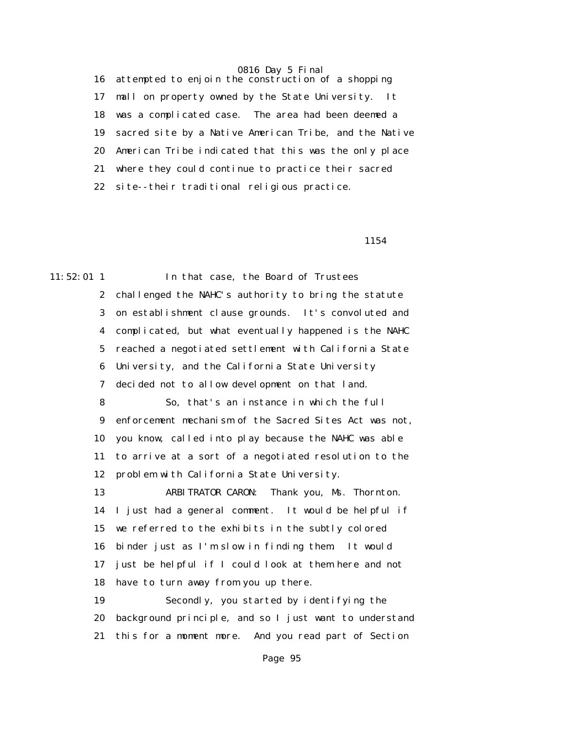16 attempted to enjoin the construction of a shopping 17 mall on property owned by the State University. It 18 was a complicated case. The area had been deemed a 19 sacred site by a Native American Tribe, and the Native 20 American Tribe indicated that this was the only place 21 where they could continue to practice their sacred 22 site--their traditional religious practice.

1154

11:52:01 1 In that case, the Board of Trustees 2 challenged the NAHC's authority to bring the statute 3 on establishment clause grounds. It's convoluted and 4 complicated, but what eventually happened is the NAHC 5 reached a negotiated settlement with California State 6 University, and the California State University 7 decided not to allow development on that land. 8 So, that's an instance in which the full 9 enforcement mechanism of the Sacred Sites Act was not, 10 you know, called into play because the NAHC was able 11 to arrive at a sort of a negotiated resolution to the 12 problem with California State University. 13 ARBITRATOR CARON: Thank you, Ms. Thornton. 14 I just had a general comment. It would be helpful if 15 we referred to the exhibits in the subtly colored 16 binder just as I'm slow in finding them. It would 17 just be helpful if I could look at them here and not 18 have to turn away from you up there. 19 Secondly, you started by identifying the 20 background principle, and so I just want to understand 21 this for a moment more. And you read part of Section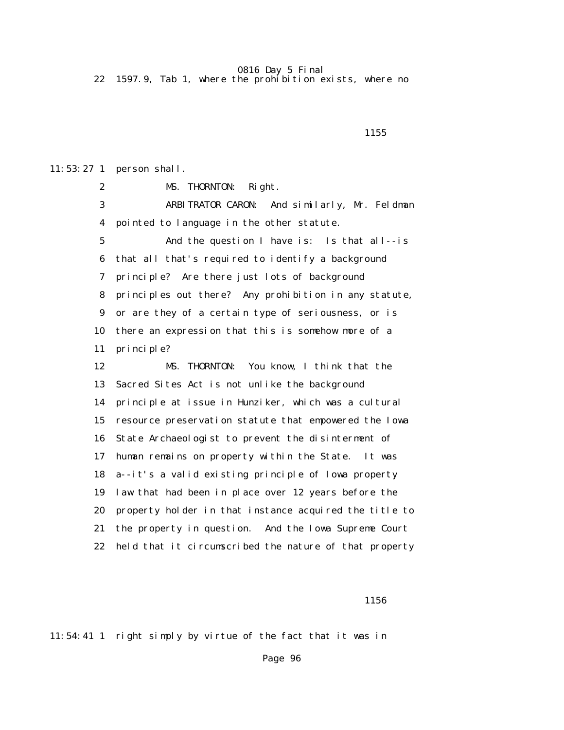22 1597.9, Tab 1, where the prohibition exists, where no

<u>1155</u>

11:53:27 1 person shall.

2 MS. THORNTON: Right. 3 ARBITRATOR CARON: And similarly, Mr. Feldman 4 pointed to language in the other statute. 5 And the question I have is: Is that all--is 6 that all that's required to identify a background 7 principle? Are there just lots of background 8 principles out there? Any prohibition in any statute, 9 or are they of a certain type of seriousness, or is 10 there an expression that this is somehow more of a 11 principle? 12 MS. THORNTON: You know, I think that the 13 Sacred Sites Act is not unlike the background 14 principle at issue in Hunziker, which was a cultural 15 resource preservation statute that empowered the Iowa 16 State Archaeologist to prevent the disinterment of 17 human remains on property within the State. It was 18 a--it's a valid existing principle of Iowa property 19 law that had been in place over 12 years before the 20 property holder in that instance acquired the title to 21 the property in question. And the Iowa Supreme Court 22 held that it circumscribed the nature of that property

 $1156$ 

11:54:41 1 right simply by virtue of the fact that it was in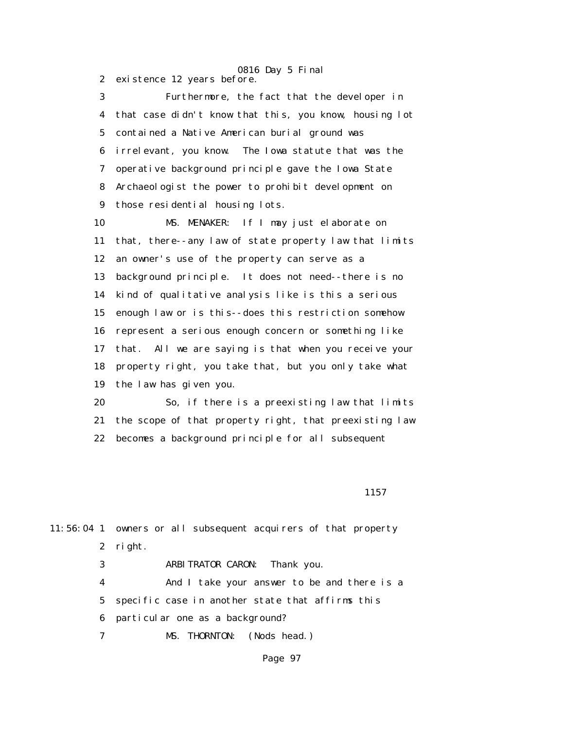2 existence 12 years before.

# 0816 Day 5 Final

 3 Furthermore, the fact that the developer in 4 that case didn't know that this, you know, housing lot 5 contained a Native American burial ground was 6 irrelevant, you know. The Iowa statute that was the 7 operative background principle gave the Iowa State 8 Archaeologist the power to prohibit development on 9 those residential housing lots.

 10 MS. MENAKER: If I may just elaborate on 11 that, there--any law of state property law that limits 12 an owner's use of the property can serve as a 13 background principle. It does not need--there is no 14 kind of qualitative analysis like is this a serious 15 enough law or is this--does this restriction somehow 16 represent a serious enough concern or something like 17 that. All we are saying is that when you receive your 18 property right, you take that, but you only take what 19 the law has given you.

 20 So, if there is a preexisting law that limits 21 the scope of that property right, that preexisting law 22 becomes a background principle for all subsequent

 $1157$ 

11:56:04 1 owners or all subsequent acquirers of that property 2 right. 3 ARBITRATOR CARON: Thank you.

> 4 And I take your answer to be and there is a 5 specific case in another state that affirms this 6 particular one as a background?

7 MS. THORNTON: (Nods head.)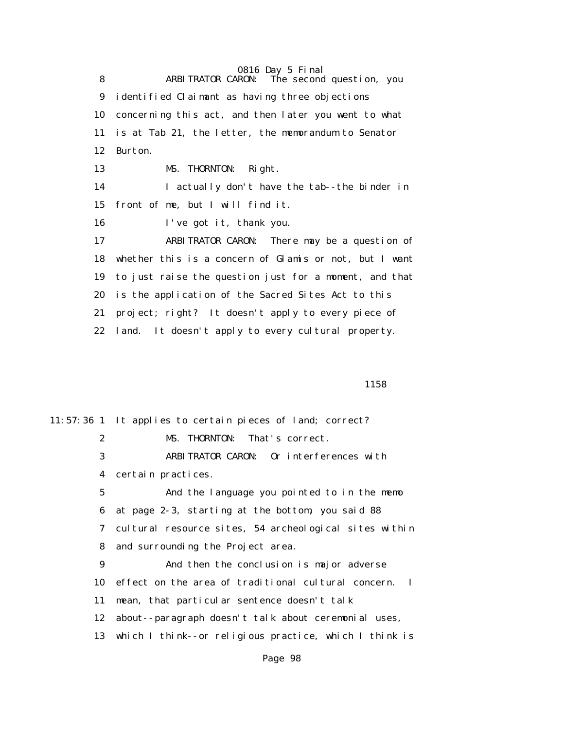0816 Day 5 Final 8 ARBITRATOR CARON: The second question, you 9 identified Claimant as having three objections 10 concerning this act, and then later you went to what 11 is at Tab 21, the letter, the memorandum to Senator 12 Burton. 13 MS. THORNTON: Right. 14 I actually don't have the tab--the binder in 15 front of me, but I will find it. 16 I've got it, thank you. 17 ARBITRATOR CARON: There may be a question of 18 whether this is a concern of Glamis or not, but I want 19 to just raise the question just for a moment, and that 20 is the application of the Sacred Sites Act to this 21 project; right? It doesn't apply to every piece of 22 land. It doesn't apply to every cultural property.

 $1158$ 

11:57:36 1 It applies to certain pieces of land; correct? 2 MS. THORNTON: That's correct. 3 ARBITRATOR CARON: Or interferences with 4 certain practices. 5 And the language you pointed to in the memo 6 at page 2-3, starting at the bottom, you said 88 7 cultural resource sites, 54 archeological sites within 8 and surrounding the Project area. 9 And then the conclusion is major adverse 10 effect on the area of traditional cultural concern. I 11 mean, that particular sentence doesn't talk 12 about--paragraph doesn't talk about ceremonial uses, 13 which I think--or religious practice, which I think is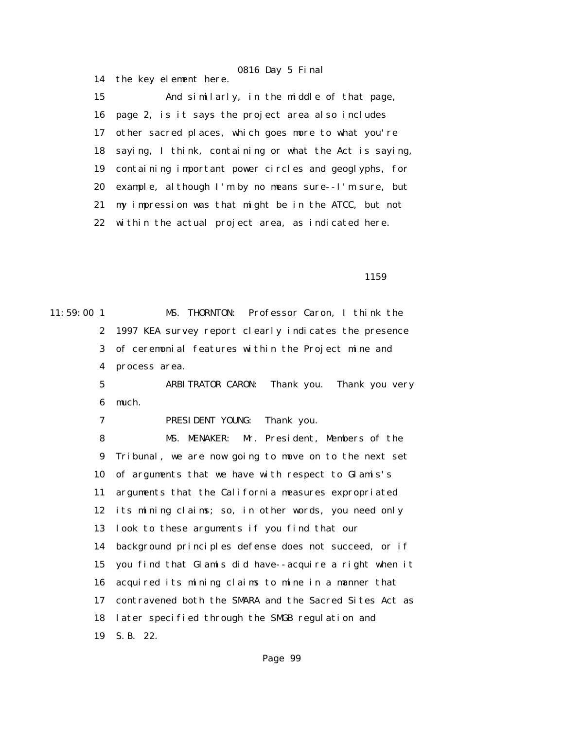15 And similarly, in the middle of that page, 16 page 2, is it says the project area also includes 17 other sacred places, which goes more to what you're 18 saying, I think, containing or what the Act is saying, 19 containing important power circles and geoglyphs, for 20 example, although I'm by no means sure--I'm sure, but 21 my impression was that might be in the ATCC, but not 22 within the actual project area, as indicated here.

14 the key element here.

 $1159$ 

11:59:00 1 MS. THORNTON: Professor Caron, I think the 2 1997 KEA survey report clearly indicates the presence 3 of ceremonial features within the Project mine and 4 process area. 5 ARBITRATOR CARON: Thank you. Thank you very 6 much. 7 PRESIDENT YOUNG: Thank you. 8 MS. MENAKER: Mr. President, Members of the 9 Tribunal, we are now going to move on to the next set 10 of arguments that we have with respect to Glamis's 11 arguments that the California measures expropriated 12 its mining claims; so, in other words, you need only 13 look to these arguments if you find that our 14 background principles defense does not succeed, or if 15 you find that Glamis did have--acquire a right when it 16 acquired its mining claims to mine in a manner that 17 contravened both the SMARA and the Sacred Sites Act as 18 later specified through the SMGB regulation and 19 S.B. 22.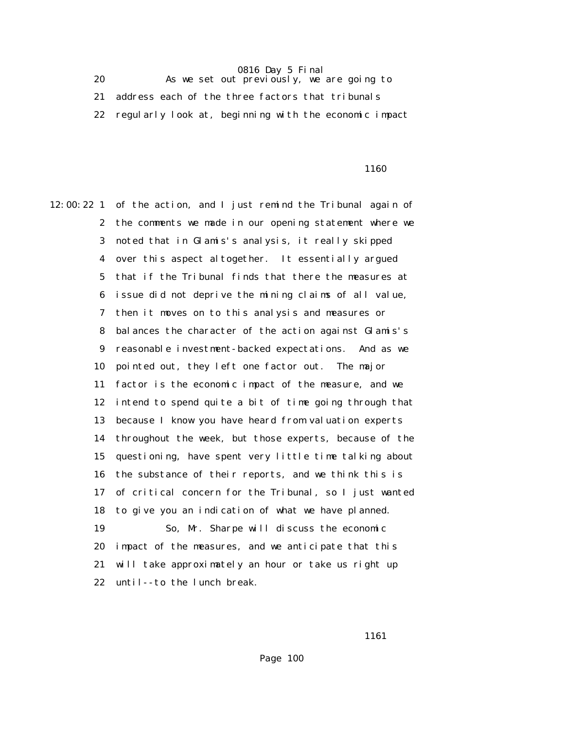20 As we set out previously, we are going to 21 address each of the three factors that tribunals 22 regularly look at, beginning with the economic impact

1160 and 1160 and 1160 and 1160 and 1160 and 1160 and 1160 and 1160 and 1160 and 1160 and 1160 and 1160 and 1

12:00:22 1 of the action, and I just remind the Tribunal again of 2 the comments we made in our opening statement where we 3 noted that in Glamis's analysis, it really skipped 4 over this aspect altogether. It essentially argued 5 that if the Tribunal finds that there the measures at 6 issue did not deprive the mining claims of all value, 7 then it moves on to this analysis and measures or 8 balances the character of the action against Glamis's 9 reasonable investment-backed expectations. And as we 10 pointed out, they left one factor out. The major 11 factor is the economic impact of the measure, and we 12 intend to spend quite a bit of time going through that 13 because I know you have heard from valuation experts 14 throughout the week, but those experts, because of the 15 questioning, have spent very little time talking about 16 the substance of their reports, and we think this is 17 of critical concern for the Tribunal, so I just wanted 18 to give you an indication of what we have planned. 19 So, Mr. Sharpe will discuss the economic 20 impact of the measures, and we anticipate that this 21 will take approximately an hour or take us right up 22 until--to the lunch break.

1161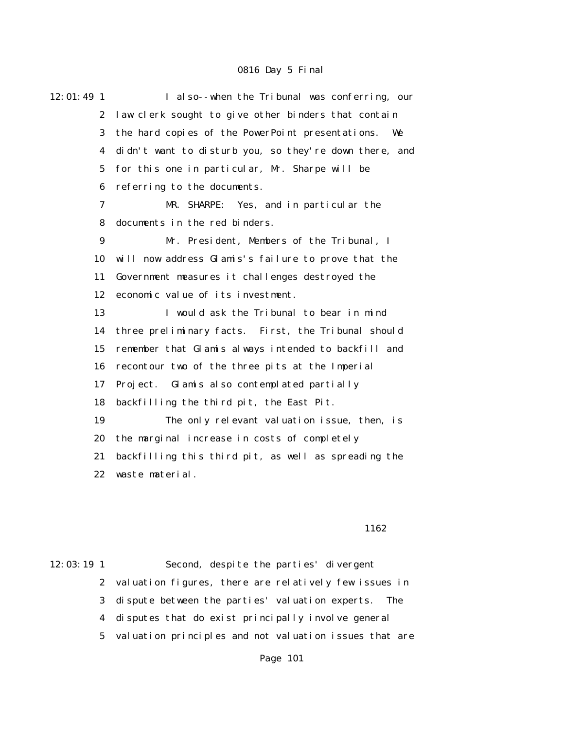12:01:49 1 I also--when the Tribunal was conferring, our 2 law clerk sought to give other binders that contain 3 the hard copies of the PowerPoint presentations. We 4 didn't want to disturb you, so they're down there, and 5 for this one in particular, Mr. Sharpe will be 6 referring to the documents. 7 MR. SHARPE: Yes, and in particular the 8 documents in the red binders. 9 Mr. President, Members of the Tribunal, I 10 will now address Glamis's failure to prove that the 11 Government measures it challenges destroyed the 12 economic value of its investment. 13 I would ask the Tribunal to bear in mind 14 three preliminary facts. First, the Tribunal should 15 remember that Glamis always intended to backfill and 16 recontour two of the three pits at the Imperial 17 Project. Glamis also contemplated partially 18 backfilling the third pit, the East Pit. 19 The only relevant valuation issue, then, is 20 the marginal increase in costs of completely 21 backfilling this third pit, as well as spreading the 22 waste material.

#### $1162$

12:03:19 1 Second, despite the parties' divergent 2 valuation figures, there are relatively few issues in 3 dispute between the parties' valuation experts. The 4 disputes that do exist principally involve general 5 valuation principles and not valuation issues that are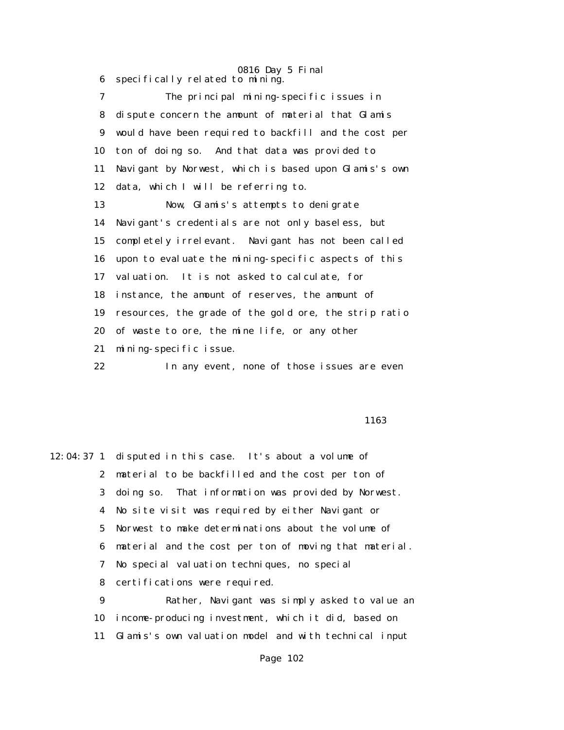0816 Day 5 Final 6 specifically related to mining.

 7 The principal mining-specific issues in 8 dispute concern the amount of material that Glamis 9 would have been required to backfill and the cost per 10 ton of doing so. And that data was provided to 11 Navigant by Norwest, which is based upon Glamis's own 12 data, which I will be referring to. 13 Now, Glamis's attempts to denigrate 14 Navigant's credentials are not only baseless, but 15 completely irrelevant. Navigant has not been called 16 upon to evaluate the mining-specific aspects of this 17 valuation. It is not asked to calculate, for 18 instance, the amount of reserves, the amount of 19 resources, the grade of the gold ore, the strip ratio 20 of waste to ore, the mine life, or any other 21 mining-specific issue.

22 In any event, none of those issues are even

#### $1163$

12:04:37 1 disputed in this case. It's about a volume of 2 material to be backfilled and the cost per ton of 3 doing so. That information was provided by Norwest. 4 No site visit was required by either Navigant or 5 Norwest to make determinations about the volume of 6 material and the cost per ton of moving that material. 7 No special valuation techniques, no special 8 certifications were required. 9 Rather, Navigant was simply asked to value an 10 income-producing investment, which it did, based on 11 Glamis's own valuation model and with technical input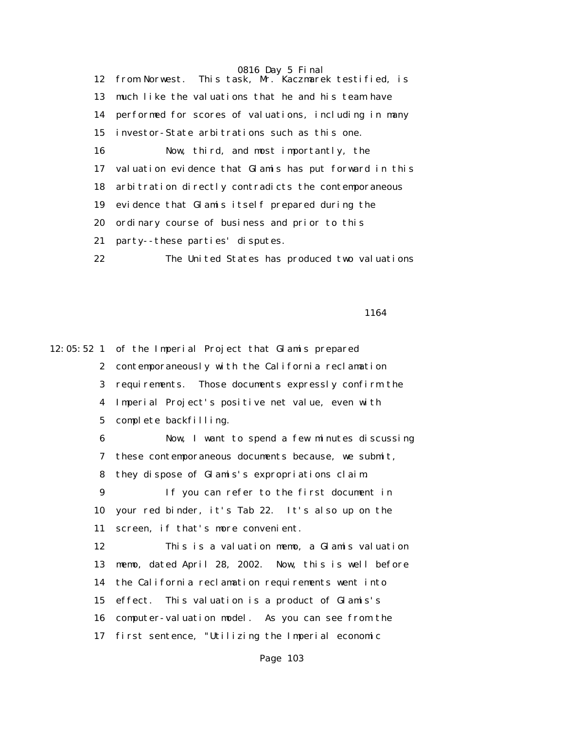0816 Day 5 Final 12 from Norwest. This task, Mr. Kaczmarek testified, is 13 much like the valuations that he and his team have 14 performed for scores of valuations, including in many 15 investor-State arbitrations such as this one. 16 Now, third, and most importantly, the 17 valuation evidence that Glamis has put forward in this 18 arbitration directly contradicts the contemporaneous 19 evidence that Glamis itself prepared during the 20 ordinary course of business and prior to this 21 party--these parties' disputes. 22 The United States has produced two valuations

1164

12:05:52 1 of the Imperial Project that Glamis prepared 2 contemporaneously with the California reclamation 3 requirements. Those documents expressly confirm the 4 Imperial Project's positive net value, even with 5 complete backfilling.

> 6 Now, I want to spend a few minutes discussing 7 these contemporaneous documents because, we submit, 8 they dispose of Glamis's expropriations claim. 9 If you can refer to the first document in 10 your red binder, it's Tab 22. It's also up on the 11 screen, if that's more convenient.

 12 This is a valuation memo, a Glamis valuation 13 memo, dated April 28, 2002. Now, this is well before 14 the California reclamation requirements went into 15 effect. This valuation is a product of Glamis's 16 computer-valuation model. As you can see from the 17 first sentence, "Utilizing the Imperial economic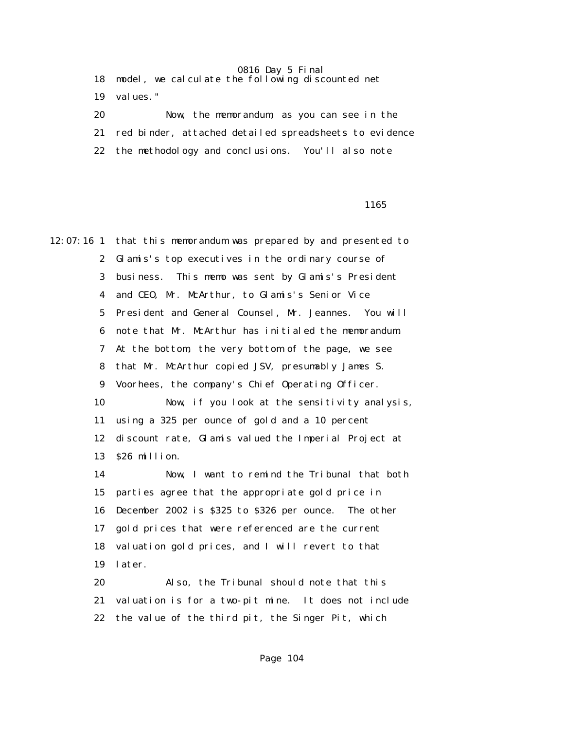|    | 18 model, we calculate the following discounted net    |
|----|--------------------------------------------------------|
|    | 19 values."                                            |
| 20 | Now, the memorandum, as you can see in the             |
| 21 | red binder, attached detailed spreadsheets to evidence |
|    | 22 the methodology and conclusions. You'll also note   |

1165

12:07:16 1 that this memorandum was prepared by and presented to 2 Glamis's top executives in the ordinary course of 3 business. This memo was sent by Glamis's President 4 and CEO, Mr. McArthur, to Glamis's Senior Vice 5 President and General Counsel, Mr. Jeannes. You will 6 note that Mr. McArthur has initialed the memorandum. 7 At the bottom, the very bottom of the page, we see 8 that Mr. McArthur copied JSV, presumably James S. 9 Voorhees, the company's Chief Operating Officer. 10 Now, if you look at the sensitivity analysis, 11 using a 325 per ounce of gold and a 10 percent 12 discount rate, Glamis valued the Imperial Project at 13 \$26 million. 14 Now, I want to remind the Tribunal that both 15 parties agree that the appropriate gold price in 16 December 2002 is \$325 to \$326 per ounce. The other 17 gold prices that were referenced are the current 18 valuation gold prices, and I will revert to that 19 later. 20 Also, the Tribunal should note that this 21 valuation is for a two-pit mine. It does not include 22 the value of the third pit, the Singer Pit, which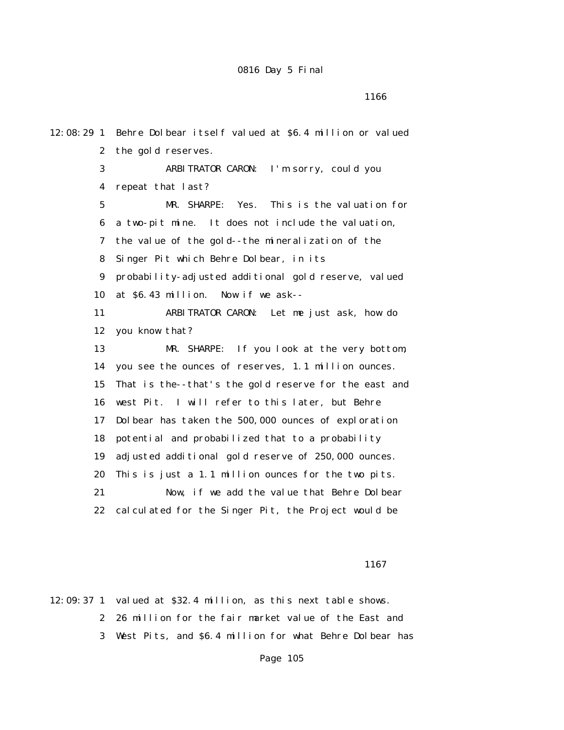12:08:29 1 Behre Dolbear itself valued at \$6.4 million or valued 2 the gold reserves. 3 ARBITRATOR CARON: I'm sorry, could you 4 repeat that last? 5 MR. SHARPE: Yes. This is the valuation for 6 a two-pit mine. It does not include the valuation, 7 the value of the gold--the mineralization of the 8 Singer Pit which Behre Dolbear, in its 9 probability-adjusted additional gold reserve, valued 10 at \$6.43 million. Now if we ask-- 11 ARBITRATOR CARON: Let me just ask, how do 12 you know that? 13 MR. SHARPE: If you look at the very bottom, 14 you see the ounces of reserves, 1.1 million ounces. 15 That is the--that's the gold reserve for the east and 16 west Pit. I will refer to this later, but Behre 17 Dolbear has taken the 500,000 ounces of exploration 18 potential and probabilized that to a probability 19 adjusted additional gold reserve of 250,000 ounces. 20 This is just a 1.1 million ounces for the two pits. 21 Now, if we add the value that Behre Dolbear 22 calculated for the Singer Pit, the Project would be

 $1167$ 

12:09:37 1 valued at \$32.4 million, as this next table shows. 2 26 million for the fair market value of the East and 3 West Pits, and \$6.4 million for what Behre Dolbear has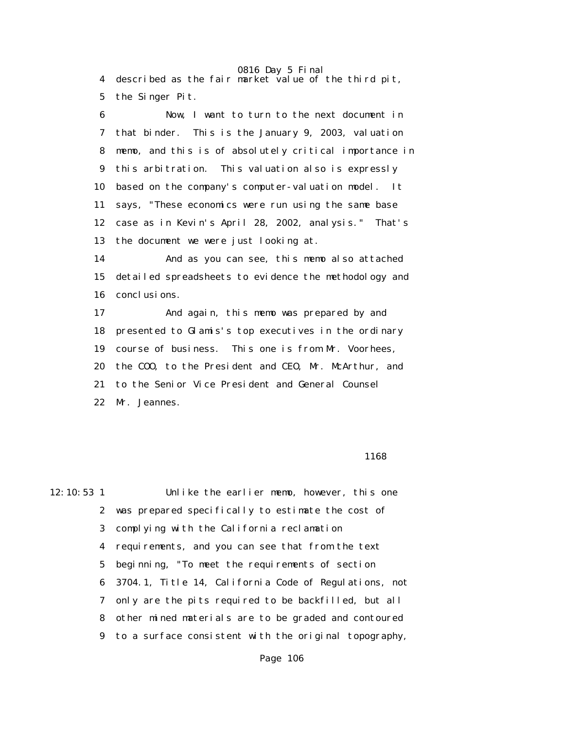4 described as the fair market value of the third pit, 5 the Singer Pit.

 6 Now, I want to turn to the next document in 7 that binder. This is the January 9, 2003, valuation 8 memo, and this is of absolutely critical importance in 9 this arbitration. This valuation also is expressly 10 based on the company's computer-valuation model. It 11 says, "These economics were run using the same base 12 case as in Kevin's April 28, 2002, analysis." That's 13 the document we were just looking at.

 14 And as you can see, this memo also attached 15 detailed spreadsheets to evidence the methodology and 16 conclusions.

 17 And again, this memo was prepared by and 18 presented to Glamis's top executives in the ordinary 19 course of business. This one is from Mr. Voorhees, 20 the COO, to the President and CEO, Mr. McArthur, and 21 to the Senior Vice President and General Counsel 22 Mr. Jeannes.

#### $1168$

12:10:53 1 Unlike the earlier memo, however, this one 2 was prepared specifically to estimate the cost of 3 complying with the California reclamation 4 requirements, and you can see that from the text 5 beginning, "To meet the requirements of section 6 3704.1, Title 14, California Code of Regulations, not 7 only are the pits required to be backfilled, but all 8 other mined materials are to be graded and contoured 9 to a surface consistent with the original topography,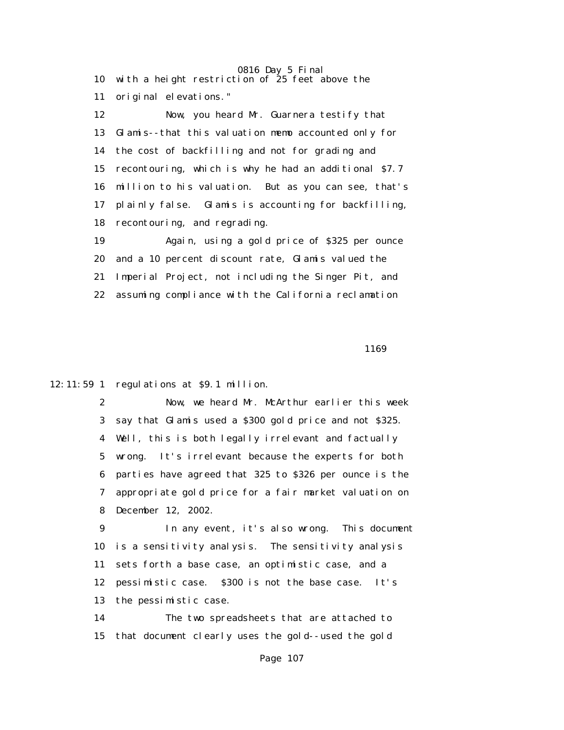0816 Day 5 Final 10 with a height restriction of 25 feet above the 11 original elevations." 12 Now, you heard Mr. Guarnera testify that 13 Glamis--that this valuation memo accounted only for 14 the cost of backfilling and not for grading and 15 recontouring, which is why he had an additional \$7.7 16 million to his valuation. But as you can see, that's 17 plainly false. Glamis is accounting for backfilling, 18 recontouring, and regrading. 19 Again, using a gold price of \$325 per ounce 20 and a 10 percent discount rate, Glamis valued the 21 Imperial Project, not including the Singer Pit, and

22 assuming compliance with the California reclamation

 $1169$ 

12:11:59 1 regulations at \$9.1 million.

 2 Now, we heard Mr. McArthur earlier this week 3 say that Glamis used a \$300 gold price and not \$325. 4 Well, this is both legally irrelevant and factually 5 wrong. It's irrelevant because the experts for both 6 parties have agreed that 325 to \$326 per ounce is the 7 appropriate gold price for a fair market valuation on 8 December 12, 2002.

 9 In any event, it's also wrong. This document 10 is a sensitivity analysis. The sensitivity analysis 11 sets forth a base case, an optimistic case, and a 12 pessimistic case. \$300 is not the base case. It's 13 the pessimistic case.

 14 The two spreadsheets that are attached to 15 that document clearly uses the gold--used the gold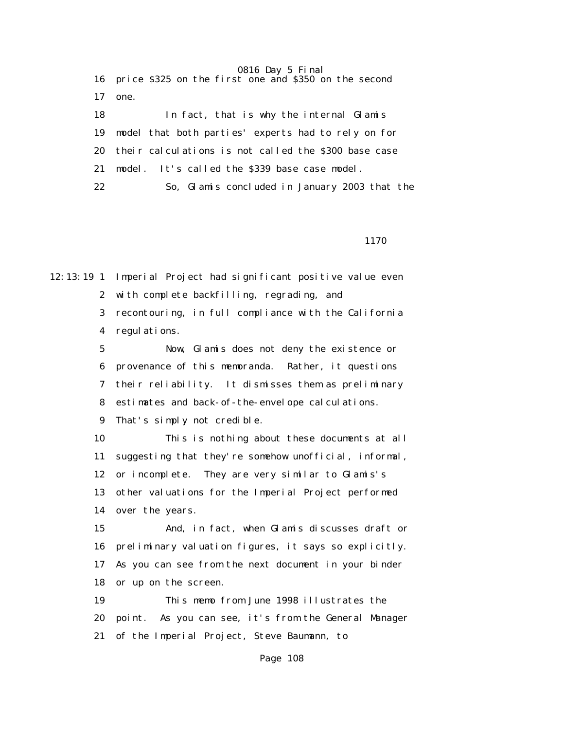|      | 16 price \$325 on the first one and \$350 on the second |
|------|---------------------------------------------------------|
| 17   | one.                                                    |
| 18   | In fact, that is why the internal Glamis                |
| 19   | model that both parties' experts had to rely on for     |
| 20 - | their calculations is not called the \$300 base case    |
| 21   | model. It's called the \$339 base case model.           |
| 22   | So, Glamis concluded in January 2003 that the           |

1170

12:13:19 1 Imperial Project had significant positive value even 2 with complete backfilling, regrading, and 3 recontouring, in full compliance with the California 4 regulations.

> 5 Now, Glamis does not deny the existence or 6 provenance of this memoranda. Rather, it questions 7 their reliability. It dismisses them as preliminary 8 estimates and back-of-the-envelope calculations.

9 That's simply not credible.

 10 This is nothing about these documents at all 11 suggesting that they're somehow unofficial, informal, 12 or incomplete. They are very similar to Glamis's 13 other valuations for the Imperial Project performed 14 over the years.

 15 And, in fact, when Glamis discusses draft or 16 preliminary valuation figures, it says so explicitly. 17 As you can see from the next document in your binder 18 or up on the screen.

 19 This memo from June 1998 illustrates the 20 point. As you can see, it's from the General Manager 21 of the Imperial Project, Steve Baumann, to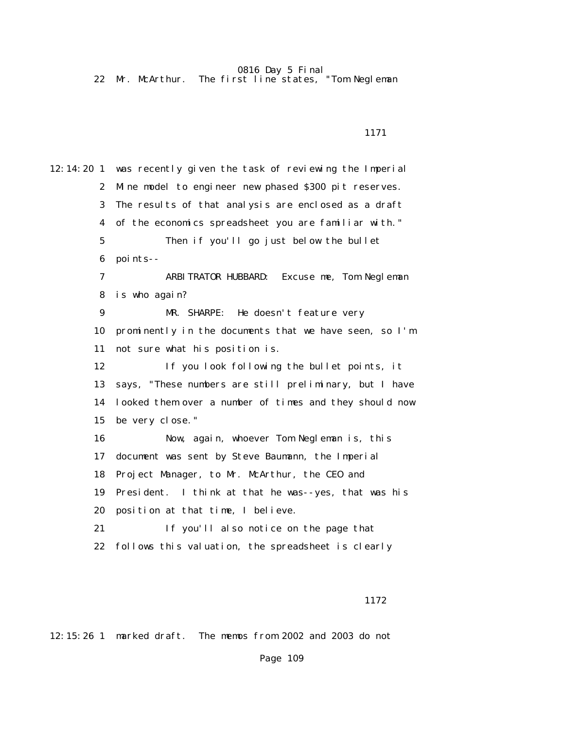22 Mr. McArthur. The first line states, "Tom Negleman

1171

12:14:20 1 was recently given the task of reviewing the Imperial 2 Mine model to engineer new phased \$300 pit reserves. 3 The results of that analysis are enclosed as a draft 4 of the economics spreadsheet you are familiar with." 5 Then if you'll go just below the bullet 6 points-- 7 ARBITRATOR HUBBARD: Excuse me, Tom Negleman 8 is who again? 9 MR. SHARPE: He doesn't feature very 10 prominently in the documents that we have seen, so I'm 11 not sure what his position is. 12 If you look following the bullet points, it 13 says, "These numbers are still preliminary, but I have 14 looked them over a number of times and they should now 15 be very close." 16 Now, again, whoever Tom Negleman is, this 17 document was sent by Steve Baumann, the Imperial 18 Project Manager, to Mr. McArthur, the CEO and 19 President. I think at that he was--yes, that was his 20 position at that time, I believe. 21 If you'll also notice on the page that 22 follows this valuation, the spreadsheet is clearly

1172

12:15:26 1 marked draft. The memos from 2002 and 2003 do not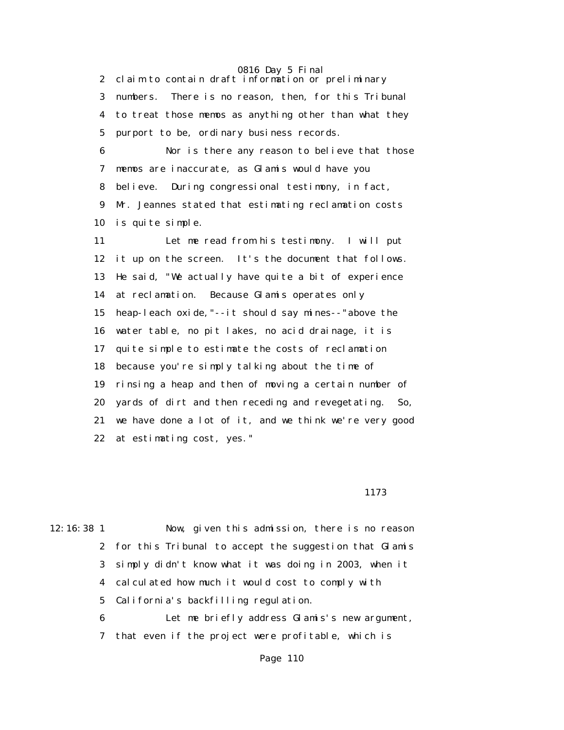2 claim to contain draft information or preliminary 3 numbers. There is no reason, then, for this Tribunal 4 to treat those memos as anything other than what they 5 purport to be, ordinary business records.

 6 Nor is there any reason to believe that those 7 memos are inaccurate, as Glamis would have you 8 believe. During congressional testimony, in fact, 9 Mr. Jeannes stated that estimating reclamation costs 10 is quite simple.

 11 Let me read from his testimony. I will put 12 it up on the screen. It's the document that follows. 13 He said, "We actually have quite a bit of experience 14 at reclamation. Because Glamis operates only 15 heap-leach oxide,"--it should say mines--"above the 16 water table, no pit lakes, no acid drainage, it is 17 quite simple to estimate the costs of reclamation 18 because you're simply talking about the time of 19 rinsing a heap and then of moving a certain number of 20 yards of dirt and then receding and revegetating. So, 21 we have done a lot of it, and we think we're very good 22 at estimating cost, yes."

1173

12:16:38 1 Now, given this admission, there is no reason 2 for this Tribunal to accept the suggestion that Glamis 3 simply didn't know what it was doing in 2003, when it 4 calculated how much it would cost to comply with 5 California's backfilling regulation.

> 6 Let me briefly address Glamis's new argument, 7 that even if the project were profitable, which is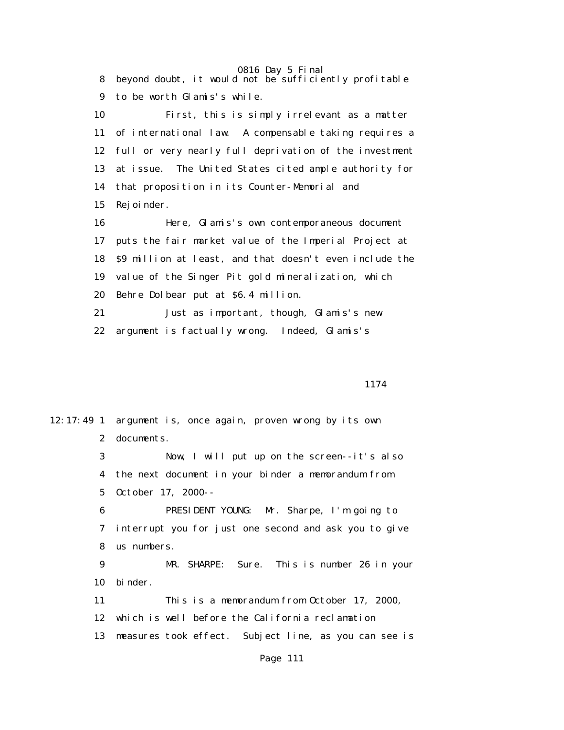0816 Day 5 Final 8 beyond doubt, it would not be sufficiently profitable 9 to be worth Glamis's while. 10 First, this is simply irrelevant as a matter 11 of international law. A compensable taking requires a 12 full or very nearly full deprivation of the investment 13 at issue. The United States cited ample authority for 14 that proposition in its Counter-Memorial and 15 Rejoinder. 16 Here, Glamis's own contemporaneous document 17 puts the fair market value of the Imperial Project at 18 \$9 million at least, and that doesn't even include the 19 value of the Singer Pit gold mineralization, which

 21 Just as important, though, Glamis's new 22 argument is factually wrong. Indeed, Glamis's

20 Behre Dolbear put at \$6.4 million.

1174

12:17:49 1 argument is, once again, proven wrong by its own 2 documents. 3 Now, I will put up on the screen--it's also 4 the next document in your binder a memorandum from 5 October 17, 2000-- 6 PRESIDENT YOUNG: Mr. Sharpe, I'm going to 7 interrupt you for just one second and ask you to give 8 us numbers. 9 MR. SHARPE: Sure. This is number 26 in your 10 binder. 11 This is a memorandum from October 17, 2000, 12 which is well before the California reclamation 13 measures took effect. Subject line, as you can see is Page 111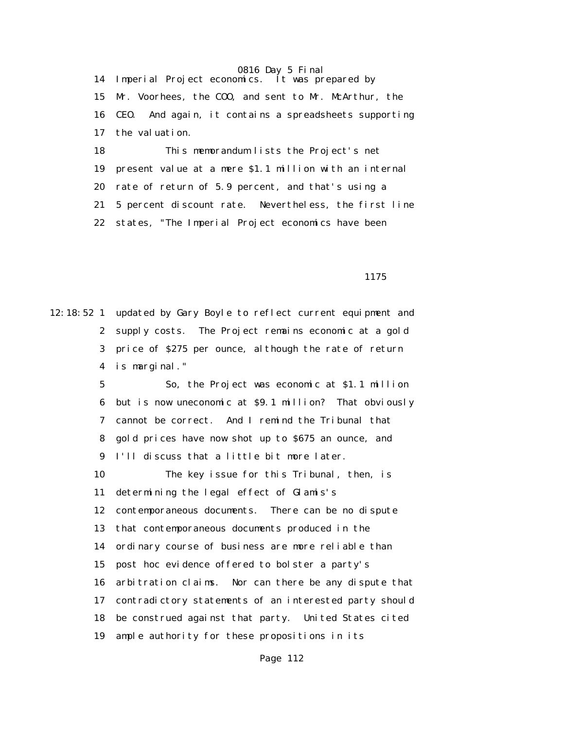14 Imperial Project economics. It was prepared by 15 Mr. Voorhees, the COO, and sent to Mr. McArthur, the 16 CEO. And again, it contains a spreadsheets supporting 17 the valuation.

 18 This memorandum lists the Project's net 19 present value at a mere \$1.1 million with an internal 20 rate of return of 5.9 percent, and that's using a 21 5 percent discount rate. Nevertheless, the first line 22 states, "The Imperial Project economics have been

1175

12:18:52 1 updated by Gary Boyle to reflect current equipment and 2 supply costs. The Project remains economic at a gold 3 price of \$275 per ounce, although the rate of return 4 is marginal."

> 5 So, the Project was economic at \$1.1 million 6 but is now uneconomic at \$9.1 million? That obviously 7 cannot be correct. And I remind the Tribunal that 8 gold prices have now shot up to \$675 an ounce, and 9 I'll discuss that a little bit more later. 10 The key issue for this Tribunal, then, is 11 determining the legal effect of Glamis's 12 contemporaneous documents. There can be no dispute 13 that contemporaneous documents produced in the 14 ordinary course of business are more reliable than 15 post hoc evidence offered to bolster a party's 16 arbitration claims. Nor can there be any dispute that 17 contradictory statements of an interested party should 18 be construed against that party. United States cited 19 ample authority for these propositions in its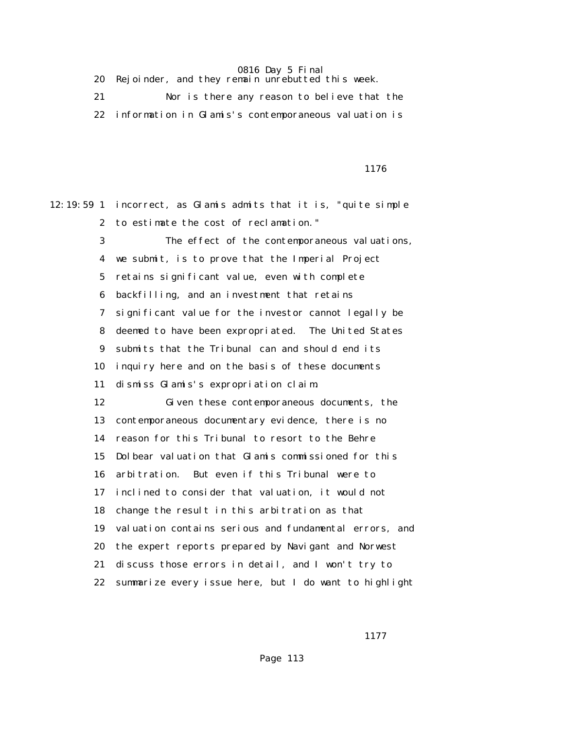|    | Rejoinder, and they remain unrebutted this week.        |
|----|---------------------------------------------------------|
| 91 | Nor is there any reason to believe that the             |
|    | 22 information in Glamis's contemporaneous valuation is |

1176

12:19:59 1 incorrect, as Glamis admits that it is, "quite simple 2 to estimate the cost of reclamation." 3 The effect of the contemporaneous valuations, 4 we submit, is to prove that the Imperial Project 5 retains significant value, even with complete 6 backfilling, and an investment that retains 7 significant value for the investor cannot legally be 8 deemed to have been expropriated. The United States 9 submits that the Tribunal can and should end its 10 inquiry here and on the basis of these documents 11 dismiss Glamis's expropriation claim. 12 Given these contemporaneous documents, the 13 contemporaneous documentary evidence, there is no 14 reason for this Tribunal to resort to the Behre 15 Dolbear valuation that Glamis commissioned for this 16 arbitration. But even if this Tribunal were to 17 inclined to consider that valuation, it would not 18 change the result in this arbitration as that 19 valuation contains serious and fundamental errors, and 20 the expert reports prepared by Navigant and Norwest 21 discuss those errors in detail, and I won't try to 22 summarize every issue here, but I do want to highlight

1177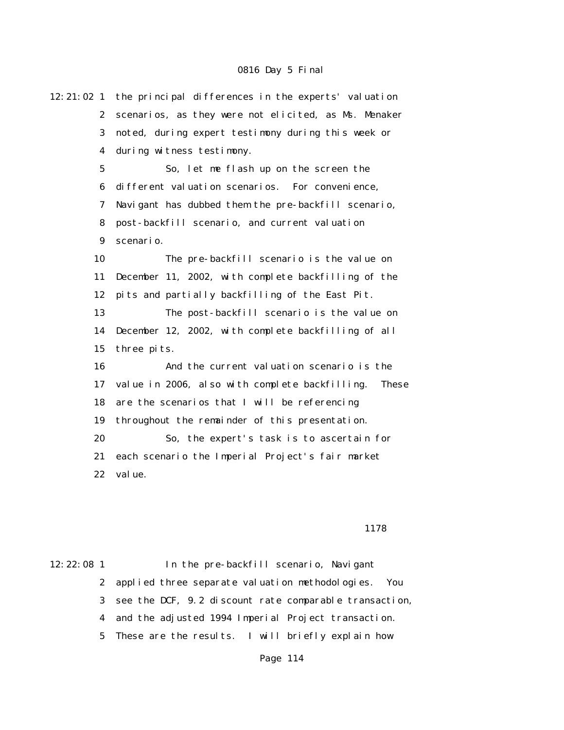| $12:21:02$ 1     | the principal differences in the experts' valuation            |
|------------------|----------------------------------------------------------------|
| $\boldsymbol{2}$ | scenarios, as they were not elicited, as Ms. Menaker           |
| 3                | noted, during expert testimony during this week or             |
| 4                | during witness testimony.                                      |
| 5                | So, let me flash up on the screen the                          |
| 6                | different valuation scenarios. For convenience,                |
| 7                | Navigant has dubbed them the pre-backfill scenario,            |
| 8                | post-backfill scenario, and current valuation                  |
| 9                | scenario.                                                      |
| 10               | The pre-backfill scenario is the value on                      |
| 11               | December 11, 2002, with complete backfilling of the            |
| 12               | pits and partially backfilling of the East Pit.                |
| 13               | The post-backfill scenario is the value on                     |
| 14               | December 12, 2002, with complete backfilling of all            |
| 15               | three pits.                                                    |
| 16               | And the current valuation scenario is the                      |
| 17               | value in 2006, also with complete backfilling.<br><b>These</b> |
| 18               | are the scenarios that I will be referencing                   |
| 19               | throughout the remainder of this presentation.                 |
| 20               | So, the expert's task is to ascertain for                      |
| 21               | each scenario the Imperial Project's fair market               |
| 22               | val ue.                                                        |
|                  |                                                                |

#### 1178

12:22:08 1 In the pre-backfill scenario, Navigant 2 applied three separate valuation methodologies. You 3 see the DCF, 9.2 discount rate comparable transaction, 4 and the adjusted 1994 Imperial Project transaction. 5 These are the results. I will briefly explain how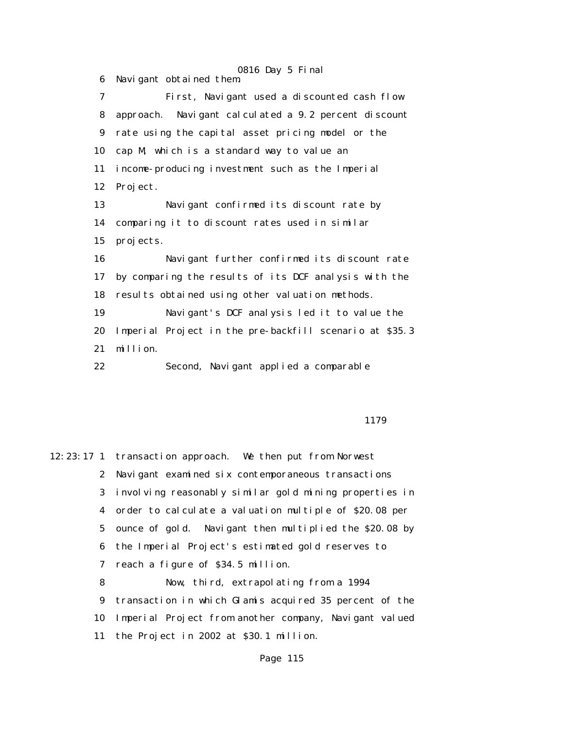0816 Day 5 Final 6 Navigant obtained them. 7 First, Navigant used a discounted cash flow 8 approach. Navigant calculated a 9.2 percent discount 9 rate using the capital asset pricing model or the 10 cap M, which is a standard way to value an 11 income-producing investment such as the Imperial 12 Project. 13 Navigant confirmed its discount rate by 14 comparing it to discount rates used in similar 15 projects. 16 Navigant further confirmed its discount rate 17 by comparing the results of its DCF analysis with the 18 results obtained using other valuation methods. 19 Navigant's DCF analysis led it to value the 20 Imperial Project in the pre-backfill scenario at \$35.3 21 million. 22 Second, Navigant applied a comparable

#### 1179

12:23:17 1 transaction approach. We then put from Norwest 2 Navigant examined six contemporaneous transactions 3 involving reasonably similar gold mining properties in 4 order to calculate a valuation multiple of \$20.08 per 5 ounce of gold. Navigant then multiplied the \$20.08 by 6 the Imperial Project's estimated gold reserves to 7 reach a figure of \$34.5 million. 8 Now, third, extrapolating from a 1994 9 transaction in which Glamis acquired 35 percent of the 10 Imperial Project from another company, Navigant valued 11 the Project in 2002 at \$30.1 million.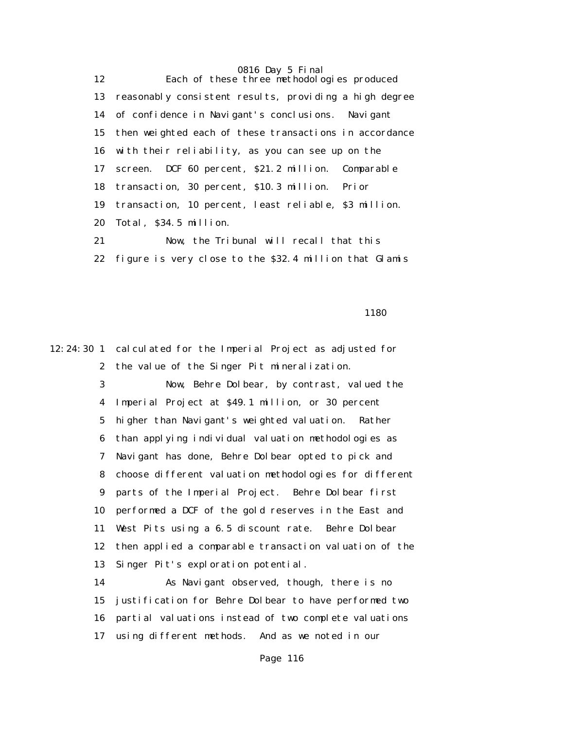0816 Day 5 Final 12 Each of these three methodologies produced 13 reasonably consistent results, providing a high degree 14 of confidence in Navigant's conclusions. Navigant 15 then weighted each of these transactions in accordance 16 with their reliability, as you can see up on the 17 screen. DCF 60 percent, \$21.2 million. Comparable 18 transaction, 30 percent, \$10.3 million. Prior 19 transaction, 10 percent, least reliable, \$3 million. 20 Total, \$34.5 million. 21 Now, the Tribunal will recall that this

22 figure is very close to the \$32.4 million that Glamis

1180 and 1180 and 1180 and 1180 and 1180 and 1180 and 1180 and 1180 and 1180 and 1180 and 1180 and 1180 and 1

12:24:30 1 calculated for the Imperial Project as adjusted for 2 the value of the Singer Pit mineralization. 3 Now, Behre Dolbear, by contrast, valued the 4 Imperial Project at \$49.1 million, or 30 percent 5 higher than Navigant's weighted valuation. Rather 6 than applying individual valuation methodologies as 7 Navigant has done, Behre Dolbear opted to pick and 8 choose different valuation methodologies for different 9 parts of the Imperial Project. Behre Dolbear first 10 performed a DCF of the gold reserves in the East and 11 West Pits using a 6.5 discount rate. Behre Dolbear 12 then applied a comparable transaction valuation of the 13 Singer Pit's exploration potential.

 14 As Navigant observed, though, there is no 15 justification for Behre Dolbear to have performed two 16 partial valuations instead of two complete valuations 17 using different methods. And as we noted in our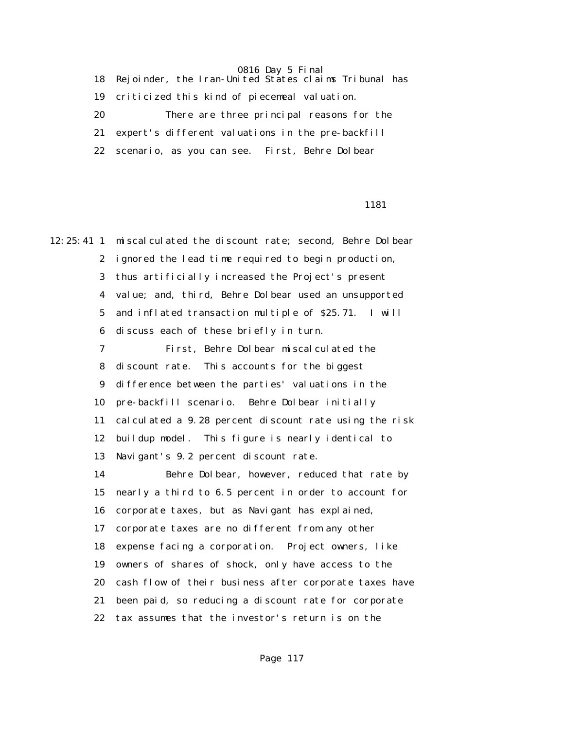|       | 18 Rejoinder, the Iran-United States claims Tribunal has |
|-------|----------------------------------------------------------|
|       | 19 criticized this kind of piecemeal valuation.          |
| 20    | There are three principal reasons for the                |
| 21    | expert's different valuations in the pre-backfill        |
| $22-$ | scenario, as you can see. First, Behre Dolbear           |
|       |                                                          |

#### 1181

12:25:41 1 miscalculated the discount rate; second, Behre Dolbear 2 ignored the lead time required to begin production, 3 thus artificially increased the Project's present 4 value; and, third, Behre Dolbear used an unsupported 5 and inflated transaction multiple of \$25.71. I will 6 discuss each of these briefly in turn. 7 First, Behre Dolbear miscalculated the 8 discount rate. This accounts for the biggest 9 difference between the parties' valuations in the 10 pre-backfill scenario. Behre Dolbear initially 11 calculated a 9.28 percent discount rate using the risk 12 buildup model. This figure is nearly identical to 13 Navigant's 9.2 percent discount rate. 14 Behre Dolbear, however, reduced that rate by 15 nearly a third to 6.5 percent in order to account for 16 corporate taxes, but as Navigant has explained, 17 corporate taxes are no different from any other 18 expense facing a corporation. Project owners, like 19 owners of shares of shock, only have access to the 20 cash flow of their business after corporate taxes have 21 been paid, so reducing a discount rate for corporate 22 tax assumes that the investor's return is on the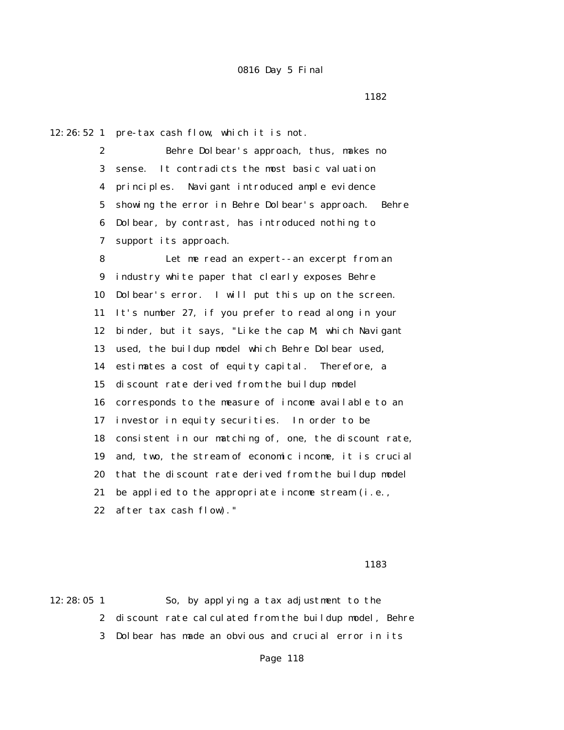12:26:52 1 pre-tax cash flow, which it is not.

 2 Behre Dolbear's approach, thus, makes no 3 sense. It contradicts the most basic valuation 4 principles. Navigant introduced ample evidence 5 showing the error in Behre Dolbear's approach. Behre 6 Dolbear, by contrast, has introduced nothing to 7 support its approach.

 8 Let me read an expert--an excerpt from an 9 industry white paper that clearly exposes Behre 10 Dolbear's error. I will put this up on the screen. 11 It's number 27, if you prefer to read along in your 12 binder, but it says, "Like the cap M, which Navigant 13 used, the buildup model which Behre Dolbear used, 14 estimates a cost of equity capital. Therefore, a 15 discount rate derived from the buildup model 16 corresponds to the measure of income available to an 17 investor in equity securities. In order to be 18 consistent in our matching of, one, the discount rate, 19 and, two, the stream of economic income, it is crucial 20 that the discount rate derived from the buildup model 21 be applied to the appropriate income stream (i.e., 22 after tax cash flow)."

1183

12:28:05 1 So, by applying a tax adjustment to the 2 discount rate calculated from the buildup model, Behre 3 Dolbear has made an obvious and crucial error in its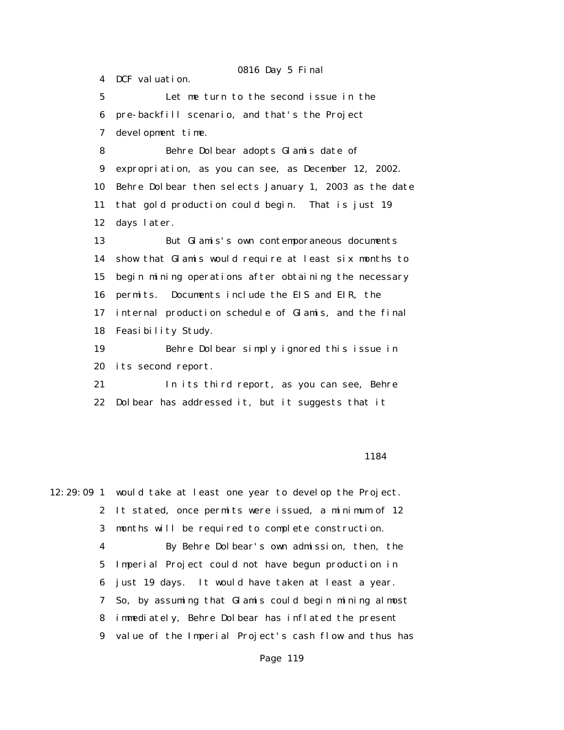4 DCF valuation. 5 Let me turn to the second issue in the 6 pre-backfill scenario, and that's the Project 7 development time. 8 Behre Dolbear adopts Glamis date of 9 expropriation, as you can see, as December 12, 2002. 10 Behre Dolbear then selects January 1, 2003 as the date 11 that gold production could begin. That is just 19 12 days later. 13 But Glamis's own contemporaneous documents 14 show that Glamis would require at least six months to 15 begin mining operations after obtaining the necessary 16 permits. Documents include the EIS and EIR, the 17 internal production schedule of Glamis, and the final 18 Feasibility Study. 19 Behre Dolbear simply ignored this issue in 20 its second report. 21 In its third report, as you can see, Behre 22 Dolbear has addressed it, but it suggests that it

#### 1184

12:29:09 1 would take at least one year to develop the Project. 2 It stated, once permits were issued, a minimum of 12 3 months will be required to complete construction. 4 By Behre Dolbear's own admission, then, the 5 Imperial Project could not have begun production in 6 just 19 days. It would have taken at least a year. 7 So, by assuming that Glamis could begin mining almost 8 immediately, Behre Dolbear has inflated the present

9 value of the Imperial Project's cash flow and thus has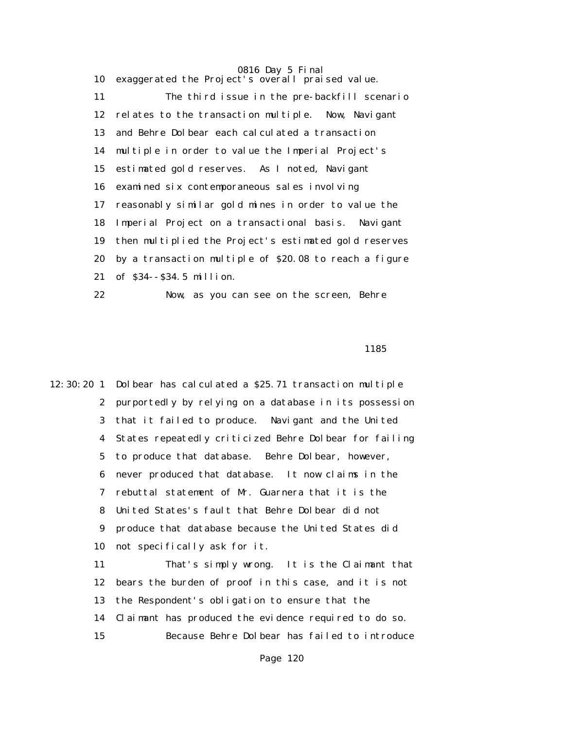10 exaggerated the Project's overall praised value. 11 The third issue in the pre-backfill scenario 12 relates to the transaction multiple. Now, Navigant 13 and Behre Dolbear each calculated a transaction 14 multiple in order to value the Imperial Project's 15 estimated gold reserves. As I noted, Navigant 16 examined six contemporaneous sales involving 17 reasonably similar gold mines in order to value the 18 Imperial Project on a transactional basis. Navigant 19 then multiplied the Project's estimated gold reserves 20 by a transaction multiple of \$20.08 to reach a figure 21 of \$34--\$34.5 million.

22 Now, as you can see on the screen, Behre

<u>1185</u>

12:30:20 1 Dolbear has calculated a \$25.71 transaction multiple 2 purportedly by relying on a database in its possession 3 that it failed to produce. Navigant and the United 4 States repeatedly criticized Behre Dolbear for failing 5 to produce that database. Behre Dolbear, however, 6 never produced that database. It now claims in the 7 rebuttal statement of Mr. Guarnera that it is the 8 United States's fault that Behre Dolbear did not 9 produce that database because the United States did 10 not specifically ask for it. 11 That's simply wrong. It is the Claimant that

 12 bears the burden of proof in this case, and it is not 13 the Respondent's obligation to ensure that the 14 Claimant has produced the evidence required to do so. 15 Because Behre Dolbear has failed to introduce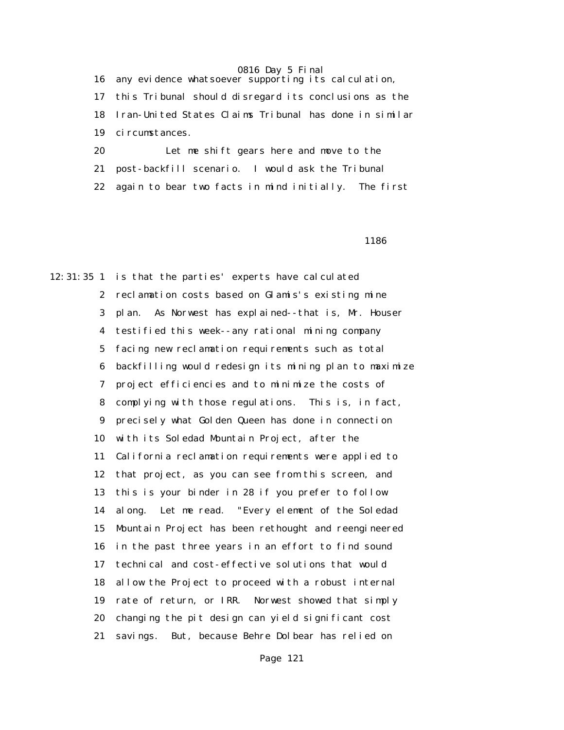16 any evidence whatsoever supporting its calculation,

 17 this Tribunal should disregard its conclusions as the 18 Iran-United States Claims Tribunal has done in similar 19 circumstances.

 20 Let me shift gears here and move to the 21 post-backfill scenario. I would ask the Tribunal 22 again to bear two facts in mind initially. The first

 $1186$ 

12:31:35 1 is that the parties' experts have calculated 2 reclamation costs based on Glamis's existing mine 3 plan. As Norwest has explained--that is, Mr. Houser 4 testified this week--any rational mining company 5 facing new reclamation requirements such as total 6 backfilling would redesign its mining plan to maximize 7 project efficiencies and to minimize the costs of 8 complying with those regulations. This is, in fact, 9 precisely what Golden Queen has done in connection 10 with its Soledad Mountain Project, after the 11 California reclamation requirements were applied to 12 that project, as you can see from this screen, and 13 this is your binder in 28 if you prefer to follow 14 along. Let me read. "Every element of the Soledad 15 Mountain Project has been rethought and reengineered 16 in the past three years in an effort to find sound 17 technical and cost-effective solutions that would 18 allow the Project to proceed with a robust internal 19 rate of return, or IRR. Norwest showed that simply 20 changing the pit design can yield significant cost 21 savings. But, because Behre Dolbear has relied on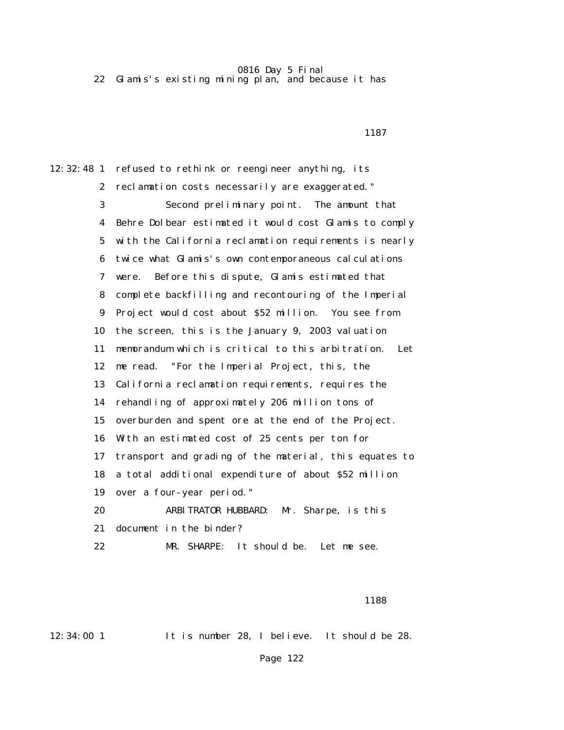22 Glamis's existing mining plan, and because it has

1187

12:32:48 1 refused to rethink or reengineer anything, its 2 reclamation costs necessarily are exaggerated." 3 Second preliminary point. The amount that 4 Behre Dolbear estimated it would cost Glamis to comply 5 with the California reclamation requirements is nearly 6 twice what Glamis's own contemporaneous calculations 7 were. Before this dispute, Glamis estimated that 8 complete backfilling and recontouring of the Imperial 9 Project would cost about \$52 million. You see from 10 the screen, this is the January 9, 2003 valuation 11 memorandum which is critical to this arbitration. Let 12 me read. "For the Imperial Project, this, the 13 California reclamation requirements, requires the 14 rehandling of approximately 206 million tons of 15 overburden and spent ore at the end of the Project. 16 With an estimated cost of 25 cents per ton for 17 transport and grading of the material, this equates to 18 a total additional expenditure of about \$52 million 19 over a four-year period." 20 ARBITRATOR HUBBARD: Mr. Sharpe, is this 21 document in the binder? 22 MR. SHARPE: It should be. Let me see.

 $1188$ 

12:34:00 1 It is number 28, I believe. It should be 28.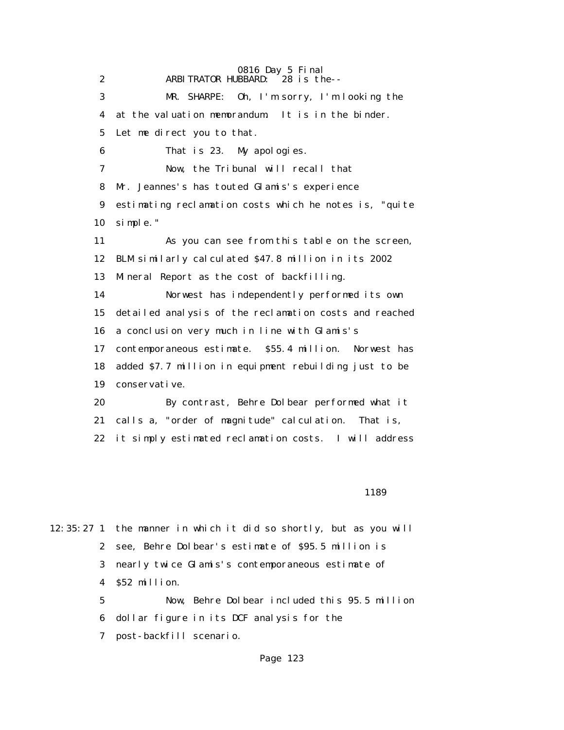0816 Day 5 Final 2 ARBITRATOR HUBBARD: 28 is the-- 3 MR. SHARPE: Oh, I'm sorry, I'm looking the 4 at the valuation memorandum. It is in the binder. 5 Let me direct you to that. 6 That is 23. My apologies. 7 Now, the Tribunal will recall that 8 Mr. Jeannes's has touted Glamis's experience 9 estimating reclamation costs which he notes is, "quite 10 simple." 11 As you can see from this table on the screen, 12 BLM similarly calculated \$47.8 million in its 2002 13 Mineral Report as the cost of backfilling. 14 Norwest has independently performed its own 15 detailed analysis of the reclamation costs and reached 16 a conclusion very much in line with Glamis's 17 contemporaneous estimate. \$55.4 million. Norwest has 18 added \$7.7 million in equipment rebuilding just to be 19 conservative. 20 By contrast, Behre Dolbear performed what it 21 calls a, "order of magnitude" calculation. That is, 22 it simply estimated reclamation costs. I will address

 $1189$ 

12:35:27 1 the manner in which it did so shortly, but as you will 2 see, Behre Dolbear's estimate of \$95.5 million is 3 nearly twice Glamis's contemporaneous estimate of 4 \$52 million. 5 Now, Behre Dolbear included this 95.5 million

6 dollar figure in its DCF analysis for the

7 post-backfill scenario.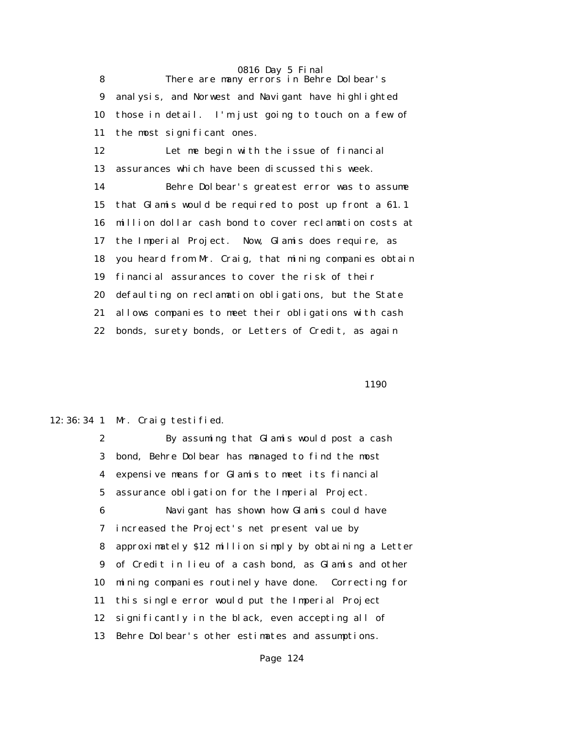8 There are many errors in Behre Dolbear's 9 analysis, and Norwest and Navigant have highlighted 10 those in detail. I'm just going to touch on a few of 11 the most significant ones.

 12 Let me begin with the issue of financial 13 assurances which have been discussed this week.

 14 Behre Dolbear's greatest error was to assume 15 that Glamis would be required to post up front a 61.1 16 million dollar cash bond to cover reclamation costs at 17 the Imperial Project. Now, Glamis does require, as 18 you heard from Mr. Craig, that mining companies obtain 19 financial assurances to cover the risk of their 20 defaulting on reclamation obligations, but the State 21 allows companies to meet their obligations with cash 22 bonds, surety bonds, or Letters of Credit, as again

<u>1190</u>

## 12:36:34 1 Mr. Craig testified.

 2 By assuming that Glamis would post a cash 3 bond, Behre Dolbear has managed to find the most 4 expensive means for Glamis to meet its financial 5 assurance obligation for the Imperial Project. 6 Navigant has shown how Glamis could have 7 increased the Project's net present value by 8 approximately \$12 million simply by obtaining a Letter 9 of Credit in lieu of a cash bond, as Glamis and other 10 mining companies routinely have done. Correcting for 11 this single error would put the Imperial Project 12 significantly in the black, even accepting all of 13 Behre Dolbear's other estimates and assumptions.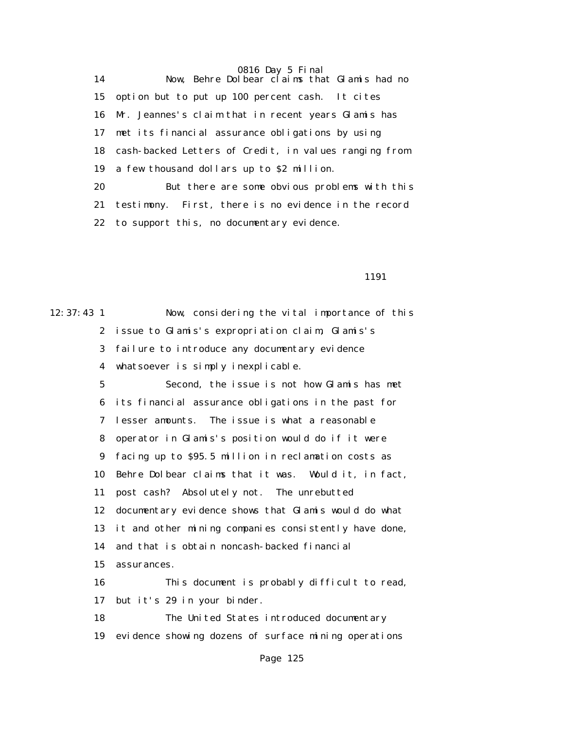0816 Day 5 Final 14 Now, Behre Dolbear claims that Glamis had no 15 option but to put up 100 percent cash. It cites 16 Mr. Jeannes's claim that in recent years Glamis has 17 met its financial assurance obligations by using 18 cash-backed Letters of Credit, in values ranging from 19 a few thousand dollars up to \$2 million. 20 But there are some obvious problems with this 21 testimony. First, there is no evidence in the record

22 to support this, no documentary evidence.

1191

12:37:43 1 Now, considering the vital importance of this 2 issue to Glamis's expropriation claim, Glamis's 3 failure to introduce any documentary evidence 4 whatsoever is simply inexplicable. 5 Second, the issue is not how Glamis has met 6 its financial assurance obligations in the past for 7 lesser amounts. The issue is what a reasonable 8 operator in Glamis's position would do if it were 9 facing up to \$95.5 million in reclamation costs as 10 Behre Dolbear claims that it was. Would it, in fact, 11 post cash? Absolutely not. The unrebutted 12 documentary evidence shows that Glamis would do what 13 it and other mining companies consistently have done, 14 and that is obtain noncash-backed financial 15 assurances. 16 This document is probably difficult to read, 17 but it's 29 in your binder. 18 The United States introduced documentary 19 evidence showing dozens of surface mining operations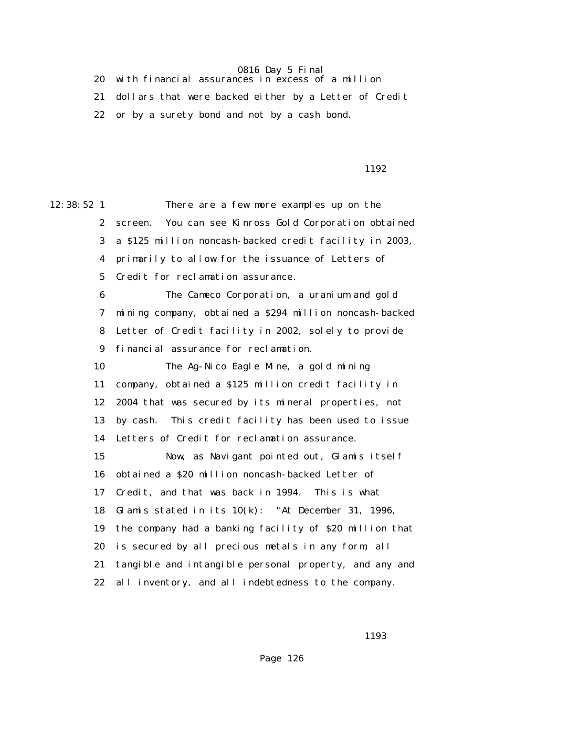20 with financial assurances in excess of a million

21 dollars that were backed either by a Letter of Credit

22 or by a surety bond and not by a cash bond.

1192

12:38:52 1 There are a few more examples up on the 2 screen. You can see Kinross Gold Corporation obtained 3 a \$125 million noncash-backed credit facility in 2003, 4 primarily to allow for the issuance of Letters of 5 Credit for reclamation assurance. 6 The Cameco Corporation, a uranium and gold 7 mining company, obtained a \$294 million noncash-backed 8 Letter of Credit facility in 2002, solely to provide 9 financial assurance for reclamation. 10 The Ag-Nico Eagle Mine, a gold mining 11 company, obtained a \$125 million credit facility in 12 2004 that was secured by its mineral properties, not 13 by cash. This credit facility has been used to issue 14 Letters of Credit for reclamation assurance. 15 Now, as Navigant pointed out, Glamis itself 16 obtained a \$20 million noncash-backed Letter of 17 Credit, and that was back in 1994. This is what 18 Glamis stated in its 10(k): "At December 31, 1996, 19 the company had a banking facility of \$20 million that 20 is secured by all precious metals in any form, all 21 tangible and intangible personal property, and any and 22 all inventory, and all indebtedness to the company.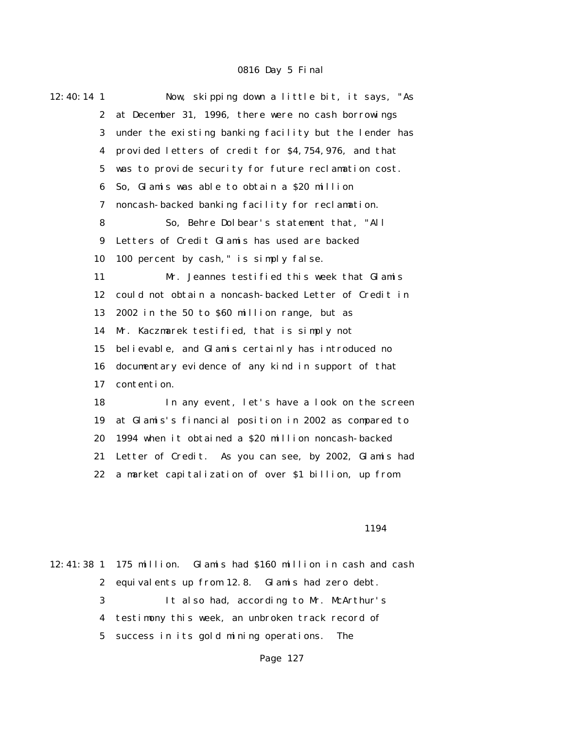| 12:40:14 1       | Now, skipping down a little bit, it says, "As          |
|------------------|--------------------------------------------------------|
| $\boldsymbol{2}$ | at December 31, 1996, there were no cash borrowings    |
| 3                | under the existing banking facility but the lender has |
| 4                | provided letters of credit for \$4,754,976, and that   |
| $\mathbf 5$      | was to provide security for future reclamation cost.   |
| 6                | So, Glamis was able to obtain a \$20 million           |
| 7                | noncash-backed banking facility for reclamation.       |
| 8                | So, Behre Dolbear's statement that, "All               |
| $\boldsymbol{9}$ | Letters of Credit Glamis has used are backed           |
| 10               | 100 percent by cash," is simply false.                 |
| 11               | Mr. Jeannes testified this week that Glamis            |
| 12               | could not obtain a noncash-backed Letter of Credit in  |
| 13               | 2002 in the 50 to \$60 million range, but as           |
| 14               | Mr. Kaczmarek testified, that is simply not            |
| 15               | believable, and Glamis certainly has introduced no     |
| 16               | documentary evidence of any kind in support of that    |
| 17               | contention.                                            |
| 18               | In any event, let's have a look on the screen          |
| 19               | at Glamis's financial position in 2002 as compared to  |
| 20               | 1994 when it obtained a \$20 million noncash-backed    |
| 21               | Letter of Credit. As you can see, by 2002, Glamis had  |
| 22               | a market capitalization of over \$1 billion, up from   |

#### 1194

12:41:38 1 175 million. Glamis had \$160 million in cash and cash 2 equivalents up from 12.8. Glamis had zero debt. 3 It also had, according to Mr. McArthur's 4 testimony this week, an unbroken track record of 5 success in its gold mining operations. The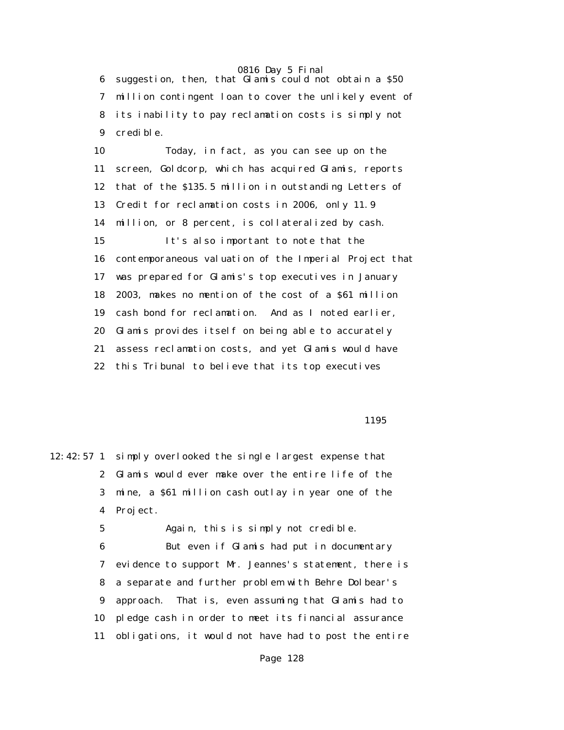6 suggestion, then, that Glamis could not obtain a \$50 7 million contingent loan to cover the unlikely event of 8 its inability to pay reclamation costs is simply not 9 credible.

 10 Today, in fact, as you can see up on the 11 screen, Goldcorp, which has acquired Glamis, reports 12 that of the \$135.5 million in outstanding Letters of 13 Credit for reclamation costs in 2006, only 11.9 14 million, or 8 percent, is collateralized by cash. 15 It's also important to note that the 16 contemporaneous valuation of the Imperial Project that 17 was prepared for Glamis's top executives in January 18 2003, makes no mention of the cost of a \$61 million 19 cash bond for reclamation. And as I noted earlier, 20 Glamis provides itself on being able to accurately 21 assess reclamation costs, and yet Glamis would have 22 this Tribunal to believe that its top executives

1195

12:42:57 1 simply overlooked the single largest expense that 2 Glamis would ever make over the entire life of the 3 mine, a \$61 million cash outlay in year one of the 4 Project.

5 Again, this is simply not credible.

 6 But even if Glamis had put in documentary 7 evidence to support Mr. Jeannes's statement, there is 8 a separate and further problem with Behre Dolbear's 9 approach. That is, even assuming that Glamis had to 10 pledge cash in order to meet its financial assurance 11 obligations, it would not have had to post the entire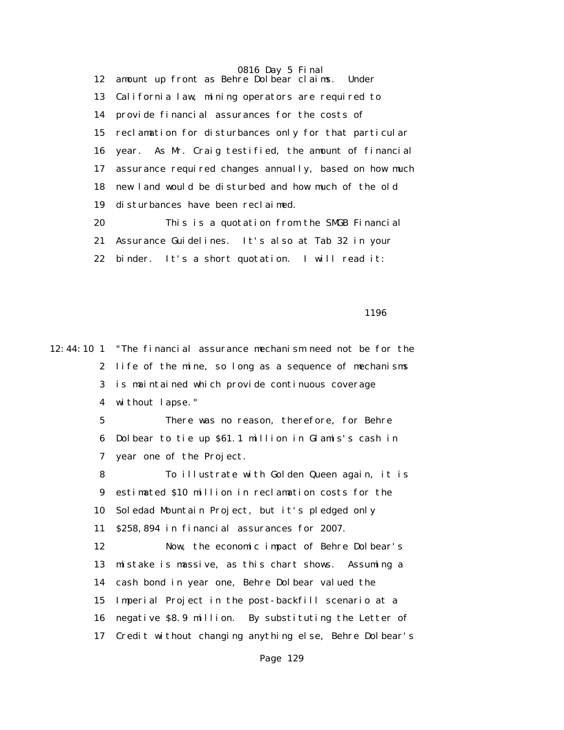0816 Day 5 Final 12 amount up front as Behre Dolbear claims. Under 13 California law, mining operators are required to 14 provide financial assurances for the costs of 15 reclamation for disturbances only for that particular 16 year. As Mr. Craig testified, the amount of financial 17 assurance required changes annually, based on how much 18 new land would be disturbed and how much of the old 19 disturbances have been reclaimed. 20 This is a quotation from the SMGB Financial

 21 Assurance Guidelines. It's also at Tab 32 in your 22 binder. It's a short quotation. I will read it:

1196

12:44:10 1 "The financial assurance mechanism need not be for the 2 life of the mine, so long as a sequence of mechanisms 3 is maintained which provide continuous coverage 4 without lapse." 5 There was no reason, therefore, for Behre 6 Dolbear to tie up \$61.1 million in Glamis's cash in 7 year one of the Project. 8 To illustrate with Golden Queen again, it is 9 estimated \$10 million in reclamation costs for the 10 Soledad Mountain Project, but it's pledged only 11 \$258,894 in financial assurances for 2007. 12 Now, the economic impact of Behre Dolbear's 13 mistake is massive, as this chart shows. Assuming a 14 cash bond in year one, Behre Dolbear valued the 15 Imperial Project in the post-backfill scenario at a 16 negative \$8.9 million. By substituting the Letter of

17 Credit without changing anything else, Behre Dolbear's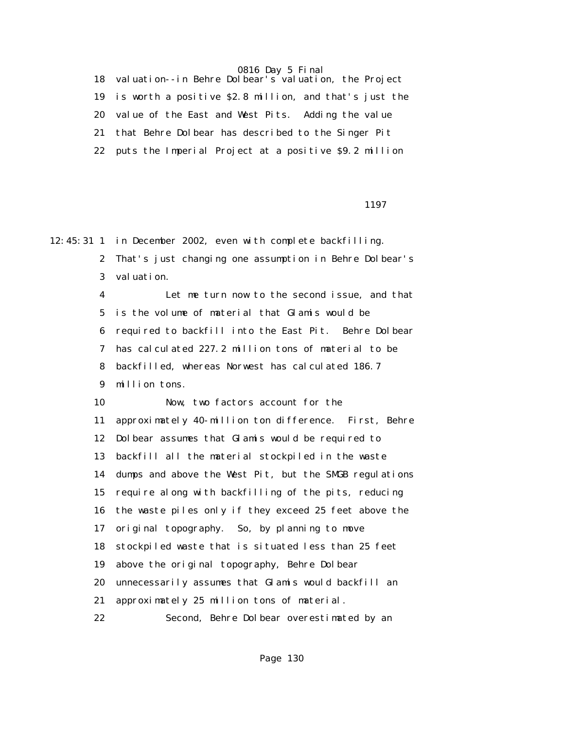18 valuation--in Behre Dolbear's valuation, the Project 19 is worth a positive \$2.8 million, and that's just the 20 value of the East and West Pits. Adding the value 21 that Behre Dolbear has described to the Singer Pit 22 puts the Imperial Project at a positive \$9.2 million

1197

12:45:31 1 in December 2002, even with complete backfilling. 2 That's just changing one assumption in Behre Dolbear's 3 valuation. 4 Let me turn now to the second issue, and that 5 is the volume of material that Glamis would be 6 required to backfill into the East Pit. Behre Dolbear 7 has calculated 227.2 million tons of material to be 8 backfilled, whereas Norwest has calculated 186.7 9 million tons. 10 Now, two factors account for the 11 approximately 40-million ton difference. First, Behre 12 Dolbear assumes that Glamis would be required to 13 backfill all the material stockpiled in the waste 14 dumps and above the West Pit, but the SMGB regulations 15 require along with backfilling of the pits, reducing 16 the waste piles only if they exceed 25 feet above the 17 original topography. So, by planning to move 18 stockpiled waste that is situated less than 25 feet 19 above the original topography, Behre Dolbear 20 unnecessarily assumes that Glamis would backfill an 21 approximately 25 million tons of material. 22 Second, Behre Dolbear overestimated by an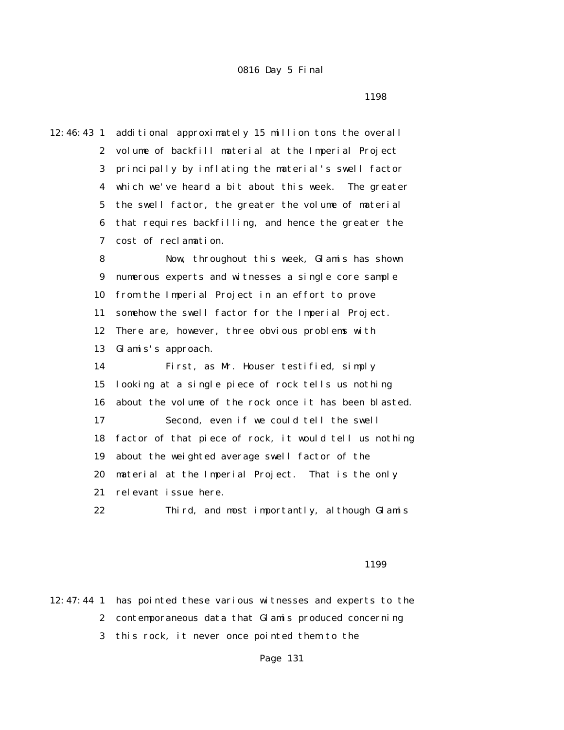12:46:43 1 additional approximately 15 million tons the overall 2 volume of backfill material at the Imperial Project 3 principally by inflating the material's swell factor 4 which we've heard a bit about this week. The greater 5 the swell factor, the greater the volume of material 6 that requires backfilling, and hence the greater the 7 cost of reclamation. 8 Now, throughout this week, Glamis has shown 9 numerous experts and witnesses a single core sample 10 from the Imperial Project in an effort to prove 11 somehow the swell factor for the Imperial Project. 12 There are, however, three obvious problems with 13 Glamis's approach. 14 First, as Mr. Houser testified, simply 15 looking at a single piece of rock tells us nothing 16 about the volume of the rock once it has been blasted. 17 Second, even if we could tell the swell 18 factor of that piece of rock, it would tell us nothing 19 about the weighted average swell factor of the 20 material at the Imperial Project. That is the only 21 relevant issue here. 22 Third, and most importantly, although Glamis

1199

12:47:44 1 has pointed these various witnesses and experts to the 2 contemporaneous data that Glamis produced concerning 3 this rock, it never once pointed them to the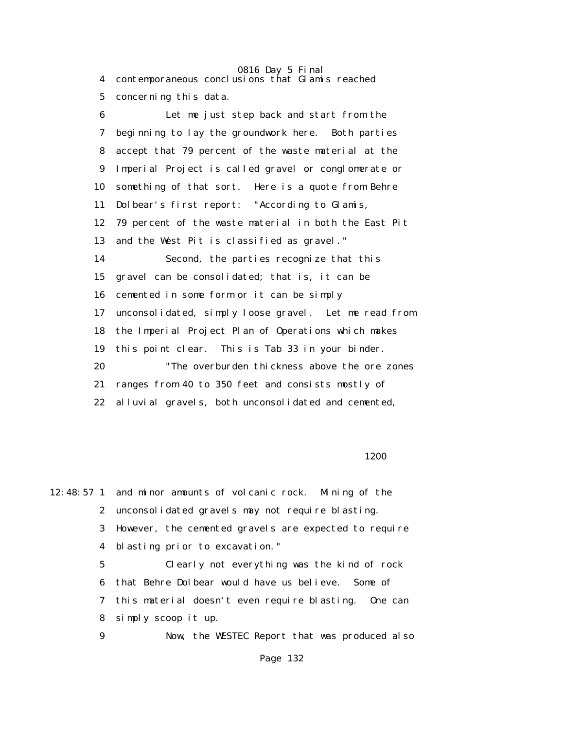0816 Day 5 Final 4 contemporaneous conclusions that Glamis reached 5 concerning this data. 6 Let me just step back and start from the 7 beginning to lay the groundwork here. Both parties 8 accept that 79 percent of the waste material at the 9 Imperial Project is called gravel or conglomerate or 10 something of that sort. Here is a quote from Behre 11 Dolbear's first report: "According to Glamis, 12 79 percent of the waste material in both the East Pit 13 and the West Pit is classified as gravel." 14 Second, the parties recognize that this 15 gravel can be consolidated; that is, it can be 16 cemented in some form or it can be simply 17 unconsolidated, simply loose gravel. Let me read from 18 the Imperial Project Plan of Operations which makes 19 this point clear. This is Tab 33 in your binder. 20 "The overburden thickness above the ore zones 21 ranges from 40 to 350 feet and consists mostly of 22 alluvial gravels, both unconsolidated and cemented,

#### 1200

12:48:57 1 and minor amounts of volcanic rock. Mining of the 2 unconsolidated gravels may not require blasting. 3 However, the cemented gravels are expected to require 4 blasting prior to excavation." 5 Clearly not everything was the kind of rock 6 that Behre Dolbear would have us believe. Some of

> 7 this material doesn't even require blasting. One can 8 simply scoop it up.

9 Now, the WESTEC Report that was produced also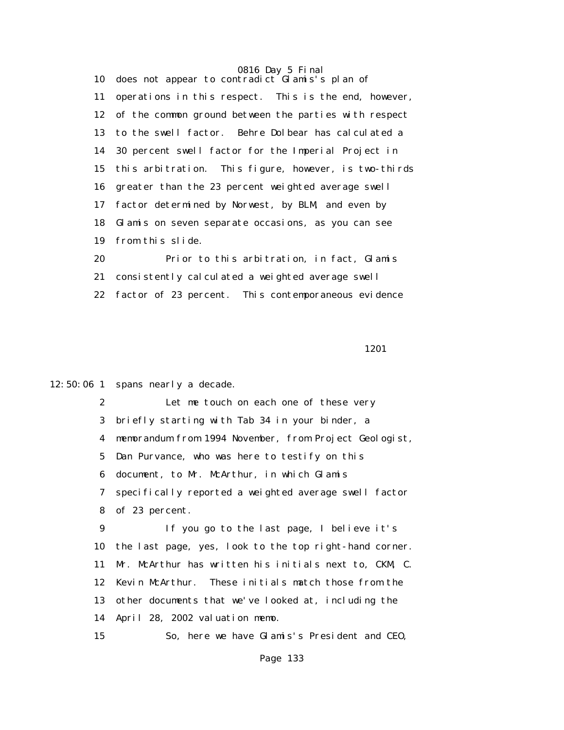0816 Day 5 Final 10 does not appear to contradict  $GL$  amis's plan of 11 operations in this respect. This is the end, however, 12 of the common ground between the parties with respect 13 to the swell factor. Behre Dolbear has calculated a 14 30 percent swell factor for the Imperial Project in 15 this arbitration. This figure, however, is two-thirds 16 greater than the 23 percent weighted average swell 17 factor determined by Norwest, by BLM, and even by 18 Glamis on seven separate occasions, as you can see 19 from this slide.

 20 Prior to this arbitration, in fact, Glamis 21 consistently calculated a weighted average swell 22 factor of 23 percent. This contemporaneous evidence

1201

12:50:06 1 spans nearly a decade.

 2 Let me touch on each one of these very 3 briefly starting with Tab 34 in your binder, a 4 memorandum from 1994 November, from Project Geologist, 5 Dan Purvance, who was here to testify on this 6 document, to Mr. McArthur, in which Glamis 7 specifically reported a weighted average swell factor 8 of 23 percent.

 9 If you go to the last page, I believe it's 10 the last page, yes, look to the top right-hand corner. 11 Mr. McArthur has written his initials next to, CKM, C. 12 Kevin McArthur. These initials match those from the 13 other documents that we've looked at, including the 14 April 28, 2002 valuation memo.

15 So, here we have Glamis's President and CEO,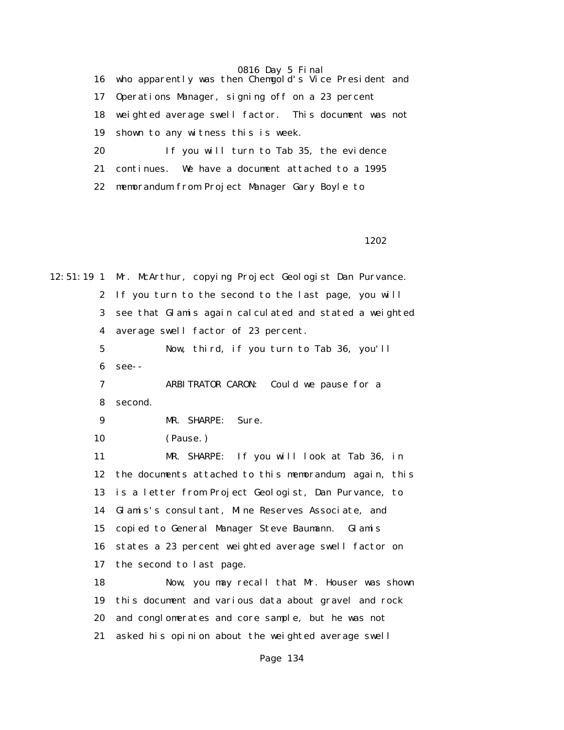16 who apparently was then Chemgold's Vice President and 17 Operations Manager, signing off on a 23 percent 18 weighted average swell factor. This document was not 19 shown to any witness this is week. 20 If you will turn to Tab 35, the evidence 21 continues. We have a document attached to a 1995

22 memorandum from Project Manager Gary Boyle to

1202

12:51:19 1 Mr. McArthur, copying Project Geologist Dan Purvance. 2 If you turn to the second to the last page, you will 3 see that Glamis again calculated and stated a weighted 4 average swell factor of 23 percent. 5 Now, third, if you turn to Tab 36, you'll 6 see-- 7 ARBITRATOR CARON: Could we pause for a 8 second. 9 MR. SHARPE: Sure. 10 (Pause.) 11 MR. SHARPE: If you will look at Tab 36, in 12 the documents attached to this memorandum, again, this 13 is a letter from Project Geologist, Dan Purvance, to 14 Glamis's consultant, Mine Reserves Associate, and 15 copied to General Manager Steve Baumann. Glamis 16 states a 23 percent weighted average swell factor on 17 the second to last page. 18 Now, you may recall that Mr. Houser was shown 19 this document and various data about gravel and rock 20 and conglomerates and core sample, but he was not 21 asked his opinion about the weighted average swell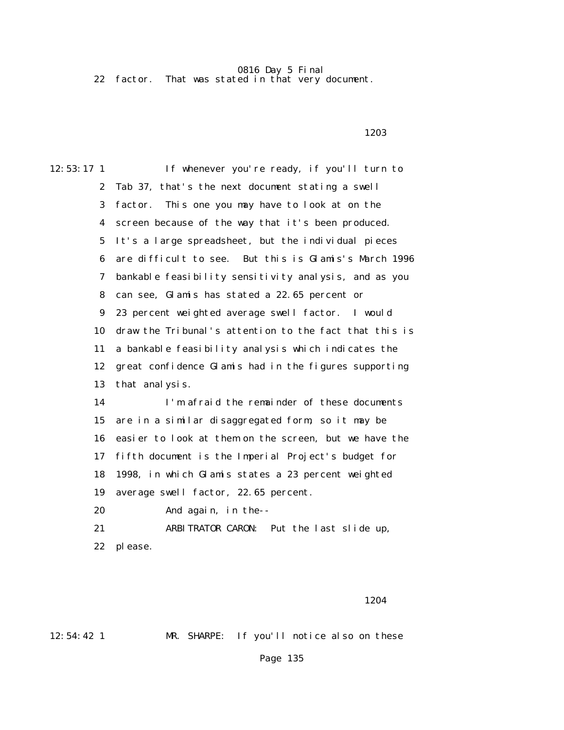22 factor. That was stated in that very document.

1203

12:53:17 1 If whenever you're ready, if you'll turn to 2 Tab 37, that's the next document stating a swell 3 factor. This one you may have to look at on the 4 screen because of the way that it's been produced. 5 It's a large spreadsheet, but the individual pieces 6 are difficult to see. But this is Glamis's March 1996 7 bankable feasibility sensitivity analysis, and as you 8 can see, Glamis has stated a 22.65 percent or 9 23 percent weighted average swell factor. I would 10 draw the Tribunal's attention to the fact that this is 11 a bankable feasibility analysis which indicates the 12 great confidence Glamis had in the figures supporting 13 that analysis. 14 I'm afraid the remainder of these documents 15 are in a similar disaggregated form, so it may be 16 easier to look at them on the screen, but we have the 17 fifth document is the Imperial Project's budget for 18 1998, in which Glamis states a 23 percent weighted 19 average swell factor, 22.65 percent. 20 And again, in the-- 21 ARBITRATOR CARON: Put the last slide up, 22 please.

1204

12:54:42 1 MR. SHARPE: If you'll notice also on these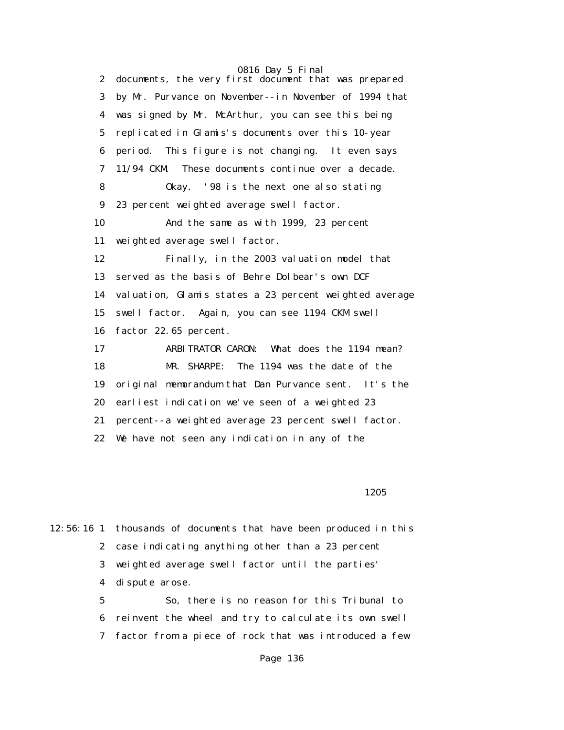0816 Day 5 Final 2 documents, the very first document that was prepared 3 by Mr. Purvance on November--in November of 1994 that 4 was signed by Mr. McArthur, you can see this being 5 replicated in Glamis's documents over this 10-year 6 period. This figure is not changing. It even says 7 11/94 CKM. These documents continue over a decade. 8 Okay. '98 is the next one also stating 9 23 percent weighted average swell factor. 10 And the same as with 1999, 23 percent 11 weighted average swell factor. 12 Finally, in the 2003 valuation model that 13 served as the basis of Behre Dolbear's own DCF 14 valuation, Glamis states a 23 percent weighted average 15 swell factor. Again, you can see 1194 CKM swell 16 factor 22.65 percent. 17 ARBITRATOR CARON: What does the 1194 mean? 18 MR. SHARPE: The 1194 was the date of the 19 original memorandum that Dan Purvance sent. It's the 20 earliest indication we've seen of a weighted 23 21 percent--a weighted average 23 percent swell factor. 22 We have not seen any indication in any of the

1205

|   | 12:56:16 1 thousands of documents that have been produced in this |
|---|-------------------------------------------------------------------|
|   | 2 case indicating anything other than a 23 percent                |
|   | 3 weighted average swell factor until the parties'                |
|   | 4 dispute arose.                                                  |
| 5 | So, there is no reason for this Tribunal to                       |

 6 reinvent the wheel and try to calculate its own swell 7 factor from a piece of rock that was introduced a few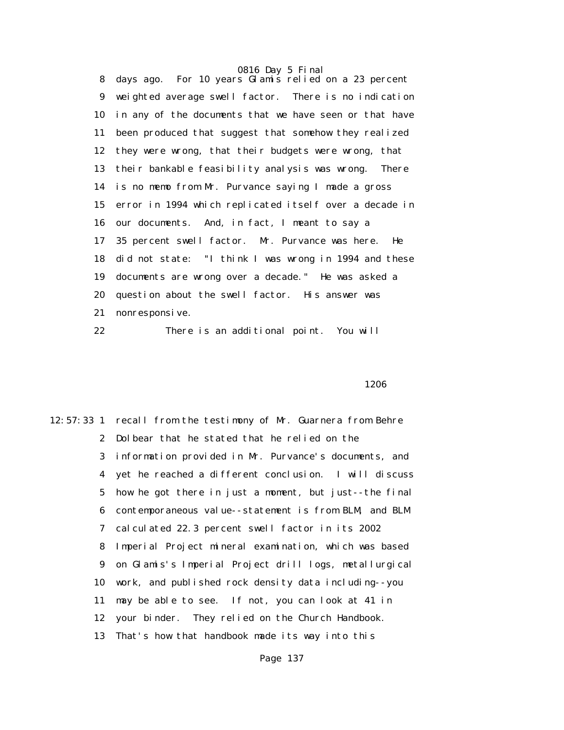8 days ago. For 10 years Glamis relied on a 23 percent 9 weighted average swell factor. There is no indication 10 in any of the documents that we have seen or that have 11 been produced that suggest that somehow they realized 12 they were wrong, that their budgets were wrong, that 13 their bankable feasibility analysis was wrong. There 14 is no memo from Mr. Purvance saying I made a gross 15 error in 1994 which replicated itself over a decade in 16 our documents. And, in fact, I meant to say a 17 35 percent swell factor. Mr. Purvance was here. He 18 did not state: "I think I was wrong in 1994 and these 19 documents are wrong over a decade." He was asked a 20 question about the swell factor. His answer was 21 nonresponsive. 22 There is an additional point. You will

 $1206$ 

12:57:33 1 recall from the testimony of Mr. Guarnera from Behre 2 Dolbear that he stated that he relied on the 3 information provided in Mr. Purvance's documents, and 4 yet he reached a different conclusion. I will discuss 5 how he got there in just a moment, but just--the final 6 contemporaneous value--statement is from BLM, and BLM 7 calculated 22.3 percent swell factor in its 2002 8 Imperial Project mineral examination, which was based 9 on Glamis's Imperial Project drill logs, metallurgical 10 work, and published rock density data including--you 11 may be able to see. If not, you can look at 41 in 12 your binder. They relied on the Church Handbook. 13 That's how that handbook made its way into this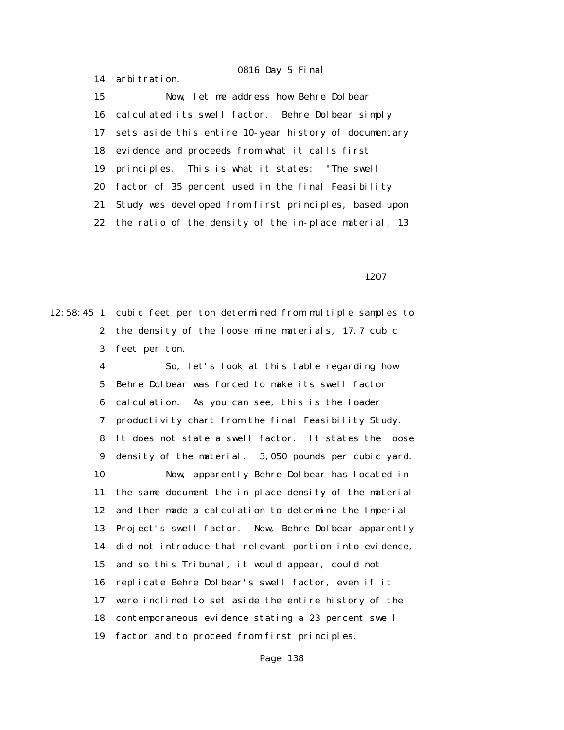14 arbitration.

 15 Now, let me address how Behre Dolbear 16 calculated its swell factor. Behre Dolbear simply 17 sets aside this entire 10-year history of documentary 18 evidence and proceeds from what it calls first 19 principles. This is what it states: "The swell 20 factor of 35 percent used in the final Feasibility 21 Study was developed from first principles, based upon 22 the ratio of the density of the in-place material, 13

1207

12:58:45 1 cubic feet per ton determined from multiple samples to 2 the density of the loose mine materials, 17.7 cubic 3 feet per ton.

> 4 So, let's look at this table regarding how 5 Behre Dolbear was forced to make its swell factor 6 calculation. As you can see, this is the loader 7 productivity chart from the final Feasibility Study. 8 It does not state a swell factor. It states the loose 9 density of the material. 3,050 pounds per cubic yard. 10 Now, apparently Behre Dolbear has located in 11 the same document the in-place density of the material 12 and then made a calculation to determine the Imperial 13 Project's swell factor. Now, Behre Dolbear apparently 14 did not introduce that relevant portion into evidence, 15 and so this Tribunal, it would appear, could not 16 replicate Behre Dolbear's swell factor, even if it 17 were inclined to set aside the entire history of the 18 contemporaneous evidence stating a 23 percent swell 19 factor and to proceed from first principles.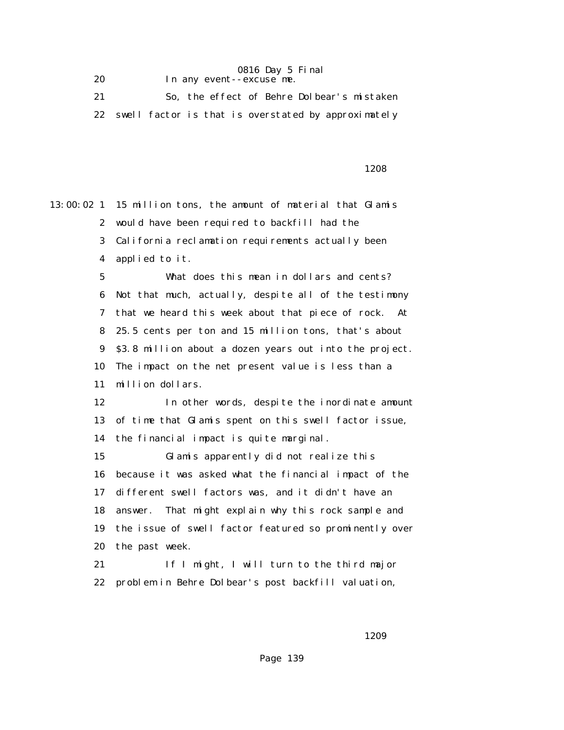0816 Day 5 Final 20 In any event--excuse me.

 21 So, the effect of Behre Dolbear's mistaken 22 swell factor is that is overstated by approximately

1208

13:00:02 1 15 million tons, the amount of material that Glamis 2 would have been required to backfill had the 3 California reclamation requirements actually been 4 applied to it. 5 What does this mean in dollars and cents? 6 Not that much, actually, despite all of the testimony 7 that we heard this week about that piece of rock. At 8 25.5 cents per ton and 15 million tons, that's about 9 \$3.8 million about a dozen years out into the project. 10 The impact on the net present value is less than a 11 million dollars. 12 In other words, despite the inordinate amount 13 of time that Glamis spent on this swell factor issue, 14 the financial impact is quite marginal. 15 Glamis apparently did not realize this 16 because it was asked what the financial impact of the 17 different swell factors was, and it didn't have an 18 answer. That might explain why this rock sample and 19 the issue of swell factor featured so prominently over 20 the past week. 21 If I might, I will turn to the third major 22 problem in Behre Dolbear's post backfill valuation,

1209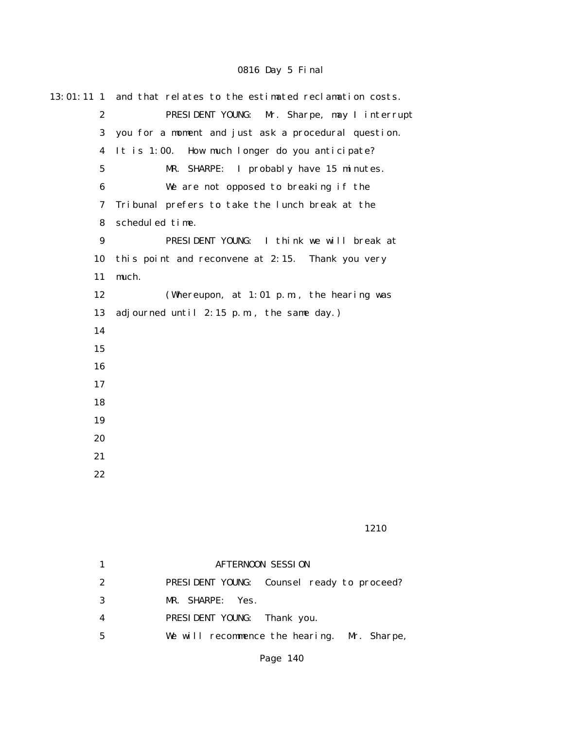| $13:01:11$ 1     | and that relates to the estimated reclamation costs. |
|------------------|------------------------------------------------------|
| $\boldsymbol{2}$ | Mr. Sharpe, may I interrupt<br>PRESIDENT YOUNG:      |
| 3                | you for a moment and just ask a procedural question. |
| 4                | It is $1:00$ .<br>How much longer do you anticipate? |
| $\mathbf{5}$     | MR. SHARPE: I probably have 15 minutes.              |
| 6                | We are not opposed to breaking if the                |
| 7                | Tribunal prefers to take the lunch break at the      |
| 8                | scheduled time.                                      |
| 9                | PRESIDENT YOUNG: I think we will break at            |
| 10               | this point and reconvene at 2:15. Thank you very     |
| 11               | much.                                                |
| 12               | (Whereupon, at $1:01$ p.m., the hearing was          |
| 13               | adjourned until $2:15$ p.m., the same day.)          |
| 14               |                                                      |
| 15               |                                                      |
| 16               |                                                      |
| 17               |                                                      |
| 18               |                                                      |
| 19               |                                                      |
| 20               |                                                      |
| 21               |                                                      |
| 22               |                                                      |
|                  |                                                      |
|                  |                                                      |
|                  | 1210                                                 |

1 **AFTERNOON SESSION**  2 PRESIDENT YOUNG: Counsel ready to proceed? 3 MR. SHARPE: Yes. 4 PRESIDENT YOUNG: Thank you. 5 We will recommence the hearing. Mr. Sharpe,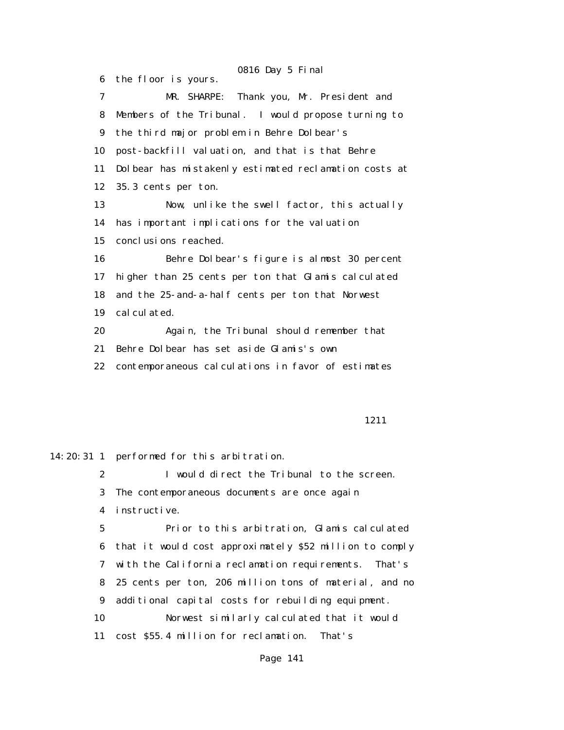0816 Day 5 Final 6 the floor is yours. 7 MR. SHARPE: Thank you, Mr. President and 8 Members of the Tribunal. I would propose turning to 9 the third major problem in Behre Dolbear's 10 post-backfill valuation, and that is that Behre 11 Dolbear has mistakenly estimated reclamation costs at 12 35.3 cents per ton. 13 Now, unlike the swell factor, this actually 14 has important implications for the valuation 15 conclusions reached. 16 Behre Dolbear's figure is almost 30 percent 17 higher than 25 cents per ton that Glamis calculated 18 and the 25-and-a-half cents per ton that Norwest 19 calculated. 20 Again, the Tribunal should remember that 21 Behre Dolbear has set aside Glamis's own 22 contemporaneous calculations in favor of estimates

1211

14:20:31 1 performed for this arbitration.

 2 I would direct the Tribunal to the screen. 3 The contemporaneous documents are once again 4 instructive.

 5 Prior to this arbitration, Glamis calculated 6 that it would cost approximately \$52 million to comply 7 with the California reclamation requirements. That's 8 25 cents per ton, 206 million tons of material, and no 9 additional capital costs for rebuilding equipment. 10 Norwest similarly calculated that it would 11 cost \$55.4 million for reclamation. That's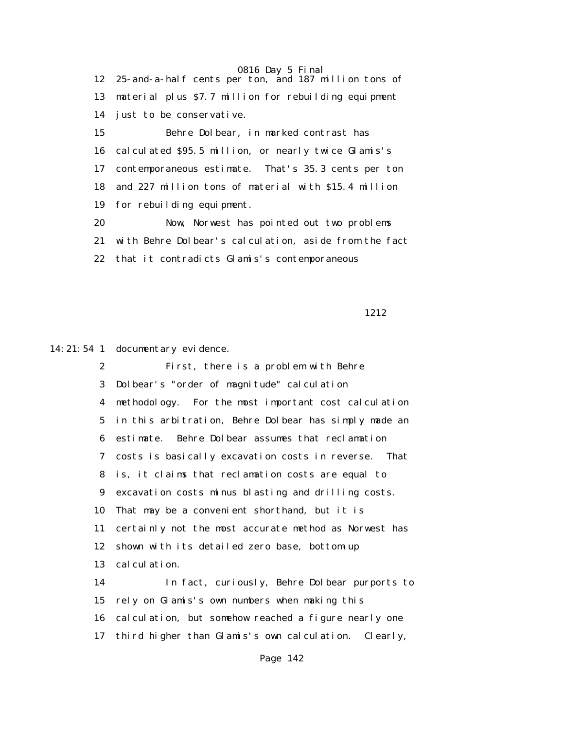0816 Day 5 Final 12 25-and-a-half cents per ton, and 187 million tons of 13 material plus \$7.7 million for rebuilding equipment 14 just to be conservative. 15 Behre Dolbear, in marked contrast has 16 calculated \$95.5 million, or nearly twice Glamis's 17 contemporaneous estimate. That's 35.3 cents per ton 18 and 227 million tons of material with \$15.4 million 19 for rebuilding equipment. 20 Now, Norwest has pointed out two problems

 21 with Behre Dolbear's calculation, aside from the fact 22 that it contradicts Glamis's contemporaneous

**1212** 

14:21:54 1 documentary evidence.

 2 First, there is a problem with Behre 3 Dolbear's "order of magnitude" calculation 4 methodology. For the most important cost calculation 5 in this arbitration, Behre Dolbear has simply made an 6 estimate. Behre Dolbear assumes that reclamation 7 costs is basically excavation costs in reverse. That 8 is, it claims that reclamation costs are equal to 9 excavation costs minus blasting and drilling costs. 10 That may be a convenient shorthand, but it is 11 certainly not the most accurate method as Norwest has 12 shown with its detailed zero base, bottom-up 13 calculation. 14 In fact, curiously, Behre Dolbear purports to

 15 rely on Glamis's own numbers when making this 16 calculation, but somehow reached a figure nearly one 17 third higher than Glamis's own calculation. Clearly,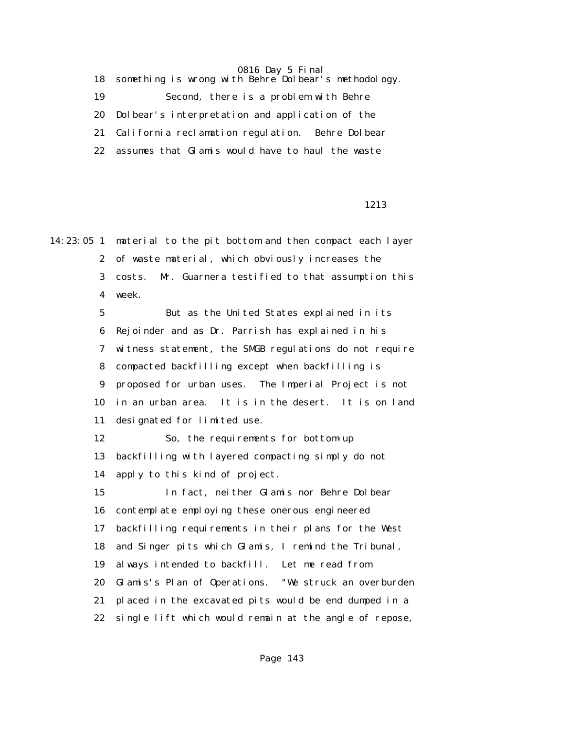|    | 18 something is wrong with Behre Dolbear's methodology. |
|----|---------------------------------------------------------|
| 19 | Second, there is a problem with Behre                   |
|    | 20 Dolbear's interpretation and application of the      |
|    | 21 California reclamation regulation. Behre Dolbear     |
| 22 | assumes that Glamis would have to haul the waste        |

1213

14:23:05 1 material to the pit bottom and then compact each layer 2 of waste material, which obviously increases the 3 costs. Mr. Guarnera testified to that assumption this 4 week. 5 But as the United States explained in its 6 Rejoinder and as Dr. Parrish has explained in his 7 witness statement, the SMGB regulations do not require 8 compacted backfilling except when backfilling is 9 proposed for urban uses. The Imperial Project is not 10 in an urban area. It is in the desert. It is on land 11 designated for limited use. 12 So, the requirements for bottom-up 13 backfilling with layered compacting simply do not 14 apply to this kind of project. 15 In fact, neither Glamis nor Behre Dolbear 16 contemplate employing these onerous engineered 17 backfilling requirements in their plans for the West 18 and Singer pits which Glamis, I remind the Tribunal, 19 always intended to backfill. Let me read from 20 Glamis's Plan of Operations. "We struck an overburden 21 placed in the excavated pits would be end dumped in a 22 single lift which would remain at the angle of repose,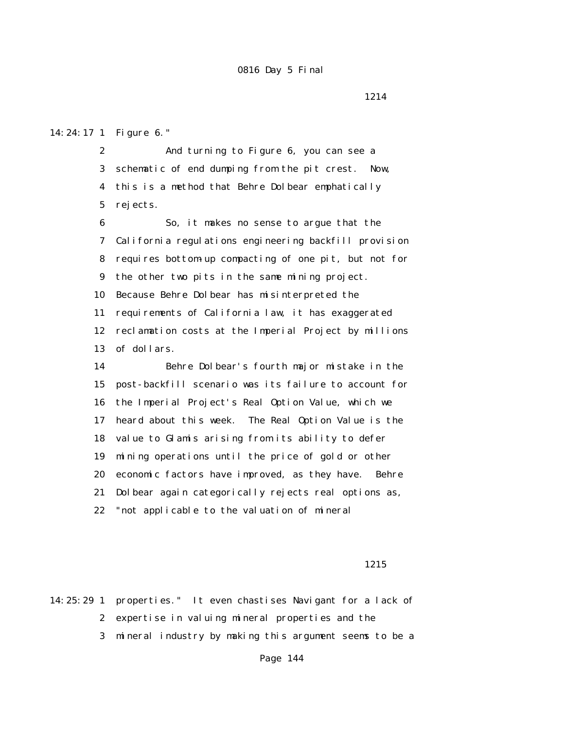#### 14:24:17 1 Figure 6."

 2 And turning to Figure 6, you can see a 3 schematic of end dumping from the pit crest. Now, 4 this is a method that Behre Dolbear emphatically 5 rejects.

 6 So, it makes no sense to argue that the 7 California regulations engineering backfill provision 8 requires bottom-up compacting of one pit, but not for 9 the other two pits in the same mining project. 10 Because Behre Dolbear has misinterpreted the 11 requirements of California law, it has exaggerated 12 reclamation costs at the Imperial Project by millions 13 of dollars.

 14 Behre Dolbear's fourth major mistake in the 15 post-backfill scenario was its failure to account for 16 the Imperial Project's Real Option Value, which we 17 heard about this week. The Real Option Value is the 18 value to Glamis arising from its ability to defer 19 mining operations until the price of gold or other 20 economic factors have improved, as they have. Behre 21 Dolbear again categorically rejects real options as, 22 "not applicable to the valuation of mineral

1215

14:25:29 1 properties." It even chastises Navigant for a lack of 2 expertise in valuing mineral properties and the 3 mineral industry by making this argument seems to be a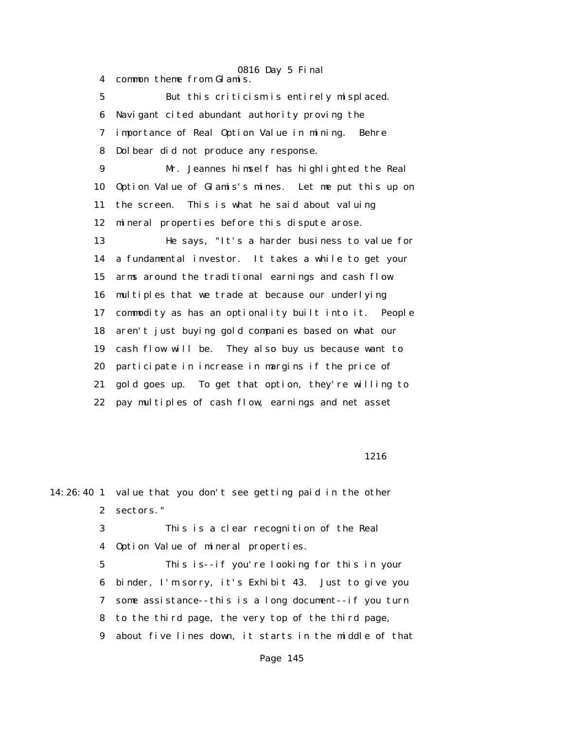0816 Day 5 Final 4 common theme from Glamis. 5 But this criticism is entirely misplaced. 6 Navigant cited abundant authority proving the 7 importance of Real Option Value in mining. Behre 8 Dolbear did not produce any response. 9 Mr. Jeannes himself has highlighted the Real 10 Option Value of Glamis's mines. Let me put this up on 11 the screen. This is what he said about valuing 12 mineral properties before this dispute arose. 13 He says, "It's a harder business to value for 14 a fundamental investor. It takes a while to get your 15 arms around the traditional earnings and cash flow 16 multiples that we trade at because our underlying 17 commodity as has an optionality built into it. People 18 aren't just buying gold companies based on what our 19 cash flow will be. They also buy us because want to 20 participate in increase in margins if the price of 21 gold goes up. To get that option, they're willing to 22 pay multiples of cash flow, earnings and net asset

1216

14:26:40 1 value that you don't see getting paid in the other 2 sectors."

> 3 This is a clear recognition of the Real 4 Option Value of mineral properties.

 5 This is--if you're looking for this in your 6 binder, I'm sorry, it's Exhibit 43. Just to give you 7 some assistance--this is a long document--if you turn 8 to the third page, the very top of the third page, 9 about five lines down, it starts in the middle of that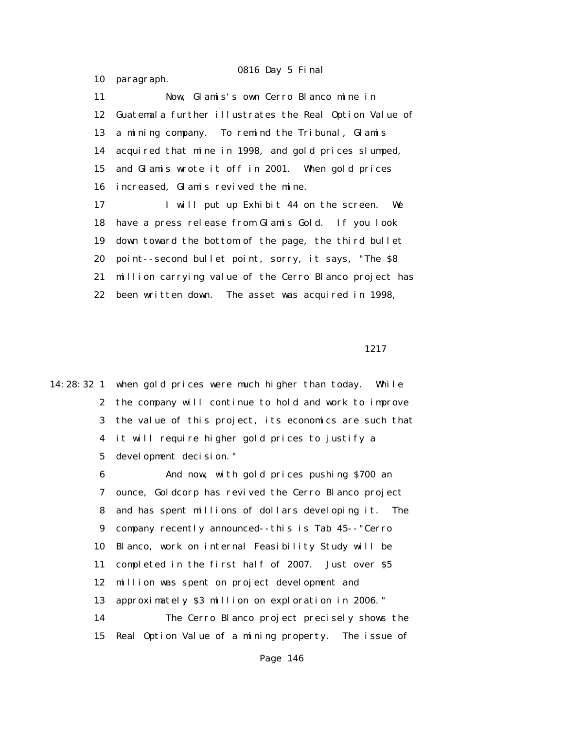10 paragraph.

 11 Now, Glamis's own Cerro Blanco mine in 12 Guatemala further illustrates the Real Option Value of 13 a mining company. To remind the Tribunal, Glamis 14 acquired that mine in 1998, and gold prices slumped, 15 and Glamis wrote it off in 2001. When gold prices 16 increased, Glamis revived the mine.

17 I will put up Exhibit 44 on the screen. We 18 have a press release from Glamis Gold. If you look 19 down toward the bottom of the page, the third bullet 20 point--second bullet point, sorry, it says, "The \$8 21 million carrying value of the Cerro Blanco project has 22 been written down. The asset was acquired in 1998,

1217

14:28:32 1 when gold prices were much higher than today. While 2 the company will continue to hold and work to improve 3 the value of this project, its economics are such that 4 it will require higher gold prices to justify a 5 development decision."

> 6 And now, with gold prices pushing \$700 an 7 ounce, Goldcorp has revived the Cerro Blanco project 8 and has spent millions of dollars developing it. The 9 company recently announced--this is Tab 45--"Cerro 10 Blanco, work on internal Feasibility Study will be 11 completed in the first half of 2007. Just over \$5 12 million was spent on project development and 13 approximately \$3 million on exploration in 2006." 14 The Cerro Blanco project precisely shows the 15 Real Option Value of a mining property. The issue of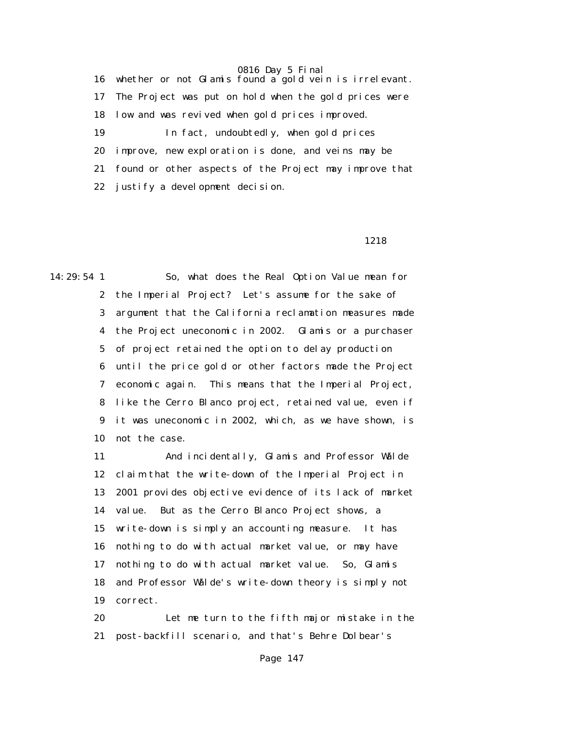16 whether or not Glamis found a gold vein is irrelevant. 17 The Project was put on hold when the gold prices were 18 low and was revived when gold prices improved. 19 In fact, undoubtedly, when gold prices 20 improve, new exploration is done, and veins may be 21 found or other aspects of the Project may improve that 22 justify a development decision.

## 1218

14:29:54 1 So, what does the Real Option Value mean for 2 the Imperial Project? Let's assume for the sake of 3 argument that the California reclamation measures made 4 the Project uneconomic in 2002. Glamis or a purchaser 5 of project retained the option to delay production 6 until the price gold or other factors made the Project 7 economic again. This means that the Imperial Project, 8 like the Cerro Blanco project, retained value, even if 9 it was uneconomic in 2002, which, as we have shown, is 10 not the case.

> 11 And incidentally, Glamis and Professor Wälde 12 claim that the write-down of the Imperial Project in 13 2001 provides objective evidence of its lack of market 14 value. But as the Cerro Blanco Project shows, a 15 write-down is simply an accounting measure. It has 16 nothing to do with actual market value, or may have 17 nothing to do with actual market value. So, Glamis 18 and Professor Wälde's write-down theory is simply not 19 correct.

> 20 Let me turn to the fifth major mistake in the 21 post-backfill scenario, and that's Behre Dolbear's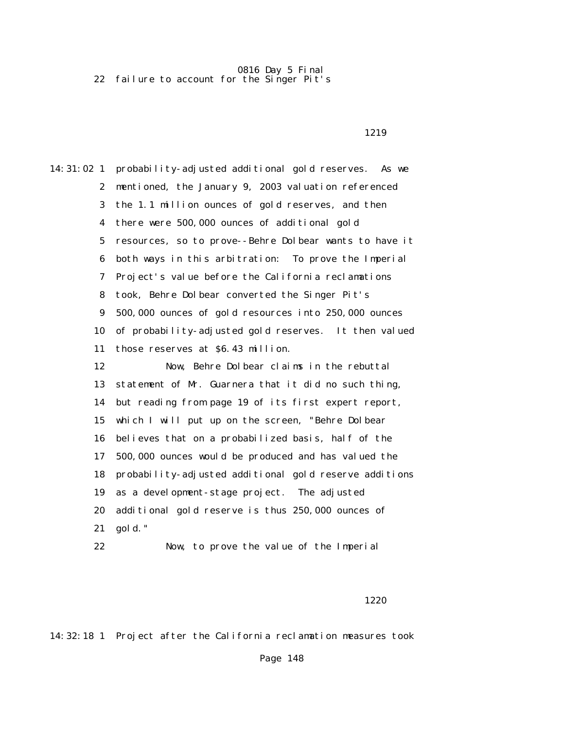22 failure to account for the Singer Pit's

14:31:02 1 probability-adjusted additional gold reserves. As we 2 mentioned, the January 9, 2003 valuation referenced 3 the 1.1 million ounces of gold reserves, and then 4 there were 500,000 ounces of additional gold 5 resources, so to prove--Behre Dolbear wants to have it 6 both ways in this arbitration: To prove the Imperial 7 Project's value before the California reclamations 8 took, Behre Dolbear converted the Singer Pit's 9 500,000 ounces of gold resources into 250,000 ounces 10 of probability-adjusted gold reserves. It then valued 11 those reserves at \$6.43 million. 12 Now, Behre Dolbear claims in the rebuttal 13 statement of Mr. Guarnera that it did no such thing, 14 but reading from page 19 of its first expert report, 15 which I will put up on the screen, "Behre Dolbear 16 believes that on a probabilized basis, half of the 17 500,000 ounces would be produced and has valued the 18 probability-adjusted additional gold reserve additions 19 as a development-stage project. The adjusted 20 additional gold reserve is thus 250,000 ounces of 21 gold."

22 Now, to prove the value of the Imperial

Page 148

1220

14:32:18 1 Project after the California reclamation measures took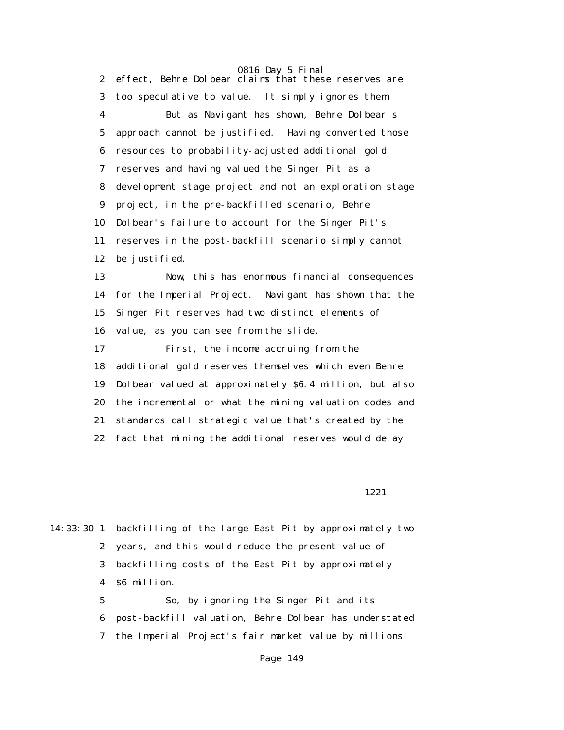2 effect, Behre Dolbear claims that these reserves are 3 too speculative to value. It simply ignores them. 4 But as Navigant has shown, Behre Dolbear's 5 approach cannot be justified. Having converted those 6 resources to probability-adjusted additional gold 7 reserves and having valued the Singer Pit as a 8 development stage project and not an exploration stage 9 project, in the pre-backfilled scenario, Behre 10 Dolbear's failure to account for the Singer Pit's 11 reserves in the post-backfill scenario simply cannot 12 be justified. 13 Now, this has enormous financial consequences 14 for the Imperial Project. Navigant has shown that the 15 Singer Pit reserves had two distinct elements of 16 value, as you can see from the slide.

 17 First, the income accruing from the 18 additional gold reserves themselves which even Behre 19 Dolbear valued at approximately \$6.4 million, but also 20 the incremental or what the mining valuation codes and 21 standards call strategic value that's created by the 22 fact that mining the additional reserves would delay

1221

14:33:30 1 backfilling of the large East Pit by approximately two 2 years, and this would reduce the present value of 3 backfilling costs of the East Pit by approximately 4 \$6 million.

 5 So, by ignoring the Singer Pit and its 6 post-backfill valuation, Behre Dolbear has understated 7 the Imperial Project's fair market value by millions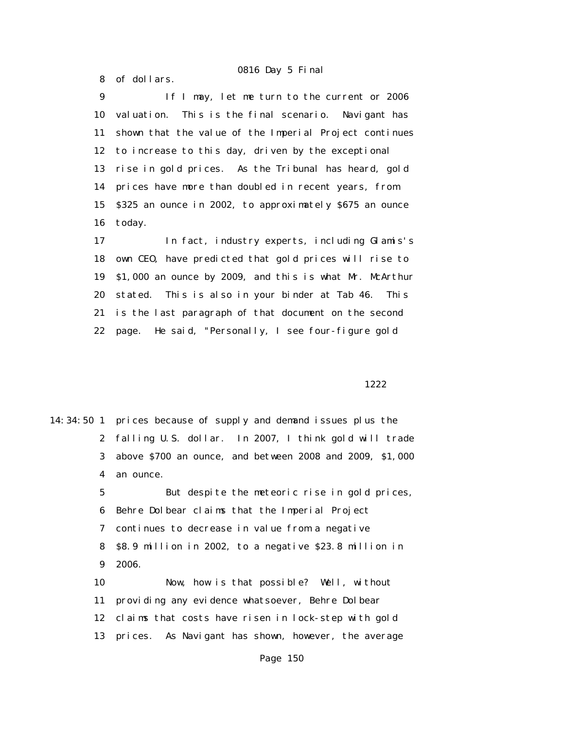8 of dollars.

 9 If I may, let me turn to the current or 2006 10 valuation. This is the final scenario. Navigant has 11 shown that the value of the Imperial Project continues 12 to increase to this day, driven by the exceptional 13 rise in gold prices. As the Tribunal has heard, gold 14 prices have more than doubled in recent years, from 15 \$325 an ounce in 2002, to approximately \$675 an ounce 16 today.

 17 In fact, industry experts, including Glamis's 18 own CEO, have predicted that gold prices will rise to 19 \$1,000 an ounce by 2009, and this is what Mr. McArthur 20 stated. This is also in your binder at Tab 46. This 21 is the last paragraph of that document on the second 22 page. He said, "Personally, I see four-figure gold

1222

14:34:50 1 prices because of supply and demand issues plus the 2 falling U.S. dollar. In 2007, I think gold will trade 3 above \$700 an ounce, and between 2008 and 2009, \$1,000 4 an ounce.

> 5 But despite the meteoric rise in gold prices, 6 Behre Dolbear claims that the Imperial Project 7 continues to decrease in value from a negative 8 \$8.9 million in 2002, to a negative \$23.8 million in 9 2006.

 10 Now, how is that possible? Well, without 11 providing any evidence whatsoever, Behre Dolbear 12 claims that costs have risen in lock-step with gold 13 prices. As Navigant has shown, however, the average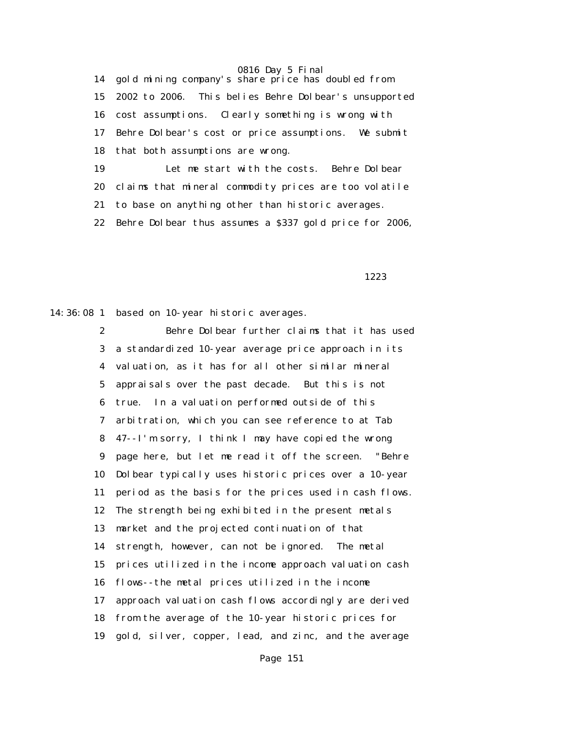14 gold mining company's share price has doubled from 15 2002 to 2006. This belies Behre Dolbear's unsupported 16 cost assumptions. Clearly something is wrong with 17 Behre Dolbear's cost or price assumptions. We submit 18 that both assumptions are wrong.

 19 Let me start with the costs. Behre Dolbear 20 claims that mineral commodity prices are too volatile 21 to base on anything other than historic averages.

22 Behre Dolbear thus assumes a \$337 gold price for 2006,

1223

14:36:08 1 based on 10-year historic averages.

 2 Behre Dolbear further claims that it has used 3 a standardized 10-year average price approach in its 4 valuation, as it has for all other similar mineral 5 appraisals over the past decade. But this is not 6 true. In a valuation performed outside of this 7 arbitration, which you can see reference to at Tab 8 47--I'm sorry, I think I may have copied the wrong 9 page here, but let me read it off the screen. "Behre 10 Dolbear typically uses historic prices over a 10-year 11 period as the basis for the prices used in cash flows. 12 The strength being exhibited in the present metals 13 market and the projected continuation of that 14 strength, however, can not be ignored. The metal 15 prices utilized in the income approach valuation cash 16 flows--the metal prices utilized in the income 17 approach valuation cash flows accordingly are derived 18 from the average of the 10-year historic prices for 19 gold, silver, copper, lead, and zinc, and the average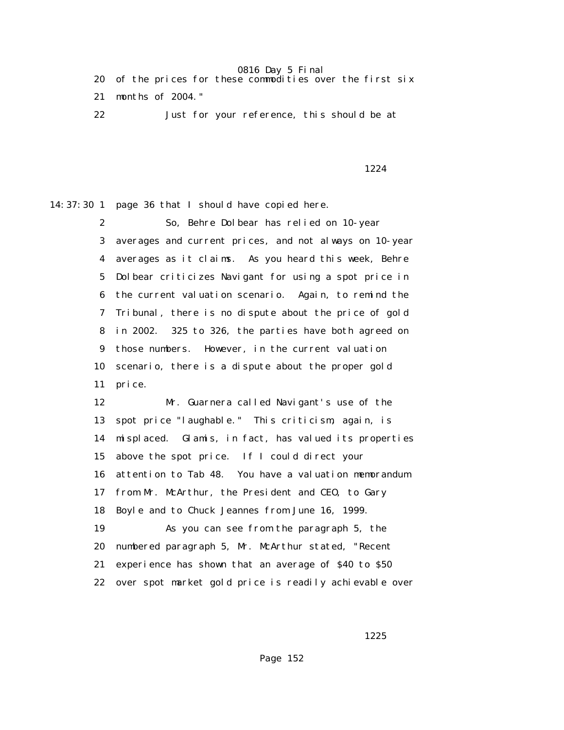|  |                     |  | 20 of the prices for these commodities over the first six |  |  |
|--|---------------------|--|-----------------------------------------------------------|--|--|
|  | 21 months of 2004." |  |                                                           |  |  |

22 Just for your reference, this should be at

## 1224

14:37:30 1 page 36 that I should have copied here.

 2 So, Behre Dolbear has relied on 10-year 3 averages and current prices, and not always on 10-year 4 averages as it claims. As you heard this week, Behre 5 Dolbear criticizes Navigant for using a spot price in 6 the current valuation scenario. Again, to remind the 7 Tribunal, there is no dispute about the price of gold 8 in 2002. 325 to 326, the parties have both agreed on 9 those numbers. However, in the current valuation 10 scenario, there is a dispute about the proper gold 11 price.

 12 Mr. Guarnera called Navigant's use of the 13 spot price "laughable." This criticism, again, is 14 misplaced. Glamis, in fact, has valued its properties 15 above the spot price. If I could direct your 16 attention to Tab 48. You have a valuation memorandum 17 from Mr. McArthur, the President and CEO, to Gary 18 Boyle and to Chuck Jeannes from June 16, 1999. 19 As you can see from the paragraph 5, the 20 numbered paragraph 5, Mr. McArthur stated, "Recent 21 experience has shown that an average of \$40 to \$50 22 over spot market gold price is readily achievable over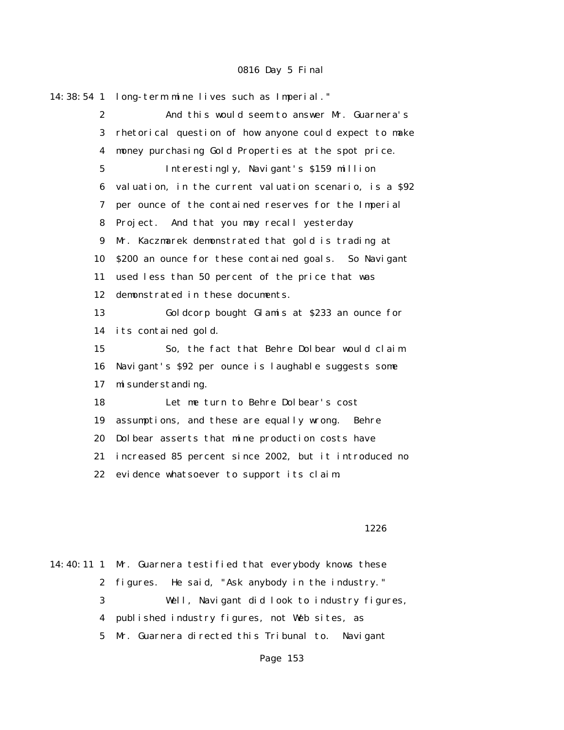14:38:54 1 long-term mine lives such as Imperial." 2 And this would seem to answer Mr. Guarnera's 3 rhetorical question of how anyone could expect to make 4 money purchasing Gold Properties at the spot price. 5 Interestingly, Navigant's \$159 million 6 valuation, in the current valuation scenario, is a \$92 7 per ounce of the contained reserves for the Imperial 8 Project. And that you may recall yesterday 9 Mr. Kaczmarek demonstrated that gold is trading at 10 \$200 an ounce for these contained goals. So Navigant 11 used less than 50 percent of the price that was 12 demonstrated in these documents. 13 Goldcorp bought Glamis at \$233 an ounce for 14 its contained gold. 15 So, the fact that Behre Dolbear would claim 16 Navigant's \$92 per ounce is laughable suggests some 17 misunderstanding. 18 Let me turn to Behre Dolbear's cost 19 assumptions, and these are equally wrong. Behre 20 Dolbear asserts that mine production costs have 21 increased 85 percent since 2002, but it introduced no 22 evidence whatsoever to support its claim.

#### 1226

14:40:11 1 Mr. Guarnera testified that everybody knows these 2 figures. He said, "Ask anybody in the industry." 3 Well, Navigant did look to industry figures, 4 published industry figures, not Web sites, as 5 Mr. Guarnera directed this Tribunal to. Navigant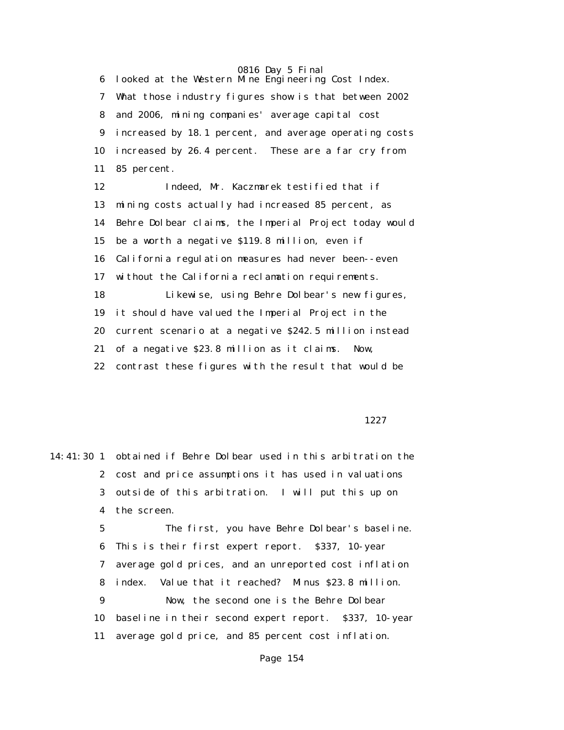6 looked at the Western Mine Engineering Cost Index. 7 What those industry figures show is that between 2002 8 and 2006, mining companies' average capital cost 9 increased by 18.1 percent, and average operating costs 10 increased by 26.4 percent. These are a far cry from 11 85 percent.

 12 Indeed, Mr. Kaczmarek testified that if 13 mining costs actually had increased 85 percent, as 14 Behre Dolbear claims, the Imperial Project today would 15 be a worth a negative \$119.8 million, even if 16 California regulation measures had never been--even 17 without the California reclamation requirements. 18 Likewise, using Behre Dolbear's new figures, 19 it should have valued the Imperial Project in the 20 current scenario at a negative \$242.5 million instead 21 of a negative \$23.8 million as it claims. Now, 22 contrast these figures with the result that would be

1227

14:41:30 1 obtained if Behre Dolbear used in this arbitration the 2 cost and price assumptions it has used in valuations 3 outside of this arbitration. I will put this up on 4 the screen.

 5 The first, you have Behre Dolbear's baseline. 6 This is their first expert report. \$337, 10-year 7 average gold prices, and an unreported cost inflation 8 index. Value that it reached? Minus \$23.8 million. 9 Now, the second one is the Behre Dolbear 10 baseline in their second expert report. \$337, 10-year 11 average gold price, and 85 percent cost inflation.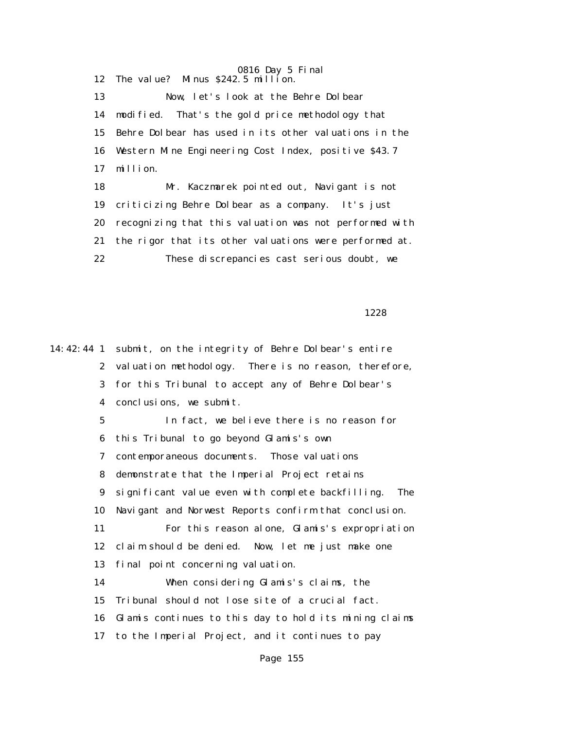0816 Day 5 Final 12 The value? Minus \$242.5 million.

 13 Now, let's look at the Behre Dolbear 14 modified. That's the gold price methodology that 15 Behre Dolbear has used in its other valuations in the 16 Western Mine Engineering Cost Index, positive \$43.7 17 million.

 18 Mr. Kaczmarek pointed out, Navigant is not 19 criticizing Behre Dolbear as a company. It's just 20 recognizing that this valuation was not performed with 21 the rigor that its other valuations were performed at. 22 These discrepancies cast serious doubt, we

1228

14:42:44 1 submit, on the integrity of Behre Dolbear's entire 2 valuation methodology. There is no reason, therefore, 3 for this Tribunal to accept any of Behre Dolbear's 4 conclusions, we submit. 5 In fact, we believe there is no reason for 6 this Tribunal to go beyond Glamis's own 7 contemporaneous documents. Those valuations 8 demonstrate that the Imperial Project retains 9 significant value even with complete backfilling. The 10 Navigant and Norwest Reports confirm that conclusion. 11 For this reason alone, Glamis's expropriation 12 claim should be denied. Now, let me just make one 13 final point concerning valuation. 14 When considering Glamis's claims, the 15 Tribunal should not lose site of a crucial fact. 16 Glamis continues to this day to hold its mining claims 17 to the Imperial Project, and it continues to pay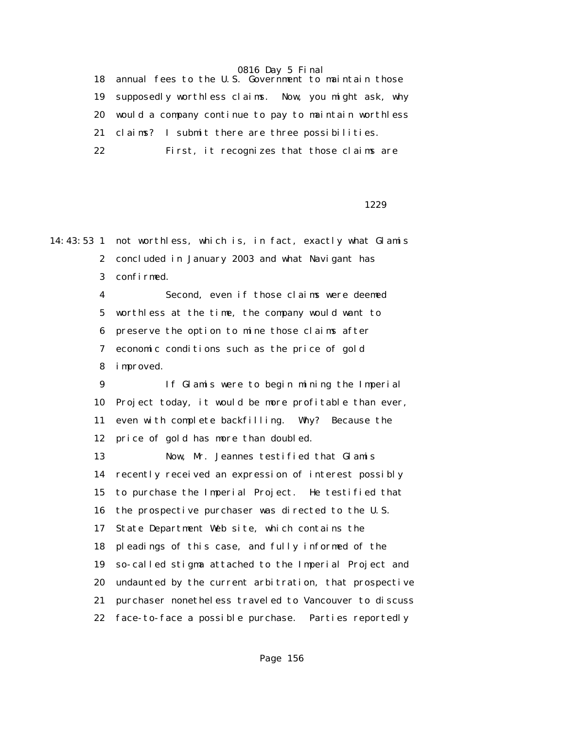18 annual fees to the U.S. Government to maintain those 19 supposedly worthless claims. Now, you might ask, why 20 would a company continue to pay to maintain worthless 21 claims? I submit there are three possibilities. 22 First, it recognizes that those claims are

1229

14:43:53 1 not worthless, which is, in fact, exactly what Glamis 2 concluded in January 2003 and what Navigant has 3 confirmed. 4 Second, even if those claims were deemed 5 worthless at the time, the company would want to 6 preserve the option to mine those claims after 7 economic conditions such as the price of gold 8 improved. 9 If Glamis were to begin mining the Imperial 10 Project today, it would be more profitable than ever, 11 even with complete backfilling. Why? Because the 12 price of gold has more than doubled. 13 Now, Mr. Jeannes testified that Glamis 14 recently received an expression of interest possibly 15 to purchase the Imperial Project. He testified that 16 the prospective purchaser was directed to the U.S. 17 State Department Web site, which contains the 18 pleadings of this case, and fully informed of the 19 so-called stigma attached to the Imperial Project and 20 undaunted by the current arbitration, that prospective 21 purchaser nonetheless traveled to Vancouver to discuss 22 face-to-face a possible purchase. Parties reportedly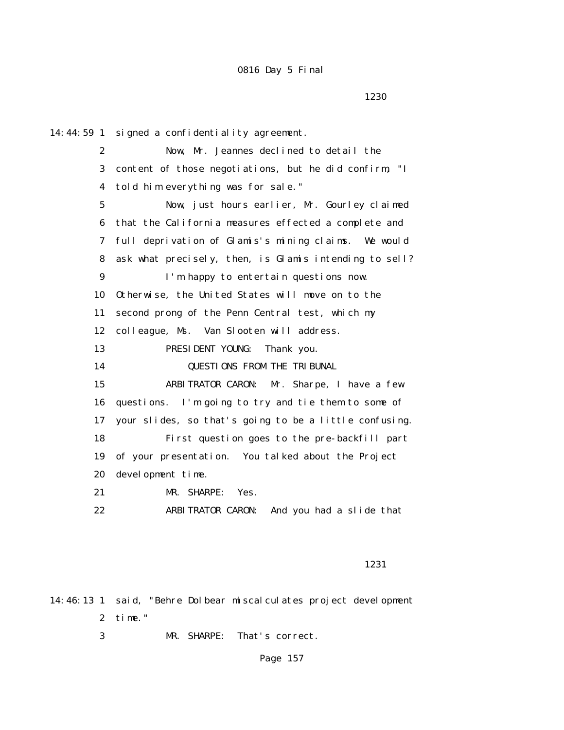| 14:44:59 1              | signed a confidentiality agreement.                    |
|-------------------------|--------------------------------------------------------|
| $\boldsymbol{2}$        | Now, Mr. Jeannes declined to detail the                |
| 3                       | content of those negotiations, but he did confirm, "I  |
| $\overline{\mathbf{4}}$ | told him everything was for sale."                     |
| $\mathbf{5}$            | Now, just hours earlier, Mr. Gourley claimed           |
| 6                       | that the California measures effected a complete and   |
| 7                       | full deprivation of Glamis's mining claims. We would   |
| 8                       | ask what precisely, then, is Glamis intending to sell? |
| 9                       | I'm happy to entertain questions now.                  |
| 10                      | Otherwise, the United States will move on to the       |
| 11                      | second prong of the Penn Central test, which my        |
| 12                      | colleague, Ms. Van Slooten will address.               |
| 13                      | PRESIDENT YOUNG:<br>Thank you.                         |
| 14                      | QUESTIONS FROM THE TRIBUNAL                            |
| 15                      | <b>ARBITRATOR CARON:</b><br>Mr. Sharpe, I have a few   |
| 16                      | questions. I'm going to try and tie them to some of    |
| 17                      | your slides, so that's going to be a little confusing. |
| 18                      | First question goes to the pre-backfill part           |
| 19                      | of your presentation. You talked about the Project     |
| 20                      | development time.                                      |
| 21                      | MR. SHARPE:<br>Yes.                                    |
| 22                      | <b>ARBITRATOR CARON:</b><br>And you had a slide that   |
|                         |                                                        |

1231

14:46:13 1 said, "Behre Dolbear miscalculates project development 2 time."

3 MR. SHARPE: That's correct.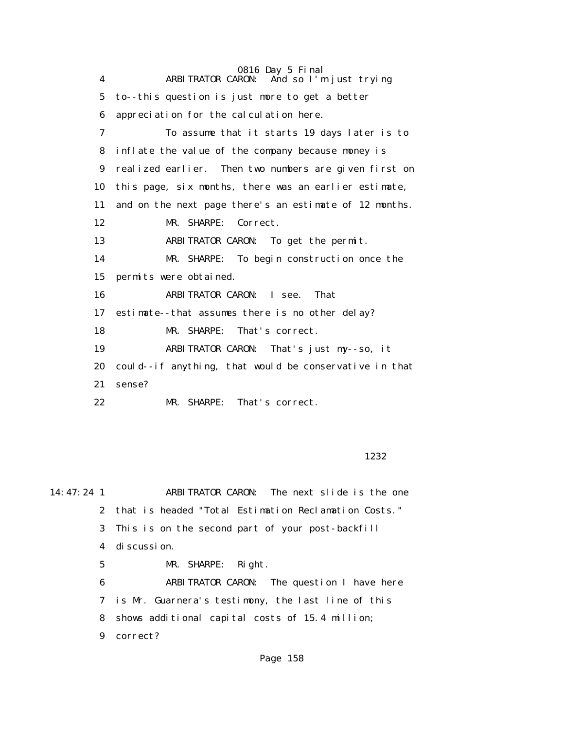0816 Day 5 Final 4 ARBITRATOR CARON: And so I'm just trying 5 to--this question is just more to get a better 6 appreciation for the calculation here. 7 To assume that it starts 19 days later is to 8 inflate the value of the company because money is 9 realized earlier. Then two numbers are given first on 10 this page, six months, there was an earlier estimate, 11 and on the next page there's an estimate of 12 months. 12 MR. SHARPE: Correct. 13 ARBITRATOR CARON: To get the permit. 14 MR. SHARPE: To begin construction once the 15 permits were obtained. 16 ARBITRATOR CARON: I see. That 17 estimate--that assumes there is no other delay? 18 MR. SHARPE: That's correct. 19 ARBITRATOR CARON: That's just my--so, it 20 could--if anything, that would be conservative in that 21 sense? 22 MR. SHARPE: That's correct.

1232

14:47:24 1 ARBITRATOR CARON: The next slide is the one 2 that is headed "Total Estimation Reclamation Costs." 3 This is on the second part of your post-backfill 4 discussion. 5 MR. SHARPE: Right. 6 ARBITRATOR CARON: The question I have here 7 is Mr. Guarnera's testimony, the last line of this 8 shows additional capital costs of 15.4 million; 9 correct?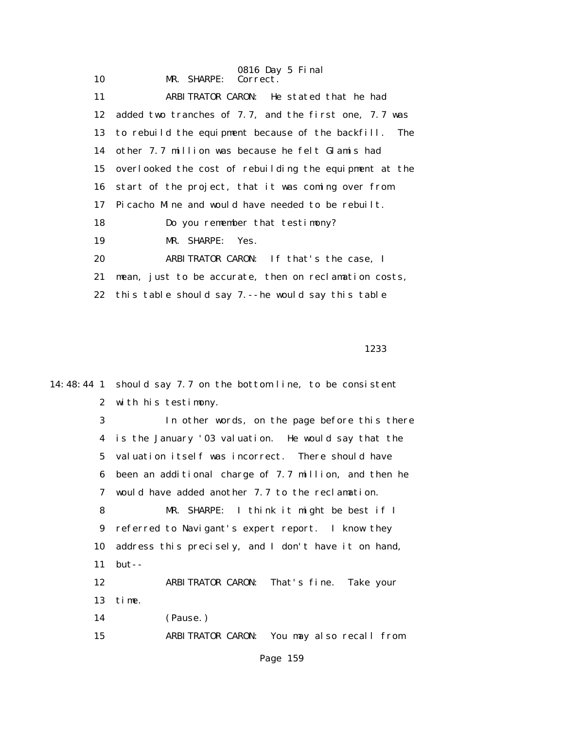0816 Day 5 Final<br>Correct. 10 MR. SHARPE: 11 ARBITRATOR CARON: He stated that he had 12 added two tranches of 7.7, and the first one, 7.7 was 13 to rebuild the equipment because of the backfill. The 14 other 7.7 million was because he felt Glamis had 15 overlooked the cost of rebuilding the equipment at the 16 start of the project, that it was coming over from 17 Picacho Mine and would have needed to be rebuilt. 18 Do you remember that testimony? 19 MR. SHARPE: Yes. 20 ARBITRATOR CARON: If that's the case, I 21 mean, just to be accurate, then on reclamation costs, 22 this table should say 7.--he would say this table

1233

 2 with his testimony. 3 In other words, on the page before this there 4 is the January '03 valuation. He would say that the 5 valuation itself was incorrect. There should have 6 been an additional charge of 7.7 million, and then he 7 would have added another 7.7 to the reclamation. 8 MR. SHARPE: I think it might be best if I 9 referred to Navigant's expert report. I know they 10 address this precisely, and I don't have it on hand, 11 but-- 12 ARBITRATOR CARON: That's fine. Take your 13 time. 14 (Pause.) 15 ARBITRATOR CARON: You may also recall from

14:48:44 1 should say 7.7 on the bottom line, to be consistent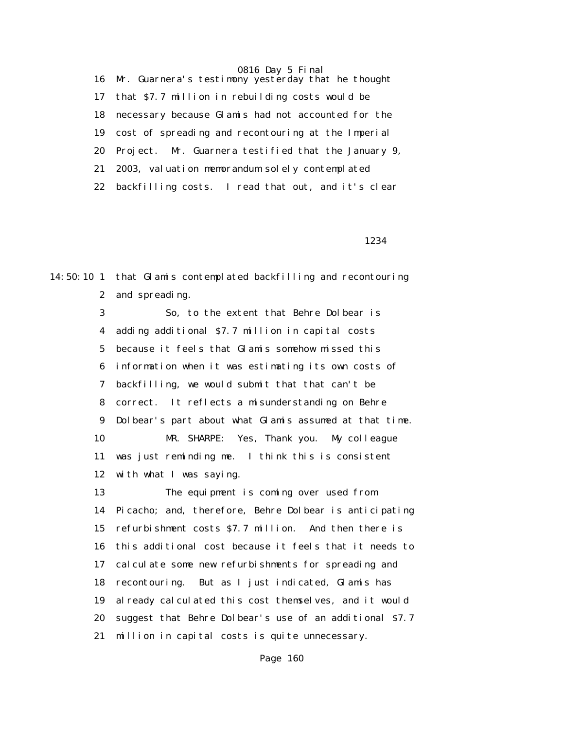16 Mr. Guarnera's testimony yesterday that he thought 17 that \$7.7 million in rebuilding costs would be 18 necessary because Glamis had not accounted for the 19 cost of spreading and recontouring at the Imperial 20 Project. Mr. Guarnera testified that the January 9, 21 2003, valuation memorandum solely contemplated 22 backfilling costs. I read that out, and it's clear

1234

14:50:10 1 that Glamis contemplated backfilling and recontouring 2 and spreading.

> 3 So, to the extent that Behre Dolbear is 4 adding additional \$7.7 million in capital costs 5 because it feels that Glamis somehow missed this 6 information when it was estimating its own costs of 7 backfilling, we would submit that that can't be 8 correct. It reflects a misunderstanding on Behre 9 Dolbear's part about what Glamis assumed at that time. 10 MR. SHARPE: Yes, Thank you. My colleague 11 was just reminding me. I think this is consistent 12 with what I was saying.

> 13 The equipment is coming over used from 14 Picacho; and, therefore, Behre Dolbear is anticipating 15 refurbishment costs \$7.7 million. And then there is 16 this additional cost because it feels that it needs to 17 calculate some new refurbishments for spreading and 18 recontouring. But as I just indicated, Glamis has 19 already calculated this cost themselves, and it would 20 suggest that Behre Dolbear's use of an additional \$7.7 21 million in capital costs is quite unnecessary.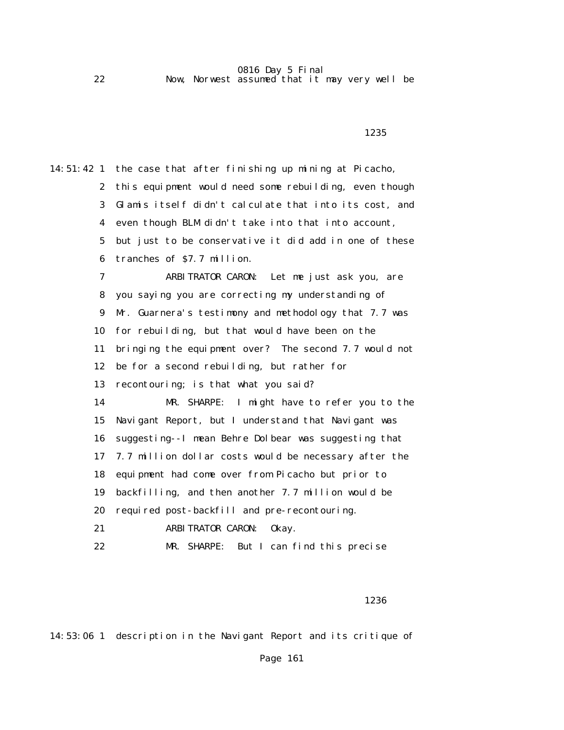0816 Day 5 Final 22 Now, Norwest assumed that it may very well be

14:51:42 1 the case that after finishing up mining at Picacho, 2 this equipment would need some rebuilding, even though 3 Glamis itself didn't calculate that into its cost, and 4 even though BLM didn't take into that into account, 5 but just to be conservative it did add in one of these 6 tranches of \$7.7 million. 7 ARBITRATOR CARON: Let me just ask you, are 8 you saying you are correcting my understanding of 9 Mr. Guarnera's testimony and methodology that 7.7 was 10 for rebuilding, but that would have been on the 11 bringing the equipment over? The second 7.7 would not 12 be for a second rebuilding, but rather for 13 recontouring; is that what you said? 14 MR. SHARPE: I might have to refer you to the 15 Navigant Report, but I understand that Navigant was 16 suggesting--I mean Behre Dolbear was suggesting that 17 7.7 million dollar costs would be necessary after the 18 equipment had come over from Picacho but prior to 19 backfilling, and then another 7.7 million would be 20 required post-backfill and pre-recontouring. 21 ARBITRATOR CARON: Okay. 22 MR. SHARPE: But I can find this precise

<u>1235</u>

#### $1236$

14:53:06 1 description in the Navigant Report and its critique of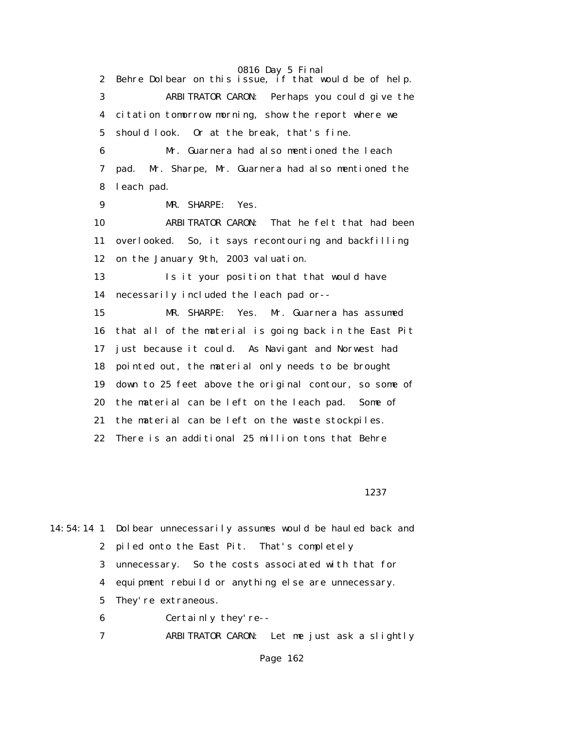2 Behre Dolbear on this issue, if that would be of help. 3 ARBITRATOR CARON: Perhaps you could give the 4 citation tomorrow morning, show the report where we 5 should look. Or at the break, that's fine. 6 Mr. Guarnera had also mentioned the leach 7 pad. Mr. Sharpe, Mr. Guarnera had also mentioned the 8 leach pad. 9 MR. SHARPE: Yes. 10 ARBITRATOR CARON: That he felt that had been 11 overlooked. So, it says recontouring and backfilling 12 on the January 9th, 2003 valuation. 13 Is it your position that that would have 14 necessarily included the leach pad or-- 15 MR. SHARPE: Yes. Mr. Guarnera has assumed 16 that all of the material is going back in the East Pit 17 just because it could. As Navigant and Norwest had 18 pointed out, the material only needs to be brought 19 down to 25 feet above the original contour, so some of 20 the material can be left on the leach pad. Some of 21 the material can be left on the waste stockpiles. 22 There is an additional 25 million tons that Behre

1237

14:54:14 1 Dolbear unnecessarily assumes would be hauled back and 2 piled onto the East Pit. That's completely 3 unnecessary. So the costs associated with that for 4 equipment rebuild or anything else are unnecessary. 5 They're extraneous. 6 Certainly they're--

7 ARBITRATOR CARON: Let me just ask a slightly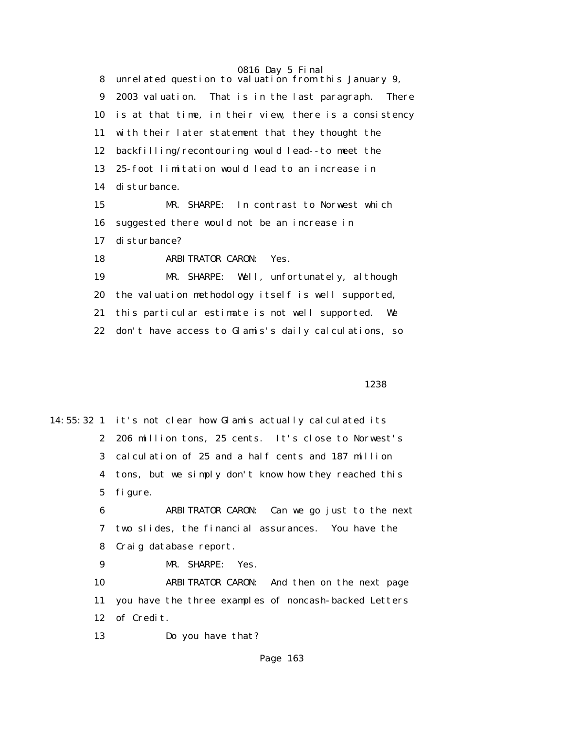0816 Day 5 Final 8 unrelated question to valuation from this January 9, 9 2003 valuation. That is in the last paragraph. There 10 is at that time, in their view, there is a consistency 11 with their later statement that they thought the 12 backfilling/recontouring would lead--to meet the 13 25-foot limitation would lead to an increase in 14 disturbance. 15 MR. SHARPE: In contrast to Norwest which

16 suggested there would not be an increase in

17 disturbance?

18 ARBITRATOR CARON: Yes.

 19 MR. SHARPE: Well, unfortunately, although 20 the valuation methodology itself is well supported, 21 this particular estimate is not well supported. We 22 don't have access to Glamis's daily calculations, so

1238

14:55:32 1 it's not clear how Glamis actually calculated its 2 206 million tons, 25 cents. It's close to Norwest's 3 calculation of 25 and a half cents and 187 million 4 tons, but we simply don't know how they reached this 5 figure. 6 ARBITRATOR CARON: Can we go just to the next

 7 two slides, the financial assurances. You have the 8 Craig database report.

9 MR. SHARPE: Yes.

 10 ARBITRATOR CARON: And then on the next page 11 you have the three examples of noncash-backed Letters 12 of Credit.

13 Do you have that?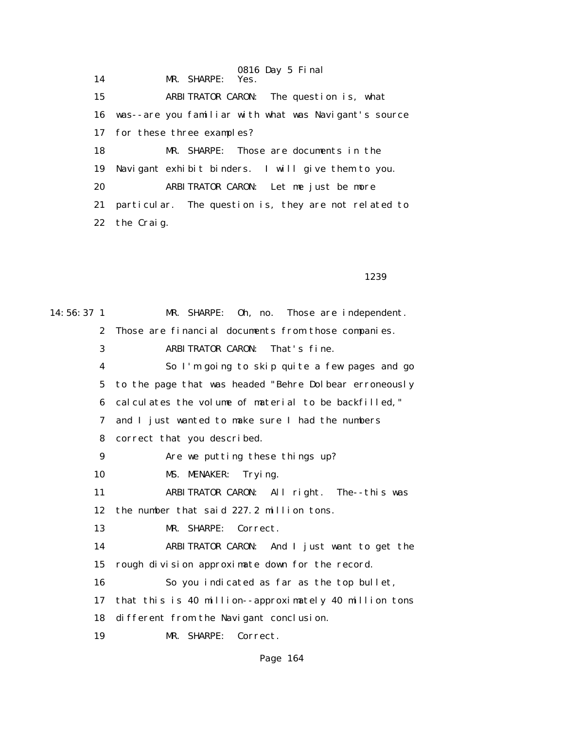0816 Day 5 Final 14 MR. SHARPE: 15 ARBITRATOR CARON: The question is, what 16 was--are you familiar with what was Navigant's source 17 for these three examples? 18 MR. SHARPE: Those are documents in the 19 Navigant exhibit binders. I will give them to you. 20 ARBITRATOR CARON: Let me just be more 21 particular. The question is, they are not related to 22 the Craig.

1239

| 14:56:37 1   | MR. SHARPE: 0h, no. Those are independent.             |  |  |  |  |  |
|--------------|--------------------------------------------------------|--|--|--|--|--|
| $\mathbf{2}$ | Those are financial documents from those companies.    |  |  |  |  |  |
| 3            | <b>ARBITRATOR CARON:</b><br>That's fine.               |  |  |  |  |  |
| 4            | So I'm going to skip quite a few pages and go          |  |  |  |  |  |
| $\mathbf 5$  | to the page that was headed "Behre Dolbear erroneously |  |  |  |  |  |
| 6            | calculates the volume of material to be backfilled,"   |  |  |  |  |  |
| 7            | and I just wanted to make sure I had the numbers       |  |  |  |  |  |
| 8            | correct that you described.                            |  |  |  |  |  |
| 9            | Are we putting these things up?                        |  |  |  |  |  |
| 10           | MS. MENAKER:<br>Trying.                                |  |  |  |  |  |
| 11           | ARBITRATOR CARON: All right. The--this was             |  |  |  |  |  |
| 12           | the number that said 227.2 million tons.               |  |  |  |  |  |
| 13           | MR. SHARPE: Correct.                                   |  |  |  |  |  |
| 14           | ARBITRATOR CARON: And I just want to get the           |  |  |  |  |  |
| 15           | rough division approximate down for the record.        |  |  |  |  |  |
| 16           | So you indicated as far as the top bullet,             |  |  |  |  |  |
| 17           | that this is 40 million--approximately 40 million tons |  |  |  |  |  |
| 18           | different from the Navigant conclusion.                |  |  |  |  |  |
| 19           | MR.<br><b>SHARPE:</b><br>Correct.                      |  |  |  |  |  |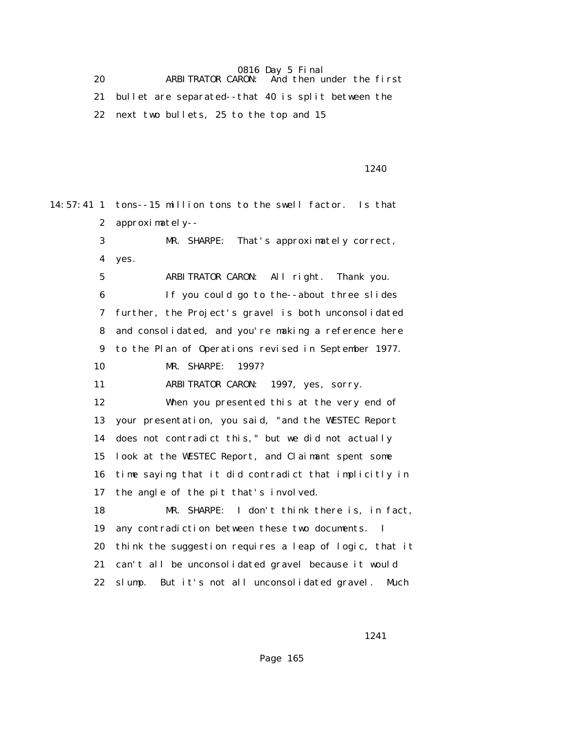0816 Day 5 Final<br>ARBITRATOR CARON: And then u 20 ARBITRATOR CARON: And then under the first 21 bullet are separated--that 40 is split between the 22 next two bullets, 25 to the top and 15

1240

14:57:41 1 tons--15 million tons to the swell factor. Is that 2 approximately-- 3 MR. SHARPE: That's approximately correct, 4 yes. 5 ARBITRATOR CARON: All right. Thank you. 6 If you could go to the--about three slides 7 further, the Project's gravel is both unconsolidated 8 and consolidated, and you're making a reference here 9 to the Plan of Operations revised in September 1977. 10 MR. SHARPE: 1997? 11 ARBITRATOR CARON: 1997, yes, sorry. 12 When you presented this at the very end of 13 your presentation, you said, "and the WESTEC Report 14 does not contradict this," but we did not actually 15 look at the WESTEC Report, and Claimant spent some 16 time saying that it did contradict that implicitly in 17 the angle of the pit that's involved. 18 MR. SHARPE: I don't think there is, in fact, 19 any contradiction between these two documents. I 20 think the suggestion requires a leap of logic, that it 21 can't all be unconsolidated gravel because it would 22 slump. But it's not all unconsolidated gravel. Much

1241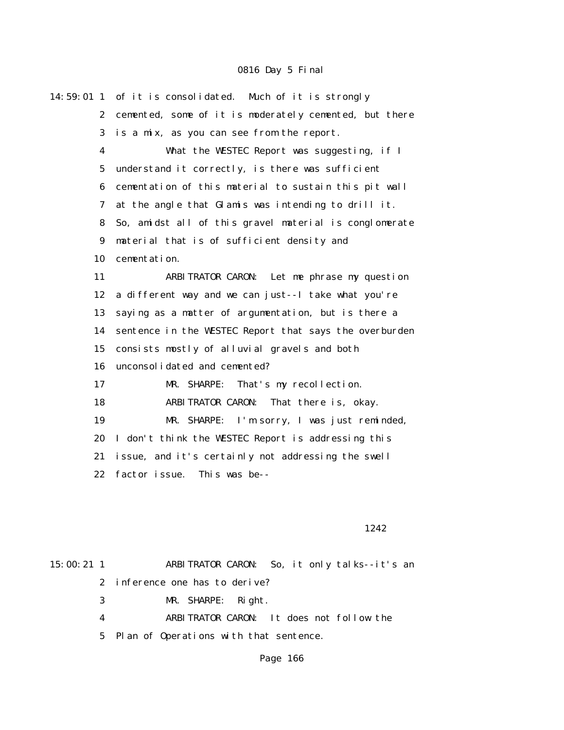| 14:59:01 1       | of it is consolidated. Much of it is strongly          |  |  |  |  |
|------------------|--------------------------------------------------------|--|--|--|--|
| $\boldsymbol{2}$ | cemented, some of it is moderately cemented, but there |  |  |  |  |
| 3                | is a mix, as you can see from the report.              |  |  |  |  |
| $\boldsymbol{4}$ | What the WESTEC Report was suggesting, if I            |  |  |  |  |
| $\mathbf{5}$     | understand it correctly, is there was sufficient       |  |  |  |  |
| 6                | cementation of this material to sustain this pit wall  |  |  |  |  |
| 7                | at the angle that Glamis was intending to drill it.    |  |  |  |  |
| 8                | So, amidst all of this gravel material is conglomerate |  |  |  |  |
| 9                | material that is of sufficient density and             |  |  |  |  |
| 10               | cementation.                                           |  |  |  |  |
| 11               | ARBITRATOR CARON: Let me phrase my question            |  |  |  |  |
| 12               | a different way and we can just--I take what you're    |  |  |  |  |
| 13               | saying as a matter of argumentation, but is there a    |  |  |  |  |
| 14               | sentence in the WESTEC Report that says the overburden |  |  |  |  |
| 15               | consists mostly of alluvial gravels and both           |  |  |  |  |
| 16               | unconsolidated and cemented?                           |  |  |  |  |
| 17               | That's my recollection.<br>MR. SHARPE:                 |  |  |  |  |
| 18               | <b>ARBITRATOR CARON:</b><br>That there is, okay.       |  |  |  |  |
| 19               | MR. SHARPE: I'm sorry, I was just reminded,            |  |  |  |  |
| 20               | I don't think the WESTEC Report is addressing this     |  |  |  |  |
| 21               | issue, and it's certainly not addressing the swell     |  |  |  |  |
| 22               | This was be--<br>factor issue.                         |  |  |  |  |
|                  |                                                        |  |  |  |  |

#### 1242

| $15:00:21$ 1 | ARBITRATOR CARON: So, it only talks--it's an |  |  |  |
|--------------|----------------------------------------------|--|--|--|
|              | 2 inference one has to derive?               |  |  |  |

- 3 MR. SHARPE: Right.
- 4 ARBITRATOR CARON: It does not follow the
- 5 Plan of Operations with that sentence.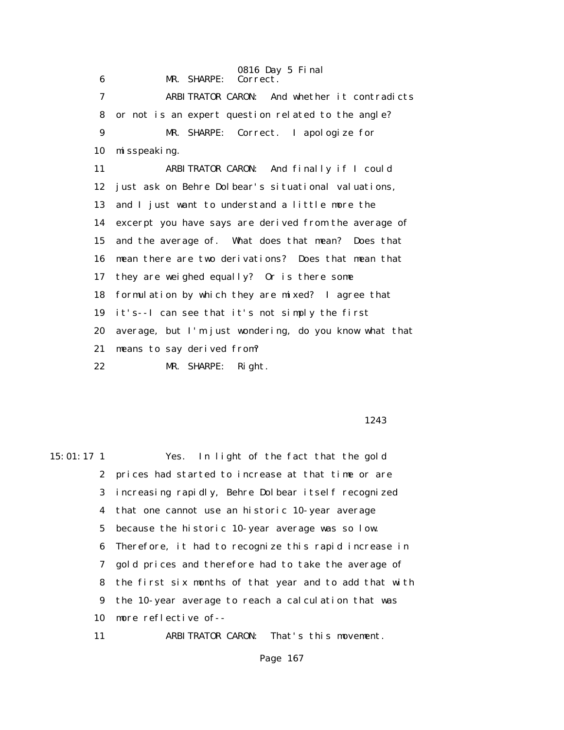0816 Day 5 Final 6 MR. SHARPE: 7 ARBITRATOR CARON: And whether it contradicts 8 or not is an expert question related to the angle? 9 MR. SHARPE: Correct. I apologize for 10 misspeaking. 11 ARBITRATOR CARON: And finally if I could 12 just ask on Behre Dolbear's situational valuations, 13 and I just want to understand a little more the 14 excerpt you have says are derived from the average of 15 and the average of. What does that mean? Does that 16 mean there are two derivations? Does that mean that 17 they are weighed equally? Or is there some 18 formulation by which they are mixed? I agree that 19 it's--I can see that it's not simply the first 20 average, but I'm just wondering, do you know what that 21 means to say derived from? 22 MR. SHARPE: Right.

1243

15:01:17 1 Yes. In light of the fact that the gold 2 prices had started to increase at that time or are 3 increasing rapidly, Behre Dolbear itself recognized 4 that one cannot use an historic 10-year average 5 because the historic 10-year average was so low. 6 Therefore, it had to recognize this rapid increase in 7 gold prices and therefore had to take the average of 8 the first six months of that year and to add that with 9 the 10-year average to reach a calculation that was 10 more reflective of-- 11 ARBITRATOR CARON: That's this movement.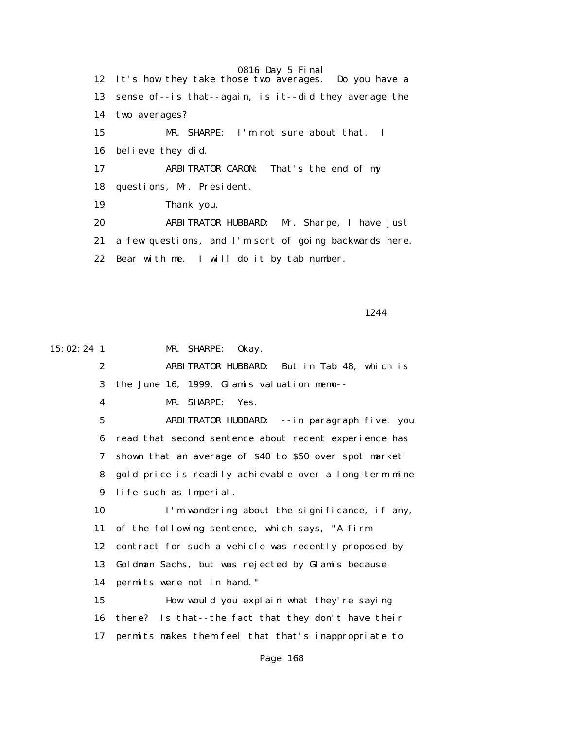0816 Day 5 Final 12 It's how they take those two averages. Do you have a 13 sense of--is that--again, is it--did they average the 14 two averages? 15 MR. SHARPE: I'm not sure about that. I 16 believe they did. 17 ARBITRATOR CARON: That's the end of my 18 questions, Mr. President. 19 Thank you. 20 ARBITRATOR HUBBARD: Mr. Sharpe, I have just 21 a few questions, and I'm sort of going backwards here. 22 Bear with me. I will do it by tab number.

1244

15:02:24 1 MR. SHARPE: Okay.

 2 ARBITRATOR HUBBARD: But in Tab 48, which is 3 the June 16, 1999, Glamis valuation memo--

4 MR. SHARPE: Yes.

 5 ARBITRATOR HUBBARD: --in paragraph five, you 6 read that second sentence about recent experience has 7 shown that an average of \$40 to \$50 over spot market 8 gold price is readily achievable over a long-term mine 9 life such as Imperial.

10 I'm wondering about the significance, if any, 11 of the following sentence, which says, "A firm 12 contract for such a vehicle was recently proposed by 13 Goldman Sachs, but was rejected by Glamis because 14 permits were not in hand."

 15 How would you explain what they're saying 16 there? Is that--the fact that they don't have their 17 permits makes them feel that that's inappropriate to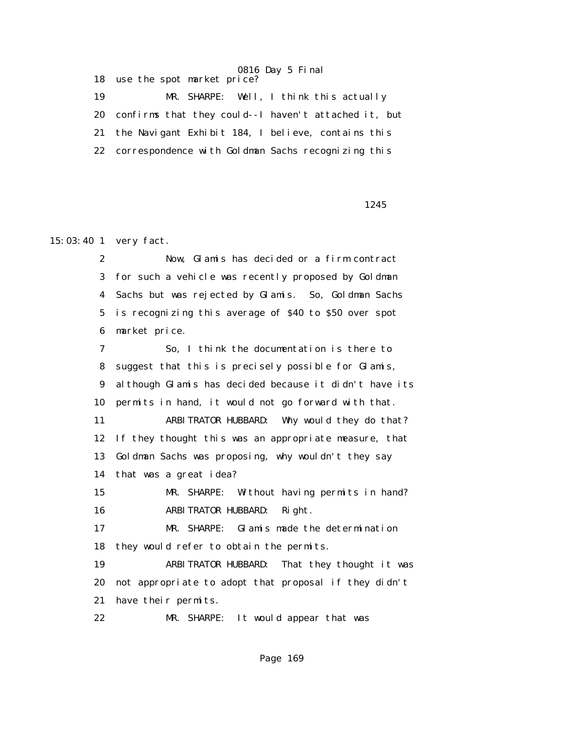0816 Day 5 Final 18 use the spot market price? 19 MR. SHARPE: Well, I think this actually 20 confirms that they could--I haven't attached it, but 21 the Navigant Exhibit 184, I believe, contains this 22 correspondence with Goldman Sachs recognizing this

1245

15:03:40 1 very fact.

 2 Now, Glamis has decided or a firm contract 3 for such a vehicle was recently proposed by Goldman 4 Sachs but was rejected by Glamis. So, Goldman Sachs 5 is recognizing this average of \$40 to \$50 over spot 6 market price.

 7 So, I think the documentation is there to 8 suggest that this is precisely possible for Glamis, 9 although Glamis has decided because it didn't have its 10 permits in hand, it would not go forward with that. 11 ARBITRATOR HUBBARD: Why would they do that? 12 If they thought this was an appropriate measure, that 13 Goldman Sachs was proposing, why wouldn't they say 14 that was a great idea? 15 MR. SHARPE: Without having permits in hand? 16 ARBITRATOR HUBBARD: Right. 17 MR. SHARPE: Glamis made the determination 18 they would refer to obtain the permits. 19 ARBITRATOR HUBBARD: That they thought it was 20 not appropriate to adopt that proposal if they didn't

21 have their permits.

22 MR. SHARPE: It would appear that was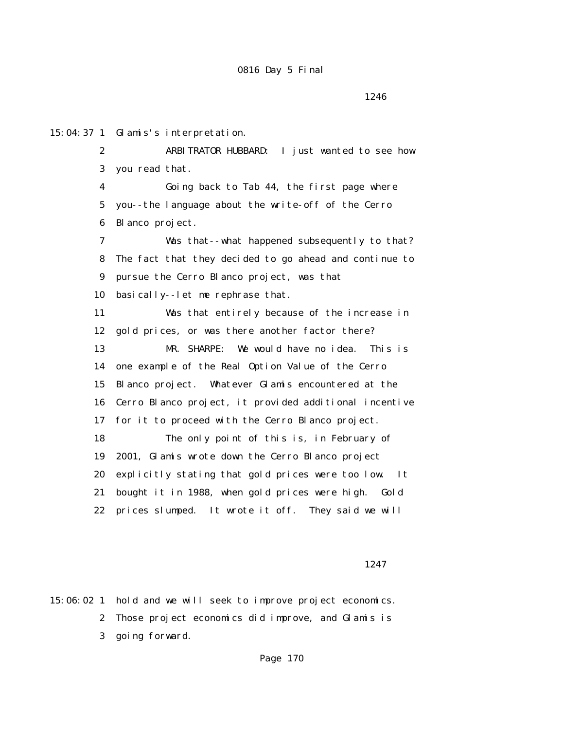1246

15:04:37 1 Glamis's interpretation. 2 ARBITRATOR HUBBARD: I just wanted to see how 3 you read that. 4 Going back to Tab 44, the first page where 5 you--the language about the write-off of the Cerro 6 Blanco project. 7 Was that--what happened subsequently to that? 8 The fact that they decided to go ahead and continue to 9 pursue the Cerro Blanco project, was that 10 basically--let me rephrase that. 11 Was that entirely because of the increase in 12 gold prices, or was there another factor there? 13 MR. SHARPE: We would have no idea. This is 14 one example of the Real Option Value of the Cerro 15 Blanco project. Whatever Glamis encountered at the 16 Cerro Blanco project, it provided additional incentive 17 for it to proceed with the Cerro Blanco project. 18 The only point of this is, in February of 19 2001, Glamis wrote down the Cerro Blanco project 20 explicitly stating that gold prices were too low. It 21 bought it in 1988, when gold prices were high. Gold 22 prices slumped. It wrote it off. They said we will

<u>1247</u>

15:06:02 1 hold and we will seek to improve project economics. 2 Those project economics did improve, and Glamis is 3 going forward.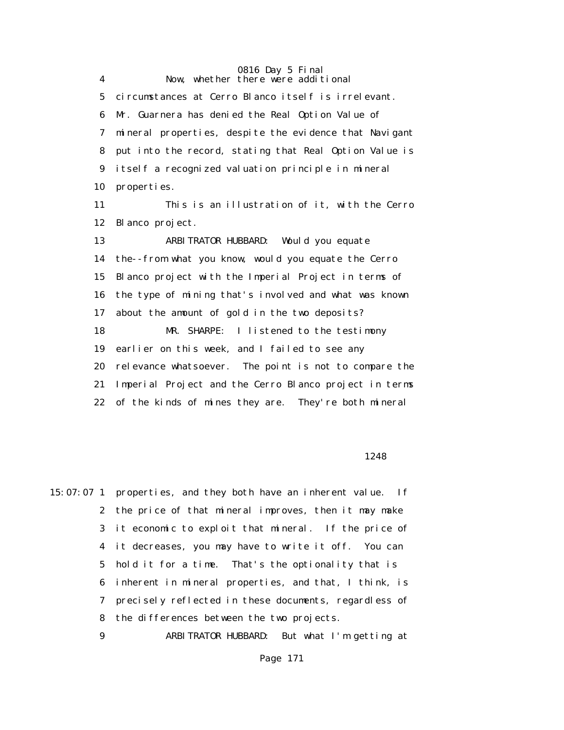0816 Day 5 Final 4 Now, whether there were additional 5 circumstances at Cerro Blanco itself is irrelevant. 6 Mr. Guarnera has denied the Real Option Value of 7 mineral properties, despite the evidence that Navigant 8 put into the record, stating that Real Option Value is 9 itself a recognized valuation principle in mineral 10 properties. 11 This is an illustration of it, with the Cerro 12 Blanco project. 13 ARBITRATOR HUBBARD: Would you equate 14 the--from what you know, would you equate the Cerro 15 Blanco project with the Imperial Project in terms of 16 the type of mining that's involved and what was known 17 about the amount of gold in the two deposits? 18 MR. SHARPE: I listened to the testimony 19 earlier on this week, and I failed to see any 20 relevance whatsoever. The point is not to compare the 21 Imperial Project and the Cerro Blanco project in terms 22 of the kinds of mines they are. They're both mineral

#### 1248

15:07:07 1 properties, and they both have an inherent value. If 2 the price of that mineral improves, then it may make 3 it economic to exploit that mineral. If the price of 4 it decreases, you may have to write it off. You can 5 hold it for a time. That's the optionality that is 6 inherent in mineral properties, and that, I think, is 7 precisely reflected in these documents, regardless of 8 the differences between the two projects.

9 ARBITRATOR HUBBARD: But what I'm getting at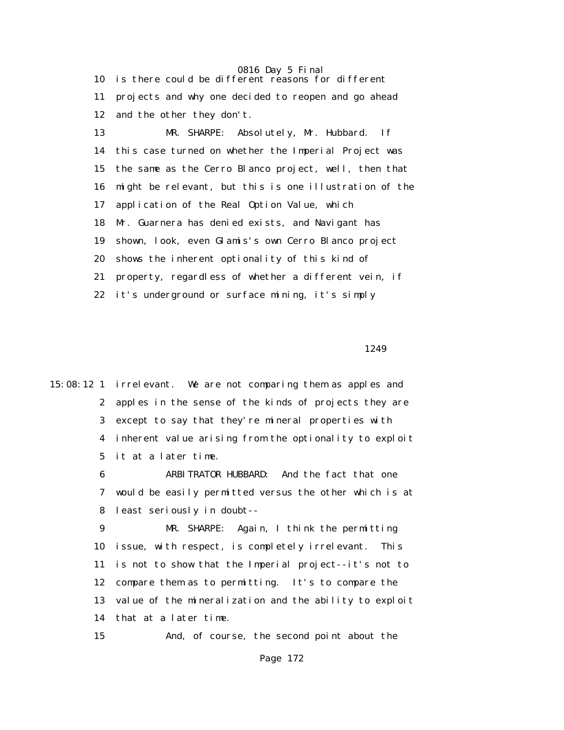0816 Day 5 Final 10 is there could be different reasons for different 11 projects and why one decided to reopen and go ahead 12 and the other they don't. 13 MR. SHARPE: Absolutely, Mr. Hubbard. If

 14 this case turned on whether the Imperial Project was 15 the same as the Cerro Blanco project, well, then that 16 might be relevant, but this is one illustration of the 17 application of the Real Option Value, which 18 Mr. Guarnera has denied exists, and Navigant has 19 shown, look, even Glamis's own Cerro Blanco project 20 shows the inherent optionality of this kind of 21 property, regardless of whether a different vein, if 22 it's underground or surface mining, it's simply

1249

15:08:12 1 irrelevant. We are not comparing them as apples and 2 apples in the sense of the kinds of projects they are 3 except to say that they're mineral properties with 4 inherent value arising from the optionality to exploit 5 it at a later time.

> 6 ARBITRATOR HUBBARD: And the fact that one 7 would be easily permitted versus the other which is at 8 least seriously in doubt--

 9 MR. SHARPE: Again, I think the permitting 10 issue, with respect, is completely irrelevant. This 11 is not to show that the Imperial project--it's not to 12 compare them as to permitting. It's to compare the 13 value of the mineralization and the ability to exploit 14 that at a later time.

15 And, of course, the second point about the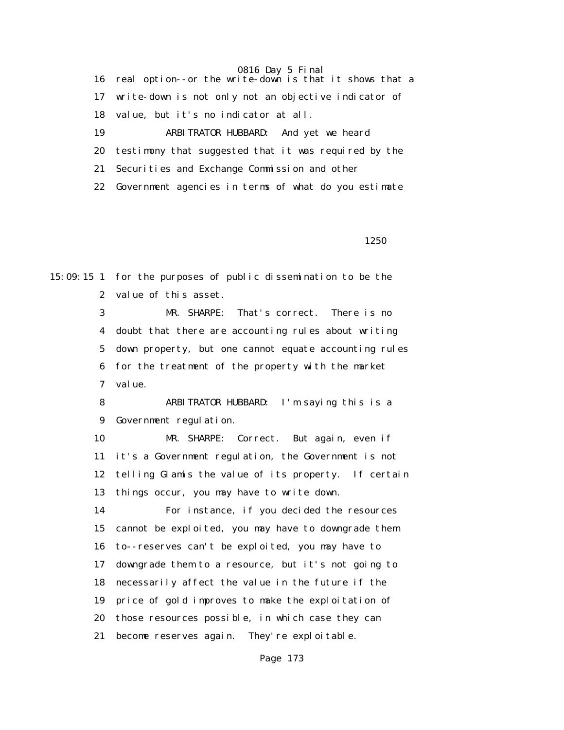16 real option--or the write-down is that it shows that a 17 write-down is not only not an objective indicator of 18 value, but it's no indicator at all. 19 ARBITRATOR HUBBARD: And yet we heard 20 testimony that suggested that it was required by the 21 Securities and Exchange Commission and other

22 Government agencies in terms of what do you estimate

 $1250$ 

15:09:15 1 for the purposes of public dissemination to be the 2 value of this asset.

> 3 MR. SHARPE: That's correct. There is no 4 doubt that there are accounting rules about writing 5 down property, but one cannot equate accounting rules 6 for the treatment of the property with the market 7 value.

 8 ARBITRATOR HUBBARD: I'm saying this is a 9 Government regulation.

 10 MR. SHARPE: Correct. But again, even if 11 it's a Government regulation, the Government is not 12 telling Glamis the value of its property. If certain 13 things occur, you may have to write down.

 14 For instance, if you decided the resources 15 cannot be exploited, you may have to downgrade them 16 to--reserves can't be exploited, you may have to 17 downgrade them to a resource, but it's not going to 18 necessarily affect the value in the future if the 19 price of gold improves to make the exploitation of 20 those resources possible, in which case they can 21 become reserves again. They're exploitable.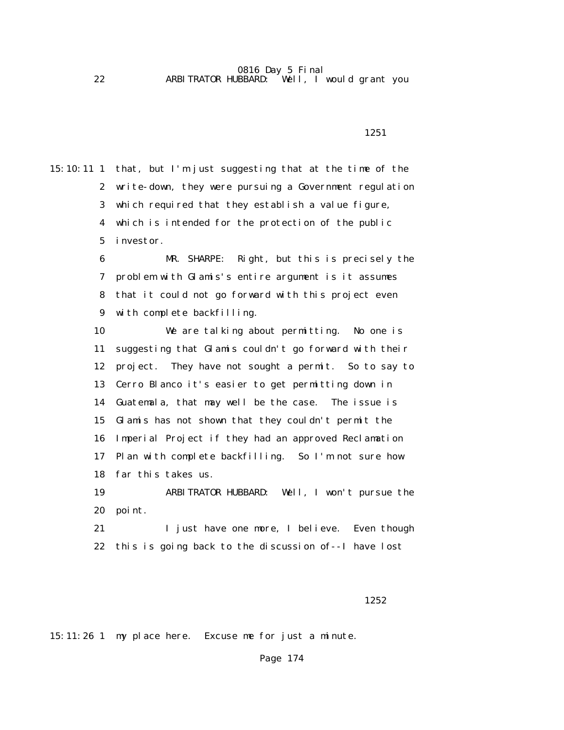0816 Day 5 Final 22 ARBITRATOR HUBBARD: Well, I would grant you

1251

15:10:11 1 that, but I'm just suggesting that at the time of the 2 write-down, they were pursuing a Government regulation 3 which required that they establish a value figure, 4 which is intended for the protection of the public 5 investor.

> 6 MR. SHARPE: Right, but this is precisely the 7 problem with Glamis's entire argument is it assumes 8 that it could not go forward with this project even 9 with complete backfilling.

> 10 We are talking about permitting. No one is 11 suggesting that Glamis couldn't go forward with their 12 project. They have not sought a permit. So to say to 13 Cerro Blanco it's easier to get permitting down in 14 Guatemala, that may well be the case. The issue is 15 Glamis has not shown that they couldn't permit the 16 Imperial Project if they had an approved Reclamation 17 Plan with complete backfilling. So I'm not sure how 18 far this takes us.

> 19 ARBITRATOR HUBBARD: Well, I won't pursue the 20 point.

> 21 I just have one more, I believe. Even though 22 this is going back to the discussion of--I have lost

 $1252$ 

15:11:26 1 my place here. Excuse me for just a minute.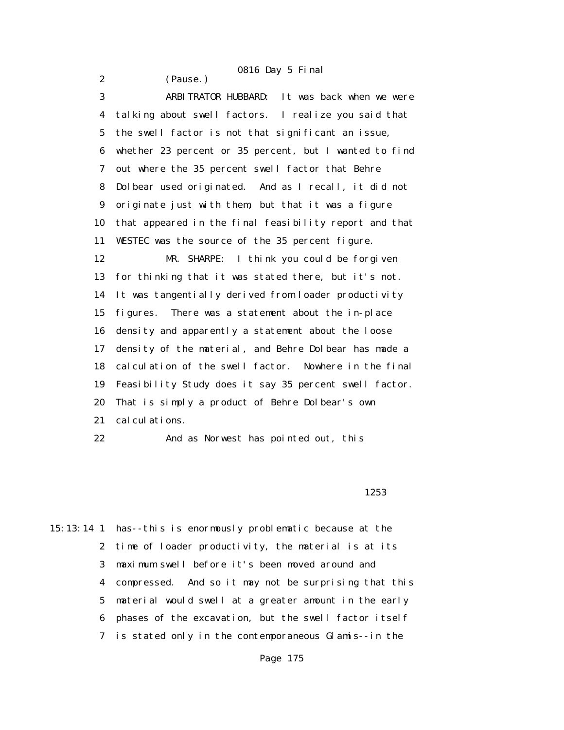0816 Day 5 Final 2 (Pause.) 3 ARBITRATOR HUBBARD: It was back when we were 4 talking about swell factors. I realize you said that 5 the swell factor is not that significant an issue, 6 whether 23 percent or 35 percent, but I wanted to find 7 out where the 35 percent swell factor that Behre 8 Dolbear used originated. And as I recall, it did not 9 originate just with them, but that it was a figure 10 that appeared in the final feasibility report and that 11 WESTEC was the source of the 35 percent figure. 12 MR. SHARPE: I think you could be forgiven 13 for thinking that it was stated there, but it's not. 14 It was tangentially derived from loader productivity 15 figures. There was a statement about the in-place 16 density and apparently a statement about the loose 17 density of the material, and Behre Dolbear has made a 18 calculation of the swell factor. Nowhere in the final 19 Feasibility Study does it say 35 percent swell factor. 20 That is simply a product of Behre Dolbear's own 21 calculations. 22 And as Norwest has pointed out, this

 $1253$ 

15:13:14 1 has--this is enormously problematic because at the 2 time of loader productivity, the material is at its 3 maximum swell before it's been moved around and 4 compressed. And so it may not be surprising that this 5 material would swell at a greater amount in the early 6 phases of the excavation, but the swell factor itself 7 is stated only in the contemporaneous Glamis--in the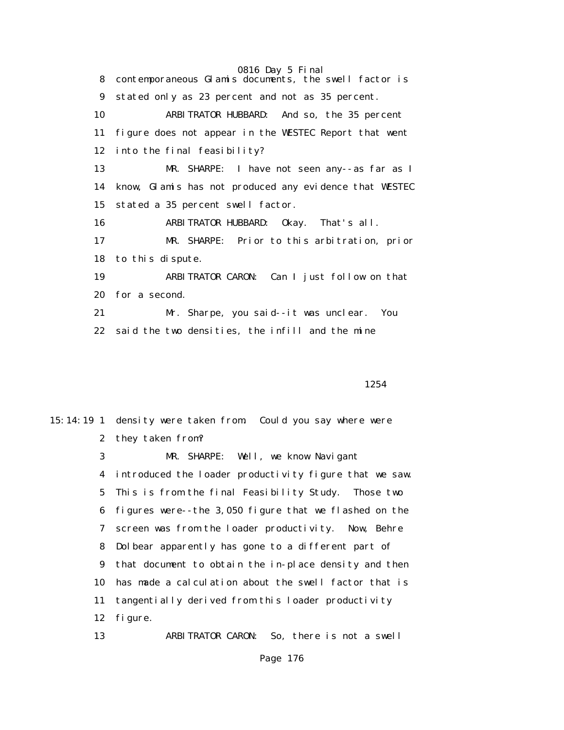0816 Day 5 Final 8 contemporaneous Glamis documents, the swell factor is 9 stated only as 23 percent and not as 35 percent. 10 ARBITRATOR HUBBARD: And so, the 35 percent 11 figure does not appear in the WESTEC Report that went 12 into the final feasibility? 13 MR. SHARPE: I have not seen any--as far as I 14 know, Glamis has not produced any evidence that WESTEC 15 stated a 35 percent swell factor. 16 ARBITRATOR HUBBARD: Okay. That's all. 17 MR. SHARPE: Prior to this arbitration, prior 18 to this dispute. 19 ARBITRATOR CARON: Can I just follow on that 20 for a second. 21 Mr. Sharpe, you said--it was unclear. You 22 said the two densities, the infill and the mine

1254

|    | 15:14:19 1 density were taken from. Could you say where were |
|----|--------------------------------------------------------------|
| 2  | they taken from?                                             |
| 3  | MR. SHARPE: Well, we know Navigant                           |
| 4  | introduced the loader productivity figure that we saw.       |
| 5  | This is from the final Feasibility Study. Those two          |
| 6  | figures were--the 3,050 figure that we flashed on the        |
| 7  | screen was from the loader productivity. Now, Behre          |
| 8  | Dolbear apparently has gone to a different part of           |
|    | 9 that document to obtain the in-place density and then      |
| 10 | has made a calculation about the swell factor that is        |
| 11 | tangentially derived from this loader productivity           |
| 12 | fi gure.                                                     |
| 13 | ARBITRATOR CARON:<br>So, there is not a swell                |
|    |                                                              |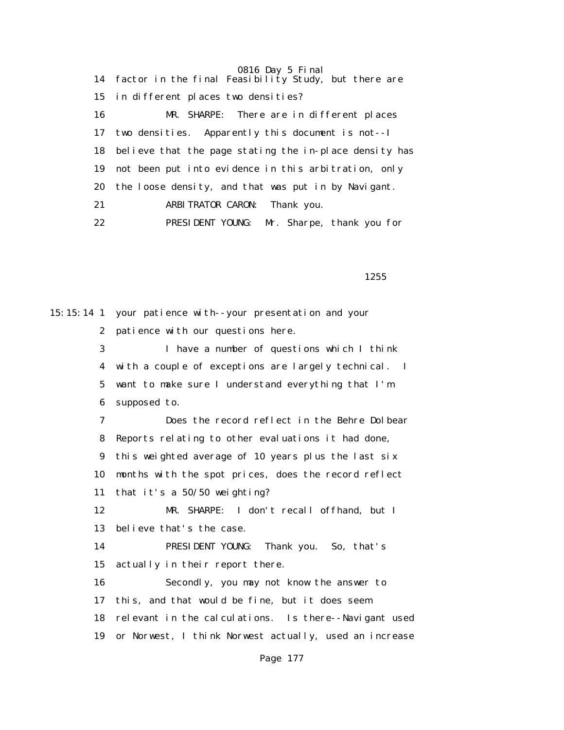0816 Day 5 Final 14 factor in the final Feasibility Study, but there are 15 in different places two densities? 16 MR. SHARPE: There are in different places 17 two densities. Apparently this document is not--I 18 believe that the page stating the in-place density has 19 not been put into evidence in this arbitration, only 20 the loose density, and that was put in by Navigant. 21 ARBITRATOR CARON: Thank you. 22 PRESIDENT YOUNG: Mr. Sharpe, thank you for

 $1255$ 

15:15:14 1 your patience with--your presentation and your 2 patience with our questions here. 3 I have a number of questions which I think 4 with a couple of exceptions are largely technical. I 5 want to make sure I understand everything that I'm 6 supposed to. 7 Does the record reflect in the Behre Dolbear 8 Reports relating to other evaluations it had done, 9 this weighted average of 10 years plus the last six 10 months with the spot prices, does the record reflect 11 that it's a 50/50 weighting? 12 MR. SHARPE: I don't recall offhand, but I 13 believe that's the case. 14 PRESIDENT YOUNG: Thank you. So, that's 15 actually in their report there. 16 Secondly, you may not know the answer to 17 this, and that would be fine, but it does seem 18 relevant in the calculations. Is there--Navigant used 19 or Norwest, I think Norwest actually, used an increase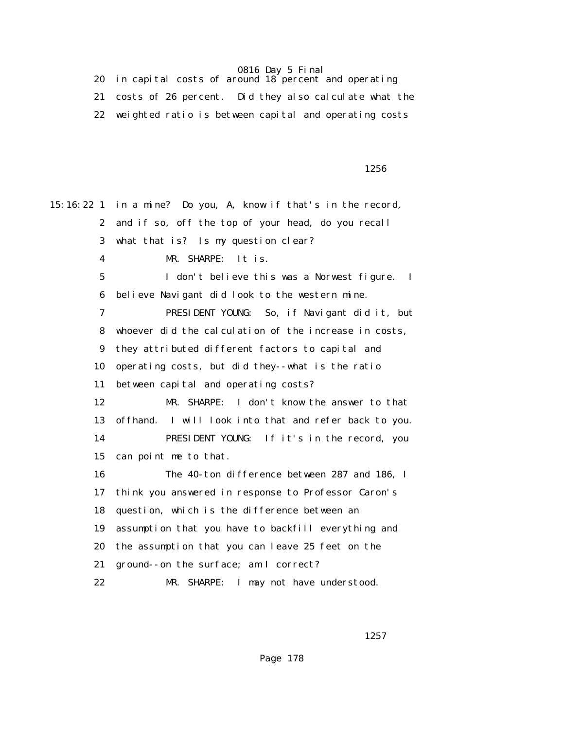20 in capital costs of around 18 percent and operating 21 costs of 26 percent. Did they also calculate what the 22 weighted ratio is between capital and operating costs

## $1256$

15:16:22 1 in a mine? Do you, A, know if that's in the record, 2 and if so, off the top of your head, do you recall 3 what that is? Is my question clear? 4 MR. SHARPE: It is. 5 I don't believe this was a Norwest figure. I 6 believe Navigant did look to the western mine. 7 PRESIDENT YOUNG: So, if Navigant did it, but 8 whoever did the calculation of the increase in costs, 9 they attributed different factors to capital and 10 operating costs, but did they--what is the ratio 11 between capital and operating costs? 12 MR. SHARPE: I don't know the answer to that 13 offhand. I will look into that and refer back to you. 14 PRESIDENT YOUNG: If it's in the record, you 15 can point me to that. 16 The 40-ton difference between 287 and 186, I 17 think you answered in response to Professor Caron's 18 question, which is the difference between an 19 assumption that you have to backfill everything and 20 the assumption that you can leave 25 feet on the 21 ground--on the surface; am I correct? 22 MR. SHARPE: I may not have understood.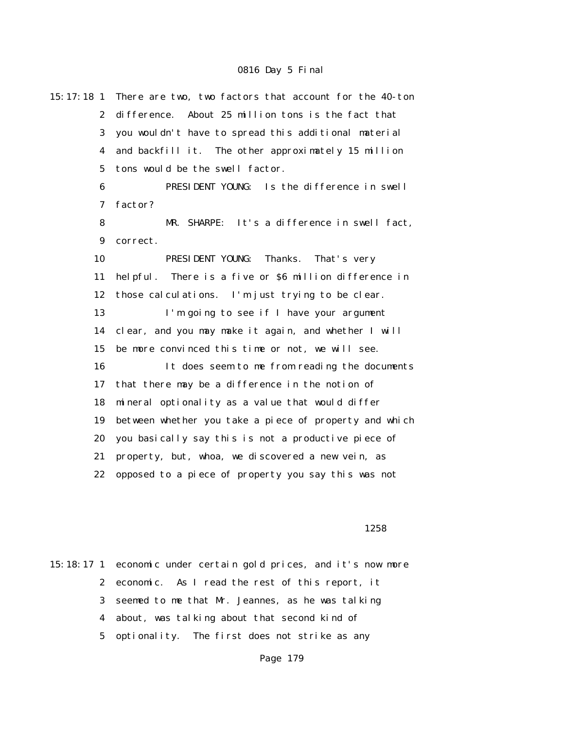| 15:17:18 1   | There are two, two factors that account for the 40-ton |
|--------------|--------------------------------------------------------|
| $\mathbf{2}$ | di fference.<br>About 25 million tons is the fact that |
| 3            | you wouldn't have to spread this additional material   |
| 4            | and backfill it. The other approximately 15 million    |
| 5            | tons would be the swell factor.                        |
| 6            | PRESIDENT YOUNG:<br>Is the difference in swell         |
| 7            | factor?                                                |
| 8            | It's a difference in swell fact,<br>MR. SHARPE:        |
| 9            | correct.                                               |
| 10           | PRESIDENT YOUNG:<br>Thanks.<br>That's very             |
| 11           | helpful. There is a five or \$6 million difference in  |
| 12           | those calculations. I'm just trying to be clear.       |
| 13           | I'm going to see if I have your argument               |
| 14           | clear, and you may make it again, and whether I will   |
| 15           | be more convinced this time or not, we will see.       |
| 16           | It does seem to me from reading the documents          |
| 17           | that there may be a difference in the notion of        |
| 18           | mineral optionality as a value that would differ       |
| 19           | between whether you take a piece of property and which |
| 20           | you basically say this is not a productive piece of    |
| 21           | property, but, whoa, we discovered a new vein, as      |
| 22           | opposed to a piece of property you say this was not    |
|              |                                                        |
|              |                                                        |
|              |                                                        |

#### $1258$

15:18:17 1 economic under certain gold prices, and it's now more 2 economic. As I read the rest of this report, it 3 seemed to me that Mr. Jeannes, as he was talking 4 about, was talking about that second kind of 5 optionality. The first does not strike as any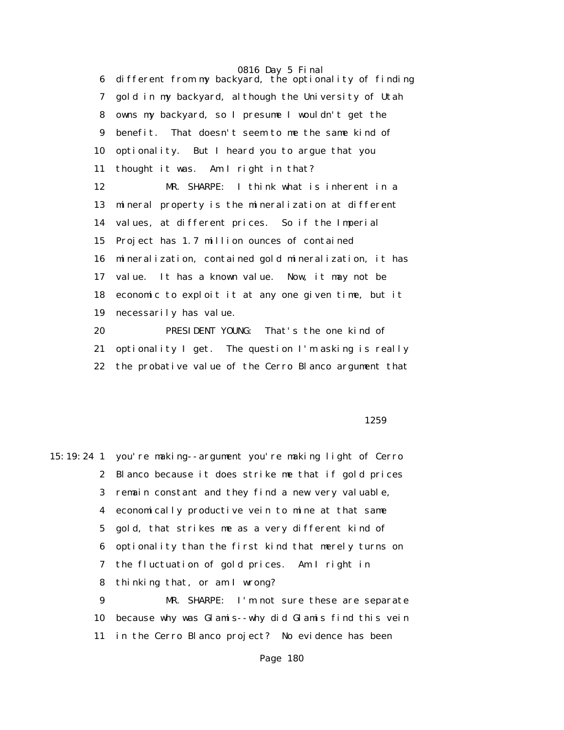0816 Day 5 Final 6 different from my backyard, the optionality of finding 7 gold in my backyard, although the University of Utah 8 owns my backyard, so I presume I wouldn't get the 9 benefit. That doesn't seem to me the same kind of 10 optionality. But I heard you to argue that you 11 thought it was. Am I right in that? 12 MR. SHARPE: I think what is inherent in a 13 mineral property is the mineralization at different 14 values, at different prices. So if the Imperial 15 Project has 1.7 million ounces of contained 16 mineralization, contained gold mineralization, it has 17 value. It has a known value. Now, it may not be 18 economic to exploit it at any one given time, but it 19 necessarily has value. 20 PRESIDENT YOUNG: That's the one kind of 21 optionality I get. The question I'm asking is really

22 the probative value of the Cerro Blanco argument that

 $1259$ 

15:19:24 1 you're making--argument you're making light of Cerro 2 Blanco because it does strike me that if gold prices 3 remain constant and they find a new very valuable, 4 economically productive vein to mine at that same 5 gold, that strikes me as a very different kind of 6 optionality than the first kind that merely turns on 7 the fluctuation of gold prices. Am I right in 8 thinking that, or am I wrong? 9 MR. SHARPE: I'm not sure these are separate

 10 because why was Glamis--why did Glamis find this vein 11 in the Cerro Blanco project? No evidence has been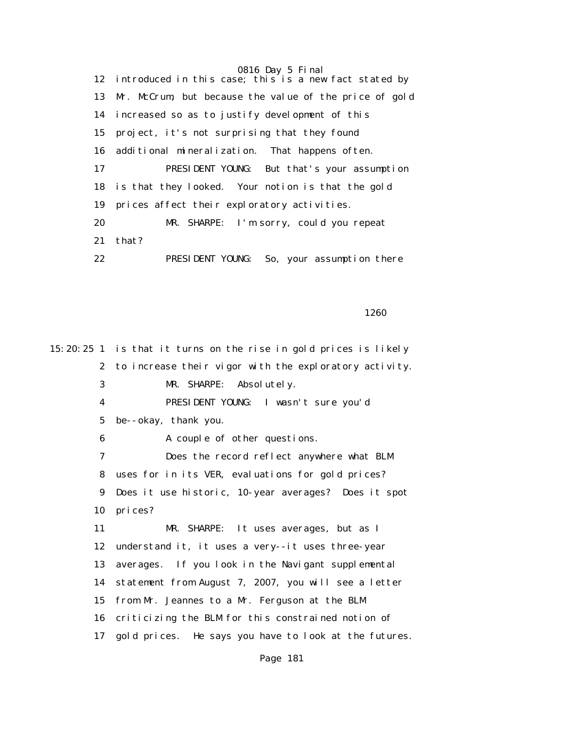12 introduced in this case; this is a new fact stated by 13 Mr. McCrum, but because the value of the price of gold 14 increased so as to justify development of this 15 project, it's not surprising that they found 16 additional mineralization. That happens often. 17 PRESIDENT YOUNG: But that's your assumption 18 is that they looked. Your notion is that the gold 19 prices affect their exploratory activities. 20 MR. SHARPE: I'm sorry, could you repeat 21 that? 22 PRESIDENT YOUNG: So, your assumption there

 $1260$ 

15:20:25 1 is that it turns on the rise in gold prices is likely 2 to increase their vigor with the exploratory activity. 3 MR. SHARPE: Absolutely. 4 PRESIDENT YOUNG: I wasn't sure you'd 5 be--okay, thank you. 6 A couple of other questions. 7 Does the record reflect anywhere what BLM 8 uses for in its VER, evaluations for gold prices? 9 Does it use historic, 10-year averages? Does it spot 10 prices? 11 MR. SHARPE: It uses averages, but as I 12 understand it, it uses a very--it uses three-year 13 averages. If you look in the Navigant supplemental 14 statement from August 7, 2007, you will see a letter 15 from Mr. Jeannes to a Mr. Ferguson at the BLM 16 criticizing the BLM for this constrained notion of 17 gold prices. He says you have to look at the futures.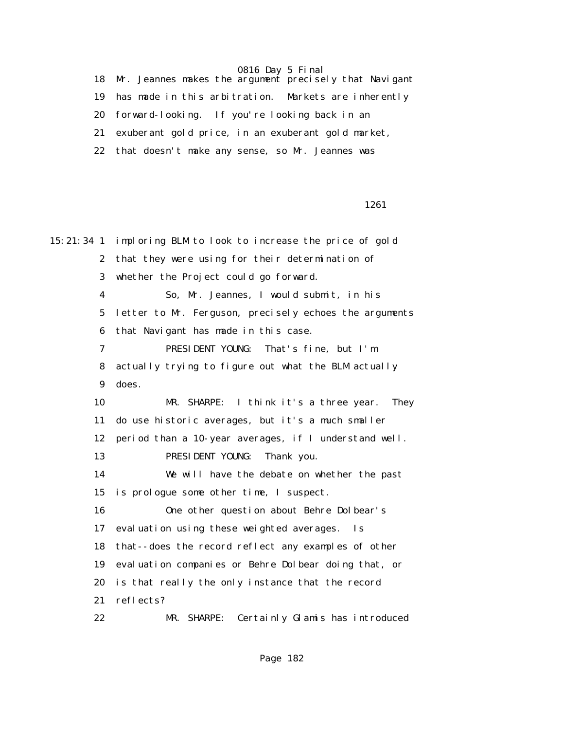18 Mr. Jeannes makes the argument precisely that Navigant

19 has made in this arbitration. Markets are inherently

20 forward-looking. If you're looking back in an

21 exuberant gold price, in an exuberant gold market,

22 that doesn't make any sense, so Mr. Jeannes was

1261

15:21:34 1 imploring BLM to look to increase the price of gold 2 that they were using for their determination of 3 whether the Project could go forward. 4 So, Mr. Jeannes, I would submit, in his 5 letter to Mr. Ferguson, precisely echoes the arguments 6 that Navigant has made in this case. 7 PRESIDENT YOUNG: That's fine, but I'm 8 actually trying to figure out what the BLM actually 9 does. 10 MR. SHARPE: I think it's a three year. They 11 do use historic averages, but it's a much smaller 12 period than a 10-year averages, if I understand well. 13 PRESIDENT YOUNG: Thank you. 14 We will have the debate on whether the past 15 is prologue some other time, I suspect. 16 One other question about Behre Dolbear's 17 evaluation using these weighted averages. Is 18 that--does the record reflect any examples of other 19 evaluation companies or Behre Dolbear doing that, or 20 is that really the only instance that the record 21 reflects? 22 MR. SHARPE: Certainly Glamis has introduced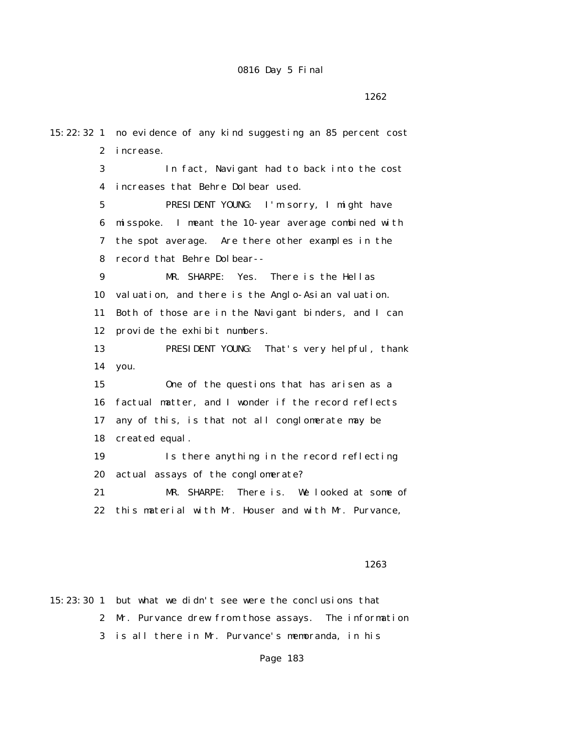$1262$ 

| $15:22:32$ 1            | no evidence of any kind suggesting an 85 percent cost |
|-------------------------|-------------------------------------------------------|
| $\boldsymbol{2}$        | increase.                                             |
| 3                       | In fact, Navigant had to back into the cost           |
| $\overline{\mathbf{4}}$ | increases that Behre Dolbear used.                    |
| $\mathbf 5$             | PRESIDENT YOUNG: I'm sorry, I might have              |
| 6                       | misspoke. I meant the 10-year average combined with   |
| 7                       | the spot average. Are there other examples in the     |
| 8                       | record that Behre Dolbear--                           |
| 9                       | Yes.<br>There is the Hellas<br>MR. SHARPE:            |
| 10                      | valuation, and there is the Anglo-Asian valuation.    |
| 11                      | Both of those are in the Navigant binders, and I can  |
| 12                      | provide the exhibit numbers.                          |
| 13                      | PRESIDENT YOUNG: That's very helpful, thank           |
| 14                      | you.                                                  |
| 15                      | One of the questions that has arisen as a             |
| 16                      | factual matter, and I wonder if the record reflects   |
| 17                      | any of this, is that not all conglomerate may be      |
| 18                      | created equal.                                        |
| 19                      | Is there anything in the record reflecting            |
| 20                      | actual assays of the conglomerate?                    |
| 21                      | There is. We looked at some of<br>MR. SHARPE:         |
| 22                      | this material with Mr. Houser and with Mr. Purvance,  |
|                         |                                                       |
|                         |                                                       |

#### $1263$

15:23:30 1 but what we didn't see were the conclusions that 2 Mr. Purvance drew from those assays. The information 3 is all there in Mr. Purvance's memoranda, in his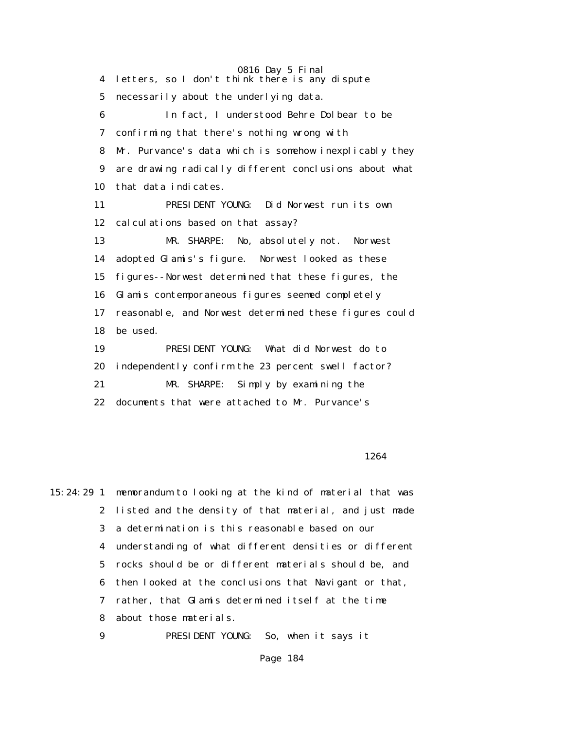0816 Day 5 Final 4 letters, so I don't think there is any dispute 5 necessarily about the underlying data. 6 In fact, I understood Behre Dolbear to be 7 confirming that there's nothing wrong with 8 Mr. Purvance's data which is somehow inexplicably they 9 are drawing radically different conclusions about what 10 that data indicates. 11 PRESIDENT YOUNG: Did Norwest run its own 12 calculations based on that assay? 13 MR. SHARPE: No, absolutely not. Norwest 14 adopted Glamis's figure. Norwest looked as these 15 figures--Norwest determined that these figures, the 16 Glamis contemporaneous figures seemed completely 17 reasonable, and Norwest determined these figures could 18 be used. 19 PRESIDENT YOUNG: What did Norwest do to 20 independently confirm the 23 percent swell factor? 21 MR. SHARPE: Simply by examining the

22 documents that were attached to Mr. Purvance's

#### 1264

15:24:29 1 memorandum to looking at the kind of material that was 2 listed and the density of that material, and just made 3 a determination is this reasonable based on our 4 understanding of what different densities or different 5 rocks should be or different materials should be, and 6 then looked at the conclusions that Navigant or that, 7 rather, that Glamis determined itself at the time 8 about those materials. 9 PRESIDENT YOUNG: So, when it says it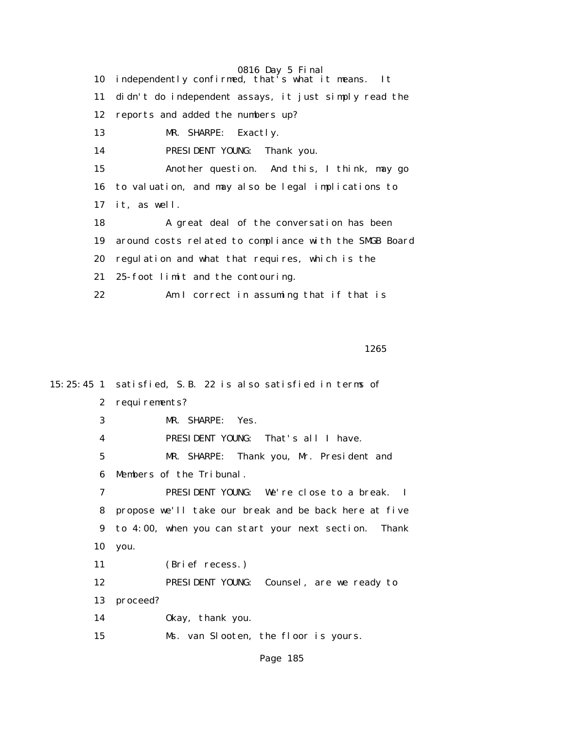0816 Day 5 Final 10 independently confirmed, that  $\mathbf{A}$  s what it means. It 11 didn't do independent assays, it just simply read the 12 reports and added the numbers up? 13 MR. SHARPE: Exactly. 14 PRESIDENT YOUNG: Thank you. 15 Another question. And this, I think, may go 16 to valuation, and may also be legal implications to 17 it, as well. 18 A great deal of the conversation has been 19 around costs related to compliance with the SMGB Board 20 regulation and what that requires, which is the 21 25-foot limit and the contouring. 22 Am I correct in assuming that if that is

#### $1265$

15:25:45 1 satisfied, S.B. 22 is also satisfied in terms of 2 requirements? 3 MR. SHARPE: Yes. 4 PRESIDENT YOUNG: That's all I have. 5 MR. SHARPE: Thank you, Mr. President and 6 Members of the Tribunal. 7 PRESIDENT YOUNG: We're close to a break. I 8 propose we'll take our break and be back here at five 9 to 4:00, when you can start your next section. Thank 10 you. 11 (Brief recess.) 12 PRESIDENT YOUNG: Counsel, are we ready to 13 proceed? 14 Okay, thank you. 15 Ms. van Slooten, the floor is yours.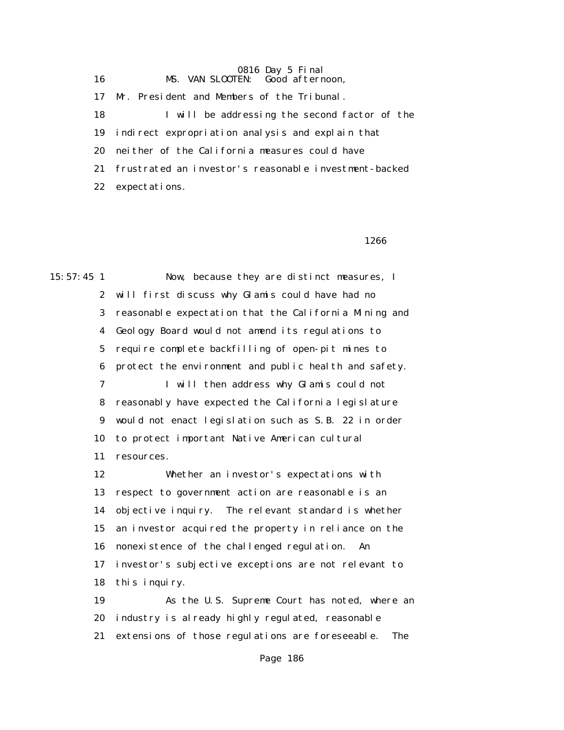0816 Day 5 Final 16 MS. VAN SLOOTEN: Good afternoon, 17 Mr. President and Members of the Tribunal. 18 I will be addressing the second factor of the 19 indirect expropriation analysis and explain that 20 neither of the California measures could have 21 frustrated an investor's reasonable investment-backed 22 expectations.

 $1266$ 

15:57:45 1 Now, because they are distinct measures, I 2 will first discuss why Glamis could have had no 3 reasonable expectation that the California Mining and 4 Geology Board would not amend its regulations to 5 require complete backfilling of open-pit mines to 6 protect the environment and public health and safety. 7 I will then address why Glamis could not 8 reasonably have expected the California legislature 9 would not enact legislation such as S.B. 22 in order 10 to protect important Native American cultural 11 resources. 12 Whether an investor's expectations with 13 respect to government action are reasonable is an 14 objective inquiry. The relevant standard is whether 15 an investor acquired the property in reliance on the 16 nonexistence of the challenged regulation. An 17 investor's subjective exceptions are not relevant to 18 this inquiry. 19 As the U.S. Supreme Court has noted, where an 20 industry is already highly regulated, reasonable 21 extensions of those regulations are foreseeable. The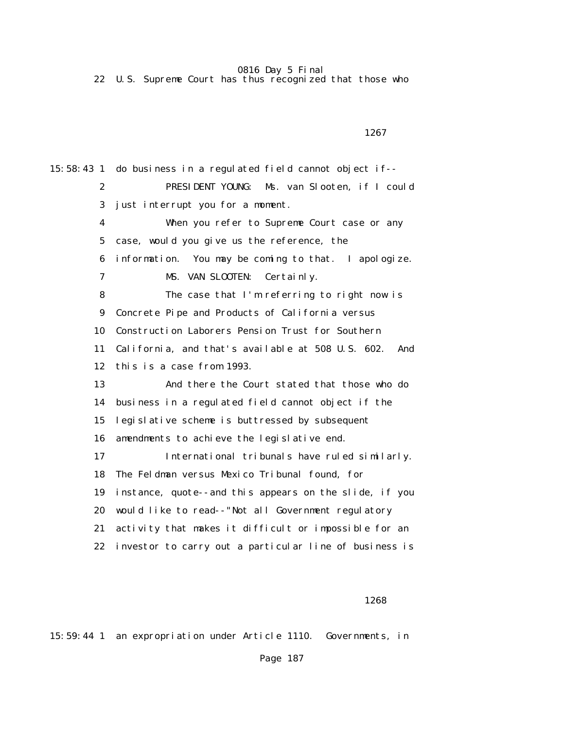22 U.S. Supreme Court has thus recognized that those who

```
1267
```
15:58:43 1 do business in a regulated field cannot object if-- 2 PRESIDENT YOUNG: Ms. van Slooten, if I could 3 just interrupt you for a moment. 4 When you refer to Supreme Court case or any 5 case, would you give us the reference, the 6 information. You may be coming to that. I apologize. 7 MS. VAN SLOOTEN: Certainly. 8 The case that I'm referring to right now is 9 Concrete Pipe and Products of California versus 10 Construction Laborers Pension Trust for Southern 11 California, and that's available at 508 U.S. 602. And 12 this is a case from 1993. 13 And there the Court stated that those who do 14 business in a regulated field cannot object if the 15 legislative scheme is buttressed by subsequent 16 amendments to achieve the legislative end. 17 International tribunals have ruled similarly. 18 The Feldman versus Mexico Tribunal found, for 19 instance, quote--and this appears on the slide, if you 20 would like to read--"Not all Government regulatory 21 activity that makes it difficult or impossible for an 22 investor to carry out a particular line of business is

 $1268$ 

15:59:44 1 an expropriation under Article 1110. Governments, in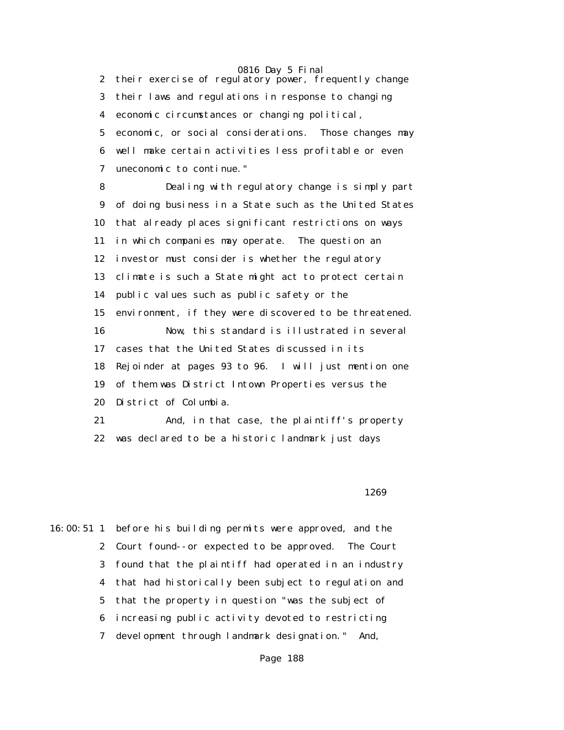2 their exercise of regulatory power, frequently change 3 their laws and regulations in response to changing 4 economic circumstances or changing political, 5 economic, or social considerations. Those changes may 6 well make certain activities less profitable or even 7 uneconomic to continue."

 8 Dealing with regulatory change is simply part 9 of doing business in a State such as the United States 10 that already places significant restrictions on ways 11 in which companies may operate. The question an 12 investor must consider is whether the regulatory 13 climate is such a State might act to protect certain 14 public values such as public safety or the 15 environment, if they were discovered to be threatened. 16 Now, this standard is illustrated in several 17 cases that the United States discussed in its 18 Rejoinder at pages 93 to 96. I will just mention one 19 of them was District Intown Properties versus the 20 District of Columbia. 21 And, in that case, the plaintiff's property

22 was declared to be a historic landmark just days

 $1269$ 

16:00:51 1 before his building permits were approved, and the 2 Court found--or expected to be approved. The Court 3 found that the plaintiff had operated in an industry 4 that had historically been subject to regulation and 5 that the property in question "was the subject of 6 increasing public activity devoted to restricting 7 development through landmark designation." And,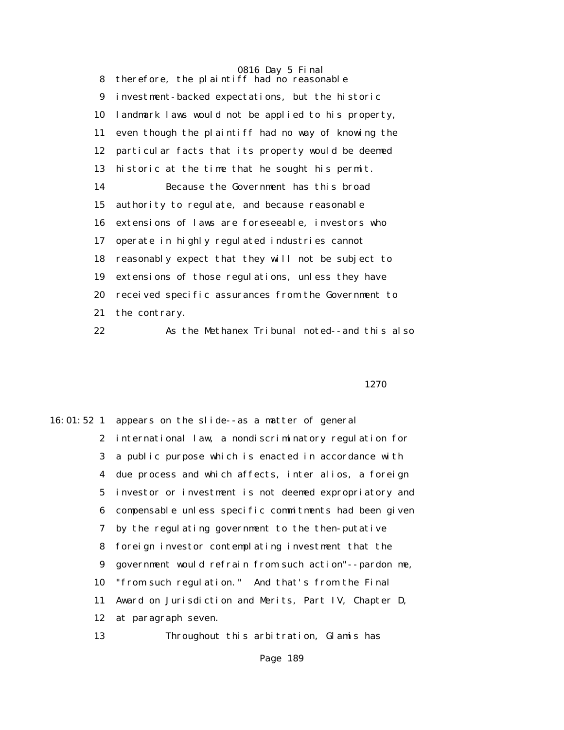|    | 0816 Day 5 Final                                    |
|----|-----------------------------------------------------|
| 8  | therefore, the plaintiff had no reasonable          |
| 9  | investment-backed expectations, but the historic    |
| 10 | landmark laws would not be applied to his property, |
| 11 | even though the plaintiff had no way of knowing the |
| 12 | particular facts that its property would be deemed  |
| 13 | historic at the time that he sought his permit.     |
| 14 | Because the Government has this broad               |
| 15 | authority to regulate, and because reasonable       |
| 16 | extensions of laws are foreseeable, investors who   |
| 17 | operate in highly regulated industries cannot       |
| 18 | reasonably expect that they will not be subject to  |
| 19 | extensions of those regulations, unless they have   |
| 20 | received specific assurances from the Government to |
| 21 | the contrary.                                       |
| 22 | As the Methanex Tribunal noted--and this also       |

#### 1270

16:01:52 1 appears on the slide--as a matter of general 2 international law, a nondiscriminatory regulation for 3 a public purpose which is enacted in accordance with 4 due process and which affects, inter alios, a foreign 5 investor or investment is not deemed expropriatory and 6 compensable unless specific commitments had been given 7 by the regulating government to the then-putative 8 foreign investor contemplating investment that the 9 government would refrain from such action"--pardon me, 10 "from such regulation." And that's from the Final 11 Award on Jurisdiction and Merits, Part IV, Chapter D, 12 at paragraph seven. 13 Throughout this arbitration, Glamis has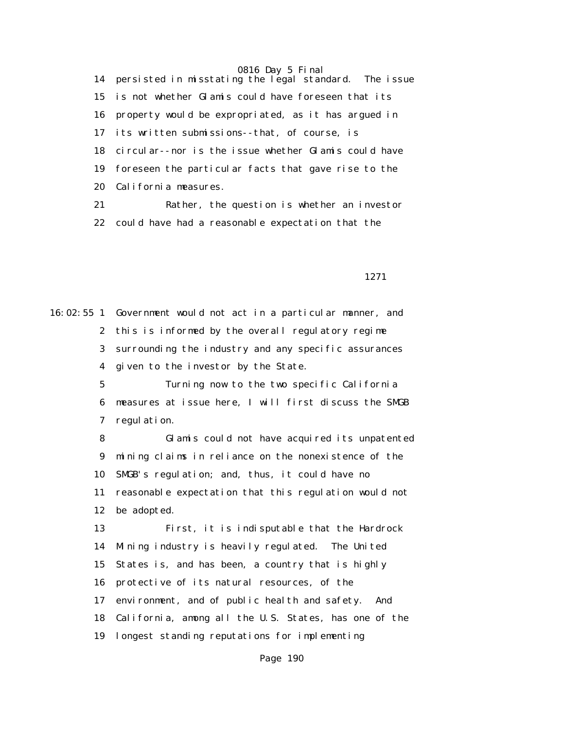14 persisted in misstating the legal standard. The issue 15 is not whether Glamis could have foreseen that its 16 property would be expropriated, as it has argued in 17 its written submissions--that, of course, is 18 circular--nor is the issue whether Glamis could have 19 foreseen the particular facts that gave rise to the 20 California measures. 21 Rather, the question is whether an investor

22 could have had a reasonable expectation that the

1271

16:02:55 1 Government would not act in a particular manner, and 2 this is informed by the overall regulatory regime 3 surrounding the industry and any specific assurances 4 given to the investor by the State. 5 Turning now to the two specific California

 6 measures at issue here, I will first discuss the SMGB 7 regulation.

 8 Glamis could not have acquired its unpatented 9 mining claims in reliance on the nonexistence of the 10 SMGB's regulation; and, thus, it could have no 11 reasonable expectation that this regulation would not 12 be adopted.

 13 First, it is indisputable that the Hardrock 14 Mining industry is heavily regulated. The United 15 States is, and has been, a country that is highly 16 protective of its natural resources, of the 17 environment, and of public health and safety. And 18 California, among all the U.S. States, has one of the 19 longest standing reputations for implementing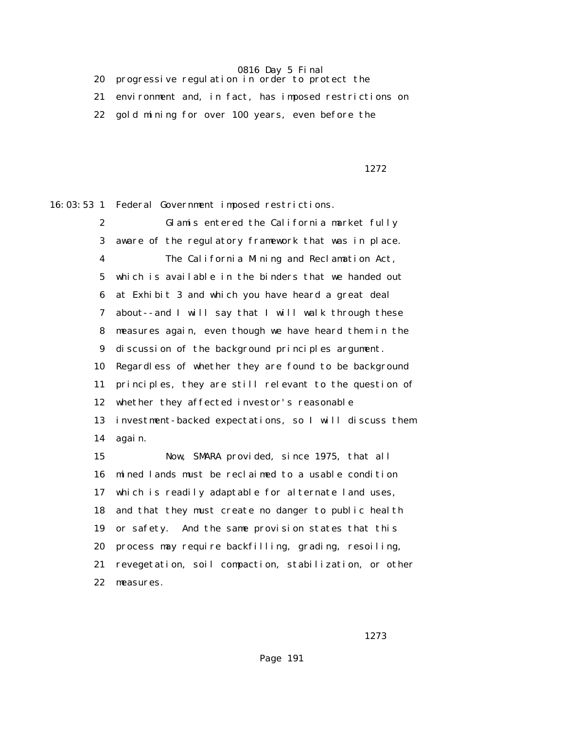20 progressive regulation in order to protect the

21 environment and, in fact, has imposed restrictions on

22 gold mining for over 100 years, even before the

1272

16:03:53 1 Federal Government imposed restrictions.

 2 Glamis entered the California market fully 3 aware of the regulatory framework that was in place. 4 The California Mining and Reclamation Act, 5 which is available in the binders that we handed out 6 at Exhibit 3 and which you have heard a great deal 7 about--and I will say that I will walk through these 8 measures again, even though we have heard them in the 9 discussion of the background principles argument. 10 Regardless of whether they are found to be background 11 principles, they are still relevant to the question of 12 whether they affected investor's reasonable 13 investment-backed expectations, so I will discuss them 14 again. 15 Now, SMARA provided, since 1975, that all 16 mined lands must be reclaimed to a usable condition 17 which is readily adaptable for alternate land uses, 18 and that they must create no danger to public health 19 or safety. And the same provision states that this 20 process may require backfilling, grading, resoiling, 21 revegetation, soil compaction, stabilization, or other

22 measures.

1273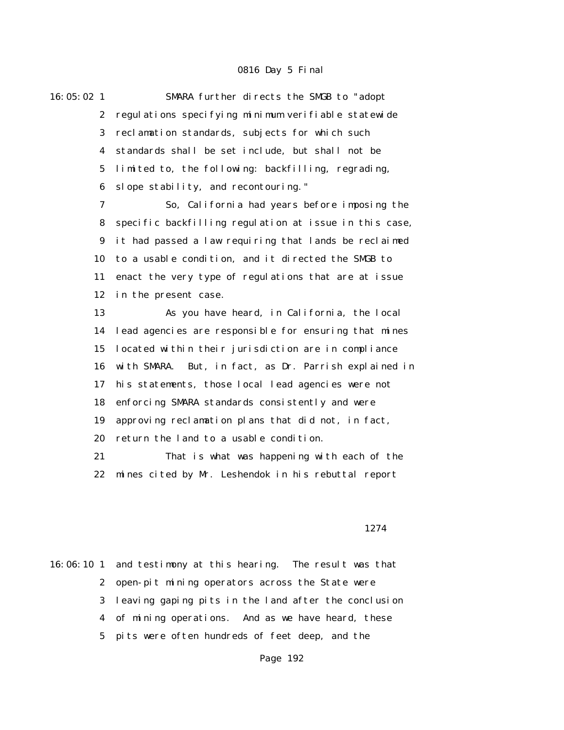16:05:02 1 SMARA further directs the SMGB to "adopt 2 regulations specifying minimum verifiable statewide 3 reclamation standards, subjects for which such 4 standards shall be set include, but shall not be 5 limited to, the following: backfilling, regrading, 6 slope stability, and recontouring."

> 7 So, California had years before imposing the 8 specific backfilling regulation at issue in this case, 9 it had passed a law requiring that lands be reclaimed 10 to a usable condition, and it directed the SMGB to 11 enact the very type of regulations that are at issue 12 in the present case.

> 13 As you have heard, in California, the local 14 lead agencies are responsible for ensuring that mines 15 located within their jurisdiction are in compliance 16 with SMARA. But, in fact, as Dr. Parrish explained in 17 his statements, those local lead agencies were not 18 enforcing SMARA standards consistently and were 19 approving reclamation plans that did not, in fact, 20 return the land to a usable condition.

 21 That is what was happening with each of the 22 mines cited by Mr. Leshendok in his rebuttal report

#### 1274

16:06:10 1 and testimony at this hearing. The result was that 2 open-pit mining operators across the State were 3 leaving gaping pits in the land after the conclusion 4 of mining operations. And as we have heard, these 5 pits were often hundreds of feet deep, and the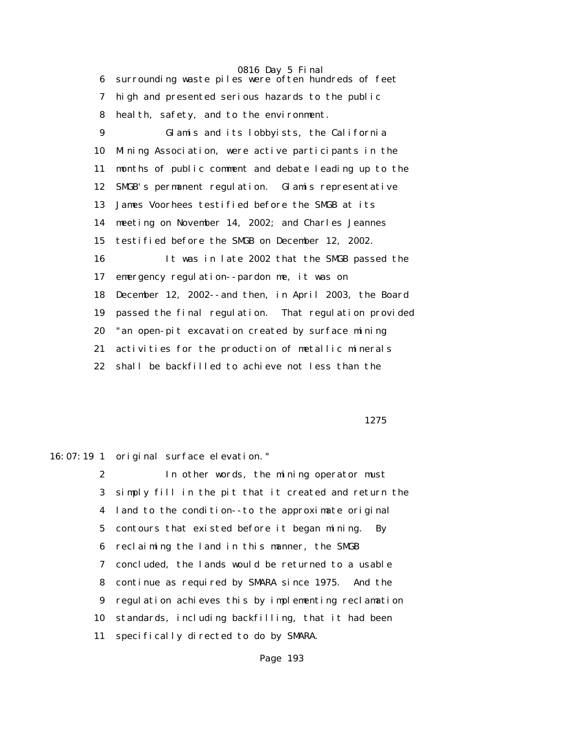0816 Day 5 Final 6 surrounding waste piles were often hundreds of feet 7 high and presented serious hazards to the public 8 health, safety, and to the environment. 9 Glamis and its lobbyists, the California 10 Mining Association, were active participants in the 11 months of public comment and debate leading up to the 12 SMGB's permanent regulation. Glamis representative 13 James Voorhees testified before the SMGB at its 14 meeting on November 14, 2002; and Charles Jeannes 15 testified before the SMGB on December 12, 2002. 16 It was in late 2002 that the SMGB passed the 17 emergency regulation--pardon me, it was on 18 December 12, 2002--and then, in April 2003, the Board 19 passed the final regulation. That regulation provided 20 "an open-pit excavation created by surface mining 21 activities for the production of metallic minerals 22 shall be backfilled to achieve not less than the

1275

16:07:19 1 original surface elevation."

 2 In other words, the mining operator must 3 simply fill in the pit that it created and return the 4 land to the condition--to the approximate original 5 contours that existed before it began mining. By 6 reclaiming the land in this manner, the SMGB 7 concluded, the lands would be returned to a usable 8 continue as required by SMARA since 1975. And the 9 regulation achieves this by implementing reclamation 10 standards, including backfilling, that it had been 11 specifically directed to do by SMARA.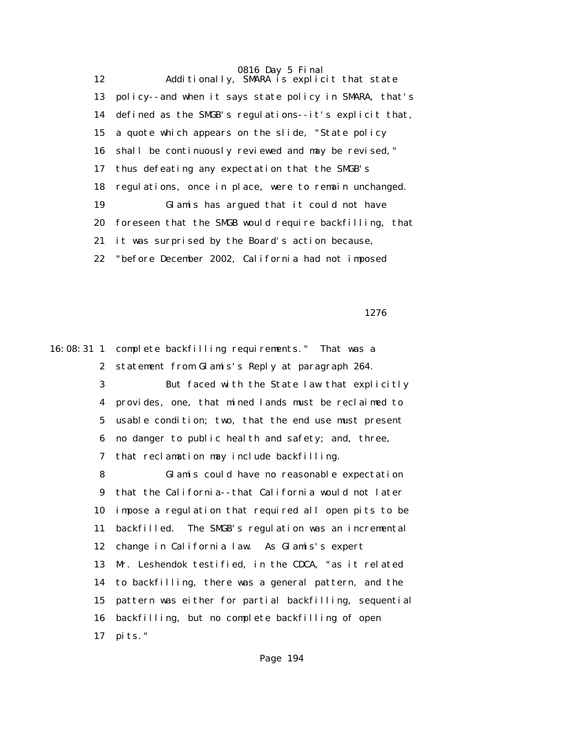0816 Day 5 Final 12 Additionally, SMARA is explicit that state 13 policy--and when it says state policy in SMARA, that's 14 defined as the SMGB's regulations--it's explicit that, 15 a quote which appears on the slide, "State policy 16 shall be continuously reviewed and may be revised," 17 thus defeating any expectation that the SMGB's 18 regulations, once in place, were to remain unchanged. 19 Glamis has argued that it could not have 20 foreseen that the SMGB would require backfilling, that 21 it was surprised by the Board's action because, 22 "before December 2002, California had not imposed

1276

16:08:31 1 complete backfilling requirements." That was a 2 statement from Glamis's Reply at paragraph 264. 3 But faced with the State law that explicitly 4 provides, one, that mined lands must be reclaimed to 5 usable condition; two, that the end use must present 6 no danger to public health and safety; and, three, 7 that reclamation may include backfilling. 8 Glamis could have no reasonable expectation 9 that the California--that California would not later 10 impose a regulation that required all open pits to be 11 backfilled. The SMGB's regulation was an incremental 12 change in California law. As Glamis's expert 13 Mr. Leshendok testified, in the CDCA, "as it related 14 to backfilling, there was a general pattern, and the 15 pattern was either for partial backfilling, sequential 16 backfilling, but no complete backfilling of open 17 pits."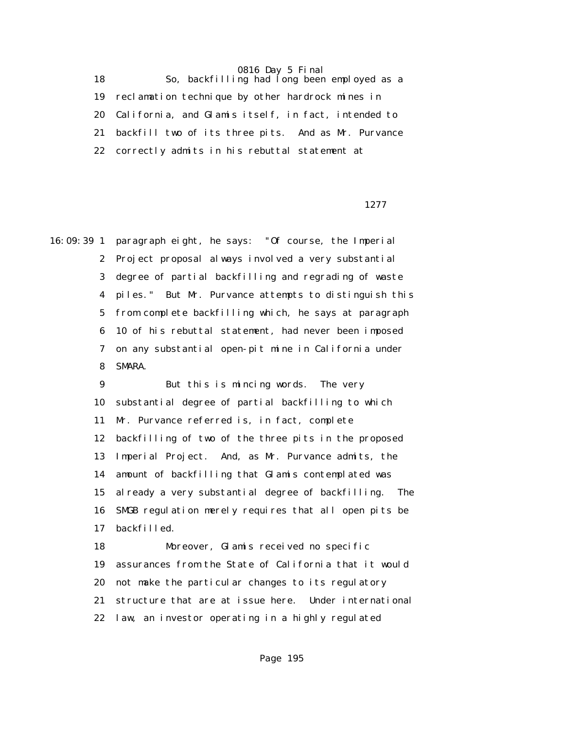18 So, backfilling had long been employed as a 19 reclamation technique by other hardrock mines in 20 California, and Glamis itself, in fact, intended to 21 backfill two of its three pits. And as Mr. Purvance 22 correctly admits in his rebuttal statement at

1277

16:09:39 1 paragraph eight, he says: "Of course, the Imperial 2 Project proposal always involved a very substantial 3 degree of partial backfilling and regrading of waste 4 piles." But Mr. Purvance attempts to distinguish this 5 from complete backfilling which, he says at paragraph 6 10 of his rebuttal statement, had never been imposed 7 on any substantial open-pit mine in California under 8 SMARA.

> 9 But this is mincing words. The very 10 substantial degree of partial backfilling to which 11 Mr. Purvance referred is, in fact, complete 12 backfilling of two of the three pits in the proposed 13 Imperial Project. And, as Mr. Purvance admits, the 14 amount of backfilling that Glamis contemplated was 15 already a very substantial degree of backfilling. The 16 SMGB regulation merely requires that all open pits be 17 backfilled.

> 18 Moreover, Glamis received no specific 19 assurances from the State of California that it would 20 not make the particular changes to its regulatory 21 structure that are at issue here. Under international 22 law, an investor operating in a highly regulated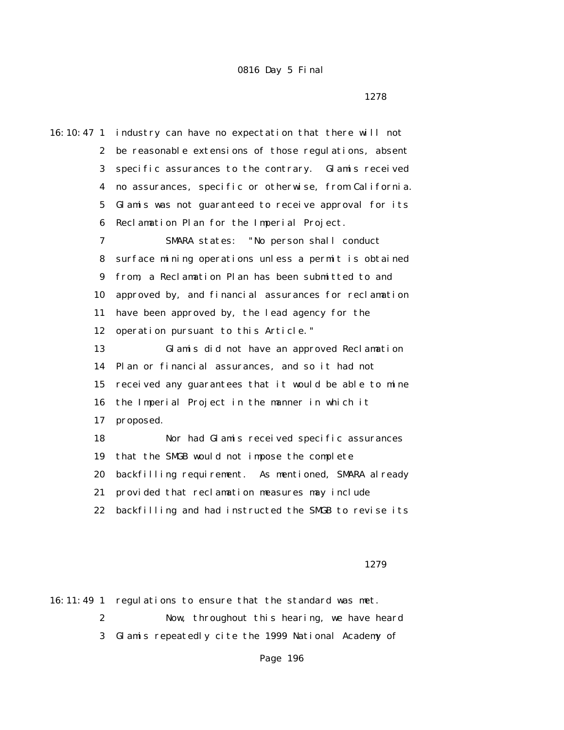1278

16:10:47 1 industry can have no expectation that there will not 2 be reasonable extensions of those regulations, absent 3 specific assurances to the contrary. Glamis received 4 no assurances, specific or otherwise, from California. 5 Glamis was not guaranteed to receive approval for its 6 Reclamation Plan for the Imperial Project. 7 SMARA states: "No person shall conduct 8 surface mining operations unless a permit is obtained 9 from, a Reclamation Plan has been submitted to and 10 approved by, and financial assurances for reclamation 11 have been approved by, the lead agency for the 12 operation pursuant to this Article." 13 Glamis did not have an approved Reclamation 14 Plan or financial assurances, and so it had not 15 received any guarantees that it would be able to mine 16 the Imperial Project in the manner in which it 17 proposed. 18 Nor had Glamis received specific assurances 19 that the SMGB would not impose the complete 20 backfilling requirement. As mentioned, SMARA already 21 provided that reclamation measures may include 22 backfilling and had instructed the SMGB to revise its

1279

16:11:49 1 regulations to ensure that the standard was met.

- 2 Now, throughout this hearing, we have heard
- 3 Glamis repeatedly cite the 1999 National Academy of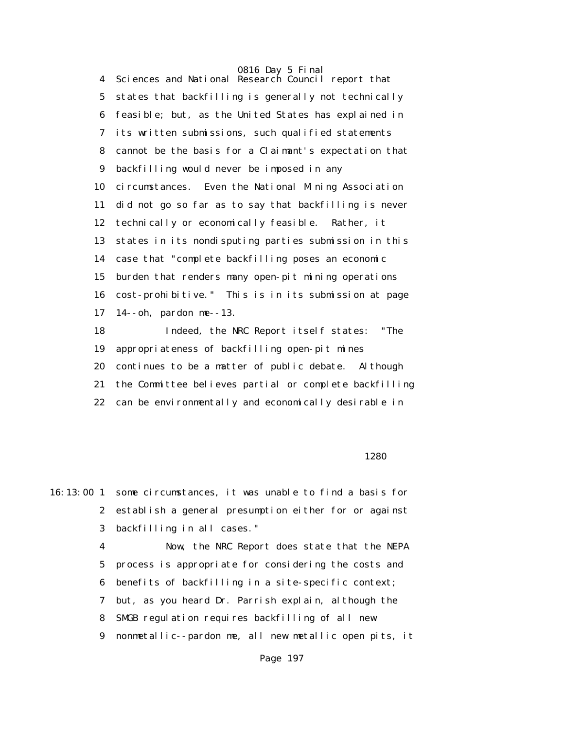4 Sciences and National Research Council report that 5 states that backfilling is generally not technically 6 feasible; but, as the United States has explained in 7 its written submissions, such qualified statements 8 cannot be the basis for a Claimant's expectation that 9 backfilling would never be imposed in any 10 circumstances. Even the National Mining Association 11 did not go so far as to say that backfilling is never 12 technically or economically feasible. Rather, it 13 states in its nondisputing parties submission in this 14 case that "complete backfilling poses an economic 15 burden that renders many open-pit mining operations 16 cost-prohibitive." This is in its submission at page 17 14--oh, pardon me--13. 18 Indeed, the NRC Report itself states: "The 19 appropriateness of backfilling open-pit mines 20 continues to be a matter of public debate. Although 21 the Committee believes partial or complete backfilling

22 can be environmentally and economically desirable in

#### 1280

16:13:00 1 some circumstances, it was unable to find a basis for 2 establish a general presumption either for or against 3 backfilling in all cases."

> 4 Now, the NRC Report does state that the NEPA 5 process is appropriate for considering the costs and 6 benefits of backfilling in a site-specific context; 7 but, as you heard Dr. Parrish explain, although the 8 SMGB regulation requires backfilling of all new 9 nonmetallic--pardon me, all new metallic open pits, it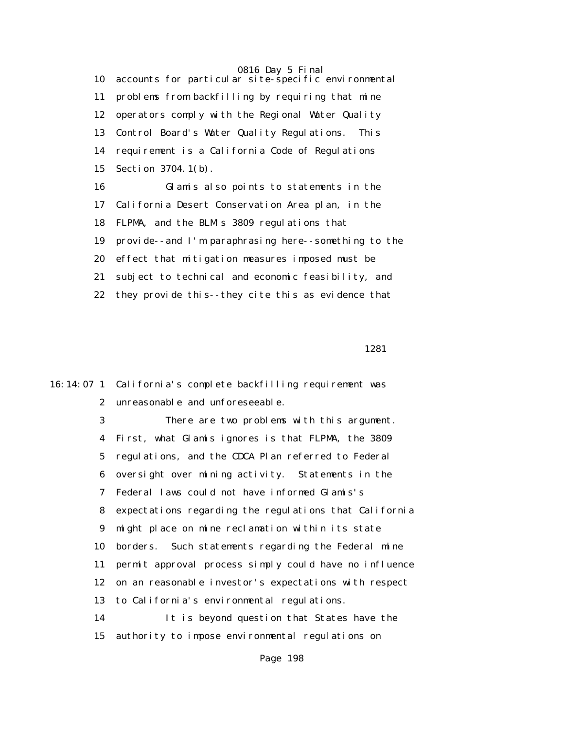10 accounts for particular site-specific environmental 11 problems from backfilling by requiring that mine 12 operators comply with the Regional Water Quality 13 Control Board's Water Quality Regulations. This 14 requirement is a California Code of Regulations 15 Section 3704.1(b). 16 Glamis also points to statements in the

 17 California Desert Conservation Area plan, in the 18 FLPMA, and the BLM's 3809 regulations that 19 provide--and I'm paraphrasing here--something to the 20 effect that mitigation measures imposed must be 21 subject to technical and economic feasibility, and 22 they provide this--they cite this as evidence that

1281

16:14:07 1 California's complete backfilling requirement was 2 unreasonable and unforeseeable.

> 3 There are two problems with this argument. 4 First, what Glamis ignores is that FLPMA, the 3809 5 regulations, and the CDCA Plan referred to Federal 6 oversight over mining activity. Statements in the 7 Federal laws could not have informed Glamis's 8 expectations regarding the regulations that California 9 might place on mine reclamation within its state 10 borders. Such statements regarding the Federal mine 11 permit approval process simply could have no influence 12 on an reasonable investor's expectations with respect 13 to California's environmental regulations. 14 It is beyond question that States have the 15 authority to impose environmental regulations on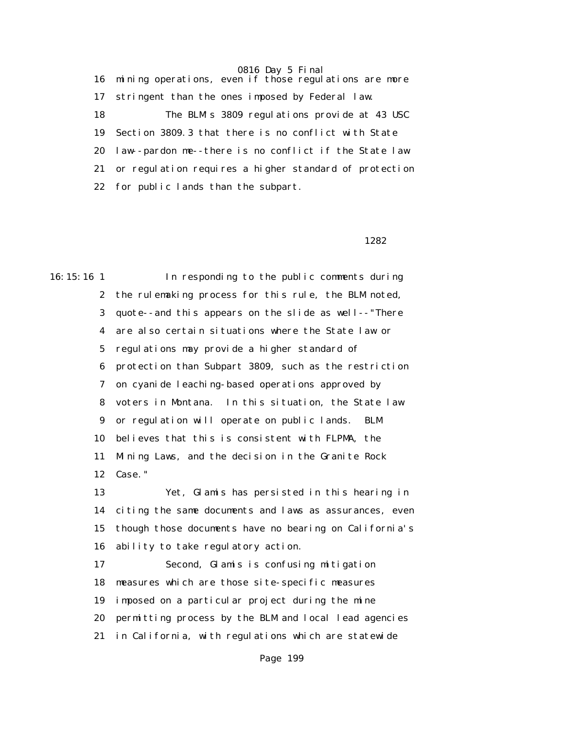16 mining operations, even if those regulations are more 17 stringent than the ones imposed by Federal law. 18 The BLM's 3809 regulations provide at 43 USC 19 Section 3809.3 that there is no conflict with State 20 law--pardon me--there is no conflict if the State law 21 or regulation requires a higher standard of protection 22 for public lands than the subpart.

#### 1282

16:15:16 1 In responding to the public comments during 2 the rulemaking process for this rule, the BLM noted, 3 quote--and this appears on the slide as well--"There 4 are also certain situations where the State law or 5 regulations may provide a higher standard of 6 protection than Subpart 3809, such as the restriction 7 on cyanide leaching-based operations approved by 8 voters in Montana. In this situation, the State law 9 or regulation will operate on public lands. BLM 10 believes that this is consistent with FLPMA, the 11 Mining Laws, and the decision in the Granite Rock 12 Case." 13 Yet, Glamis has persisted in this hearing in 14 citing the same documents and laws as assurances, even 15 though those documents have no bearing on California's 16 ability to take regulatory action. 17 Second, Glamis is confusing mitigation 18 measures which are those site-specific measures 19 imposed on a particular project during the mine 20 permitting process by the BLM and local lead agencies 21 in California, with regulations which are statewide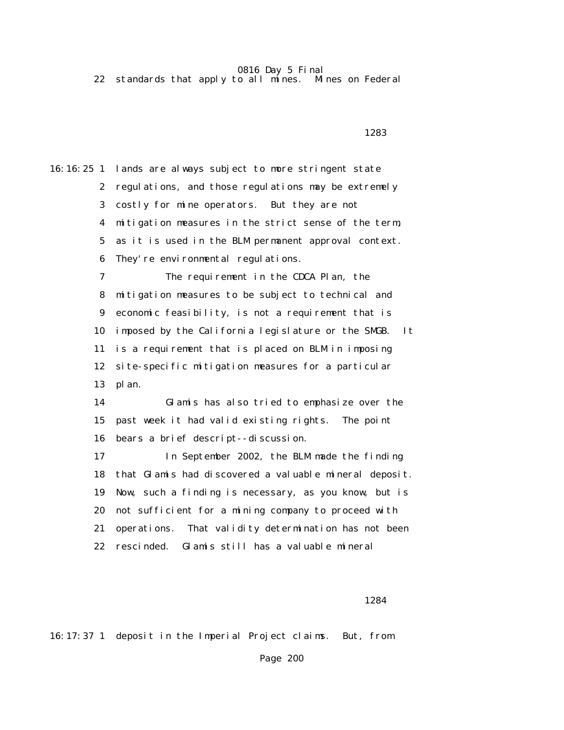0816 Day 5 Final<br>o all mines. Mines on Federal 22 standards that apply to all  $\vec{m}$  nes.

16:16:25 1 lands are always subject to more stringent state 2 regulations, and those regulations may be extremely 3 costly for mine operators. But they are not 4 mitigation measures in the strict sense of the term, 5 as it is used in the BLM permanent approval context. 6 They're environmental regulations. 7 The requirement in the CDCA Plan, the 8 mitigation measures to be subject to technical and 9 economic feasibility, is not a requirement that is 10 imposed by the California legislature or the SMGB. It 11 is a requirement that is placed on BLM in imposing 12 site-specific mitigation measures for a particular 13 plan. 14 Glamis has also tried to emphasize over the 15 past week it had valid existing rights. The point 16 bears a brief descript--discussion. 17 In September 2002, the BLM made the finding 18 that Glamis had discovered a valuable mineral deposit. 19 Now, such a finding is necessary, as you know, but is 20 not sufficient for a mining company to proceed with 21 operations. That validity determination has not been 22 rescinded. Glamis still has a valuable mineral

#### 1283

#### 1284

16:17:37 1 deposit in the Imperial Project claims. But, from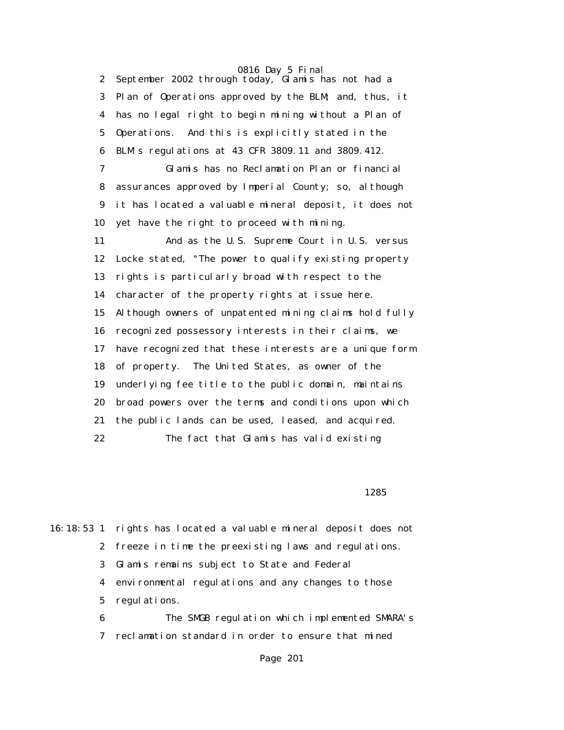2 September 2002 through today, Glamis has not had a 3 Plan of Operations approved by the BLM; and, thus, it 4 has no legal right to begin mining without a Plan of 5 Operations. And this is explicitly stated in the 6 BLM's regulations at 43 CFR 3809.11 and 3809.412.

 7 Glamis has no Reclamation Plan or financial 8 assurances approved by Imperial County; so, although 9 it has located a valuable mineral deposit, it does not 10 yet have the right to proceed with mining.

 11 And as the U.S. Supreme Court in U.S. versus 12 Locke stated, "The power to qualify existing property 13 rights is particularly broad with respect to the 14 character of the property rights at issue here. 15 Although owners of unpatented mining claims hold fully 16 recognized possessory interests in their claims, we 17 have recognized that these interests are a unique form 18 of property. The United States, as owner of the 19 underlying fee title to the public domain, maintains 20 broad powers over the terms and conditions upon which 21 the public lands can be used, leased, and acquired. 22 The fact that Glamis has valid existing

1285

16:18:53 1 rights has located a valuable mineral deposit does not 2 freeze in time the preexisting laws and regulations. 3 Glamis remains subject to State and Federal 4 environmental regulations and any changes to those 5 regulations. 6 The SMGB regulation which implemented SMARA's

7 reclamation standard in order to ensure that mined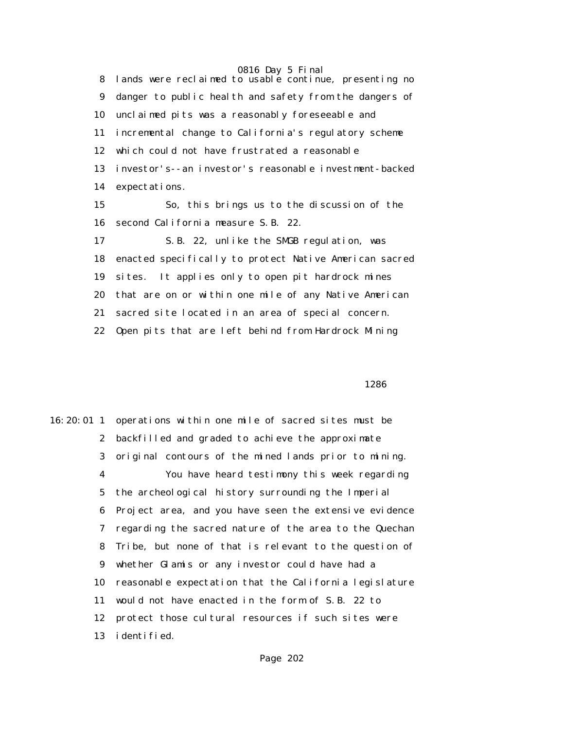0816 Day 5 Final 8 lands were reclaimed to usable continue, presenting no 9 danger to public health and safety from the dangers of 10 unclaimed pits was a reasonably foreseeable and 11 incremental change to California's regulatory scheme 12 which could not have frustrated a reasonable 13 investor's--an investor's reasonable investment-backed 14 expectations. 15 So, this brings us to the discussion of the 16 second California measure S.B. 22. 17 S.B. 22, unlike the SMGB regulation, was 18 enacted specifically to protect Native American sacred 19 sites. It applies only to open pit hardrock mines 20 that are on or within one mile of any Native American 21 sacred site located in an area of special concern. 22 Open pits that are left behind from Hardrock Mining

#### $1286$

16:20:01 1 operations within one mile of sacred sites must be 2 backfilled and graded to achieve the approximate 3 original contours of the mined lands prior to mining. 4 You have heard testimony this week regarding 5 the archeological history surrounding the Imperial 6 Project area, and you have seen the extensive evidence 7 regarding the sacred nature of the area to the Quechan 8 Tribe, but none of that is relevant to the question of 9 whether Glamis or any investor could have had a 10 reasonable expectation that the California legislature 11 would not have enacted in the form of S.B. 22 to 12 protect those cultural resources if such sites were 13 identified.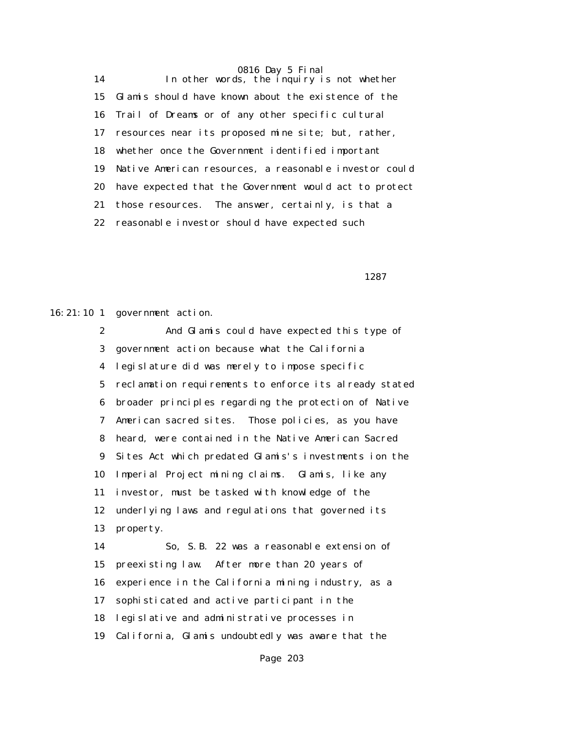14 In other words, the inquiry is not whether 15 Glamis should have known about the existence of the 16 Trail of Dreams or of any other specific cultural 17 resources near its proposed mine site; but, rather, 18 whether once the Government identified important 19 Native American resources, a reasonable investor could 20 have expected that the Government would act to protect 21 those resources. The answer, certainly, is that a 22 reasonable investor should have expected such

1287

16:21:10 1 government action.

 2 And Glamis could have expected this type of 3 government action because what the California 4 legislature did was merely to impose specific 5 reclamation requirements to enforce its already stated 6 broader principles regarding the protection of Native 7 American sacred sites. Those policies, as you have 8 heard, were contained in the Native American Sacred 9 Sites Act which predated Glamis's investments ion the 10 Imperial Project mining claims. Glamis, like any 11 investor, must be tasked with knowledge of the 12 underlying laws and regulations that governed its 13 property. 14 So, S.B. 22 was a reasonable extension of 15 preexisting law. After more than 20 years of

16 experience in the California mining industry, as a

17 sophisticated and active participant in the

18 legislative and administrative processes in

19 California, Glamis undoubtedly was aware that the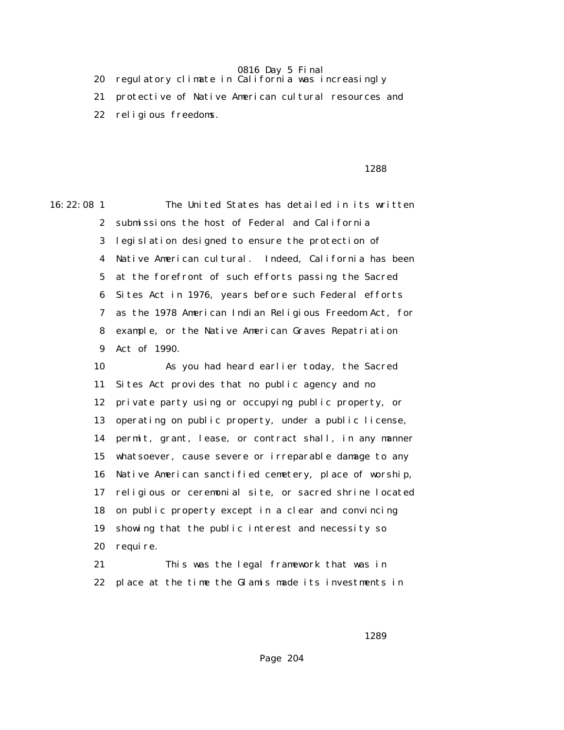20 regulatory climate in California was increasingly

 21 protective of Native American cultural resources and 22 religious freedoms.

### 1288

16:22:08 1 The United States has detailed in its written 2 submissions the host of Federal and California 3 legislation designed to ensure the protection of 4 Native American cultural. Indeed, California has been 5 at the forefront of such efforts passing the Sacred 6 Sites Act in 1976, years before such Federal efforts 7 as the 1978 American Indian Religious Freedom Act, for 8 example, or the Native American Graves Repatriation 9 Act of 1990. 10 As you had heard earlier today, the Sacred 11 Sites Act provides that no public agency and no 12 private party using or occupying public property, or

> 13 operating on public property, under a public license, 14 permit, grant, lease, or contract shall, in any manner 15 whatsoever, cause severe or irreparable damage to any 16 Native American sanctified cemetery, place of worship, 17 religious or ceremonial site, or sacred shrine located 18 on public property except in a clear and convincing 19 showing that the public interest and necessity so 20 require.

 21 This was the legal framework that was in 22 place at the time the Glamis made its investments in

1289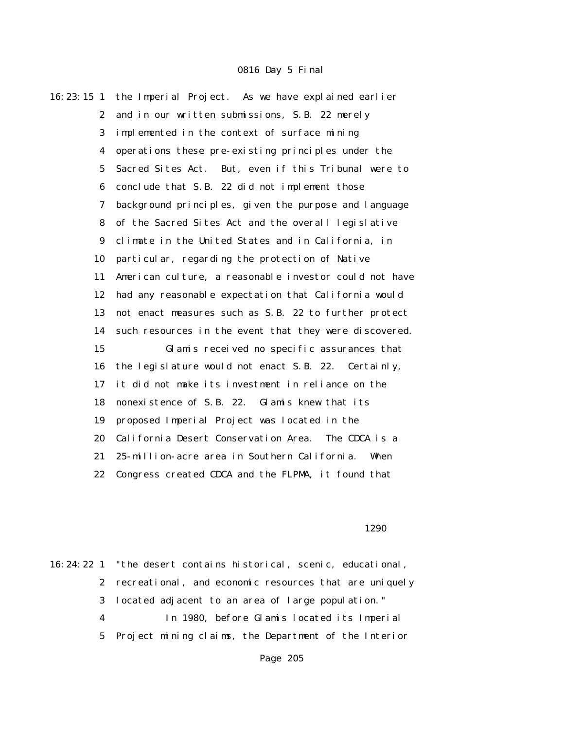| $16: 23: 15$ 1   | the Imperial Project. As we have explained earlier     |
|------------------|--------------------------------------------------------|
| $\boldsymbol{2}$ | and in our written submissions, S.B. 22 merely         |
| 3                | implemented in the context of surface mining           |
| 4                | operations these pre-existing principles under the     |
| $\mathbf 5$      | Sacred Sites Act. But, even if this Tribunal were to   |
| 6                | conclude that S.B. 22 did not implement those          |
| 7                | background principles, given the purpose and language  |
| 8                | of the Sacred Sites Act and the overall legislative    |
| 9                | climate in the United States and in California, in     |
| 10               | particular, regarding the protection of Native         |
| 11               | American culture, a reasonable investor could not have |
| 12               | had any reasonable expectation that California would   |
| 13               | not enact measures such as S.B. 22 to further protect  |
| 14               | such resources in the event that they were discovered. |
| 15               | Glamis received no specific assurances that            |
| 16               | the legislature would not enact S.B. 22. Certainly,    |
| 17               | it did not make its investment in reliance on the      |
| 18               | nonexistence of S.B. 22. Glamis knew that its          |
| 19               | proposed Imperial Project was located in the           |
| 20               | California Desert Conservation Area. The CDCA is a     |
| 21               | 25-million-acre area in Southern California.<br>When   |
| 22               | Congress created CDCA and the FLPMA, it found that     |

#### 1290

16:24:22 1 "the desert contains historical, scenic, educational, 2 recreational, and economic resources that are uniquely 3 located adjacent to an area of large population." 4 In 1980, before Glamis located its Imperial 5 Project mining claims, the Department of the Interior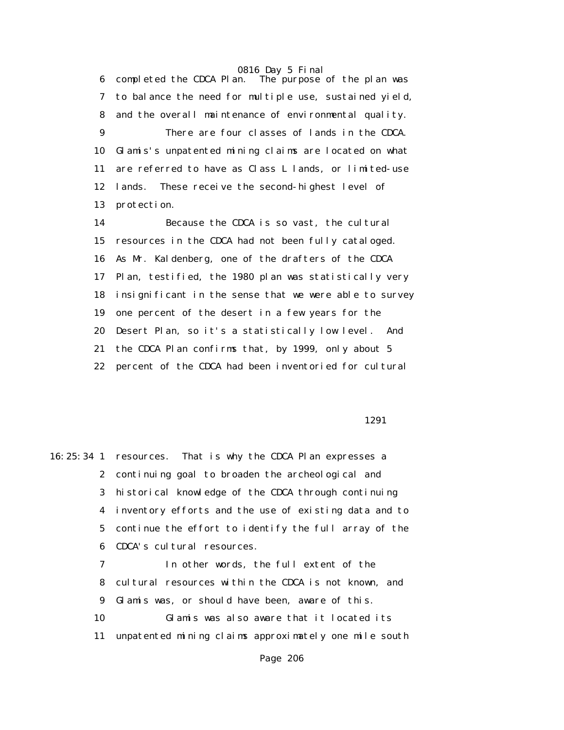0816 Day 5 Final<br>completed the CDCA Plan. The purpose 6 completed the CDCA Plan. The purpose of the plan was 7 to balance the need for multiple use, sustained yield, 8 and the overall maintenance of environmental quality. 9 There are four classes of lands in the CDCA. 10 Glamis's unpatented mining claims are located on what 11 are referred to have as Class L lands, or limited-use 12 lands. These receive the second-highest level of 13 protection.

 14 Because the CDCA is so vast, the cultural 15 resources in the CDCA had not been fully cataloged. 16 As Mr. Kaldenberg, one of the drafters of the CDCA 17 Plan, testified, the 1980 plan was statistically very 18 insignificant in the sense that we were able to survey 19 one percent of the desert in a few years for the 20 Desert Plan, so it's a statistically low level. And 21 the CDCA Plan confirms that, by 1999, only about 5 22 percent of the CDCA had been inventoried for cultural

#### 1291

16:25:34 1 resources. That is why the CDCA Plan expresses a 2 continuing goal to broaden the archeological and 3 historical knowledge of the CDCA through continuing 4 inventory efforts and the use of existing data and to 5 continue the effort to identify the full array of the 6 CDCA's cultural resources. 7 In other words, the full extent of the

 8 cultural resources within the CDCA is not known, and 9 Glamis was, or should have been, aware of this. 10 Glamis was also aware that it located its 11 unpatented mining claims approximately one mile south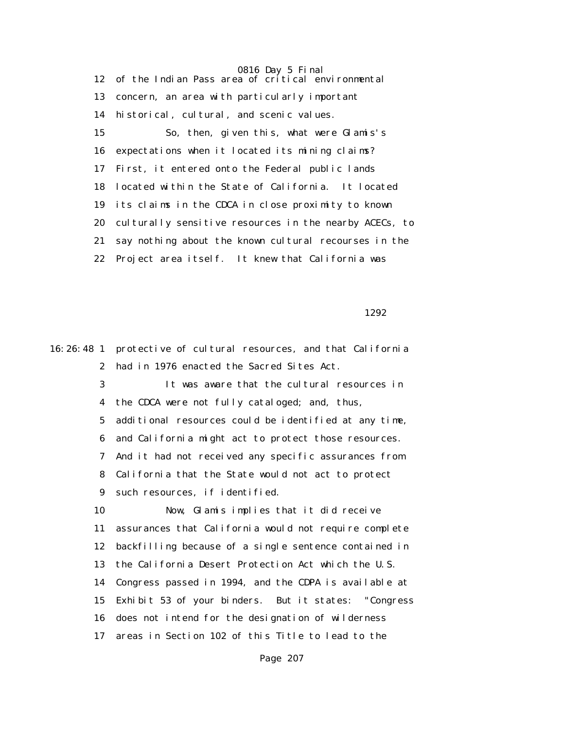0816 Day 5 Final 12 of the Indian Pass area of critical environmental 13 concern, an area with particularly important 14 historical, cultural, and scenic values. 15 So, then, given this, what were Glamis's 16 expectations when it located its mining claims? 17 First, it entered onto the Federal public lands 18 located within the State of California. It located 19 its claims in the CDCA in close proximity to known 20 culturally sensitive resources in the nearby ACECs, to 21 say nothing about the known cultural recourses in the 22 Project area itself. It knew that California was

1292

16:26:48 1 protective of cultural resources, and that California 2 had in 1976 enacted the Sacred Sites Act. 3 It was aware that the cultural resources in 4 the CDCA were not fully cataloged; and, thus, 5 additional resources could be identified at any time, 6 and California might act to protect those resources. 7 And it had not received any specific assurances from 8 California that the State would not act to protect 9 such resources, if identified. 10 Now, Glamis implies that it did receive 11 assurances that California would not require complete 12 backfilling because of a single sentence contained in 13 the California Desert Protection Act which the U.S. 14 Congress passed in 1994, and the CDPA is available at 15 Exhibit 53 of your binders. But it states: "Congress 16 does not intend for the designation of wilderness 17 areas in Section 102 of this Title to lead to the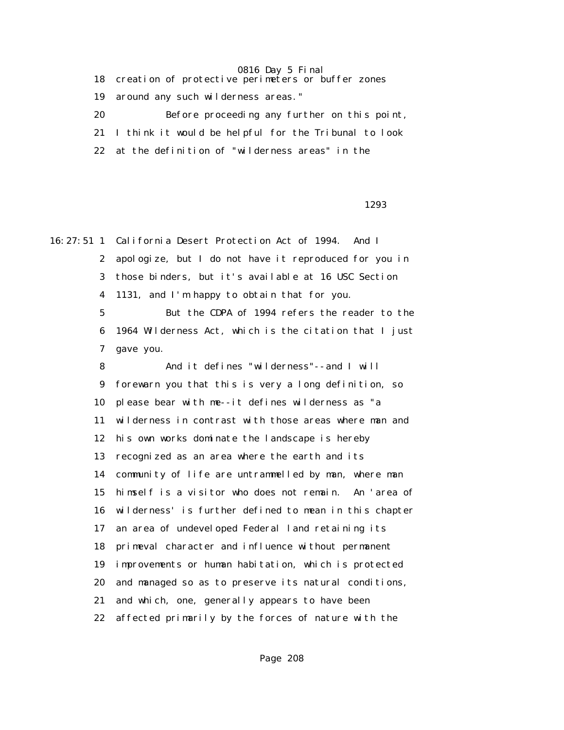18 creation of protective perimeters or buffer zones 19 around any such wilderness areas." 20 Before proceeding any further on this point, 21 I think it would be helpful for the Tribunal to look 22 at the definition of "wilderness areas" in the

1293

16:27:51 1 California Desert Protection Act of 1994. And I 2 apologize, but I do not have it reproduced for you in 3 those binders, but it's available at 16 USC Section 4 1131, and I'm happy to obtain that for you. 5 But the CDPA of 1994 refers the reader to the 6 1964 Wilderness Act, which is the citation that I just 7 gave you. 8 And it defines "wilderness"--and I will 9 forewarn you that this is very a long definition, so 10 please bear with me--it defines wilderness as "a 11 wilderness in contrast with those areas where man and 12 his own works dominate the landscape is hereby 13 recognized as an area where the earth and its 14 community of life are untrammelled by man, where man 15 himself is a visitor who does not remain. An 'area of 16 wilderness' is further defined to mean in this chapter 17 an area of undeveloped Federal land retaining its 18 primeval character and influence without permanent 19 improvements or human habitation, which is protected 20 and managed so as to preserve its natural conditions, 21 and which, one, generally appears to have been 22 affected primarily by the forces of nature with the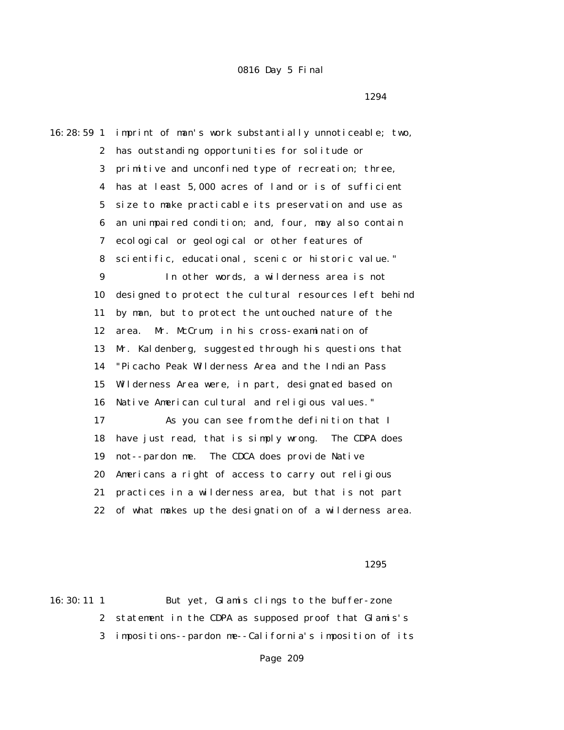1294

16:28:59 1 imprint of man's work substantially unnoticeable; two, 2 has outstanding opportunities for solitude or 3 primitive and unconfined type of recreation; three, 4 has at least 5,000 acres of land or is of sufficient 5 size to make practicable its preservation and use as 6 an unimpaired condition; and, four, may also contain 7 ecological or geological or other features of 8 scientific, educational, scenic or historic value." 9 In other words, a wilderness area is not 10 designed to protect the cultural resources left behind 11 by man, but to protect the untouched nature of the 12 area. Mr. McCrum, in his cross-examination of 13 Mr. Kaldenberg, suggested through his questions that 14 "Picacho Peak Wilderness Area and the Indian Pass 15 Wilderness Area were, in part, designated based on 16 Native American cultural and religious values." 17 As you can see from the definition that I 18 have just read, that is simply wrong. The CDPA does 19 not--pardon me. The CDCA does provide Native 20 Americans a right of access to carry out religious 21 practices in a wilderness area, but that is not part 22 of what makes up the designation of a wilderness area.

1295

16:30:11 1 But yet, Glamis clings to the buffer-zone 2 statement in the CDPA as supposed proof that Glamis's 3 impositions--pardon me--California's imposition of its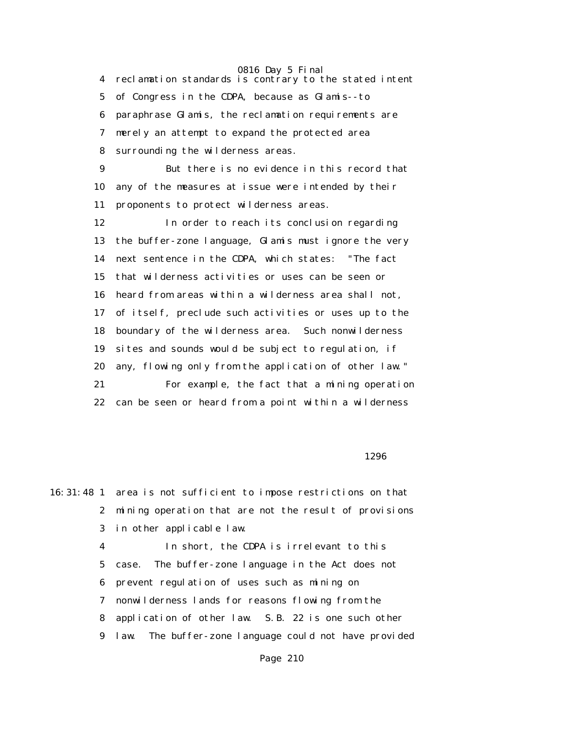4 reclamation standards is contrary to the stated intent 5 of Congress in the CDPA, because as Glamis--to 6 paraphrase Glamis, the reclamation requirements are 7 merely an attempt to expand the protected area 8 surrounding the wilderness areas. 9 But there is no evidence in this record that 10 any of the measures at issue were intended by their 11 proponents to protect wilderness areas. 12 In order to reach its conclusion regarding

 13 the buffer-zone language, Glamis must ignore the very 14 next sentence in the CDPA, which states: "The fact 15 that wilderness activities or uses can be seen or 16 heard from areas within a wilderness area shall not, 17 of itself, preclude such activities or uses up to the 18 boundary of the wilderness area. Such nonwilderness 19 sites and sounds would be subject to regulation, if 20 any, flowing only from the application of other law." 21 For example, the fact that a mining operation 22 can be seen or heard from a point within a wilderness

 $1296$ 

16:31:48 1 area is not sufficient to impose restrictions on that 2 mining operation that are not the result of provisions 3 in other applicable law.

> 4 In short, the CDPA is irrelevant to this 5 case. The buffer-zone language in the Act does not 6 prevent regulation of uses such as mining on 7 nonwilderness lands for reasons flowing from the 8 application of other law. S.B. 22 is one such other 9 law. The buffer-zone language could not have provided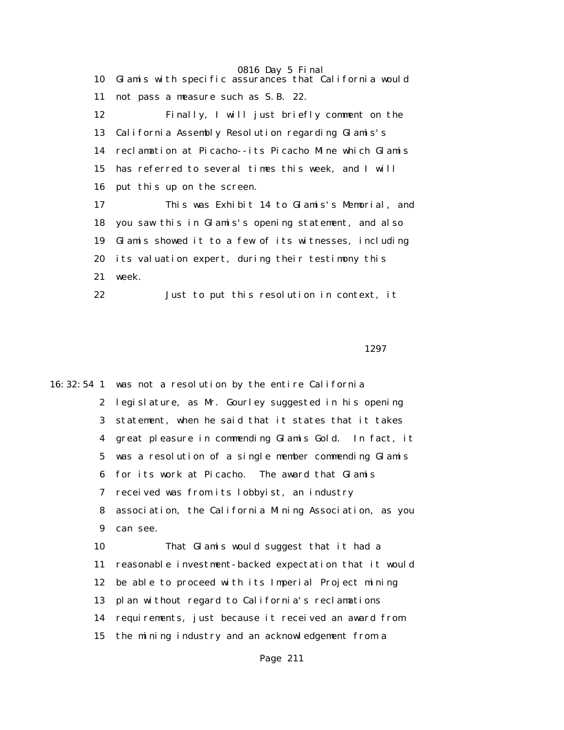0816 Day 5 Final 10 Glamis with specific assurances that California would 11 not pass a measure such as S.B. 22. 12 Finally, I will just briefly comment on the 13 California Assembly Resolution regarding Glamis's 14 reclamation at Picacho--its Picacho Mine which Glamis 15 has referred to several times this week, and I will 16 put this up on the screen. 17 This was Exhibit 14 to Glamis's Memorial, and 18 you saw this in Glamis's opening statement, and also 19 Glamis showed it to a few of its witnesses, including 20 its valuation expert, during their testimony this 21 week. 22 Just to put this resolution in context, it

1297

16:32:54 1 was not a resolution by the entire California 2 legislature, as Mr. Gourley suggested in his opening 3 statement, when he said that it states that it takes 4 great pleasure in commending Glamis Gold. In fact, it 5 was a resolution of a single member commending Glamis 6 for its work at Picacho. The award that Glamis 7 received was from its lobbyist, an industry 8 association, the California Mining Association, as you 9 can see. 10 That Glamis would suggest that it had a 11 reasonable investment-backed expectation that it would 12 be able to proceed with its Imperial Project mining 13 plan without regard to California's reclamations

14 requirements, just because it received an award from

15 the mining industry and an acknowledgement from a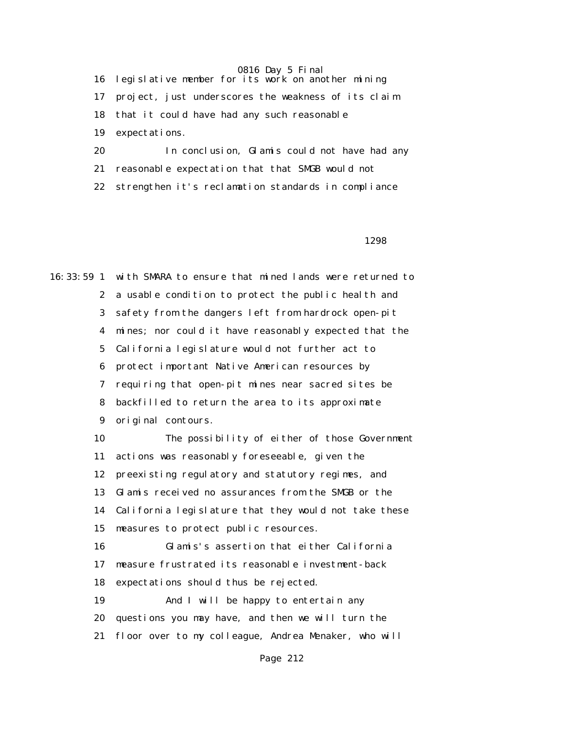16 legislative member for its work on another mining 17 project, just underscores the weakness of its claim 18 that it could have had any such reasonable 19 expectations. 20 In conclusion, Glamis could not have had any

 21 reasonable expectation that that SMGB would not 22 strengthen it's reclamation standards in compliance

1298

16:33:59 1 with SMARA to ensure that mined lands were returned to 2 a usable condition to protect the public health and 3 safety from the dangers left from hardrock open-pit 4 mines; nor could it have reasonably expected that the 5 California legislature would not further act to 6 protect important Native American resources by 7 requiring that open-pit mines near sacred sites be 8 backfilled to return the area to its approximate 9 original contours. 10 The possibility of either of those Government 11 actions was reasonably foreseeable, given the 12 preexisting regulatory and statutory regimes, and 13 Glamis received no assurances from the SMGB or the 14 California legislature that they would not take these 15 measures to protect public resources. 16 Glamis's assertion that either California 17 measure frustrated its reasonable investment-back 18 expectations should thus be rejected. 19 And I will be happy to entertain any 20 questions you may have, and then we will turn the 21 floor over to my colleague, Andrea Menaker, who will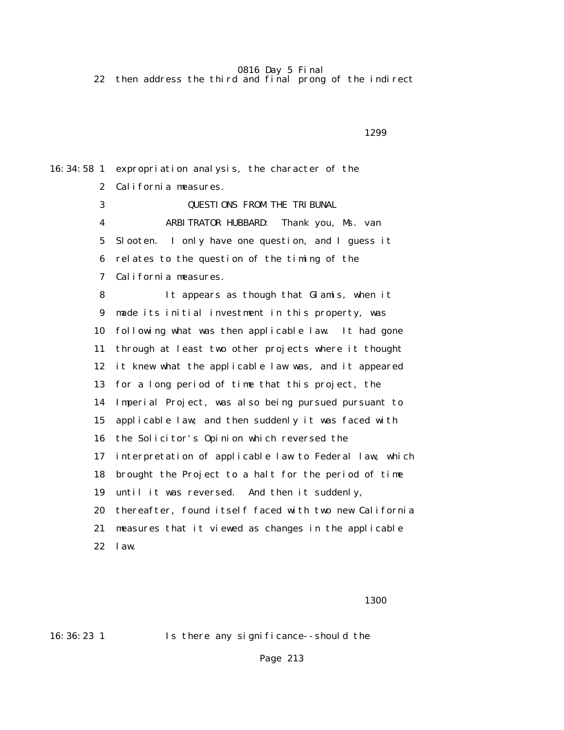22 then address the third and final prong of the indirect

1299

16:34:58 1 expropriation analysis, the character of the 2 California measures. 3 **QUESTIONS FROM THE TRIBUNAL**  4 ARBITRATOR HUBBARD: Thank you, Ms. van 5 Slooten. I only have one question, and I guess it 6 relates to the question of the timing of the 7 California measures. 8 It appears as though that Glamis, when it 9 made its initial investment in this property, was 10 following what was then applicable law. It had gone 11 through at least two other projects where it thought 12 it knew what the applicable law was, and it appeared 13 for a long period of time that this project, the 14 Imperial Project, was also being pursued pursuant to 15 applicable law; and then suddenly it was faced with 16 the Solicitor's Opinion which reversed the 17 interpretation of applicable law to Federal law, which 18 brought the Project to a halt for the period of time 19 until it was reversed. And then it suddenly, 20 thereafter, found itself faced with two new California 21 measures that it viewed as changes in the applicable 22 law.

 $1300$ 

16:36:23 1 Is there any significance--should the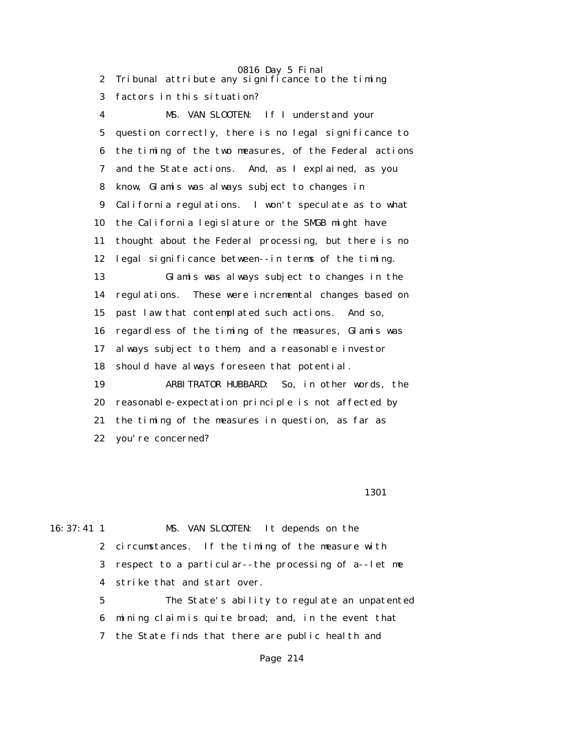0816 Day 5 Final 2 Tribunal attribute any significance to the timing 3 factors in this situation? 4 MS. VAN SLOOTEN: If I understand your 5 question correctly, there is no legal significance to 6 the timing of the two measures, of the Federal actions 7 and the State actions. And, as I explained, as you 8 know, Glamis was always subject to changes in 9 California regulations. I won't speculate as to what 10 the California legislature or the SMGB might have 11 thought about the Federal processing, but there is no 12 legal significance between--in terms of the timing. 13 Glamis was always subject to changes in the 14 regulations. These were incremental changes based on 15 past law that contemplated such actions. And so, 16 regardless of the timing of the measures, Glamis was 17 always subject to them, and a reasonable investor 18 should have always foreseen that potential. 19 ARBITRATOR HUBBARD: So, in other words, the 20 reasonable-expectation principle is not affected by 21 the timing of the measures in question, as far as 22 you're concerned?

1301

16:37:41 1 MS. VAN SLOOTEN: It depends on the 2 circumstances. If the timing of the measure with 3 respect to a particular--the processing of a--let me 4 strike that and start over.

> 5 The State's ability to regulate an unpatented 6 mining claim is quite broad; and, in the event that 7 the State finds that there are public health and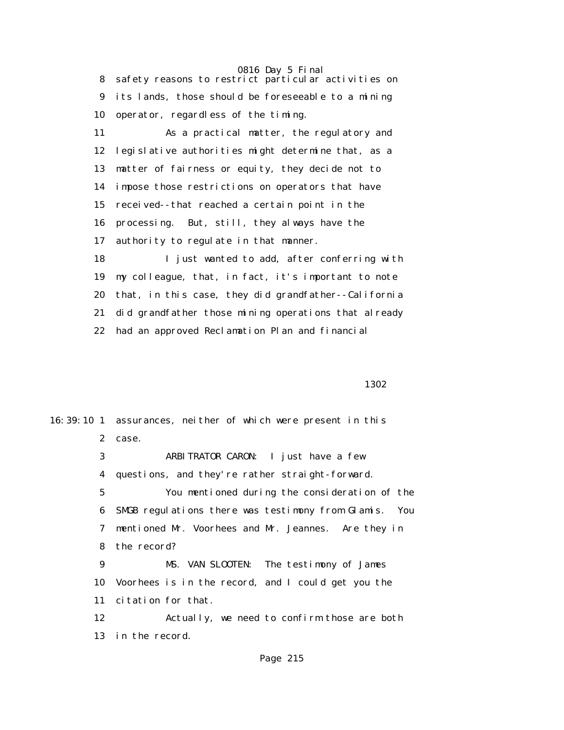8 safety reasons to restrict particular activities on 9 its lands, those should be foreseeable to a mining 10 operator, regardless of the timing. 11 As a practical matter, the regulatory and

 12 legislative authorities might determine that, as a 13 matter of fairness or equity, they decide not to 14 impose those restrictions on operators that have 15 received--that reached a certain point in the 16 processing. But, still, they always have the 17 authority to regulate in that manner.

 18 I just wanted to add, after conferring with 19 my colleague, that, in fact, it's important to note 20 that, in this case, they did grandfather--California 21 did grandfather those mining operations that already 22 had an approved Reclamation Plan and financial

1302 and 1302

16:39:10 1 assurances, neither of which were present in this 2 case. 3 ARBITRATOR CARON: I just have a few 4 questions, and they're rather straight-forward. 5 You mentioned during the consideration of the 6 SMGB regulations there was testimony from Glamis. You 7 mentioned Mr. Voorhees and Mr. Jeannes. Are they in 8 the record? 9 MS. VAN SLOOTEN: The testimony of James 10 Voorhees is in the record, and I could get you the 11 citation for that. 12 Actually, we need to confirm those are both 13 in the record.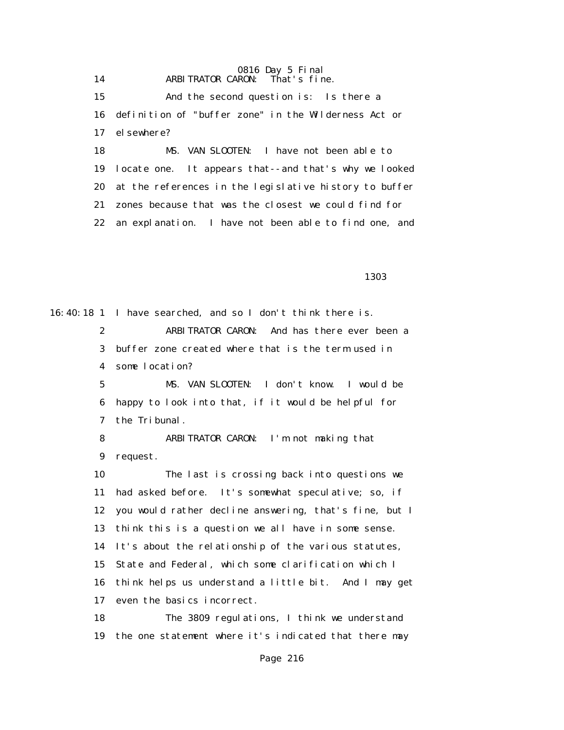0816 Day 5 Final 14 ARBITRATOR CARON: That's fine.

> 15 And the second question is: Is there a 16 definition of "buffer zone" in the Wilderness Act or 17 elsewhere?

 18 MS. VAN SLOOTEN: I have not been able to 19 locate one. It appears that--and that's why we looked 20 at the references in the legislative history to buffer 21 zones because that was the closest we could find for 22 an explanation. I have not been able to find one, and

<u>1303</u> and the state of the state of the state of the state of the state of the state of the state of the state of the state of the state of the state of the state of the state of the state of the state of the state of the

16:40:18 1 I have searched, and so I don't think there is.

 2 ARBITRATOR CARON: And has there ever been a 3 buffer zone created where that is the term used in 4 some location? 5 MS. VAN SLOOTEN: I don't know. I would be 6 happy to look into that, if it would be helpful for 7 the Tribunal. 8 ARBITRATOR CARON: I'm not making that 9 request. 10 The last is crossing back into questions we 11 had asked before. It's somewhat speculative; so, if 12 you would rather decline answering, that's fine, but I 13 think this is a question we all have in some sense. 14 It's about the relationship of the various statutes, 15 State and Federal, which some clarification which I 16 think helps us understand a little bit. And I may get 17 even the basics incorrect. 18 The 3809 regulations, I think we understand

19 the one statement where it's indicated that there may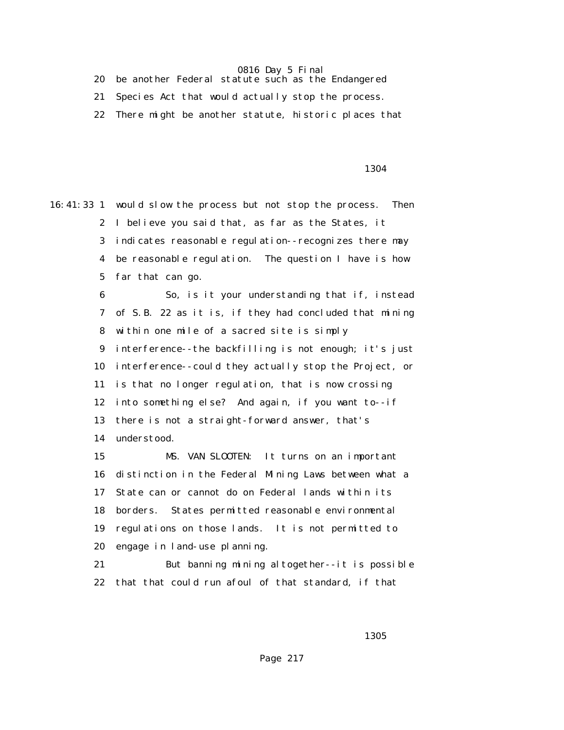20 be another Federal statute such as the Endangered

21 Species Act that would actually stop the process.

22 There might be another statute, historic places that

### **1304**

16:41:33 1 would slow the process but not stop the process. Then 2 I believe you said that, as far as the States, it 3 indicates reasonable regulation--recognizes there may 4 be reasonable regulation. The question I have is how 5 far that can go. 6 So, is it your understanding that if, instead 7 of S.B. 22 as it is, if they had concluded that mining

> 8 within one mile of a sacred site is simply 9 interference--the backfilling is not enough; it's just 10 interference--could they actually stop the Project, or 11 is that no longer regulation, that is now crossing 12 into something else? And again, if you want to--if 13 there is not a straight-forward answer, that's 14 understood.

 15 MS. VAN SLOOTEN: It turns on an important 16 distinction in the Federal Mining Laws between what a 17 State can or cannot do on Federal lands within its 18 borders. States permitted reasonable environmental 19 regulations on those lands. It is not permitted to 20 engage in land-use planning.

 21 But banning mining altogether--it is possible 22 that that could run afoul of that standard, if that

 $1305$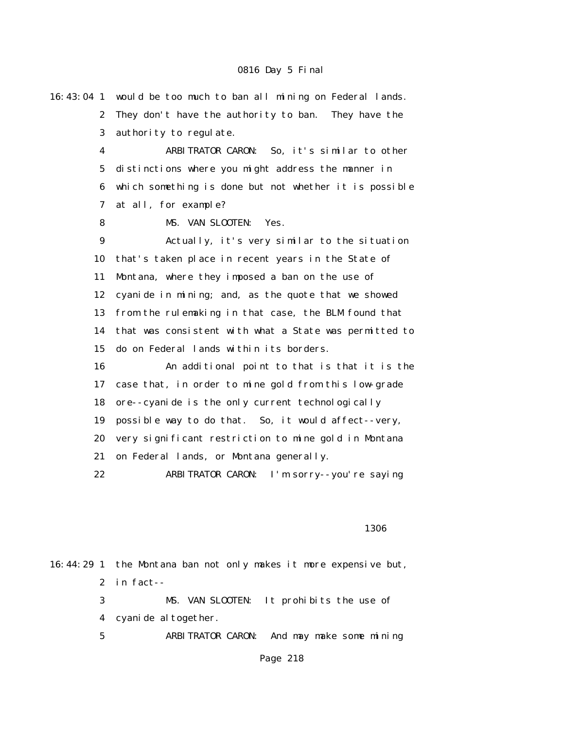16:43:04 1 would be too much to ban all mining on Federal lands. 2 They don't have the authority to ban. They have the 3 authority to regulate. 4 ARBITRATOR CARON: So, it's similar to other 5 distinctions where you might address the manner in 6 which something is done but not whether it is possible 7 at all, for example? 8 MS. VAN SLOOTEN: Yes. 9 Actually, it's very similar to the situation 10 that's taken place in recent years in the State of 11 Montana, where they imposed a ban on the use of 12 cyanide in mining; and, as the quote that we showed 13 from the rulemaking in that case, the BLM found that 14 that was consistent with what a State was permitted to 15 do on Federal lands within its borders. 16 An additional point to that is that it is the 17 case that, in order to mine gold from this low-grade 18 ore--cyanide is the only current technologically 19 possible way to do that. So, it would affect--very, 20 very significant restriction to mine gold in Montana 21 on Federal lands, or Montana generally. 22 ARBITRATOR CARON: I'm sorry--you're saying  $1306$ 16:44:29 1 the Montana ban not only makes it more expensive but, 2 in fact--

 3 MS. VAN SLOOTEN: It prohibits the use of 4 cyanide altogether.

5 ARBITRATOR CARON: And may make some mining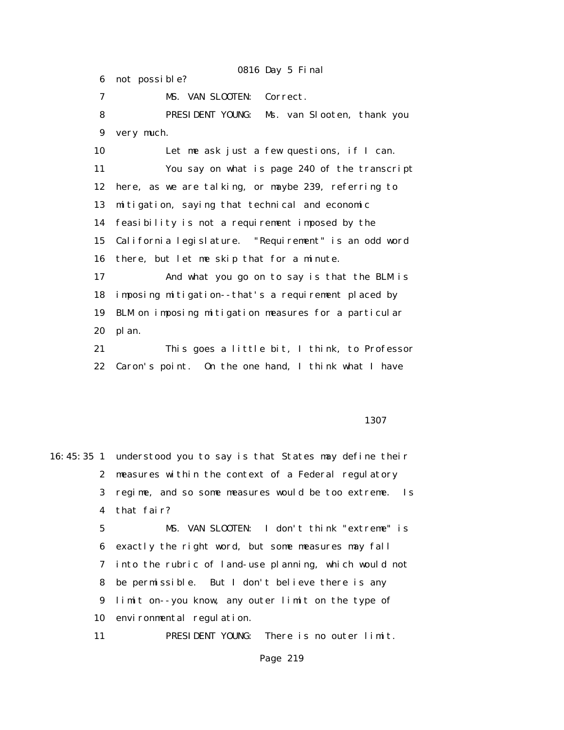0816 Day 5 Final 6 not possible? 7 MS. VAN SLOOTEN: Correct. 8 PRESIDENT YOUNG: Ms. van Slooten, thank you 9 very much. 10 Let me ask just a few questions, if I can. 11 You say on what is page 240 of the transcript 12 here, as we are talking, or maybe 239, referring to 13 mitigation, saying that technical and economic 14 feasibility is not a requirement imposed by the 15 California legislature. "Requirement" is an odd word 16 there, but let me skip that for a minute. 17 And what you go on to say is that the BLM is 18 imposing mitigation--that's a requirement placed by 19 BLM on imposing mitigation measures for a particular 20 plan. 21 This goes a little bit, I think, to Professor 22 Caron's point. On the one hand, I think what I have

<u>1307</u>

16:45:35 1 understood you to say is that States may define their 2 measures within the context of a Federal regulatory 3 regime, and so some measures would be too extreme. Is 4 that fair? 5 MS. VAN SLOOTEN: I don't think "extreme" is 6 exactly the right word, but some measures may fall 7 into the rubric of land-use planning, which would not 8 be permissible. But I don't believe there is any 9 limit on--you know, any outer limit on the type of 10 environmental regulation.

11 PRESIDENT YOUNG: There is no outer limit.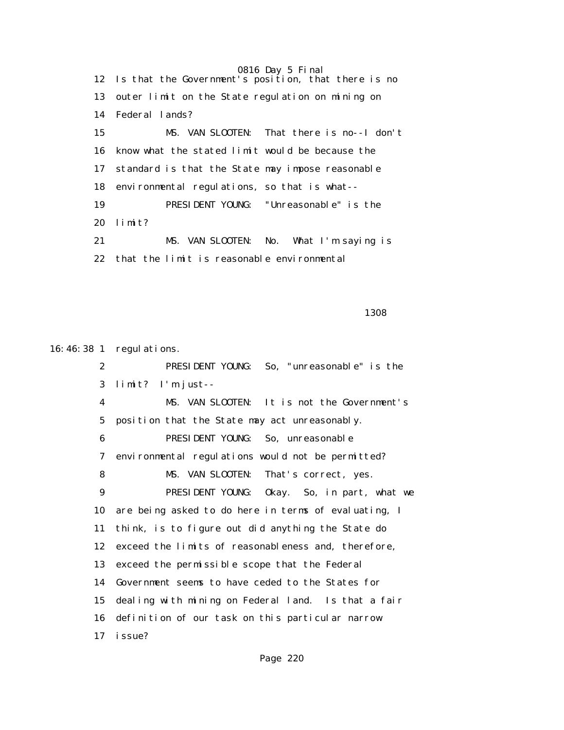0816 Day 5 Final 12 Is that the Government's position, that there is no 13 outer limit on the State regulation on mining on 14 Federal lands? 15 MS. VAN SLOOTEN: That there is no--I don't 16 know what the stated limit would be because the 17 standard is that the State may impose reasonable 18 environmental regulations, so that is what-- 19 PRESIDENT YOUNG: "Unreasonable" is the 20 limit? 21 MS. VAN SLOOTEN: No. What I'm saying is 22 that the limit is reasonable environmental

 $1308$ 

16:46:38 1 regulations.

 2 PRESIDENT YOUNG: So, "unreasonable" is the 3 limit? I'm just-- 4 MS. VAN SLOOTEN: It is not the Government's 5 position that the State may act unreasonably. 6 PRESIDENT YOUNG: So, unreasonable 7 environmental regulations would not be permitted? 8 MS. VAN SLOOTEN: That's correct, yes. 9 PRESIDENT YOUNG: Okay. So, in part, what we 10 are being asked to do here in terms of evaluating, I 11 think, is to figure out did anything the State do 12 exceed the limits of reasonableness and, therefore, 13 exceed the permissible scope that the Federal 14 Government seems to have ceded to the States for 15 dealing with mining on Federal land. Is that a fair 16 definition of our task on this particular narrow 17 issue?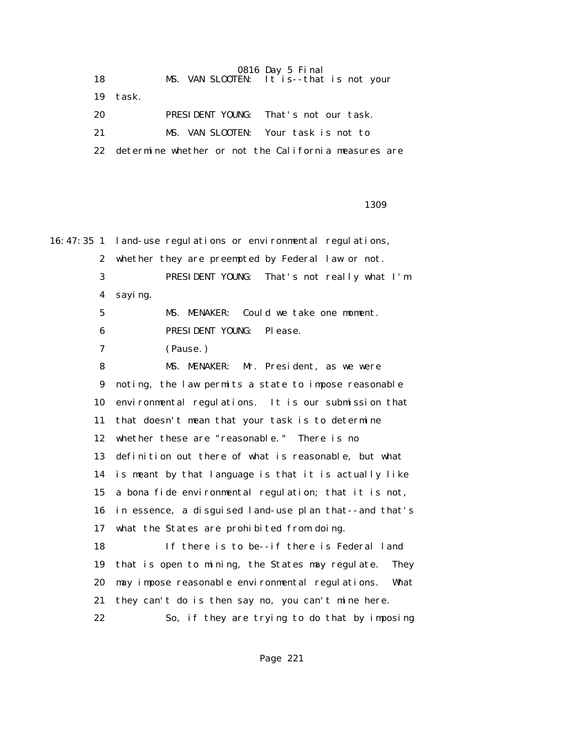0816 Day 5 Final 18 MS. VAN SLOOTEN: It is--that is not your 19 task. 20 PRESIDENT YOUNG: That's not our task. 21 MS. VAN SLOOTEN: Your task is not to 22 determine whether or not the California measures are

 $1309$ 

16:47:35 1 land-use regulations or environmental regulations, 2 whether they are preempted by Federal law or not. 3 PRESIDENT YOUNG: That's not really what I'm 4 saying. 5 MS. MENAKER: Could we take one moment. 6 PRESIDENT YOUNG: Please. 7 (Pause.) 8 MS. MENAKER: Mr. President, as we were 9 noting, the law permits a state to impose reasonable 10 environmental regulations. It is our submission that 11 that doesn't mean that your task is to determine 12 whether these are "reasonable." There is no 13 definition out there of what is reasonable, but what 14 is meant by that language is that it is actually like 15 a bona fide environmental regulation; that it is not, 16 in essence, a disguised land-use plan that--and that's 17 what the States are prohibited from doing. 18 If there is to be--if there is Federal land 19 that is open to mining, the States may regulate. They 20 may impose reasonable environmental regulations. What 21 they can't do is then say no, you can't mine here. 22 So, if they are trying to do that by imposing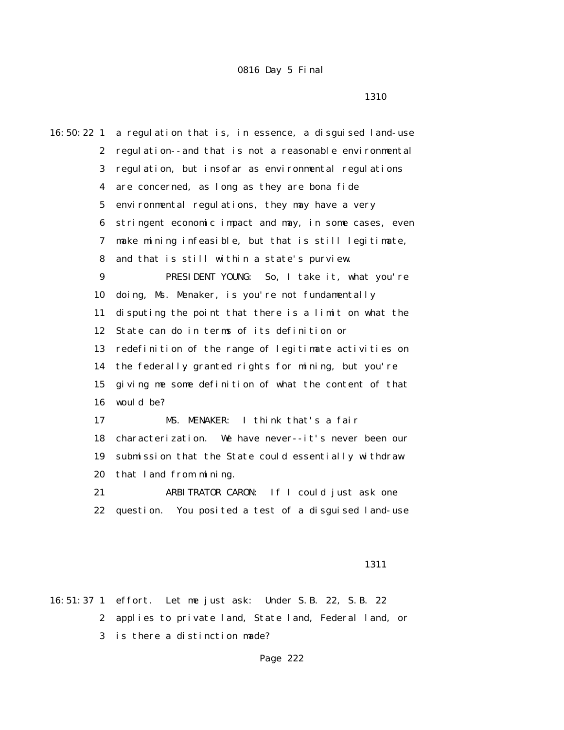1310

16:50:22 1 a regulation that is, in essence, a disguised land-use 2 regulation--and that is not a reasonable environmental 3 regulation, but insofar as environmental regulations 4 are concerned, as long as they are bona fide 5 environmental regulations, they may have a very 6 stringent economic impact and may, in some cases, even 7 make mining infeasible, but that is still legitimate, 8 and that is still within a state's purview. 9 PRESIDENT YOUNG: So, I take it, what you're 10 doing, Ms. Menaker, is you're not fundamentally 11 disputing the point that there is a limit on what the 12 State can do in terms of its definition or 13 redefinition of the range of legitimate activities on 14 the federally granted rights for mining, but you're 15 giving me some definition of what the content of that 16 would be? 17 MS. MENAKER: I think that's a fair 18 characterization. We have never--it's never been our 19 submission that the State could essentially withdraw 20 that land from mining. 21 ARBITRATOR CARON: If I could just ask one 22 question. You posited a test of a disguised land-use

#### 1311

16:51:37 1 effort. Let me just ask: Under S.B. 22, S.B. 22 2 applies to private land, State land, Federal land, or 3 is there a distinction made?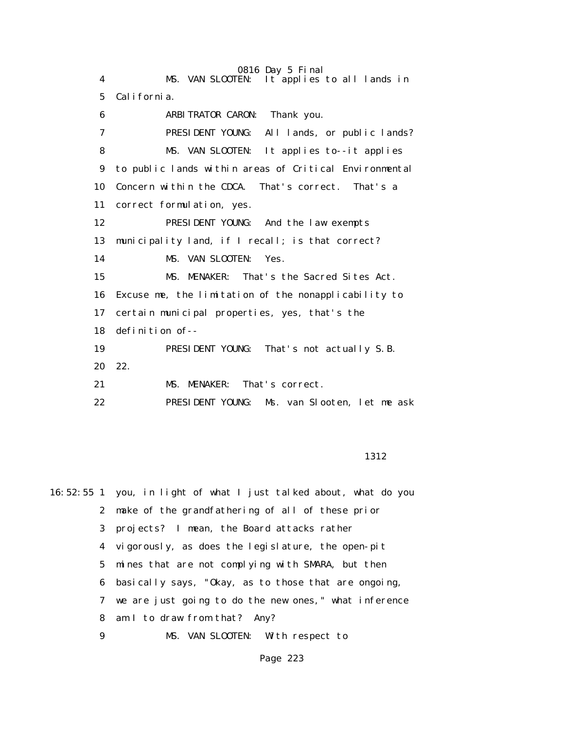0816 Day 5 Final 4 MS. VAN SLOOTEN: It applies to all lands in 5 California. 6 ARBITRATOR CARON: Thank you. 7 PRESIDENT YOUNG: All lands, or public lands? 8 MS. VAN SLOOTEN: It applies to--it applies 9 to public lands within areas of Critical Environmental 10 Concern within the CDCA. That's correct. That's a 11 correct formulation, yes. 12 PRESIDENT YOUNG: And the law exempts 13 municipality land, if I recall; is that correct? 14 MS. VAN SLOOTEN: Yes. 15 MS. MENAKER: That's the Sacred Sites Act. 16 Excuse me, the limitation of the nonapplicability to 17 certain municipal properties, yes, that's the 18 definition of-- 19 PRESIDENT YOUNG: That's not actually S.B. 20 22. 21 MS. MENAKER: That's correct. 22 PRESIDENT YOUNG: Ms. van Slooten, let me ask

**1312** 

16:52:55 1 you, in light of what I just talked about, what do you 2 make of the grandfathering of all of these prior 3 projects? I mean, the Board attacks rather 4 vigorously, as does the legislature, the open-pit 5 mines that are not complying with SMARA, but then 6 basically says, "Okay, as to those that are ongoing, 7 we are just going to do the new ones," what inference 8 am I to draw from that? Any? 9 MS. VAN SLOOTEN: With respect to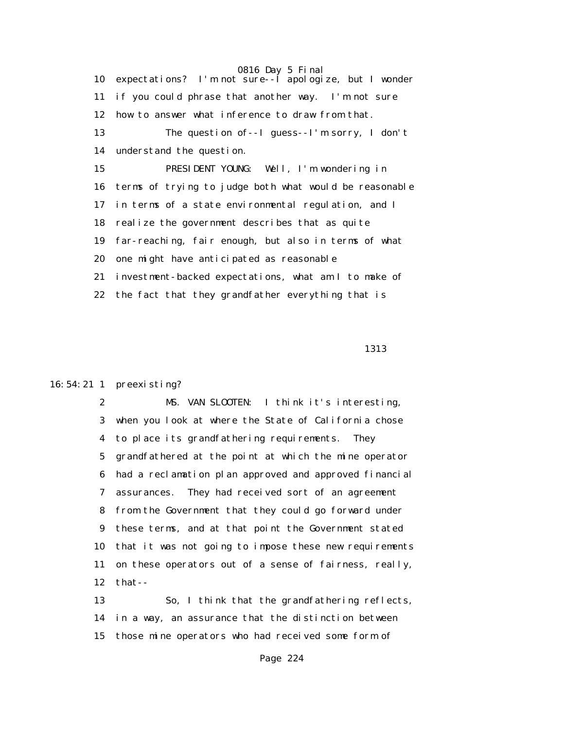10 expectations? I'm not sure--I apologize, but I wonder 11 if you could phrase that another way. I'm not sure 12 how to answer what inference to draw from that. 13 The question of--I guess--I'm sorry, I don't 14 understand the question. 15 PRESIDENT YOUNG: Well, I'm wondering in 16 terms of trying to judge both what would be reasonable 17 in terms of a state environmental regulation, and I 18 realize the government describes that as quite 19 far-reaching, fair enough, but also in terms of what 20 one might have anticipated as reasonable 21 investment-backed expectations, what am I to make of 22 the fact that they grandfather everything that is

1313

# 16:54:21 1 preexisting?

 2 MS. VAN SLOOTEN: I think it's interesting, 3 when you look at where the State of California chose 4 to place its grandfathering requirements. They 5 grandfathered at the point at which the mine operator 6 had a reclamation plan approved and approved financial 7 assurances. They had received sort of an agreement 8 from the Government that they could go forward under 9 these terms, and at that point the Government stated 10 that it was not going to impose these new requirements 11 on these operators out of a sense of fairness, really, 12 that--

 13 So, I think that the grandfathering reflects, 14 in a way, an assurance that the distinction between 15 those mine operators who had received some form of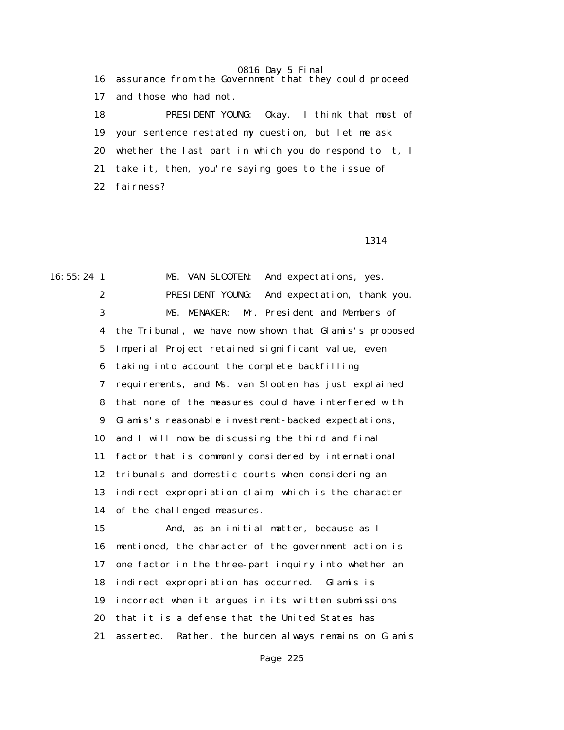16 assurance from the Government that they could proceed 17 and those who had not. 18 PRESIDENT YOUNG: Okay. I think that most of 19 your sentence restated my question, but let me ask 20 whether the last part in which you do respond to it, I 21 take it, then, you're saying goes to the issue of 22 fairness?

1314

16:55:24 1 MS. VAN SLOOTEN: And expectations, yes. 2 PRESIDENT YOUNG: And expectation, thank you. 3 MS. MENAKER: Mr. President and Members of 4 the Tribunal, we have now shown that Glamis's proposed 5 Imperial Project retained significant value, even 6 taking into account the complete backfilling 7 requirements, and Ms. van Slooten has just explained 8 that none of the measures could have interfered with 9 Glamis's reasonable investment-backed expectations, 10 and I will now be discussing the third and final 11 factor that is commonly considered by international 12 tribunals and domestic courts when considering an 13 indirect expropriation claim, which is the character 14 of the challenged measures. 15 And, as an initial matter, because as I 16 mentioned, the character of the government action is 17 one factor in the three-part inquiry into whether an 18 indirect expropriation has occurred. Glamis is 19 incorrect when it argues in its written submissions 20 that it is a defense that the United States has 21 asserted. Rather, the burden always remains on Glamis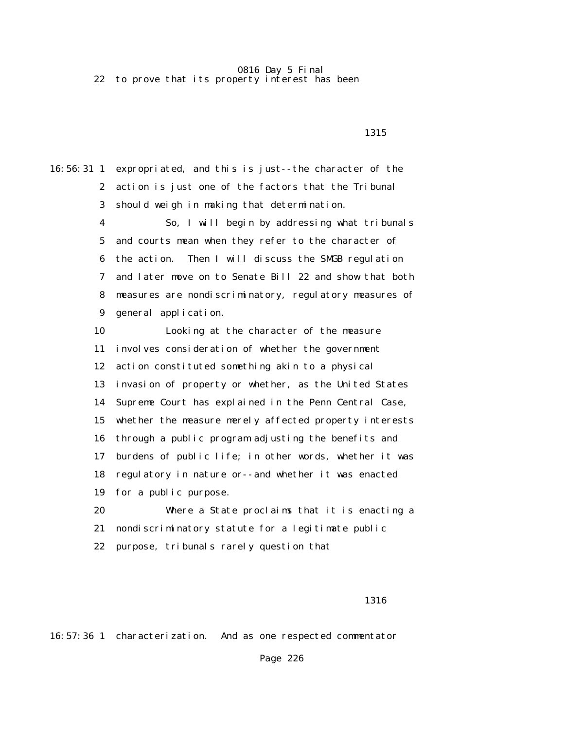0816 Day 5 Final 22 to prove that its property interest has been

<u>1315</u>

16:56:31 1 expropriated, and this is just--the character of the 2 action is just one of the factors that the Tribunal 3 should weigh in making that determination. 4 So, I will begin by addressing what tribunals 5 and courts mean when they refer to the character of 6 the action. Then I will discuss the SMGB regulation 7 and later move on to Senate Bill 22 and show that both 8 measures are nondiscriminatory, regulatory measures of 9 general application. 10 Looking at the character of the measure 11 involves consideration of whether the government 12 action constituted something akin to a physical 13 invasion of property or whether, as the United States 14 Supreme Court has explained in the Penn Central Case, 15 whether the measure merely affected property interests 16 through a public program adjusting the benefits and 17 burdens of public life; in other words, whether it was 18 regulatory in nature or--and whether it was enacted 19 for a public purpose. 20 Where a State proclaims that it is enacting a 21 nondiscriminatory statute for a legitimate public 22 purpose, tribunals rarely question that

## 1316

16:57:36 1 characterization. And as one respected commentator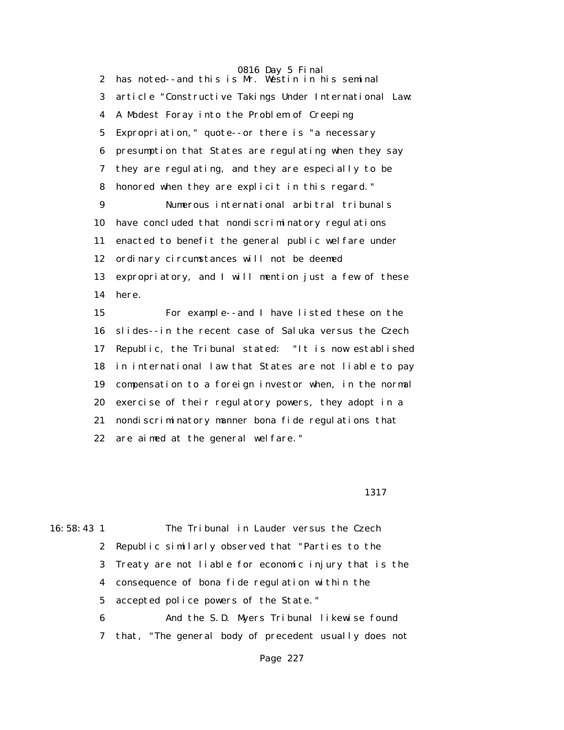0816 Day 5 Final 2 has noted--and this is Mr. Westin in his seminal 3 article "Constructive Takings Under International Law: 4 A Modest Foray into the Problem of Creeping 5 Expropriation," quote--or there is "a necessary 6 presumption that States are regulating when they say 7 they are regulating, and they are especially to be 8 honored when they are explicit in this regard." 9 Numerous international arbitral tribunals 10 have concluded that nondiscriminatory regulations 11 enacted to benefit the general public welfare under 12 ordinary circumstances will not be deemed 13 expropriatory, and I will mention just a few of these 14 here. 15 For example--and I have listed these on the 16 slides--in the recent case of Saluka versus the Czech 17 Republic, the Tribunal stated: "It is now established 18 in international law that States are not liable to pay 19 compensation to a foreign investor when, in the normal 20 exercise of their regulatory powers, they adopt in a 21 nondiscriminatory manner bona fide regulations that 22 are aimed at the general welfare."

1317

16:58:43 1 The Tribunal in Lauder versus the Czech 2 Republic similarly observed that "Parties to the 3 Treaty are not liable for economic injury that is the 4 consequence of bona fide regulation within the 5 accepted police powers of the State." 6 And the S.D. Myers Tribunal likewise found 7 that, "The general body of precedent usually does not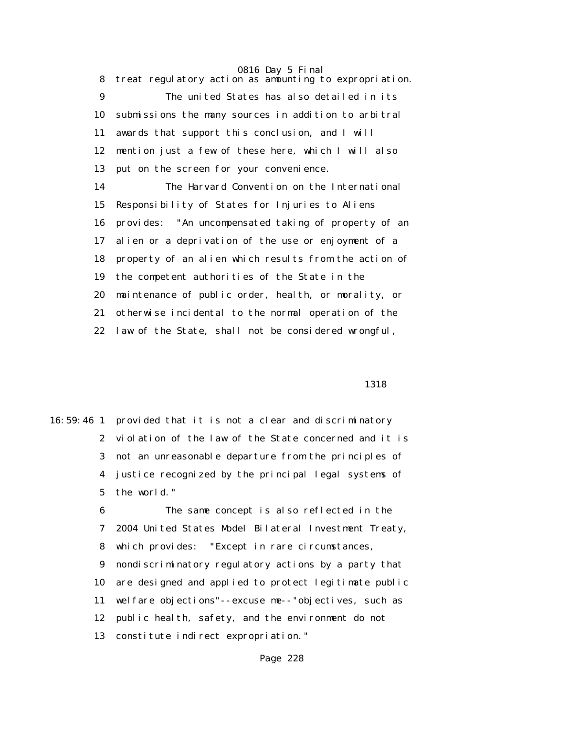8 treat regulatory action as amounting to expropriation. 9 The united States has also detailed in its 10 submissions the many sources in addition to arbitral 11 awards that support this conclusion, and I will 12 mention just a few of these here, which I will also 13 put on the screen for your convenience. 14 The Harvard Convention on the International 15 Responsibility of States for Injuries to Aliens 16 provides: "An uncompensated taking of property of an 17 alien or a deprivation of the use or enjoyment of a 18 property of an alien which results from the action of 19 the competent authorities of the State in the 20 maintenance of public order, health, or morality, or 21 otherwise incidental to the normal operation of the 22 law of the State, shall not be considered wrongful,

#### 1318

16:59:46 1 provided that it is not a clear and discriminatory 2 violation of the law of the State concerned and it is 3 not an unreasonable departure from the principles of 4 justice recognized by the principal legal systems of 5 the world."

> 6 The same concept is also reflected in the 7 2004 United States Model Bilateral Investment Treaty, 8 which provides: "Except in rare circumstances, 9 nondiscriminatory regulatory actions by a party that 10 are designed and applied to protect legitimate public 11 welfare objections"--excuse me--"objectives, such as 12 public health, safety, and the environment do not 13 constitute indirect expropriation."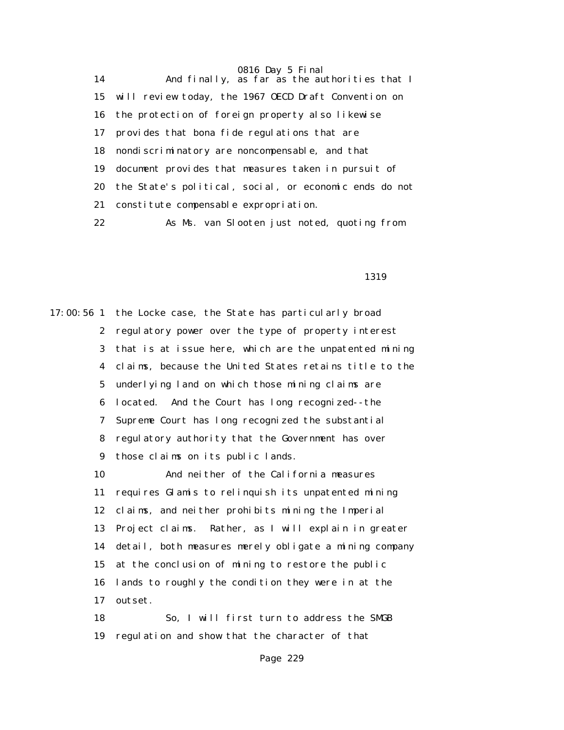14 And finally, as far as the authorities that I 15 will review today, the 1967 OECD Draft Convention on 16 the protection of foreign property also likewise 17 provides that bona fide regulations that are 18 nondiscriminatory are noncompensable, and that 19 document provides that measures taken in pursuit of 20 the State's political, social, or economic ends do not 21 constitute compensable expropriation. 22 As Ms. van Slooten just noted, quoting from

1319

17:00:56 1 the Locke case, the State has particularly broad 2 regulatory power over the type of property interest 3 that is at issue here, which are the unpatented mining 4 claims, because the United States retains title to the 5 underlying land on which those mining claims are 6 located. And the Court has long recognized--the 7 Supreme Court has long recognized the substantial 8 regulatory authority that the Government has over 9 those claims on its public lands. 10 And neither of the California measures 11 requires Glamis to relinquish its unpatented mining 12 claims, and neither prohibits mining the Imperial 13 Project claims. Rather, as I will explain in greater 14 detail, both measures merely obligate a mining company 15 at the conclusion of mining to restore the public 16 lands to roughly the condition they were in at the 17 outset. 18 So, I will first turn to address the SMGB

19 regulation and show that the character of that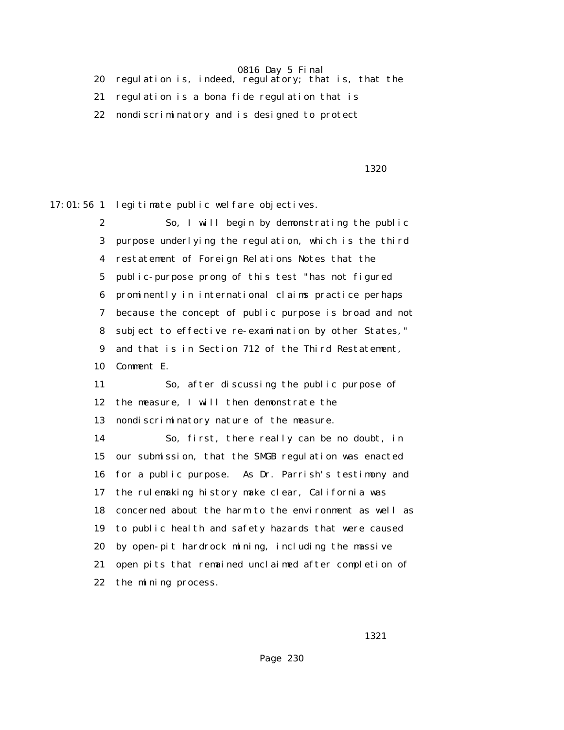20 regulation is, indeed, regulatory; that is, that the 21 regulation is a bona fide regulation that is 22 nondiscriminatory and is designed to protect

1320

17:01:56 1 legitimate public welfare objectives.

 2 So, I will begin by demonstrating the public 3 purpose underlying the regulation, which is the third 4 restatement of Foreign Relations Notes that the 5 public-purpose prong of this test "has not figured 6 prominently in international claims practice perhaps 7 because the concept of public purpose is broad and not 8 subject to effective re-examination by other States," 9 and that is in Section 712 of the Third Restatement, 10 Comment E. 11 So, after discussing the public purpose of 12 the measure, I will then demonstrate the 13 nondiscriminatory nature of the measure. 14 So, first, there really can be no doubt, in 15 our submission, that the SMGB regulation was enacted

 16 for a public purpose. As Dr. Parrish's testimony and 17 the rulemaking history make clear, California was 18 concerned about the harm to the environment as well as 19 to public health and safety hazards that were caused 20 by open-pit hardrock mining, including the massive 21 open pits that remained unclaimed after completion of 22 the mining process.

1321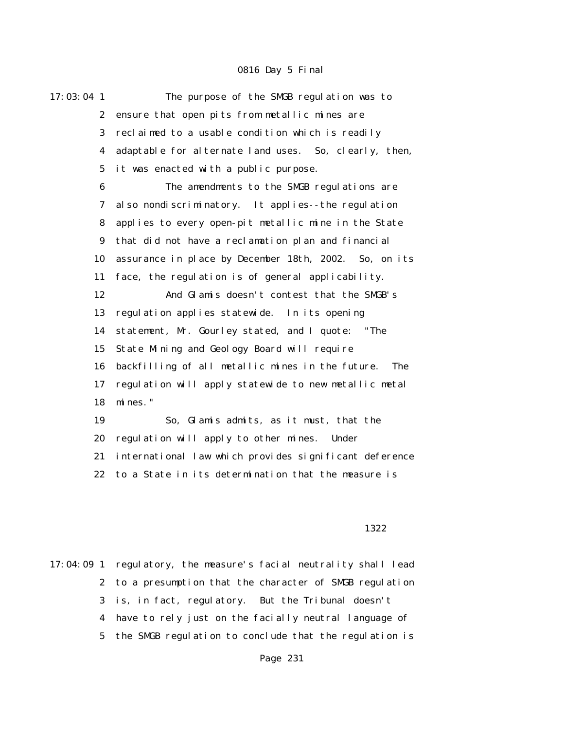17:03:04 1 The purpose of the SMGB regulation was to 2 ensure that open pits from metallic mines are 3 reclaimed to a usable condition which is readily 4 adaptable for alternate land uses. So, clearly, then, 5 it was enacted with a public purpose. 6 The amendments to the SMGB regulations are 7 also nondiscriminatory. It applies--the regulation 8 applies to every open-pit metallic mine in the State 9 that did not have a reclamation plan and financial 10 assurance in place by December 18th, 2002. So, on its 11 face, the regulation is of general applicability. 12 And Glamis doesn't contest that the SMGB's 13 regulation applies statewide. In its opening 14 statement, Mr. Gourley stated, and I quote: "The 15 State Mining and Geology Board will require 16 backfilling of all metallic mines in the future. The 17 regulation will apply statewide to new metallic metal 18 mines." 19 So, Glamis admits, as it must, that the 20 regulation will apply to other mines. Under 21 international law which provides significant deference

22 to a State in its determination that the measure is

### 1322

17:04:09 1 regulatory, the measure's facial neutrality shall lead 2 to a presumption that the character of SMGB regulation 3 is, in fact, regulatory. But the Tribunal doesn't 4 have to rely just on the facially neutral language of 5 the SMGB regulation to conclude that the regulation is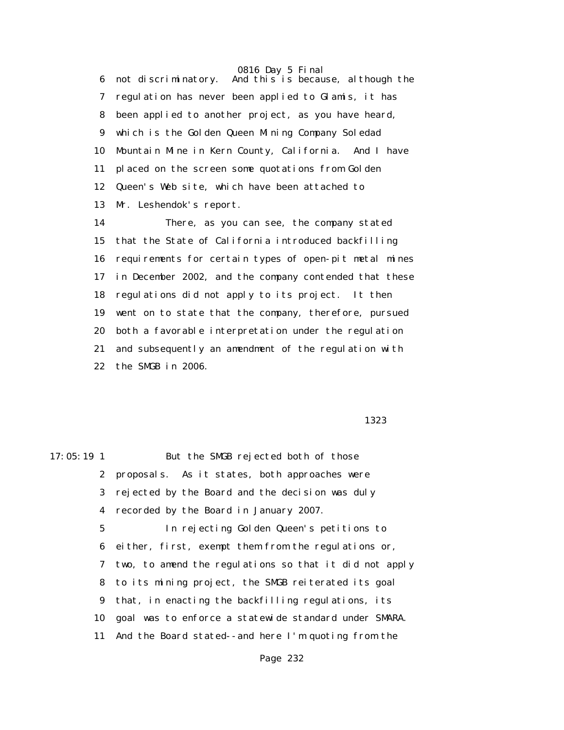0816 Day 5 Final 6 not discriminatory. And this is because, although the 7 regulation has never been applied to Glamis, it has 8 been applied to another project, as you have heard, 9 which is the Golden Queen Mining Company Soledad 10 Mountain Mine in Kern County, California. And I have 11 placed on the screen some quotations from Golden 12 Queen's Web site, which have been attached to 13 Mr. Leshendok's report.

 14 There, as you can see, the company stated 15 that the State of California introduced backfilling 16 requirements for certain types of open-pit metal mines 17 in December 2002, and the company contended that these 18 regulations did not apply to its project. It then 19 went on to state that the company, therefore, pursued 20 both a favorable interpretation under the regulation 21 and subsequently an amendment of the regulation with 22 the SMGB in 2006.

1323

17:05:19 1 But the SMGB rejected both of those 2 proposals. As it states, both approaches were 3 rejected by the Board and the decision was duly 4 recorded by the Board in January 2007. 5 In rejecting Golden Queen's petitions to 6 either, first, exempt them from the regulations or, 7 two, to amend the regulations so that it did not apply 8 to its mining project, the SMGB reiterated its goal 9 that, in enacting the backfilling regulations, its 10 goal was to enforce a statewide standard under SMARA. 11 And the Board stated--and here I'm quoting from the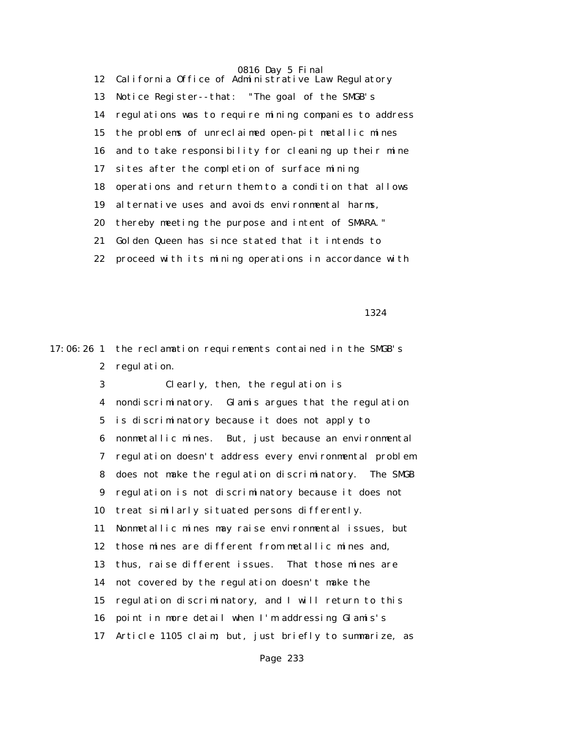0816 Day 5 Final 12 California Office of Administrative Law Regulatory 13 Notice Register--that: "The goal of the SMGB's 14 regulations was to require mining companies to address 15 the problems of unreclaimed open-pit metallic mines 16 and to take responsibility for cleaning up their mine 17 sites after the completion of surface mining 18 operations and return them to a condition that allows 19 alternative uses and avoids environmental harms, 20 thereby meeting the purpose and intent of SMARA." 21 Golden Queen has since stated that it intends to 22 proceed with its mining operations in accordance with

1324

17:06:26 1 the reclamation requirements contained in the SMGB's 2 regulation.

> 3 Clearly, then, the regulation is 4 nondiscriminatory. Glamis argues that the regulation 5 is discriminatory because it does not apply to 6 nonmetallic mines. But, just because an environmental 7 regulation doesn't address every environmental problem 8 does not make the regulation discriminatory. The SMGB 9 regulation is not discriminatory because it does not 10 treat similarly situated persons differently. 11 Nonmetallic mines may raise environmental issues, but 12 those mines are different from metallic mines and, 13 thus, raise different issues. That those mines are 14 not covered by the regulation doesn't make the 15 regulation discriminatory, and I will return to this 16 point in more detail when I'm addressing Glamis's 17 Article 1105 claim; but, just briefly to summarize, as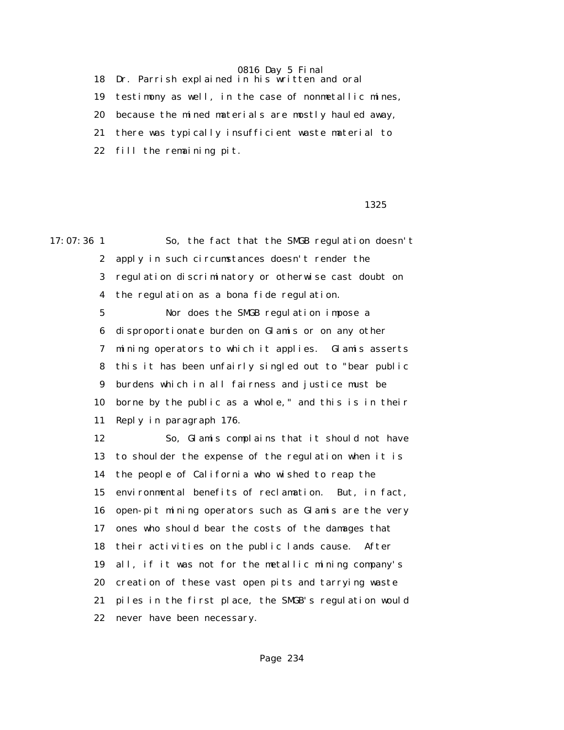18 Dr. Parrish explained in his written and oral 19 testimony as well, in the case of nonmetallic mines, 20 because the mined materials are mostly hauled away, 21 there was typically insufficient waste material to

22 fill the remaining pit.

<u>1325</u>

17:07:36 1 So, the fact that the SMGB regulation doesn't 2 apply in such circumstances doesn't render the 3 regulation discriminatory or otherwise cast doubt on 4 the regulation as a bona fide regulation. 5 Nor does the SMGB regulation impose a 6 disproportionate burden on Glamis or on any other 7 mining operators to which it applies. Glamis asserts 8 this it has been unfairly singled out to "bear public 9 burdens which in all fairness and justice must be

 10 borne by the public as a whole," and this is in their 11 Reply in paragraph 176.

 12 So, Glamis complains that it should not have 13 to shoulder the expense of the regulation when it is 14 the people of California who wished to reap the 15 environmental benefits of reclamation. But, in fact, 16 open-pit mining operators such as Glamis are the very 17 ones who should bear the costs of the damages that 18 their activities on the public lands cause. After 19 all, if it was not for the metallic mining company's 20 creation of these vast open pits and tarrying waste 21 piles in the first place, the SMGB's regulation would 22 never have been necessary.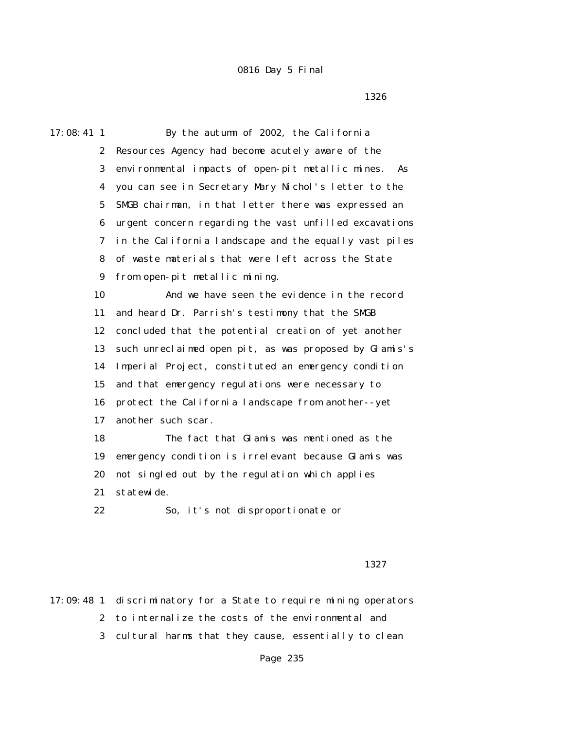$1326$ 

17:08:41 1 By the autumn of 2002, the California 2 Resources Agency had become acutely aware of the 3 environmental impacts of open-pit metallic mines. As 4 you can see in Secretary Mary Nichol's letter to the 5 SMGB chairman, in that letter there was expressed an 6 urgent concern regarding the vast unfilled excavations 7 in the California landscape and the equally vast piles 8 of waste materials that were left across the State 9 from open-pit metallic mining. 10 And we have seen the evidence in the record 11 and heard Dr. Parrish's testimony that the SMGB 12 concluded that the potential creation of yet another 13 such unreclaimed open pit, as was proposed by Glamis's 14 Imperial Project, constituted an emergency condition 15 and that emergency regulations were necessary to 16 protect the California landscape from another--yet 17 another such scar. 18 The fact that Glamis was mentioned as the 19 emergency condition is irrelevant because Glamis was 20 not singled out by the regulation which applies 21 statewide.

22 So, it's not disproportionate or

1327

17:09:48 1 discriminatory for a State to require mining operators 2 to internalize the costs of the environmental and 3 cultural harms that they cause, essentially to clean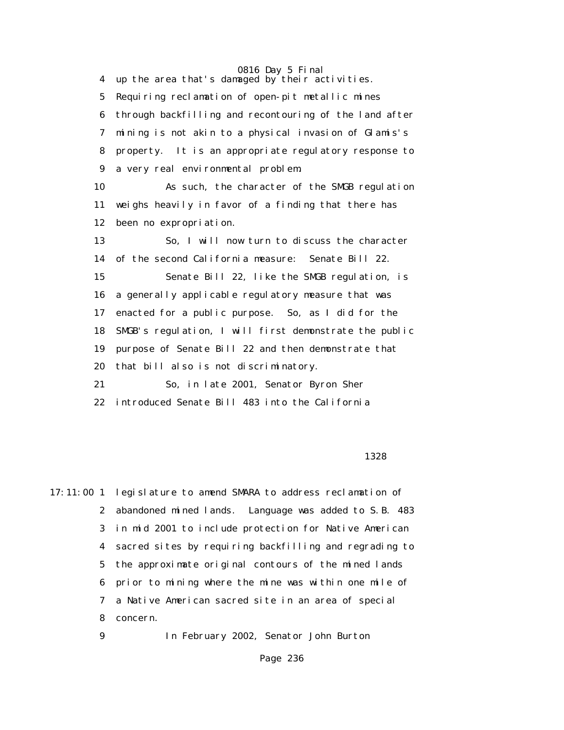0816 Day 5 Final 4 up the area that's damaged by their activities. 5 Requiring reclamation of open-pit metallic mines 6 through backfilling and recontouring of the land after 7 mining is not akin to a physical invasion of Glamis's 8 property. It is an appropriate regulatory response to 9 a very real environmental problem. 10 As such, the character of the SMGB regulation 11 weighs heavily in favor of a finding that there has 12 been no expropriation. 13 So, I will now turn to discuss the character 14 of the second California measure: Senate Bill 22. 15 Senate Bill 22, like the SMGB regulation, is 16 a generally applicable regulatory measure that was 17 enacted for a public purpose. So, as I did for the 18 SMGB's regulation, I will first demonstrate the public 19 purpose of Senate Bill 22 and then demonstrate that 20 that bill also is not discriminatory. 21 So, in late 2001, Senator Byron Sher 22 introduced Senate Bill 483 into the California

### 1328

17:11:00 1 legislature to amend SMARA to address reclamation of 2 abandoned mined lands. Language was added to S.B. 483 3 in mid 2001 to include protection for Native American 4 sacred sites by requiring backfilling and regrading to 5 the approximate original contours of the mined lands 6 prior to mining where the mine was within one mile of 7 a Native American sacred site in an area of special 8 concern.

9 In February 2002, Senator John Burton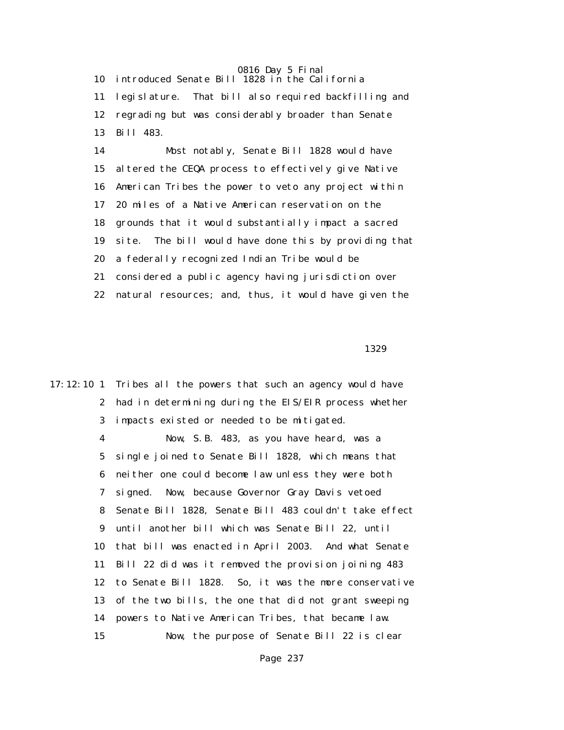10 introduced Senate Bill 1828 in the California 11 legislature. That bill also required backfilling and 12 regrading but was considerably broader than Senate 13 Bill 483.

> 14 Most notably, Senate Bill 1828 would have 15 altered the CEQA process to effectively give Native 16 American Tribes the power to veto any project within 17 20 miles of a Native American reservation on the 18 grounds that it would substantially impact a sacred 19 site. The bill would have done this by providing that 20 a federally recognized Indian Tribe would be 21 considered a public agency having jurisdiction over 22 natural resources; and, thus, it would have given the

1329

17:12:10 1 Tribes all the powers that such an agency would have 2 had in determining during the EIS/EIR process whether 3 impacts existed or needed to be mitigated.

> 4 Now, S.B. 483, as you have heard, was a 5 single joined to Senate Bill 1828, which means that 6 neither one could become law unless they were both 7 signed. Now, because Governor Gray Davis vetoed 8 Senate Bill 1828, Senate Bill 483 couldn't take effect 9 until another bill which was Senate Bill 22, until 10 that bill was enacted in April 2003. And what Senate 11 Bill 22 did was it removed the provision joining 483 12 to Senate Bill 1828. So, it was the more conservative 13 of the two bills, the one that did not grant sweeping 14 powers to Native American Tribes, that became law. 15 Now, the purpose of Senate Bill 22 is clear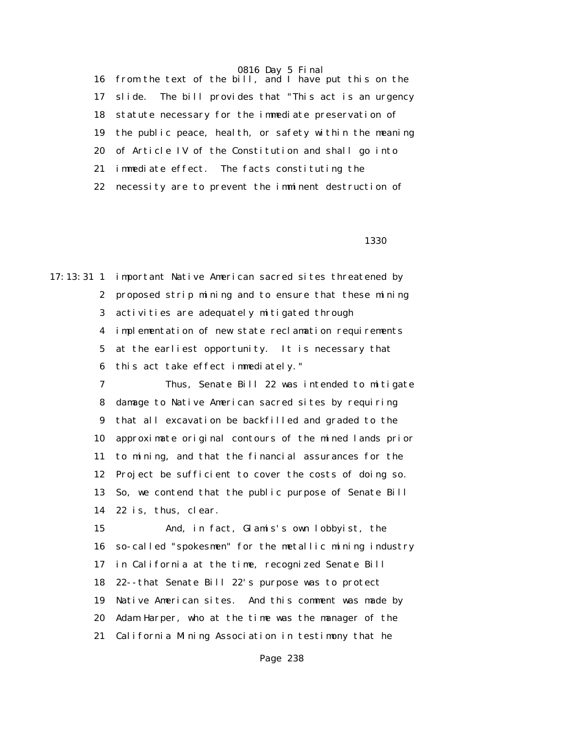16 from the text of the bill, and I have put this on the 17 slide. The bill provides that "This act is an urgency 18 statute necessary for the immediate preservation of 19 the public peace, health, or safety within the meaning 20 of Article IV of the Constitution and shall go into 21 immediate effect. The facts constituting the 22 necessity are to prevent the imminent destruction of

 $1330$ 

17:13:31 1 important Native American sacred sites threatened by 2 proposed strip mining and to ensure that these mining 3 activities are adequately mitigated through 4 implementation of new state reclamation requirements 5 at the earliest opportunity. It is necessary that 6 this act take effect immediately."

> 7 Thus, Senate Bill 22 was intended to mitigate 8 damage to Native American sacred sites by requiring 9 that all excavation be backfilled and graded to the 10 approximate original contours of the mined lands prior 11 to mining, and that the financial assurances for the 12 Project be sufficient to cover the costs of doing so. 13 So, we contend that the public purpose of Senate Bill 14 22 is, thus, clear.

> 15 And, in fact, Glamis's own lobbyist, the 16 so-called "spokesmen" for the metallic mining industry 17 in California at the time, recognized Senate Bill 18 22--that Senate Bill 22's purpose was to protect 19 Native American sites. And this comment was made by 20 Adam Harper, who at the time was the manager of the 21 California Mining Association in testimony that he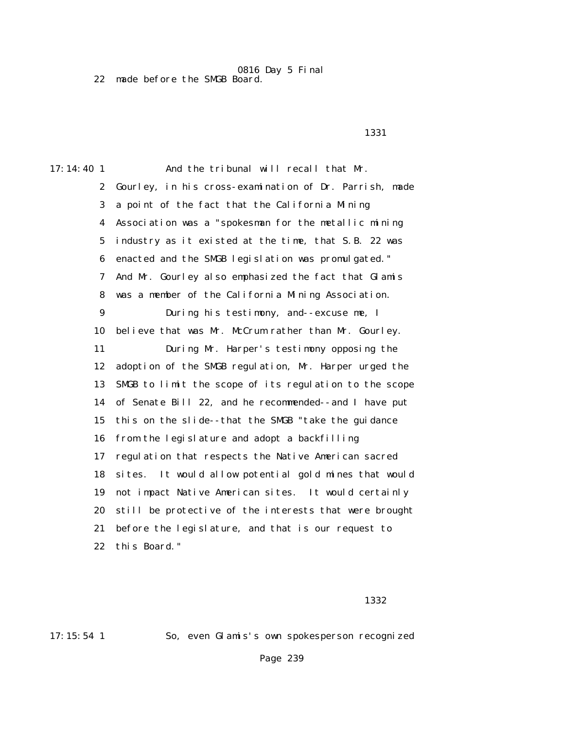0816 Day 5 Final 22 made before the SMGB Board.

1331

17:14:40 1 And the tribunal will recall that Mr. 2 Gourley, in his cross-examination of Dr. Parrish, made 3 a point of the fact that the California Mining 4 Association was a "spokesman for the metallic mining 5 industry as it existed at the time, that S.B. 22 was 6 enacted and the SMGB legislation was promulgated." 7 And Mr. Gourley also emphasized the fact that Glamis 8 was a member of the California Mining Association. 9 During his testimony, and--excuse me, I 10 believe that was Mr. McCrum rather than Mr. Gourley. 11 During Mr. Harper's testimony opposing the 12 adoption of the SMGB regulation, Mr. Harper urged the 13 SMGB to limit the scope of its regulation to the scope 14 of Senate Bill 22, and he recommended--and I have put 15 this on the slide--that the SMGB "take the guidance 16 from the legislature and adopt a backfilling 17 regulation that respects the Native American sacred 18 sites. It would allow potential gold mines that would 19 not impact Native American sites. It would certainly 20 still be protective of the interests that were brought 21 before the legislature, and that is our request to 22 this Board."

1332

17:15:54 1 So, even Glamis's own spokesperson recognized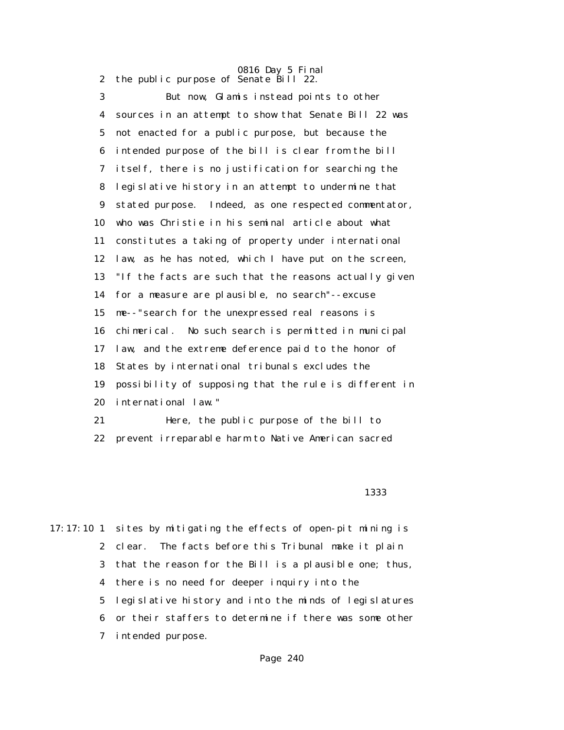0816 Day 5 Final 2 the public purpose of Senate Bill 22.

 3 But now, Glamis instead points to other 4 sources in an attempt to show that Senate Bill 22 was 5 not enacted for a public purpose, but because the 6 intended purpose of the bill is clear from the bill 7 itself, there is no justification for searching the 8 legislative history in an attempt to undermine that 9 stated purpose. Indeed, as one respected commentator, 10 who was Christie in his seminal article about what 11 constitutes a taking of property under international 12 law, as he has noted, which I have put on the screen, 13 "If the facts are such that the reasons actually given 14 for a measure are plausible, no search"--excuse 15 me--"search for the unexpressed real reasons is 16 chimerical. No such search is permitted in municipal 17 law, and the extreme deference paid to the honor of 18 States by international tribunals excludes the 19 possibility of supposing that the rule is different in 20 international law." 21 Here, the public purpose of the bill to

22 prevent irreparable harm to Native American sacred

1333

17:17:10 1 sites by mitigating the effects of open-pit mining is 2 clear. The facts before this Tribunal make it plain 3 that the reason for the Bill is a plausible one; thus, 4 there is no need for deeper inquiry into the 5 legislative history and into the minds of legislatures 6 or their staffers to determine if there was some other 7 intended purpose.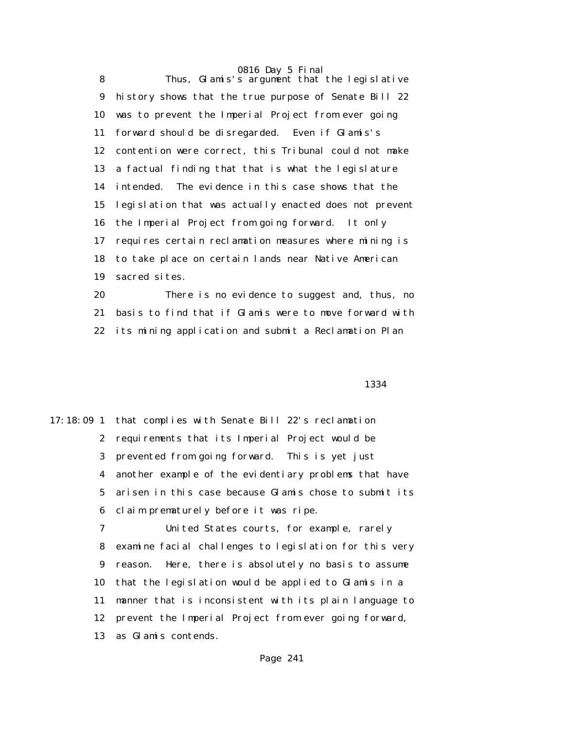8 Thus, Glamis's argument that the legislative 9 history shows that the true purpose of Senate Bill 22 10 was to prevent the Imperial Project from ever going 11 forward should be disregarded. Even if Glamis's 12 contention were correct, this Tribunal could not make 13 a factual finding that that is what the legislature 14 intended. The evidence in this case shows that the 15 legislation that was actually enacted does not prevent 16 the Imperial Project from going forward. It only 17 requires certain reclamation measures where mining is 18 to take place on certain lands near Native American 19 sacred sites.

 20 There is no evidence to suggest and, thus, no 21 basis to find that if Glamis were to move forward with 22 its mining application and submit a Reclamation Plan

1334

17:18:09 1 that complies with Senate Bill 22's reclamation 2 requirements that its Imperial Project would be 3 prevented from going forward. This is yet just 4 another example of the evidentiary problems that have 5 arisen in this case because Glamis chose to submit its 6 claim prematurely before it was ripe. 7 United States courts, for example, rarely 8 examine facial challenges to legislation for this very 9 reason. Here, there is absolutely no basis to assume 10 that the legislation would be applied to Glamis in a 11 manner that is inconsistent with its plain language to 12 prevent the Imperial Project from ever going forward,

13 as Glamis contends.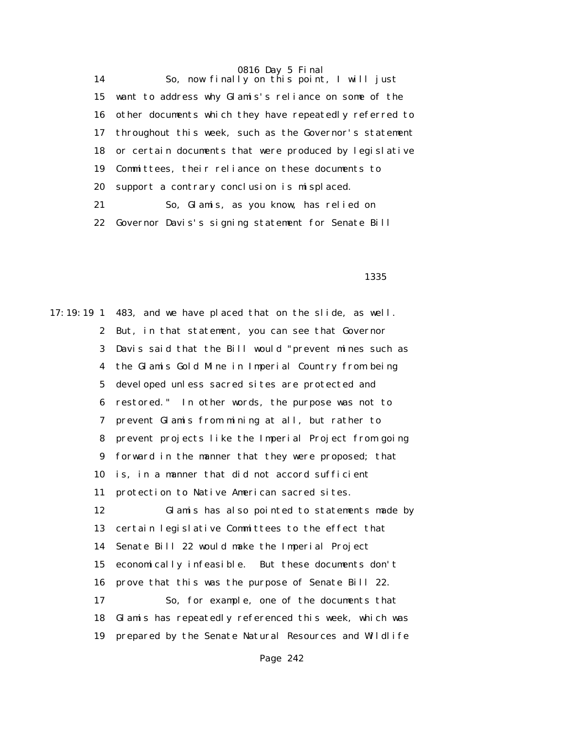14 So, now finally on this point, I will just 15 want to address why Glamis's reliance on some of the 16 other documents which they have repeatedly referred to 17 throughout this week, such as the Governor's statement 18 or certain documents that were produced by legislative 19 Committees, their reliance on these documents to 20 support a contrary conclusion is misplaced. 21 So, Glamis, as you know, has relied on 22 Governor Davis's signing statement for Senate Bill

 $1335$ 

17:19:19 1 483, and we have placed that on the slide, as well. 2 But, in that statement, you can see that Governor 3 Davis said that the Bill would "prevent mines such as 4 the Glamis Gold Mine in Imperial Country from being 5 developed unless sacred sites are protected and 6 restored." In other words, the purpose was not to 7 prevent Glamis from mining at all, but rather to 8 prevent projects like the Imperial Project from going 9 forward in the manner that they were proposed; that 10 is, in a manner that did not accord sufficient 11 protection to Native American sacred sites. 12 Glamis has also pointed to statements made by 13 certain legislative Committees to the effect that 14 Senate Bill 22 would make the Imperial Project 15 economically infeasible. But these documents don't 16 prove that this was the purpose of Senate Bill 22. 17 So, for example, one of the documents that 18 Glamis has repeatedly referenced this week, which was 19 prepared by the Senate Natural Resources and Wildlife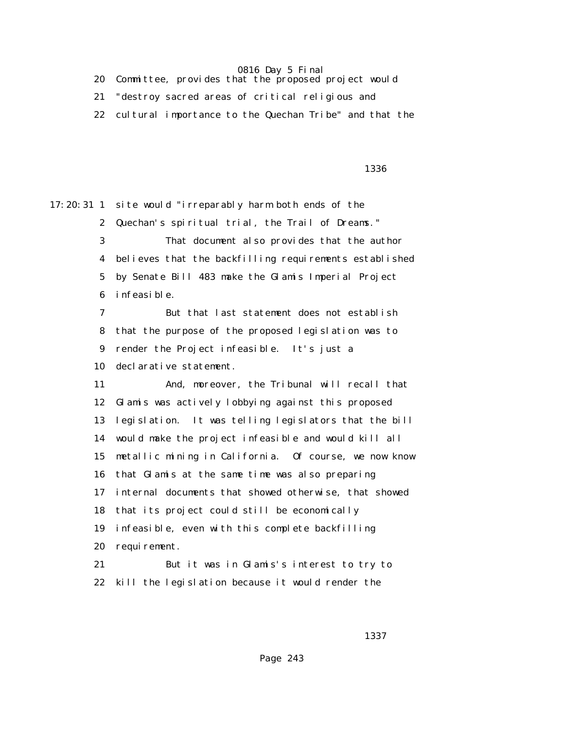| 20 Committee, provides that the proposed project would |
|--------------------------------------------------------|
| "destroy sacred areas of critical religious and        |
| cultural importance to the Quechan Tribe" and that the |

 $1336$ 

17:20:31 1 site would "irreparably harm both ends of the 2 Quechan's spiritual trial, the Trail of Dreams." 3 That document also provides that the author 4 believes that the backfilling requirements established 5 by Senate Bill 483 make the Glamis Imperial Project 6 infeasible. 7 But that last statement does not establish 8 that the purpose of the proposed legislation was to 9 render the Project infeasible. It's just a 10 declarative statement. 11 And, moreover, the Tribunal will recall that 12 Glamis was actively lobbying against this proposed 13 legislation. It was telling legislators that the bill 14 would make the project infeasible and would kill all 15 metallic mining in California. Of course, we now know 16 that Glamis at the same time was also preparing 17 internal documents that showed otherwise, that showed 18 that its project could still be economically 19 infeasible, even with this complete backfilling 20 requirement. 21 But it was in Glamis's interest to try to 22 kill the legislation because it would render the

<u>1337</u>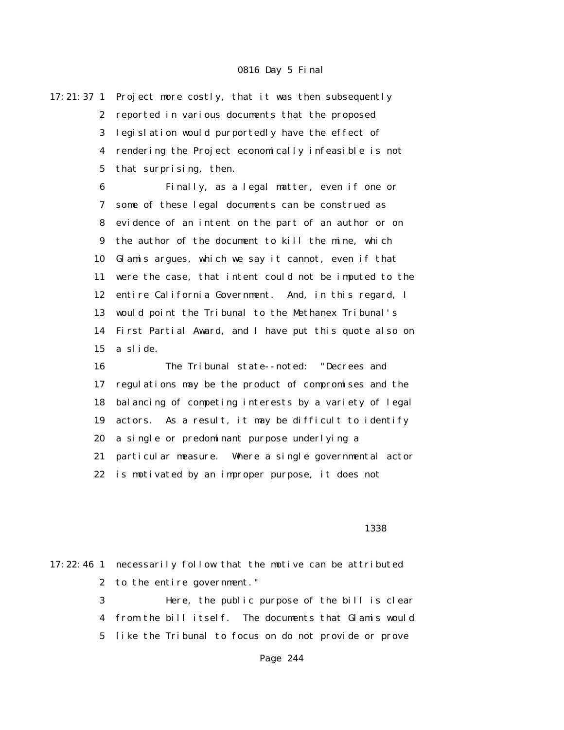17:21:37 1 Project more costly, that it was then subsequently 2 reported in various documents that the proposed 3 legislation would purportedly have the effect of 4 rendering the Project economically infeasible is not 5 that surprising, then.

> 6 Finally, as a legal matter, even if one or 7 some of these legal documents can be construed as 8 evidence of an intent on the part of an author or on 9 the author of the document to kill the mine, which 10 Glamis argues, which we say it cannot, even if that 11 were the case, that intent could not be imputed to the 12 entire California Government. And, in this regard, I 13 would point the Tribunal to the Methanex Tribunal's 14 First Partial Award, and I have put this quote also on 15 a slide.

> 16 The Tribunal state--noted: "Decrees and 17 regulations may be the product of compromises and the 18 balancing of competing interests by a variety of legal 19 actors. As a result, it may be difficult to identify 20 a single or predominant purpose underlying a 21 particular measure. Where a single governmental actor 22 is motivated by an improper purpose, it does not

### $1338$

|   | 17:22:46 1 necessarily follow that the motive can be attributed |
|---|-----------------------------------------------------------------|
|   | 2 to the entire government."                                    |
| 3 | Here, the public purpose of the bill is clear                   |
|   | 4 from the bill itself. The documents that Glamis would         |
|   | 5 like the Tribunal to focus on do not provide or prove         |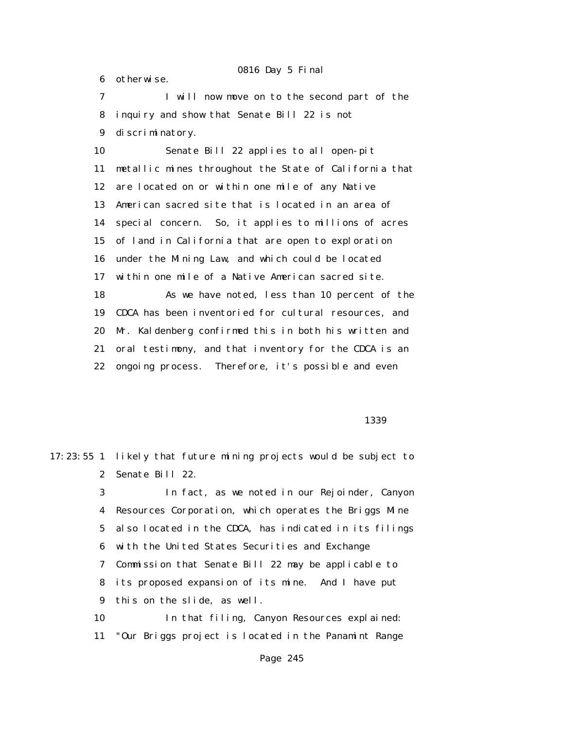6 otherwise.

 7 I will now move on to the second part of the 8 inquiry and show that Senate Bill 22 is not 9 discriminatory.

 10 Senate Bill 22 applies to all open-pit 11 metallic mines throughout the State of California that 12 are located on or within one mile of any Native 13 American sacred site that is located in an area of 14 special concern. So, it applies to millions of acres 15 of land in California that are open to exploration 16 under the Mining Law, and which could be located 17 within one mile of a Native American sacred site. 18 As we have noted, less than 10 percent of the 19 CDCA has been inventoried for cultural resources, and 20 Mr. Kaldenberg confirmed this in both his written and 21 oral testimony, and that inventory for the CDCA is an

22 ongoing process. Therefore, it's possible and even

 $1339$ 

|    | 17:23:55 1 likely that future mining projects would be subject to |
|----|-------------------------------------------------------------------|
|    | 2 Senate Bill 22.                                                 |
| 3  | In fact, as we noted in our Rejoinder, Canyon                     |
|    | 4 Resources Corporation, which operates the Briggs Mine           |
|    | 5 also located in the CDCA, has indicated in its filings          |
|    | 6 with the United States Securities and Exchange                  |
|    | 7 Commission that Senate Bill 22 may be applicable to             |
|    | 8 its proposed expansion of its mine. And I have put              |
| 9  | this on the slide, as well.                                       |
| 10 | In that filing, Canyon Resources explained:                       |
| 11 | "Our Briggs project is located in the Panamint Range              |
|    |                                                                   |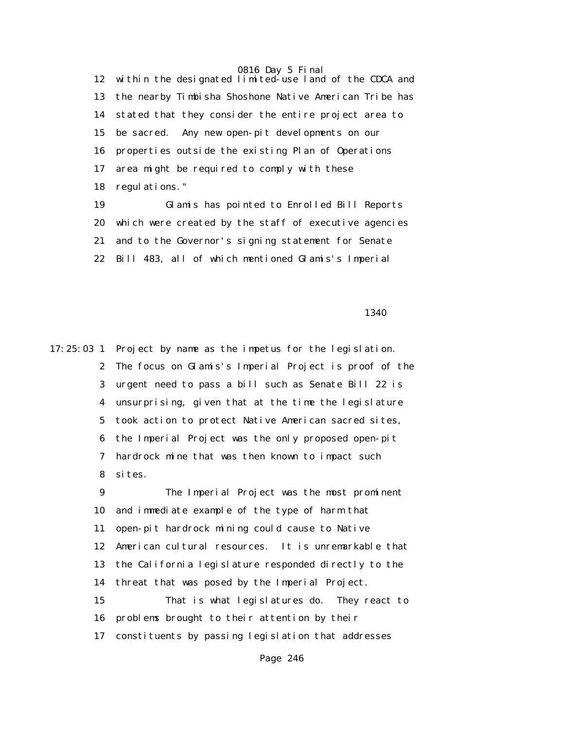12 within the designated limited-use land of the CDCA and 13 the nearby Timbisha Shoshone Native American Tribe has 14 stated that they consider the entire project area to 15 be sacred. Any new open-pit developments on our 16 properties outside the existing Plan of Operations 17 area might be required to comply with these 18 regulations."

 19 Glamis has pointed to Enrolled Bill Reports 20 which were created by the staff of executive agencies 21 and to the Governor's signing statement for Senate 22 Bill 483, all of which mentioned Glamis's Imperial

<u>1340</u>

17:25:03 1 Project by name as the impetus for the legislation. 2 The focus on Glamis's Imperial Project is proof of the 3 urgent need to pass a bill such as Senate Bill 22 is 4 unsurprising, given that at the time the legislature 5 took action to protect Native American sacred sites, 6 the Imperial Project was the only proposed open-pit 7 hardrock mine that was then known to impact such 8 sites. 9 The Imperial Project was the most prominent 10 and immediate example of the type of harm that 11 open-pit hardrock mining could cause to Native 12 American cultural resources. It is unremarkable that 13 the California legislature responded directly to the 14 threat that was posed by the Imperial Project. 15 That is what legislatures do. They react to 16 problems brought to their attention by their 17 constituents by passing legislation that addresses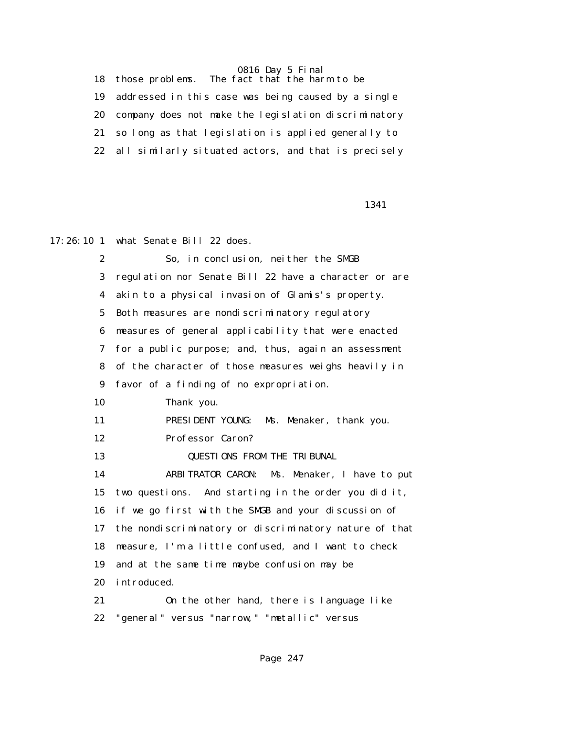18 those problems. The fact that the harm to be 19 addressed in this case was being caused by a single 20 company does not make the legislation discriminatory 21 so long as that legislation is applied generally to 22 all similarly situated actors, and that is precisely

1341

17:26:10 1 what Senate Bill 22 does.

 2 So, in conclusion, neither the SMGB 3 regulation nor Senate Bill 22 have a character or are 4 akin to a physical invasion of Glamis's property. 5 Both measures are nondiscriminatory regulatory 6 measures of general applicability that were enacted 7 for a public purpose; and, thus, again an assessment 8 of the character of those measures weighs heavily in 9 favor of a finding of no expropriation. 10 Thank you. 11 PRESIDENT YOUNG: Ms. Menaker, thank you. 12 Professor Caron? 13 **QUESTIONS FROM THE TRIBUNAL**  14 ARBITRATOR CARON: Ms. Menaker, I have to put 15 two questions. And starting in the order you did it, 16 if we go first with the SMGB and your discussion of 17 the nondiscriminatory or discriminatory nature of that 18 measure, I'm a little confused, and I want to check 19 and at the same time maybe confusion may be 20 introduced. 21 On the other hand, there is language like

22 "general" versus "narrow," "metallic" versus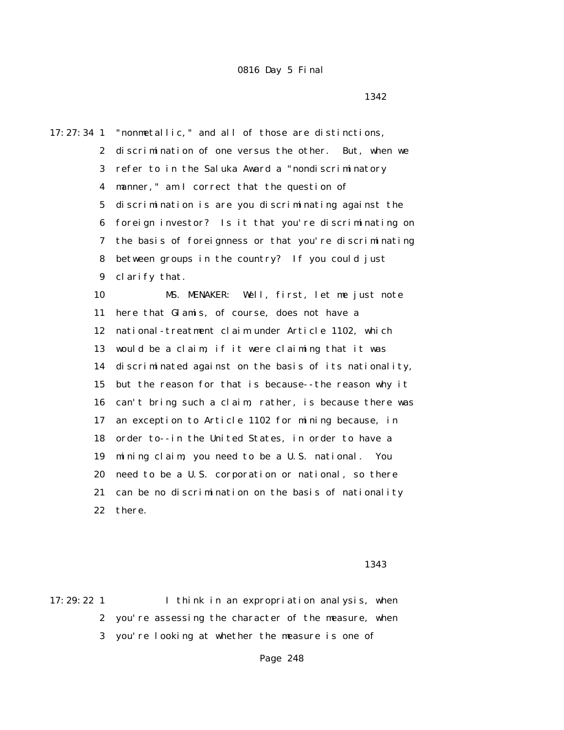17:27:34 1 "nonmetallic," and all of those are distinctions, 2 discrimination of one versus the other. But, when we 3 refer to in the Saluka Award a "nondiscriminatory 4 manner," am I correct that the question of 5 discrimination is are you discriminating against the 6 foreign investor? Is it that you're discriminating on 7 the basis of foreignness or that you're discriminating 8 between groups in the country? If you could just 9 clarify that. 10 MS. MENAKER: Well, first, let me just note 11 here that Glamis, of course, does not have a 12 national-treatment claim under Article 1102, which 13 would be a claim, if it were claiming that it was 14 discriminated against on the basis of its nationality, 15 but the reason for that is because--the reason why it 16 can't bring such a claim, rather, is because there was 17 an exception to Article 1102 for mining because, in 18 order to--in the United States, in order to have a 19 mining claim, you need to be a U.S. national. You 20 need to be a U.S. corporation or national, so there 21 can be no discrimination on the basis of nationality 22 there.

1343

17:29:22 1 I think in an expropriation analysis, when 2 you're assessing the character of the measure, when 3 you're looking at whether the measure is one of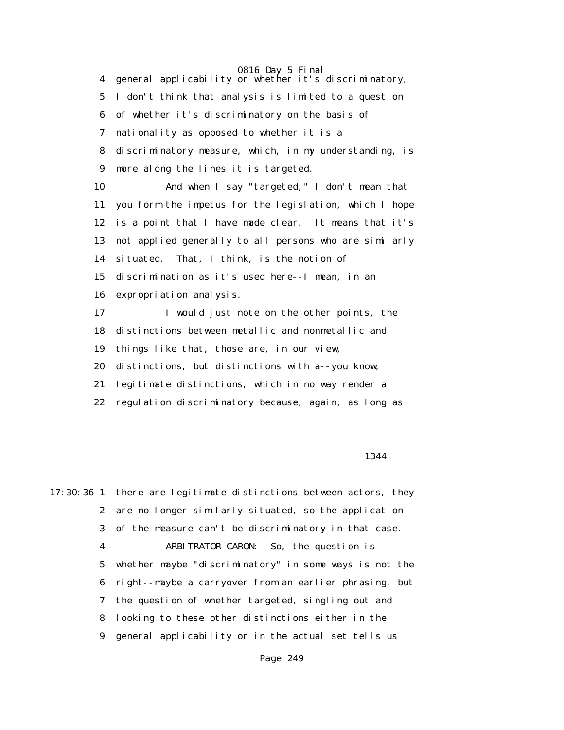0816 Day 5 Final 4 general applicability or whether it's discriminatory, 5 I don't think that analysis is limited to a question 6 of whether it's discriminatory on the basis of 7 nationality as opposed to whether it is a 8 discriminatory measure, which, in my understanding, is 9 more along the lines it is targeted. 10 And when I say "targeted," I don't mean that 11 you form the impetus for the legislation, which I hope 12 is a point that I have made clear. It means that it's 13 not applied generally to all persons who are similarly 14 situated. That, I think, is the notion of 15 discrimination as it's used here--I mean, in an 16 expropriation analysis. 17 I would just note on the other points, the 18 distinctions between metallic and nonmetallic and 19 things like that, those are, in our view, 20 distinctions, but distinctions with a--you know, 21 legitimate distinctions, which in no way render a 22 regulation discriminatory because, again, as long as

1344

17:30:36 1 there are legitimate distinctions between actors, they 2 are no longer similarly situated, so the application 3 of the measure can't be discriminatory in that case. 4 ARBITRATOR CARON: So, the question is 5 whether maybe "discriminatory" in some ways is not the 6 right--maybe a carryover from an earlier phrasing, but 7 the question of whether targeted, singling out and 8 looking to these other distinctions either in the 9 general applicability or in the actual set tells us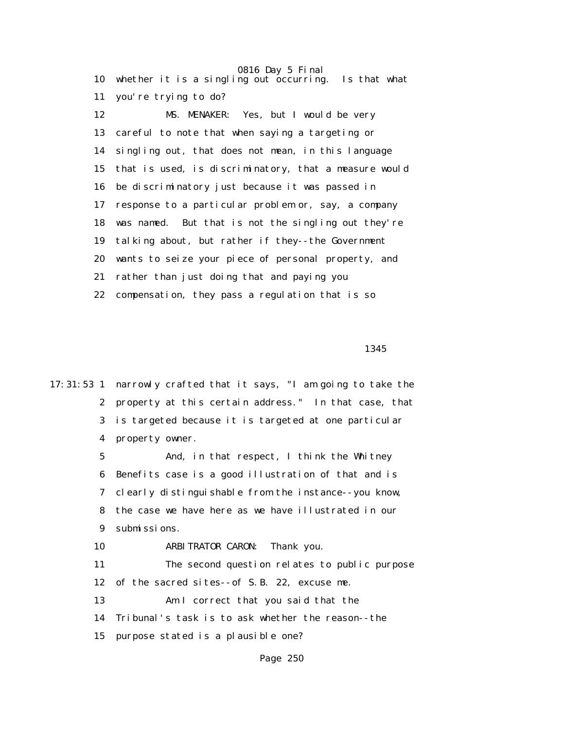0816 Day 5 Final 10 whether it is a singling out occurring. Is that what 11 you're trying to do? 12 MS. MENAKER: Yes, but I would be very 13 careful to note that when saying a targeting or 14 singling out, that does not mean, in this language 15 that is used, is discriminatory, that a measure would 16 be discriminatory just because it was passed in 17 response to a particular problem or, say, a company 18 was named. But that is not the singling out they're 19 talking about, but rather if they--the Government 20 wants to seize your piece of personal property, and 21 rather than just doing that and paying you 22 compensation, they pass a regulation that is so

 $1345$ 

17:31:53 1 narrowly crafted that it says, "I am going to take the 2 property at this certain address." In that case, that 3 is targeted because it is targeted at one particular 4 property owner.

> 5 And, in that respect, I think the Whitney 6 Benefits case is a good illustration of that and is 7 clearly distinguishable from the instance--you know, 8 the case we have here as we have illustrated in our 9 submissions.

10 ARBITRATOR CARON: Thank you.

 11 The second question relates to public purpose 12 of the sacred sites--of S.B. 22, excuse me.

 13 Am I correct that you said that the 14 Tribunal's task is to ask whether the reason--the 15 purpose stated is a plausible one?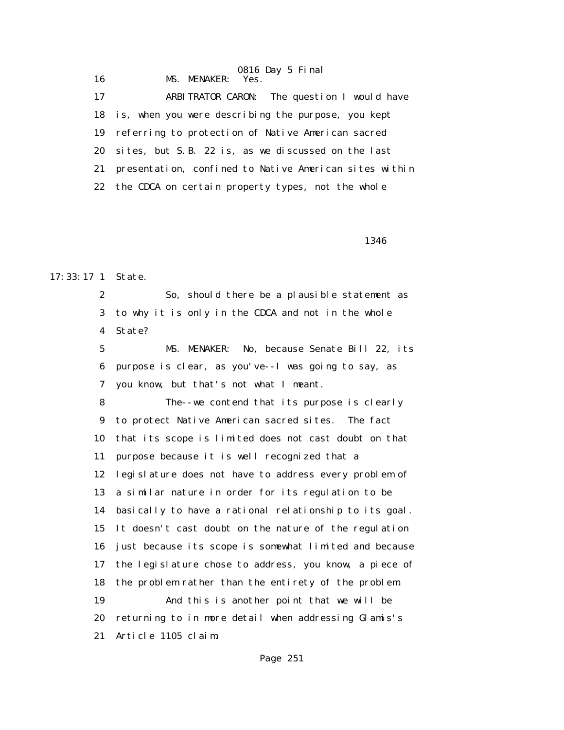0816 Day 5 Final<br>Yes. 16 MS. MENAKER: 17 ARBITRATOR CARON: The question I would have 18 is, when you were describing the purpose, you kept 19 referring to protection of Native American sacred 20 sites, but S.B. 22 is, as we discussed on the last 21 presentation, confined to Native American sites within 22 the CDCA on certain property types, not the whole

 $1346$ 

17:33:17 1 State.

 2 So, should there be a plausible statement as 3 to why it is only in the CDCA and not in the whole 4 State?

 5 MS. MENAKER: No, because Senate Bill 22, its 6 purpose is clear, as you've--I was going to say, as 7 you know, but that's not what I meant.

 8 The--we contend that its purpose is clearly 9 to protect Native American sacred sites. The fact 10 that its scope is limited does not cast doubt on that 11 purpose because it is well recognized that a 12 legislature does not have to address every problem of 13 a similar nature in order for its regulation to be 14 basically to have a rational relationship to its goal. 15 It doesn't cast doubt on the nature of the regulation 16 just because its scope is somewhat limited and because 17 the legislature chose to address, you know, a piece of 18 the problem rather than the entirety of the problem. 19 And this is another point that we will be 20 returning to in more detail when addressing Glamis's 21 Article 1105 claim.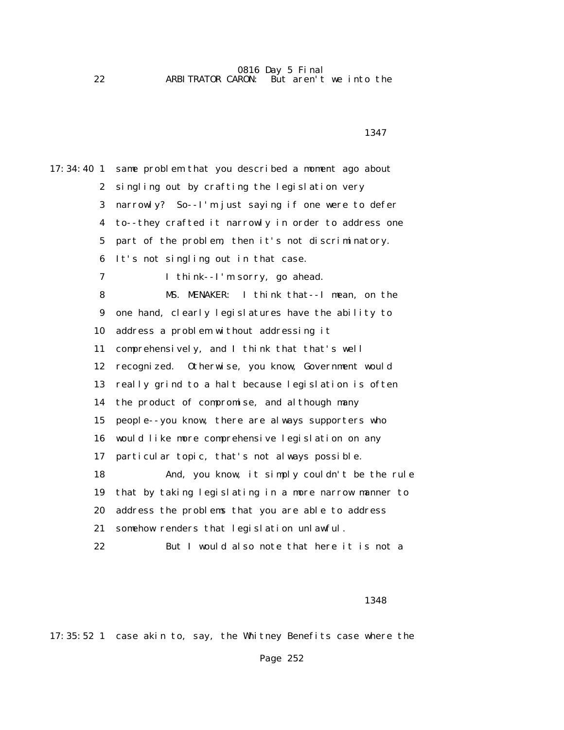```
<u>1347</u>
```
17:34:40 1 same problem that you described a moment ago about 2 singling out by crafting the legislation very 3 narrowly? So--I'm just saying if one were to defer 4 to--they crafted it narrowly in order to address one 5 part of the problem, then it's not discriminatory. 6 It's not singling out in that case. 7 I think--I'm sorry, go ahead. 8 MS. MENAKER: I think that--I mean, on the 9 one hand, clearly legislatures have the ability to 10 address a problem without addressing it 11 comprehensively, and I think that that's well 12 recognized. Otherwise, you know, Government would 13 really grind to a halt because legislation is often 14 the product of compromise, and although many 15 people--you know, there are always supporters who 16 would like more comprehensive legislation on any 17 particular topic, that's not always possible. 18 And, you know, it simply couldn't be the rule 19 that by taking legislating in a more narrow manner to 20 address the problems that you are able to address 21 somehow renders that legislation unlawful. 22 But I would also note that here it is not a

 $1348$ 

17:35:52 1 case akin to, say, the Whitney Benefits case where the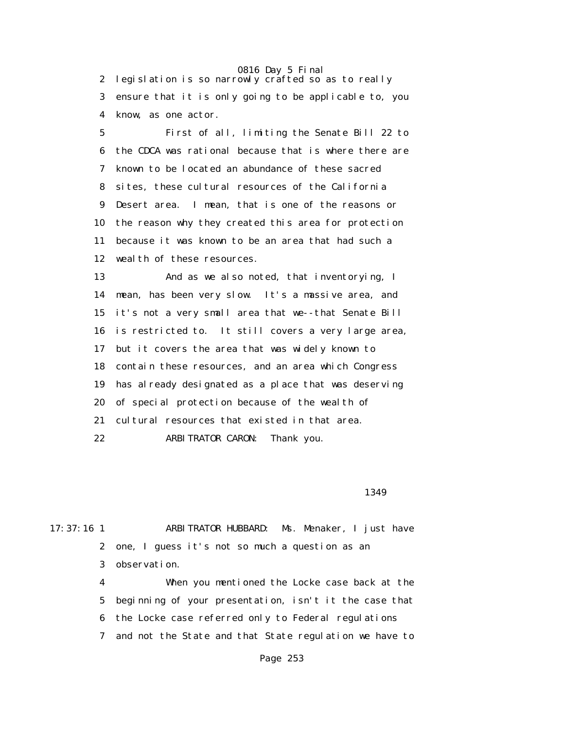2 legislation is so narrowly crafted so as to really 3 ensure that it is only going to be applicable to, you 4 know, as one actor.

 5 First of all, limiting the Senate Bill 22 to 6 the CDCA was rational because that is where there are 7 known to be located an abundance of these sacred 8 sites, these cultural resources of the California 9 Desert area. I mean, that is one of the reasons or 10 the reason why they created this area for protection 11 because it was known to be an area that had such a 12 wealth of these resources.

 13 And as we also noted, that inventorying, I 14 mean, has been very slow. It's a massive area, and 15 it's not a very small area that we--that Senate Bill 16 is restricted to. It still covers a very large area, 17 but it covers the area that was widely known to 18 contain these resources, and an area which Congress 19 has already designated as a place that was deserving 20 of special protection because of the wealth of 21 cultural resources that existed in that area. 22 ARBITRATOR CARON: Thank you.

#### 1349

17:37:16 1 ARBITRATOR HUBBARD: Ms. Menaker, I just have 2 one, I guess it's not so much a question as an 3 observation.

> 4 When you mentioned the Locke case back at the 5 beginning of your presentation, isn't it the case that 6 the Locke case referred only to Federal regulations 7 and not the State and that State regulation we have to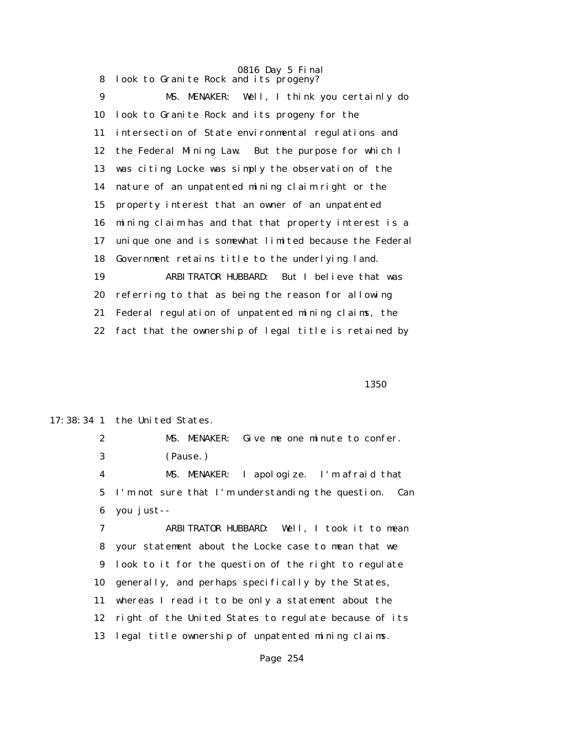0816 Day 5 Final 8 look to Granite Rock and its progeny?

 9 MS. MENAKER: Well, I think you certainly do 10 look to Granite Rock and its progeny for the 11 intersection of State environmental regulations and 12 the Federal Mining Law. But the purpose for which I 13 was citing Locke was simply the observation of the 14 nature of an unpatented mining claim right or the 15 property interest that an owner of an unpatented 16 mining claim has and that that property interest is a 17 unique one and is somewhat limited because the Federal 18 Government retains title to the underlying land. 19 ARBITRATOR HUBBARD: But I believe that was 20 referring to that as being the reason for allowing 21 Federal regulation of unpatented mining claims, the 22 fact that the ownership of legal title is retained by

 $1350$ 

17:38:34 1 the United States.

 2 MS. MENAKER: Give me one minute to confer. 3 (Pause.) 4 MS. MENAKER: I apologize. I'm afraid that 5 I'm not sure that I'm understanding the question. Can 6 you just--

 7 ARBITRATOR HUBBARD: Well, I took it to mean 8 your statement about the Locke case to mean that we 9 look to it for the question of the right to regulate 10 generally, and perhaps specifically by the States, 11 whereas I read it to be only a statement about the 12 right of the United States to regulate because of its 13 legal title ownership of unpatented mining claims.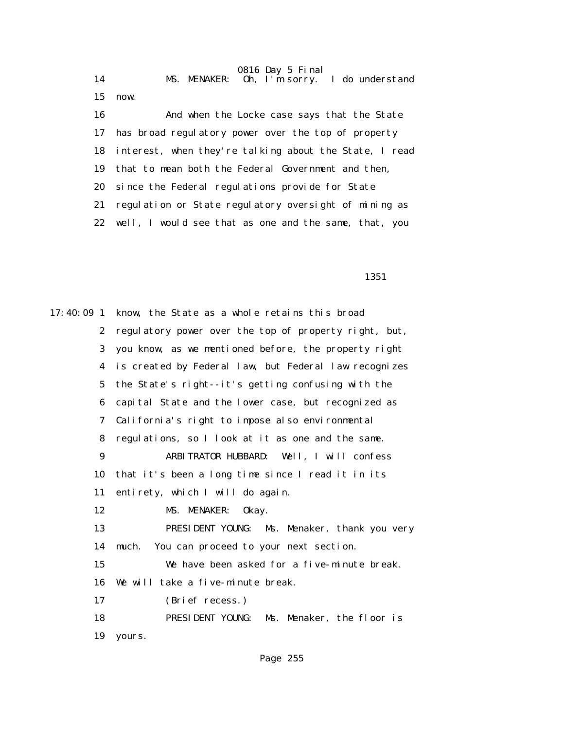0816 Day 5 Final 14 MS. MENAKER: 0h, I'm sorry. I do understand 15 now. 16 And when the Locke case says that the State 17 has broad regulatory power over the top of property 18 interest, when they're talking about the State, I read 19 that to mean both the Federal Government and then, 20 since the Federal regulations provide for State 21 regulation or State regulatory oversight of mining as 22 well, I would see that as one and the same, that, you

1351

17:40:09 1 know, the State as a whole retains this broad 2 regulatory power over the top of property right, but, 3 you know, as we mentioned before, the property right 4 is created by Federal law, but Federal law recognizes 5 the State's right--it's getting confusing with the 6 capital State and the lower case, but recognized as 7 California's right to impose also environmental 8 regulations, so I look at it as one and the same. 9 ARBITRATOR HUBBARD: Well, I will confess 10 that it's been a long time since I read it in its 11 entirety, which I will do again. 12 MS. MENAKER: Okay. 13 PRESIDENT YOUNG: Ms. Menaker, thank you very 14 much. You can proceed to your next section. 15 We have been asked for a five-minute break. 16 We will take a five-minute break. 17 (Brief recess.) 18 PRESIDENT YOUNG: Ms. Menaker, the floor is 19 yours.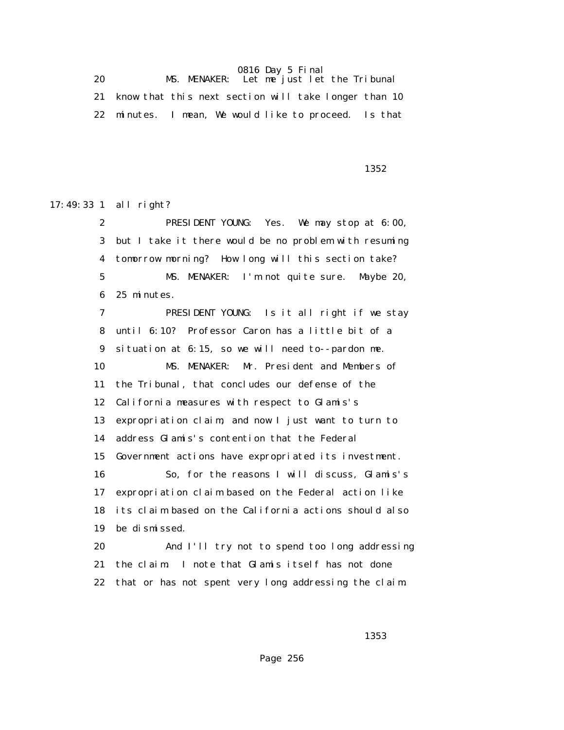20 MS. MENAKER: Let me just let the Tribunal 21 know that this next section will take longer than 10 22 minutes. I mean, We would like to proceed. Is that

 $1352$ 

17:49:33 1 all right?

 2 PRESIDENT YOUNG: Yes. We may stop at 6:00, 3 but I take it there would be no problem with resuming 4 tomorrow morning? How long will this section take? 5 MS. MENAKER: I'm not quite sure. Maybe 20, 6 25 minutes. 7 PRESIDENT YOUNG: Is it all right if we stay 8 until 6:10? Professor Caron has a little bit of a 9 situation at 6:15, so we will need to--pardon me. 10 MS. MENAKER: Mr. President and Members of 11 the Tribunal, that concludes our defense of the 12 California measures with respect to Glamis's 13 expropriation claim, and now I just want to turn to 14 address Glamis's contention that the Federal 15 Government actions have expropriated its investment. 16 So, for the reasons I will discuss, Glamis's 17 expropriation claim based on the Federal action like 18 its claim based on the California actions should also 19 be dismissed. 20 And I'll try not to spend too long addressing 21 the claim. I note that Glamis itself has not done 22 that or has not spent very long addressing the claim.

 $1353$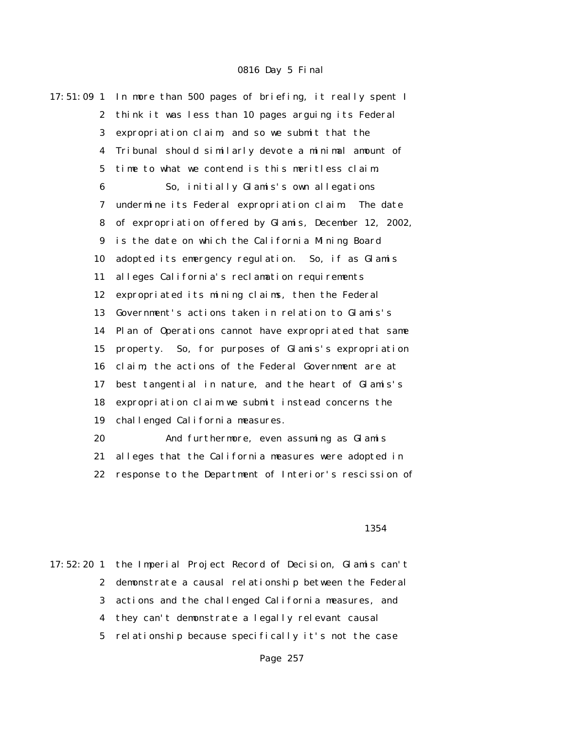17:51:09 1 In more than 500 pages of briefing, it really spent I 2 think it was less than 10 pages arguing its Federal 3 expropriation claim, and so we submit that the 4 Tribunal should similarly devote a minimal amount of 5 time to what we contend is this meritless claim. 6 So, initially Glamis's own allegations 7 undermine its Federal expropriation claim. The date 8 of expropriation offered by Glamis, December 12, 2002, 9 is the date on which the California Mining Board 10 adopted its emergency regulation. So, if as Glamis 11 alleges California's reclamation requirements 12 expropriated its mining claims, then the Federal 13 Government's actions taken in relation to Glamis's 14 Plan of Operations cannot have expropriated that same 15 property. So, for purposes of Glamis's expropriation 16 claim, the actions of the Federal Government are at 17 best tangential in nature, and the heart of Glamis's 18 expropriation claim we submit instead concerns the 19 challenged California measures. 20 And furthermore, even assuming as Glamis

 21 alleges that the California measures were adopted in 22 response to the Department of Interior's rescission of

### <u>1354</u>

17:52:20 1 the Imperial Project Record of Decision, Glamis can't 2 demonstrate a causal relationship between the Federal 3 actions and the challenged California measures, and 4 they can't demonstrate a legally relevant causal 5 relationship because specifically it's not the case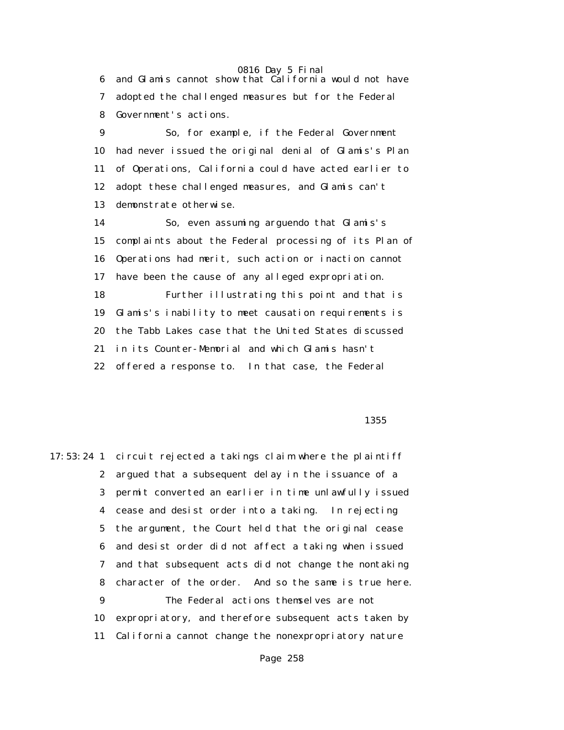6 and Glamis cannot show that California would not have 7 adopted the challenged measures but for the Federal 8 Government's actions.

 9 So, for example, if the Federal Government 10 had never issued the original denial of Glamis's Plan 11 of Operations, California could have acted earlier to 12 adopt these challenged measures, and Glamis can't 13 demonstrate otherwise.

 14 So, even assuming arguendo that Glamis's 15 complaints about the Federal processing of its Plan of 16 Operations had merit, such action or inaction cannot 17 have been the cause of any alleged expropriation. 18 Further illustrating this point and that is 19 Glamis's inability to meet causation requirements is 20 the Tabb Lakes case that the United States discussed 21 in its Counter-Memorial and which Glamis hasn't

22 offered a response to. In that case, the Federal

 $1355$ 

17:53:24 1 circuit rejected a takings claim where the plaintiff 2 argued that a subsequent delay in the issuance of a 3 permit converted an earlier in time unlawfully issued 4 cease and desist order into a taking. In rejecting 5 the argument, the Court held that the original cease 6 and desist order did not affect a taking when issued 7 and that subsequent acts did not change the nontaking 8 character of the order. And so the same is true here. 9 The Federal actions themselves are not 10 expropriatory, and therefore subsequent acts taken by 11 California cannot change the nonexpropriatory nature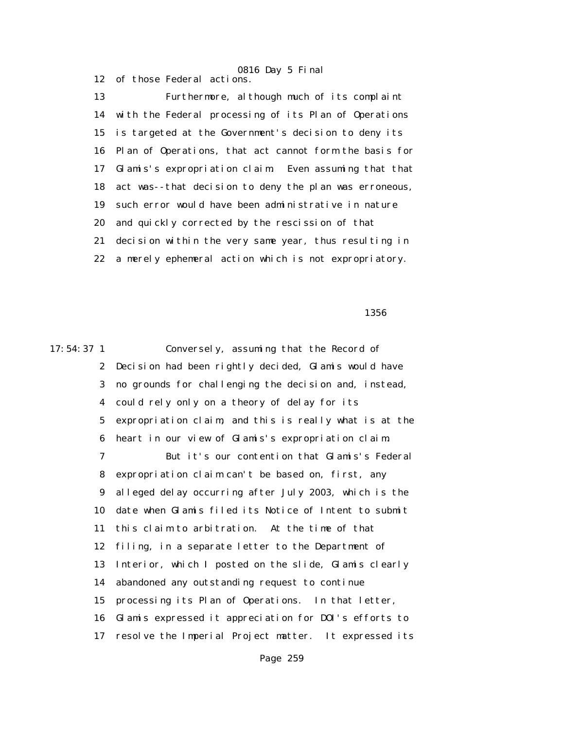0816 Day 5 Final 12 of those Federal actions.

 13 Furthermore, although much of its complaint 14 with the Federal processing of its Plan of Operations 15 is targeted at the Government's decision to deny its 16 Plan of Operations, that act cannot form the basis for 17 Glamis's expropriation claim. Even assuming that that 18 act was--that decision to deny the plan was erroneous, 19 such error would have been administrative in nature 20 and quickly corrected by the rescission of that 21 decision within the very same year, thus resulting in 22 a merely ephemeral action which is not expropriatory.

 $1356$ 

17:54:37 1 Conversely, assuming that the Record of 2 Decision had been rightly decided, Glamis would have 3 no grounds for challenging the decision and, instead, 4 could rely only on a theory of delay for its 5 expropriation claim, and this is really what is at the 6 heart in our view of Glamis's expropriation claim. 7 But it's our contention that Glamis's Federal 8 expropriation claim can't be based on, first, any 9 alleged delay occurring after July 2003, which is the 10 date when Glamis filed its Notice of Intent to submit 11 this claim to arbitration. At the time of that 12 filing, in a separate letter to the Department of 13 Interior, which I posted on the slide, Glamis clearly 14 abandoned any outstanding request to continue 15 processing its Plan of Operations. In that letter, 16 Glamis expressed it appreciation for DOI's efforts to 17 resolve the Imperial Project matter. It expressed its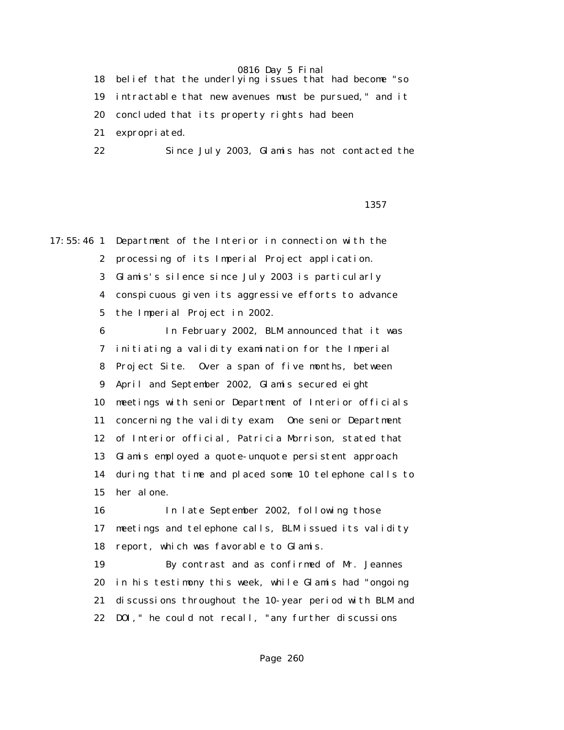18 belief that the underlying issues that had become "so 19 intractable that new avenues must be pursued," and it 20 concluded that its property rights had been 21 expropriated. 22 Since July 2003, Glamis has not contacted the

 $1357$ 

17:55:46 1 Department of the Interior in connection with the 2 processing of its Imperial Project application. 3 Glamis's silence since July 2003 is particularly 4 conspicuous given its aggressive efforts to advance 5 the Imperial Project in 2002. 6 In February 2002, BLM announced that it was 7 initiating a validity examination for the Imperial 8 Project Site. Over a span of five months, between 9 April and September 2002, Glamis secured eight 10 meetings with senior Department of Interior officials

> 11 concerning the validity exam. One senior Department 12 of Interior official, Patricia Morrison, stated that 13 Glamis employed a quote-unquote persistent approach 14 during that time and placed some 10 telephone calls to 15 her alone.

 16 In late September 2002, following those 17 meetings and telephone calls, BLM issued its validity 18 report, which was favorable to Glamis.

 19 By contrast and as confirmed of Mr. Jeannes 20 in his testimony this week, while Glamis had "ongoing 21 discussions throughout the 10-year period with BLM and 22 DOI," he could not recall, "any further discussions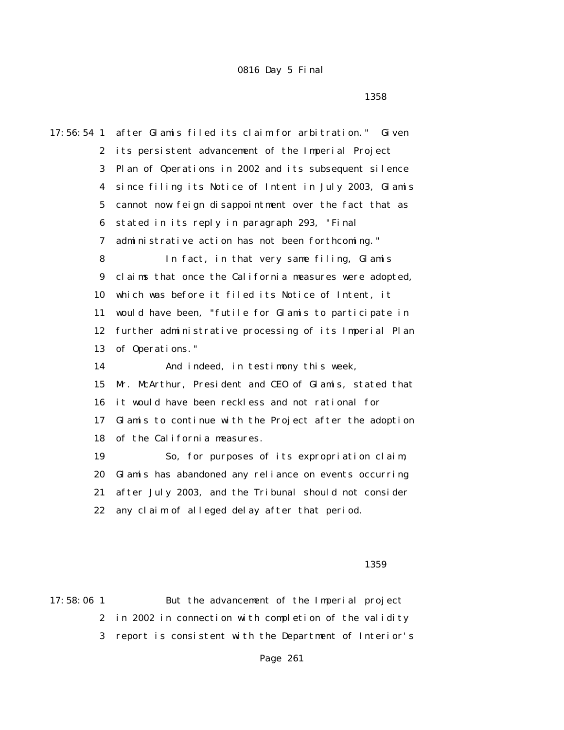$1358$ 

17:56:54 1 after Glamis filed its claim for arbitration." Given 2 its persistent advancement of the Imperial Project 3 Plan of Operations in 2002 and its subsequent silence 4 since filing its Notice of Intent in July 2003, Glamis 5 cannot now feign disappointment over the fact that as 6 stated in its reply in paragraph 293, "Final 7 administrative action has not been forthcoming." 8 In fact, in that very same filing, Glamis 9 claims that once the California measures were adopted, 10 which was before it filed its Notice of Intent, it 11 would have been, "futile for Glamis to participate in 12 further administrative processing of its Imperial Plan 13 of Operations." 14 And indeed, in testimony this week, 15 Mr. McArthur, President and CEO of Glamis, stated that 16 it would have been reckless and not rational for 17 Glamis to continue with the Project after the adoption 18 of the California measures. 19 So, for purposes of its expropriation claim, 20 Glamis has abandoned any reliance on events occurring 21 after July 2003, and the Tribunal should not consider 22 any claim of alleged delay after that period.

 $1359$ 

17:58:06 1 But the advancement of the Imperial project 2 in 2002 in connection with completion of the validity 3 report is consistent with the Department of Interior's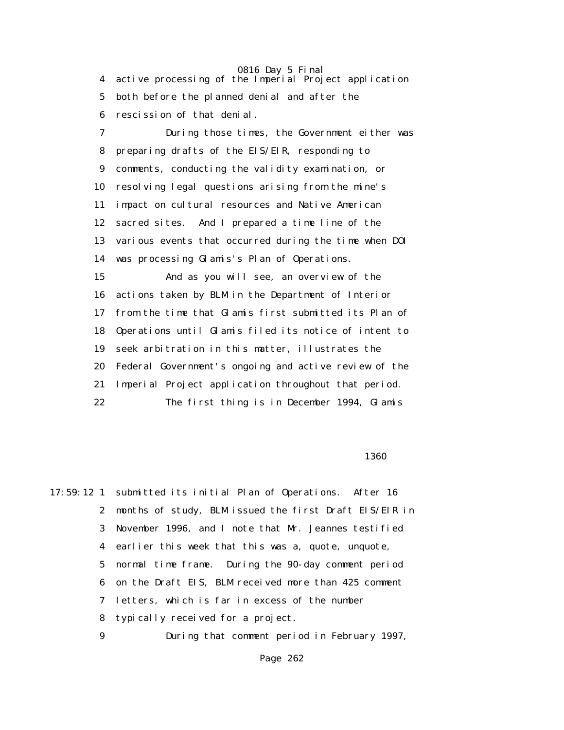4 active processing of the Imperial Project application 5 both before the planned denial and after the 6 rescission of that denial.

 7 During those times, the Government either was 8 preparing drafts of the EIS/EIR, responding to 9 comments, conducting the validity examination, or 10 resolving legal questions arising from the mine's 11 impact on cultural resources and Native American 12 sacred sites. And I prepared a time line of the 13 various events that occurred during the time when DOI 14 was processing Glamis's Plan of Operations.

 15 And as you will see, an overview of the 16 actions taken by BLM in the Department of Interior 17 from the time that Glamis first submitted its Plan of 18 Operations until Glamis filed its notice of intent to 19 seek arbitration in this matter, illustrates the 20 Federal Government's ongoing and active review of the 21 Imperial Project application throughout that period. 22 The first thing is in December 1994, Glamis

 $1360$ 

17:59:12 1 submitted its initial Plan of Operations. After 16 2 months of study, BLM issued the first Draft EIS/EIR in 3 November 1996, and I note that Mr. Jeannes testified 4 earlier this week that this was a, quote, unquote, 5 normal time frame. During the 90-day comment period 6 on the Draft EIS, BLM received more than 425 comment 7 letters, which is far in excess of the number 8 typically received for a project. 9 During that comment period in February 1997,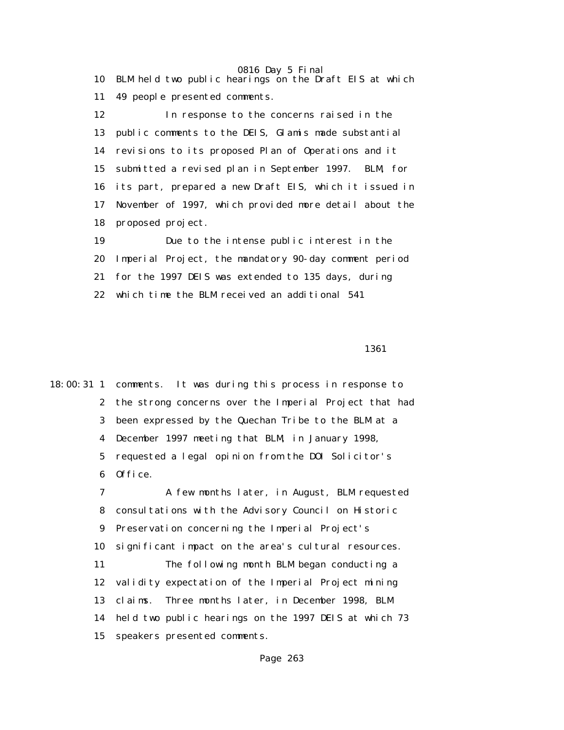0816 Day 5 Final 10 BLM held two public hearings on the Draft EIS at which 11 49 people presented comments. 12 In response to the concerns raised in the 13 public comments to the DEIS, Glamis made substantial 14 revisions to its proposed Plan of Operations and it 15 submitted a revised plan in September 1997. BLM, for 16 its part, prepared a new Draft EIS, which it issued in 17 November of 1997, which provided more detail about the

18 proposed project.

 19 Due to the intense public interest in the 20 Imperial Project, the mandatory 90-day comment period 21 for the 1997 DEIS was extended to 135 days, during 22 which time the BLM received an additional 541

1361

18:00:31 1 comments. It was during this process in response to 2 the strong concerns over the Imperial Project that had 3 been expressed by the Quechan Tribe to the BLM at a 4 December 1997 meeting that BLM, in January 1998, 5 requested a legal opinion from the DOI Solicitor's 6 Office.

 7 A few months later, in August, BLM requested 8 consultations with the Advisory Council on Historic 9 Preservation concerning the Imperial Project's 10 significant impact on the area's cultural resources. 11 The following month BLM began conducting a 12 validity expectation of the Imperial Project mining 13 claims. Three months later, in December 1998, BLM 14 held two public hearings on the 1997 DEIS at which 73 15 speakers presented comments.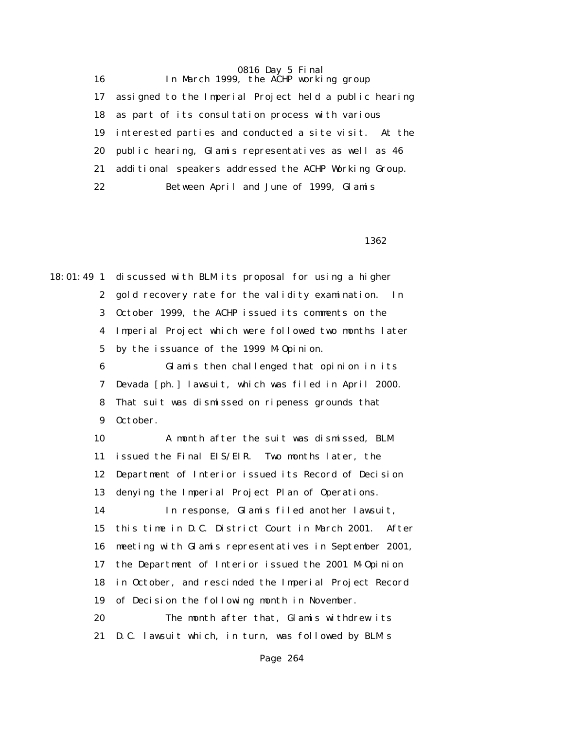0816 Day 5 Final 16 In March 1999, the ACHP working group 17 assigned to the Imperial Project held a public hearing 18 as part of its consultation process with various 19 interested parties and conducted a site visit. At the 20 public hearing, Glamis representatives as well as 46 21 additional speakers addressed the ACHP Working Group. 22 Between April and June of 1999, Glamis

 $1362$ 

18:01:49 1 discussed with BLM its proposal for using a higher 2 gold recovery rate for the validity examination. In 3 October 1999, the ACHP issued its comments on the 4 Imperial Project which were followed two months later 5 by the issuance of the 1999 M-Opinion. 6 Glamis then challenged that opinion in its 7 Devada [ph.] lawsuit, which was filed in April 2000. 8 That suit was dismissed on ripeness grounds that 9 October. 10 A month after the suit was dismissed, BLM 11 issued the Final EIS/EIR. Two months later, the 12 Department of Interior issued its Record of Decision 13 denying the Imperial Project Plan of Operations. 14 In response, Glamis filed another lawsuit, 15 this time in D.C. District Court in March 2001. After 16 meeting with Glamis representatives in September 2001, 17 the Department of Interior issued the 2001 M-Opinion 18 in October, and rescinded the Imperial Project Record 19 of Decision the following month in November. 20 The month after that, Glamis withdrew its 21 D.C. lawsuit which, in turn, was followed by BLM's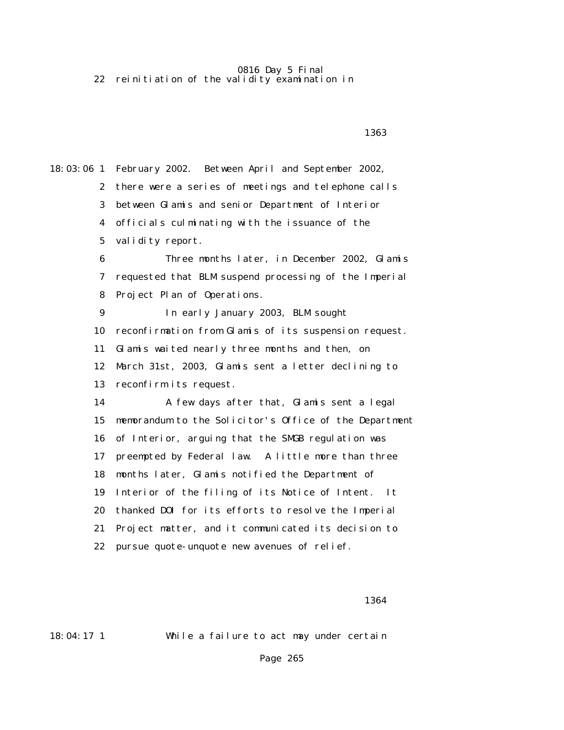0816 Day 5 Final 22 reinitiation of the validity examination in

 $1363$ 18:03:06 1 February 2002. Between April and September 2002, 2 there were a series of meetings and telephone calls 3 between Glamis and senior Department of Interior 4 officials culminating with the issuance of the 5 validity report. 6 Three months later, in December 2002, Glamis 7 requested that BLM suspend processing of the Imperial 8 Project Plan of Operations. 9 In early January 2003, BLM sought 10 reconfirmation from Glamis of its suspension request. 11 Glamis waited nearly three months and then, on 12 March 31st, 2003, Glamis sent a letter declining to 13 reconfirm its request. 14 A few days after that, Glamis sent a legal 15 memorandum to the Solicitor's Office of the Department 16 of Interior, arguing that the SMGB regulation was 17 preempted by Federal law. A little more than three 18 months later, Glamis notified the Department of 19 Interior of the filing of its Notice of Intent. It 20 thanked DOI for its efforts to resolve the Imperial 21 Project matter, and it communicated its decision to 22 pursue quote-unquote new avenues of relief.

 $1364$ 

18:04:17 1 While a failure to act may under certain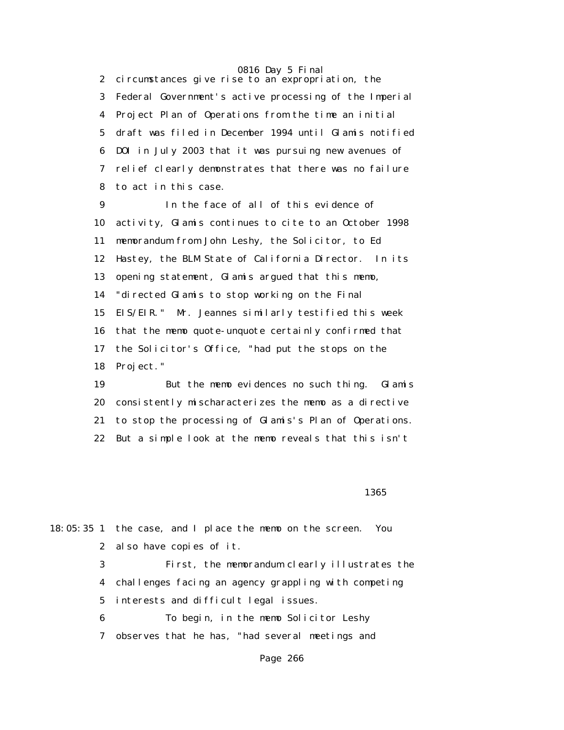2 circumstances give rise to an expropriation, the 3 Federal Government's active processing of the Imperial 4 Project Plan of Operations from the time an initial 5 draft was filed in December 1994 until Glamis notified 6 DOI in July 2003 that it was pursuing new avenues of 7 relief clearly demonstrates that there was no failure 8 to act in this case.

 9 In the face of all of this evidence of 10 activity, Glamis continues to cite to an October 1998 11 memorandum from John Leshy, the Solicitor, to Ed 12 Hastey, the BLM State of California Director. In its 13 opening statement, Glamis argued that this memo, 14 "directed Glamis to stop working on the Final 15 EIS/EIR." Mr. Jeannes similarly testified this week 16 that the memo quote-unquote certainly confirmed that 17 the Solicitor's Office, "had put the stops on the 18 Project."

 19 But the memo evidences no such thing. Glamis 20 consistently mischaracterizes the memo as a directive 21 to stop the processing of Glamis's Plan of Operations. 22 But a simple look at the memo reveals that this isn't

 $1365$ 

|   | 18:05:35 1 the case, and I place the memo on the screen. You |
|---|--------------------------------------------------------------|
|   | 2 also have copies of it.                                    |
| 3 | First, the memorandum clearly illustrates the                |
|   | 4 challenges facing an agency grappling with competing       |
|   | 5 interests and difficult legal issues.                      |
| 6 | To begin, in the memo Solicitor Leshy                        |
| 7 | observes that he has, "had several meetings and              |
|   |                                                              |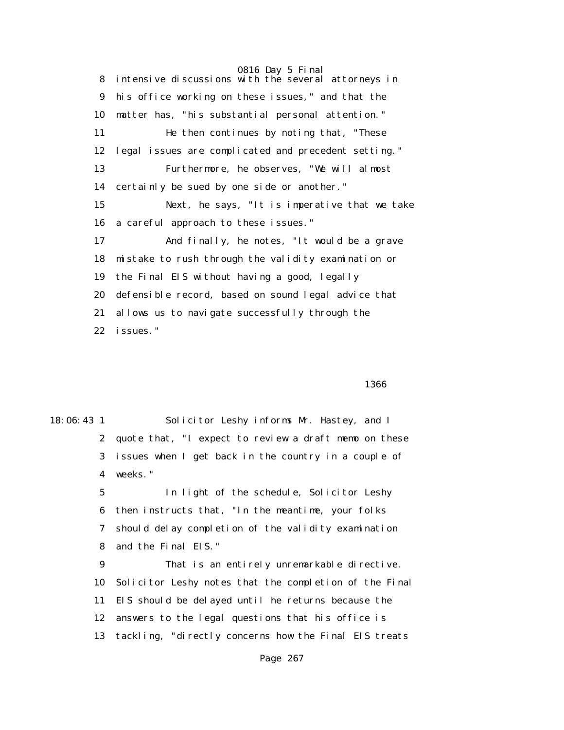8 intensive discussions with the several attorneys in 9 his office working on these issues," and that the 10 matter has, "his substantial personal attention." 11 He then continues by noting that, "These 12 legal issues are complicated and precedent setting." 13 Furthermore, he observes, "We will almost 14 certainly be sued by one side or another." 15 Next, he says, "It is imperative that we take 16 a careful approach to these issues." 17 And finally, he notes, "It would be a grave 18 mistake to rush through the validity examination or 19 the Final EIS without having a good, legally 20 defensible record, based on sound legal advice that 21 allows us to navigate successfully through the 22 issues."

#### $1366$

18:06:43 1 Solicitor Leshy informs Mr. Hastey, and I 2 quote that, "I expect to review a draft memo on these 3 issues when I get back in the country in a couple of 4 weeks."

> 5 In light of the schedule, Solicitor Leshy 6 then instructs that, "In the meantime, your folks 7 should delay completion of the validity examination 8 and the Final EIS."

 9 That is an entirely unremarkable directive. 10 Solicitor Leshy notes that the completion of the Final 11 EIS should be delayed until he returns because the 12 answers to the legal questions that his office is 13 tackling, "directly concerns how the Final EIS treats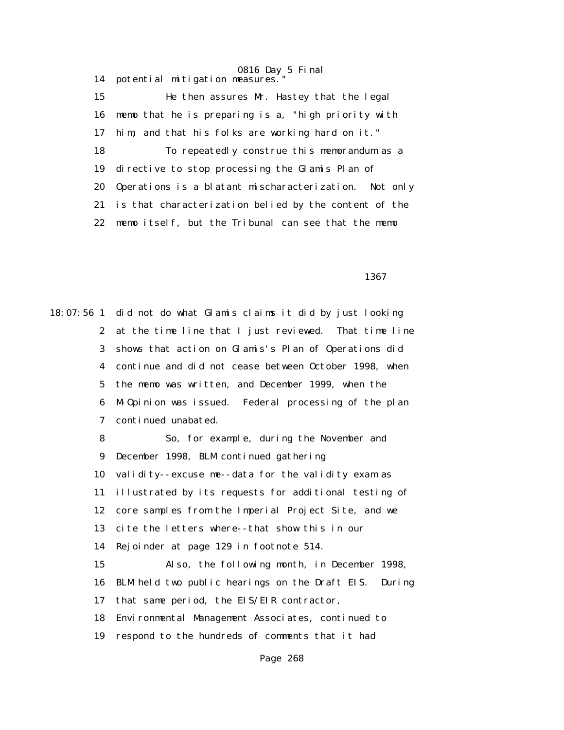0816 Day 5 Final 14 potential mitigation measures.

15 He then assures Mr. Hastey that the legal

 16 memo that he is preparing is a, "high priority with 17 him, and that his folks are working hard on it." 18 To repeatedly construe this memorandum as a 19 directive to stop processing the Glamis Plan of 20 Operations is a blatant mischaracterization. Not only 21 is that characterization belied by the content of the 22 memo itself, but the Tribunal can see that the memo

 $1367$ 

18:07:56 1 did not do what Glamis claims it did by just looking 2 at the time line that I just reviewed. That time line 3 shows that action on Glamis's Plan of Operations did 4 continue and did not cease between October 1998, when 5 the memo was written, and December 1999, when the 6 M-Opinion was issued. Federal processing of the plan 7 continued unabated.

> 8 So, for example, during the November and 9 December 1998, BLM continued gathering 10 validity--excuse me--data for the validity exam as 11 illustrated by its requests for additional testing of 12 core samples from the Imperial Project Site, and we 13 cite the letters where--that show this in our 14 Rejoinder at page 129 in footnote 514. 15 Also, the following month, in December 1998, 16 BLM held two public hearings on the Draft EIS. During 17 that same period, the EIS/EIR contractor, 18 Environmental Management Associates, continued to 19 respond to the hundreds of comments that it had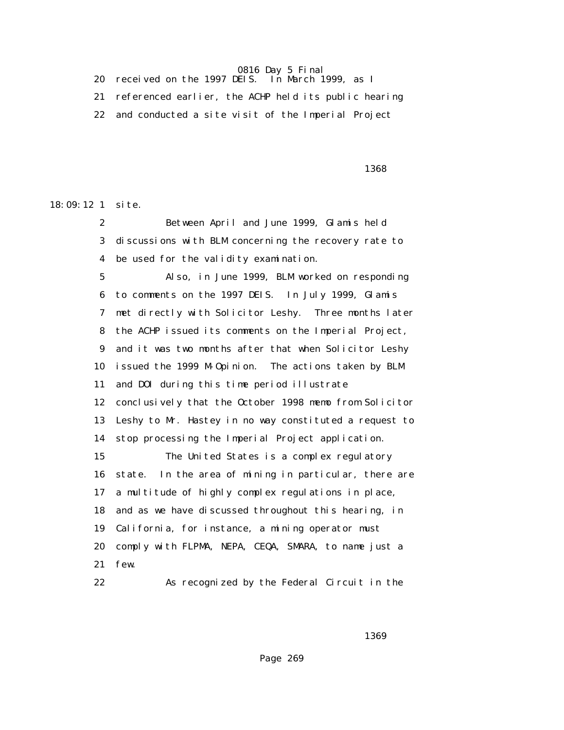20 received on the 1997 DEIS. In March 1999, as I 21 referenced earlier, the ACHP held its public hearing 22 and conducted a site visit of the Imperial Project

 $1368$ 

18:09:12 1 site.

 2 Between April and June 1999, Glamis held 3 discussions with BLM concerning the recovery rate to 4 be used for the validity examination.

 5 Also, in June 1999, BLM worked on responding 6 to comments on the 1997 DEIS. In July 1999, Glamis 7 met directly with Solicitor Leshy. Three months later 8 the ACHP issued its comments on the Imperial Project, 9 and it was two months after that when Solicitor Leshy 10 issued the 1999 M-Opinion. The actions taken by BLM 11 and DOI during this time period illustrate 12 conclusively that the October 1998 memo from Solicitor 13 Leshy to Mr. Hastey in no way constituted a request to 14 stop processing the Imperial Project application. 15 The United States is a complex regulatory 16 state. In the area of mining in particular, there are 17 a multitude of highly complex regulations in place, 18 and as we have discussed throughout this hearing, in 19 California, for instance, a mining operator must 20 comply with FLPMA, NEPA, CEQA, SMARA, to name just a 21 few.

22 As recognized by the Federal Circuit in the

 $1369$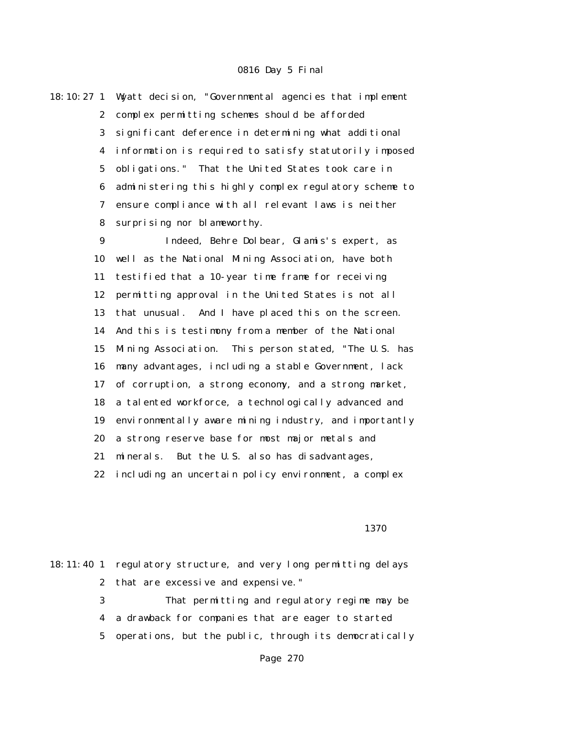18:10:27 1 Wyatt decision, "Governmental agencies that implement 2 complex permitting schemes should be afforded 3 significant deference in determining what additional 4 information is required to satisfy statutorily imposed 5 obligations." That the United States took care in 6 administering this highly complex regulatory scheme to 7 ensure compliance with all relevant laws is neither 8 surprising nor blameworthy.

> 9 Indeed, Behre Dolbear, Glamis's expert, as 10 well as the National Mining Association, have both 11 testified that a 10-year time frame for receiving 12 permitting approval in the United States is not all 13 that unusual. And I have placed this on the screen. 14 And this is testimony from a member of the National 15 Mining Association. This person stated, "The U.S. has 16 many advantages, including a stable Government, lack 17 of corruption, a strong economy, and a strong market, 18 a talented workforce, a technologically advanced and 19 environmentally aware mining industry, and importantly 20 a strong reserve base for most major metals and 21 minerals. But the U.S. also has disadvantages, 22 including an uncertain policy environment, a complex

1370

18:11:40 1 regulatory structure, and very long permitting delays 2 that are excessive and expensive." 3 That permitting and regulatory regime may be 4 a drawback for companies that are eager to started 5 operations, but the public, through its democratically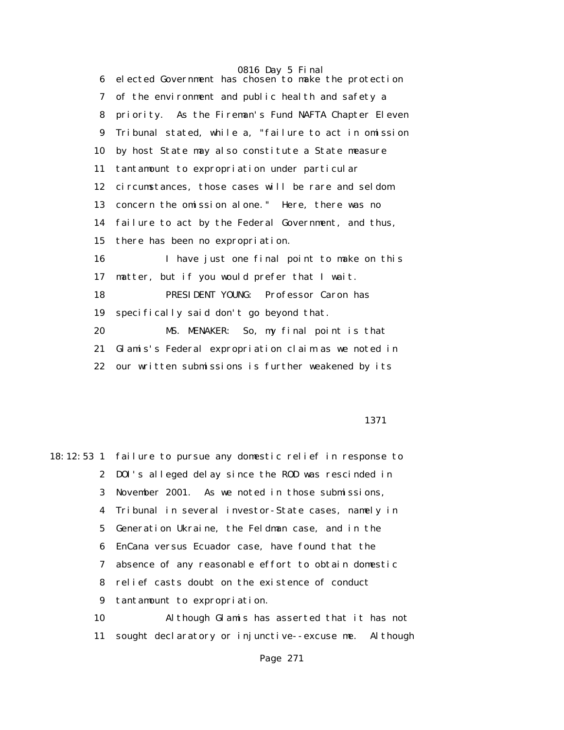0816 Day 5 Final 6 elected Government has chosen to make the protection 7 of the environment and public health and safety a 8 priority. As the Fireman's Fund NAFTA Chapter Eleven 9 Tribunal stated, while a, "failure to act in omission 10 by host State may also constitute a State measure 11 tantamount to expropriation under particular 12 circumstances, those cases will be rare and seldom 13 concern the omission alone." Here, there was no 14 failure to act by the Federal Government, and thus, 15 there has been no expropriation. 16 I have just one final point to make on this 17 matter, but if you would prefer that I wait. 18 PRESIDENT YOUNG: Professor Caron has 19 specifically said don't go beyond that. 20 MS. MENAKER: So, my final point is that 21 Glamis's Federal expropriation claim as we noted in 22 our written submissions is further weakened by its

1371

18:12:53 1 failure to pursue any domestic relief in response to 2 DOI's alleged delay since the ROD was rescinded in 3 November 2001. As we noted in those submissions, 4 Tribunal in several investor-State cases, namely in 5 Generation Ukraine, the Feldman case, and in the 6 EnCana versus Ecuador case, have found that the 7 absence of any reasonable effort to obtain domestic 8 relief casts doubt on the existence of conduct 9 tantamount to expropriation. 10 Although Glamis has asserted that it has not 11 sought declaratory or injunctive--excuse me. Although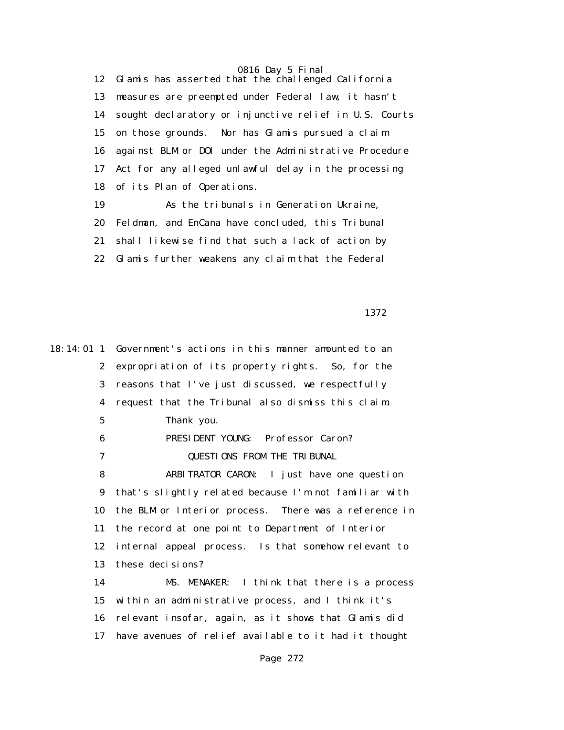12 Glamis has asserted that the challenged California 13 measures are preempted under Federal law, it hasn't 14 sought declaratory or injunctive relief in U.S. Courts 15 on those grounds. Nor has Glamis pursued a claim 16 against BLM or DOI under the Administrative Procedure 17 Act for any alleged unlawful delay in the processing 18 of its Plan of Operations.

 19 As the tribunals in Generation Ukraine, 20 Feldman, and EnCana have concluded, this Tribunal 21 shall likewise find that such a lack of action by 22 Glamis further weakens any claim that the Federal

1372

|              | 18:14:01 1 Government's actions in this manner amounted to an |
|--------------|---------------------------------------------------------------|
| $\mathbf{2}$ | expropriation of its property rights. So, for the             |
| 3            | reasons that I've just discussed, we respectfully             |
| 4            | request that the Tribunal also dismiss this claim.            |
| $\mathbf 5$  | Thank you.                                                    |
| 6            | PRESIDENT YOUNG: Professor Caron?                             |
| 7            | QUESTIONS FROM THE TRIBUNAL                                   |
| 8            | ARBITRATOR CARON: I just have one question                    |
| 9            | that's slightly related because I'm not familiar with         |
| 10           | the BLM or Interior process. There was a reference in         |
| 11           | the record at one point to Department of Interior             |
| 12           | internal appeal process. Is that somehow relevant to          |
| 13           | these decisions?                                              |
| 14           | MS. MENAKER: I think that there is a process                  |
| 15           | within an administrative process, and I think it's            |
| 16           | relevant insofar, again, as it shows that Glamis did          |
| 17           | have avenues of relief available to it had it thought         |
|              |                                                               |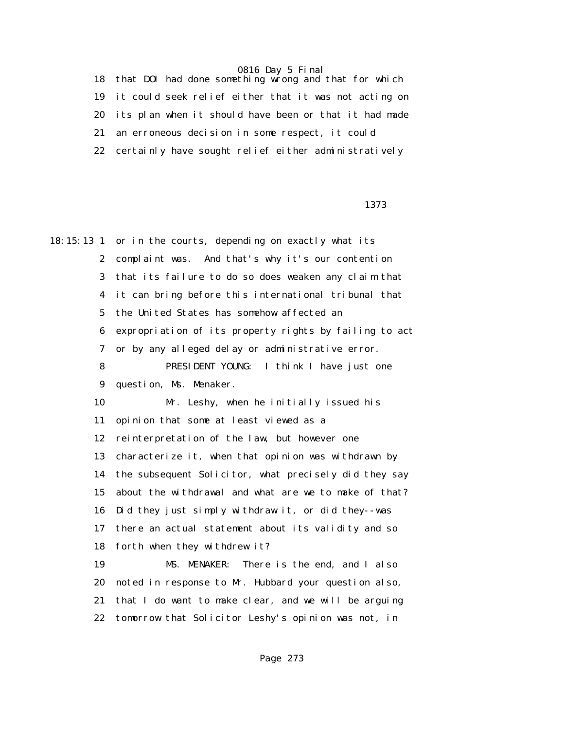18 that DOI had done something wrong and that for which 19 it could seek relief either that it was not acting on 20 its plan when it should have been or that it had made 21 an erroneous decision in some respect, it could 22 certainly have sought relief either administratively

1373

18:15:13 1 or in the courts, depending on exactly what its 2 complaint was. And that's why it's our contention 3 that its failure to do so does weaken any claim that 4 it can bring before this international tribunal that 5 the United States has somehow affected an 6 expropriation of its property rights by failing to act 7 or by any alleged delay or administrative error. 8 PRESIDENT YOUNG: I think I have just one 9 question, Ms. Menaker. 10 Mr. Leshy, when he initially issued his 11 opinion that some at least viewed as a 12 reinterpretation of the law, but however one 13 characterize it, when that opinion was withdrawn by 14 the subsequent Solicitor, what precisely did they say 15 about the withdrawal and what are we to make of that? 16 Did they just simply withdraw it, or did they--was 17 there an actual statement about its validity and so 18 forth when they withdrew it? 19 MS. MENAKER: There is the end, and I also 20 noted in response to Mr. Hubbard your question also, 21 that I do want to make clear, and we will be arguing 22 tomorrow that Solicitor Leshy's opinion was not, in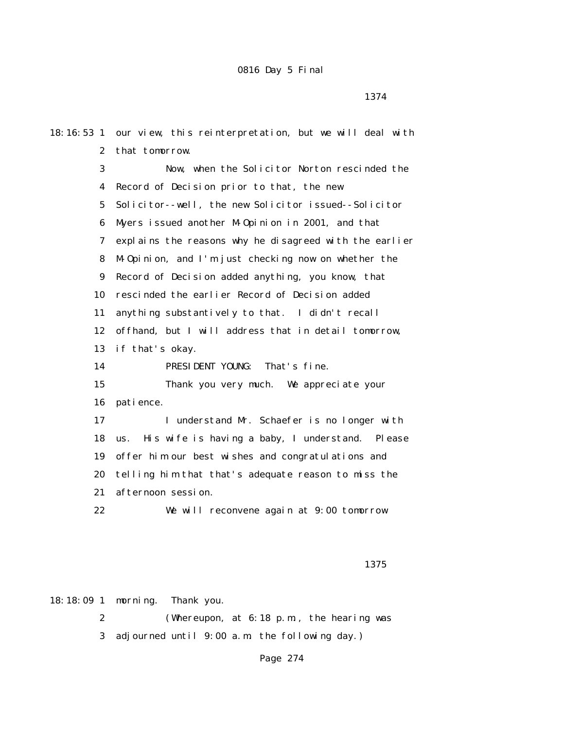1374

18:16:53 1 our view, this reinterpretation, but we will deal with 2 that tomorrow. 3 Now, when the Solicitor Norton rescinded the 4 Record of Decision prior to that, the new 5 Solicitor--well, the new Solicitor issued--Solicitor 6 Myers issued another M-Opinion in 2001, and that 7 explains the reasons why he disagreed with the earlier 8 M-Opinion, and I'm just checking now on whether the 9 Record of Decision added anything, you know, that 10 rescinded the earlier Record of Decision added 11 anything substantively to that. I didn't recall 12 offhand, but I will address that in detail tomorrow, 13 if that's okay. 14 PRESIDENT YOUNG: That's fine. 15 Thank you very much. We appreciate your 16 patience. 17 I understand Mr. Schaefer is no longer with 18 us. His wife is having a baby, I understand. Please 19 offer him our best wishes and congratulations and 20 telling him that that's adequate reason to miss the 21 afternoon session. 22 We will reconvene again at 9:00 tomorrow

1375

18:18:09 1 morning. Thank you.

2 (Whereupon, at 6:18 p.m., the hearing was

3 adjourned until 9:00 a.m. the following day.)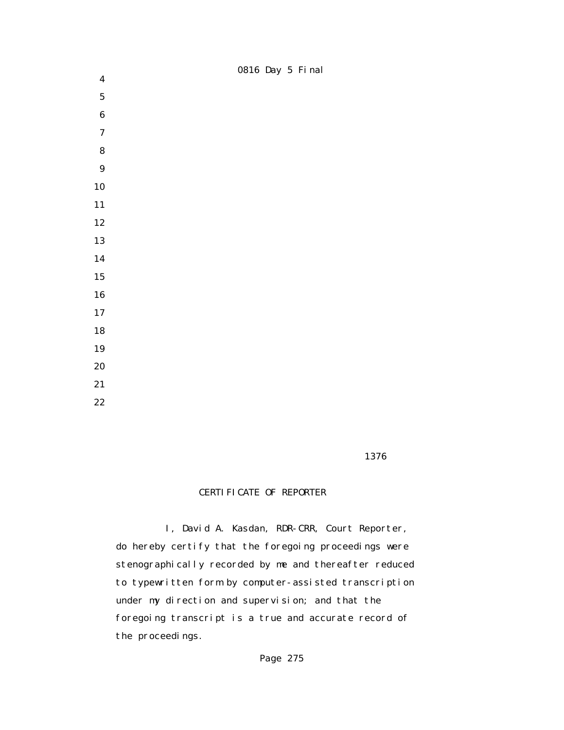- 
- 
- -
- -
	-
	-
	-
	-
	-
	-
	-
	-
	-
	-
	-
	-
	-
	-

# CERTIFICATE OF REPORTER

 I, David A. Kasdan, RDR-CRR, Court Reporter, do hereby certify that the foregoing proceedings were stenographically recorded by me and thereafter reduced to typewritten form by computer-assisted transcription under my direction and supervision; and that the foregoing transcript is a true and accurate record of the proceedings.